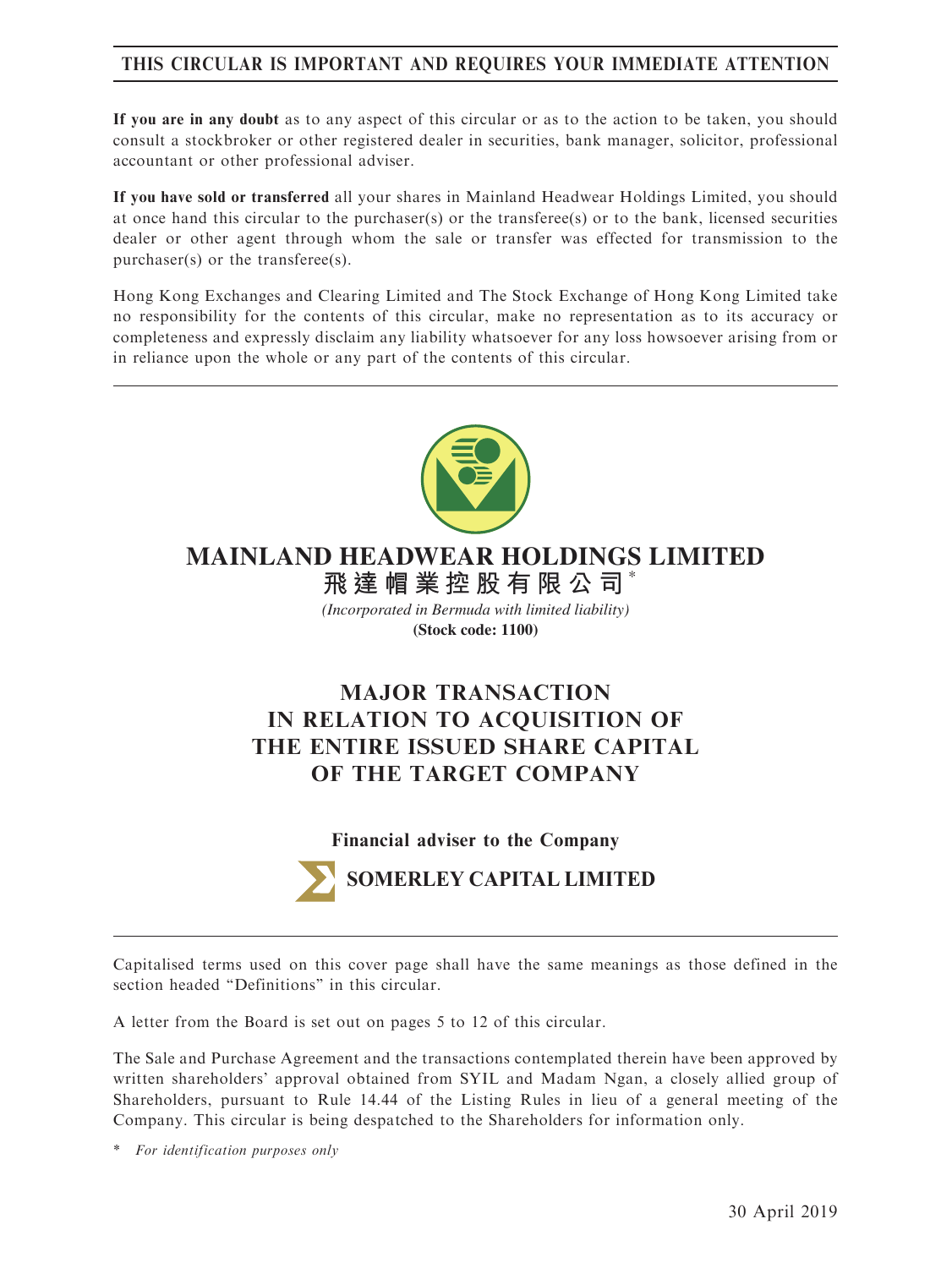# THIS CIRCULAR IS IMPORTANT AND REQUIRES YOUR IMMEDIATE ATTENTION

If you are in any doubt as to any aspect of this circular or as to the action to be taken, you should consult a stockbroker or other registered dealer in securities, bank manager, solicitor, professional accountant or other professional adviser.

If you have sold or transferred all your shares in Mainland Headwear Holdings Limited, you should at once hand this circular to the purchaser(s) or the transferee(s) or to the bank, licensed securities dealer or other agent through whom the sale or transfer was effected for transmission to the purchaser(s) or the transferee(s).

Hong Kong Exchanges and Clearing Limited and The Stock Exchange of Hong Kong Limited take no responsibility for the contents of this circular, make no representation as to its accuracy or completeness and expressly disclaim any liability whatsoever for any loss howsoever arising from or in reliance upon the whole or any part of the contents of this circular.



### \* **MAINLAND HEADWEAR HOLDINGS LIMITED**

**飛達帽業控股有限公司** *(Incorporated in Bermuda with limited liability)*

**(Stock code: 1100)**

# MAJOR TRANSACTION IN RELATION TO ACQUISITION OF THE ENTIRE ISSUED SHARE CAPITAL OF THE TARGET COMPANY

Financial adviser to the Company



**SOMERLEY CAPITAL LIMITED**

Capitalised terms used on this cover page shall have the same meanings as those defined in the section headed ''Definitions'' in this circular.

A letter from the Board is set out on pages 5 to 12 of this circular.

The Sale and Purchase Agreement and the transactions contemplated therein have been approved by written shareholders' approval obtained from SYIL and Madam Ngan, a closely allied group of Shareholders, pursuant to Rule 14.44 of the Listing Rules in lieu of a general meeting of the Company. This circular is being despatched to the Shareholders for information only.

\* For identification purposes only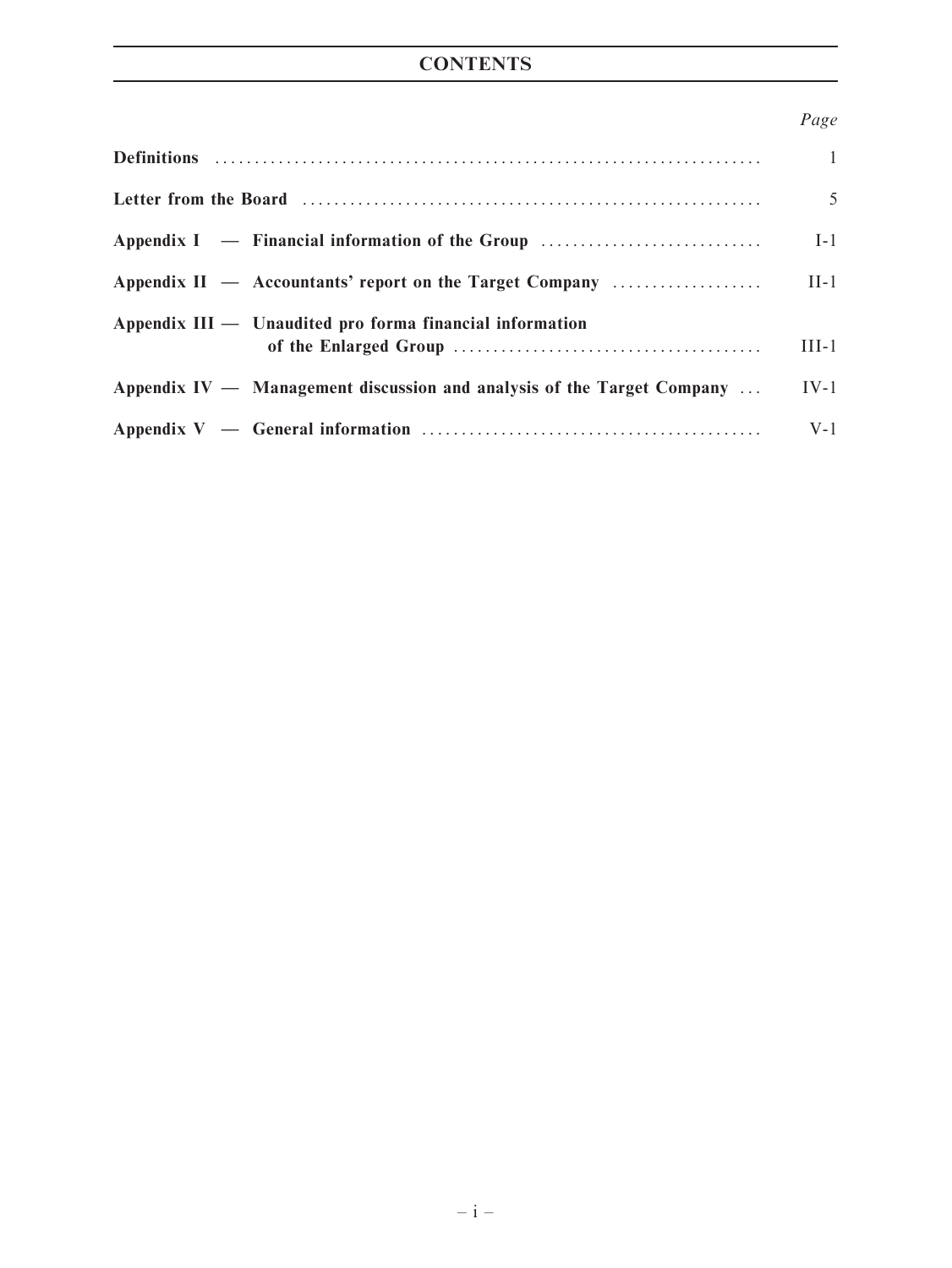# **CONTENTS**

# Page

|                                                                                  | $\mathbf{1}$ |
|----------------------------------------------------------------------------------|--------------|
|                                                                                  | 5            |
| Appendix I — Financial information of the Group                                  | $I-1$        |
| Appendix $II$ $-$ Accountants' report on the Target Company                      | $II-1$       |
| $\Delta$ ppendix III — Unaudited pro forma financial information                 | $III-1$      |
| Appendix $IV -$ Management discussion and analysis of the Target Company $\dots$ | $IV-1$       |
|                                                                                  | $V-1$        |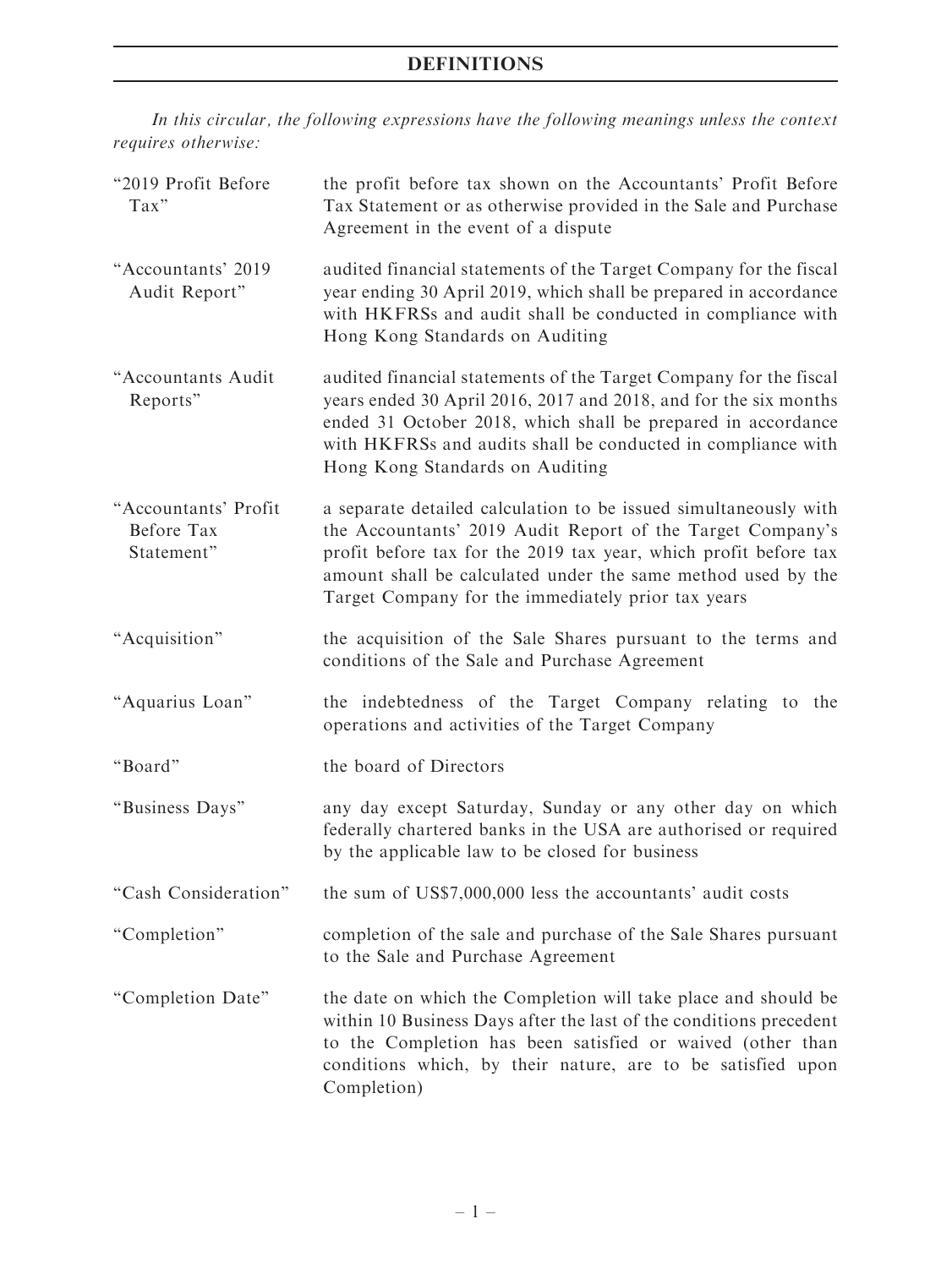# DEFINITIONS

In this circular, the following expressions have the following meanings unless the context requires otherwise:

| "2019 Profit Before<br>Tax"                      | the profit before tax shown on the Accountants' Profit Before<br>Tax Statement or as otherwise provided in the Sale and Purchase<br>Agreement in the event of a dispute                                                                                                                                                  |
|--------------------------------------------------|--------------------------------------------------------------------------------------------------------------------------------------------------------------------------------------------------------------------------------------------------------------------------------------------------------------------------|
| "Accountants' 2019<br>Audit Report"              | audited financial statements of the Target Company for the fiscal<br>year ending 30 April 2019, which shall be prepared in accordance<br>with HKFRSs and audit shall be conducted in compliance with<br>Hong Kong Standards on Auditing                                                                                  |
| "Accountants Audit<br>Reports"                   | audited financial statements of the Target Company for the fiscal<br>years ended 30 April 2016, 2017 and 2018, and for the six months<br>ended 31 October 2018, which shall be prepared in accordance<br>with HKFRSs and audits shall be conducted in compliance with<br>Hong Kong Standards on Auditing                 |
| "Accountants' Profit<br>Before Tax<br>Statement" | a separate detailed calculation to be issued simultaneously with<br>the Accountants' 2019 Audit Report of the Target Company's<br>profit before tax for the 2019 tax year, which profit before tax<br>amount shall be calculated under the same method used by the<br>Target Company for the immediately prior tax years |
| "Acquisition"                                    | the acquisition of the Sale Shares pursuant to the terms and<br>conditions of the Sale and Purchase Agreement                                                                                                                                                                                                            |
| "Aquarius Loan"                                  | the indebtedness of the Target Company relating to the<br>operations and activities of the Target Company                                                                                                                                                                                                                |
| "Board"                                          | the board of Directors                                                                                                                                                                                                                                                                                                   |
| "Business Days"                                  | any day except Saturday, Sunday or any other day on which<br>federally chartered banks in the USA are authorised or required<br>by the applicable law to be closed for business                                                                                                                                          |
| "Cash Consideration"                             | the sum of US\$7,000,000 less the accountants' audit costs                                                                                                                                                                                                                                                               |
| "Completion"                                     | completion of the sale and purchase of the Sale Shares pursuant<br>to the Sale and Purchase Agreement                                                                                                                                                                                                                    |
| "Completion Date"                                | the date on which the Completion will take place and should be<br>within 10 Business Days after the last of the conditions precedent<br>to the Completion has been satisfied or waived (other than<br>conditions which, by their nature, are to be satisfied upon<br>Completion)                                         |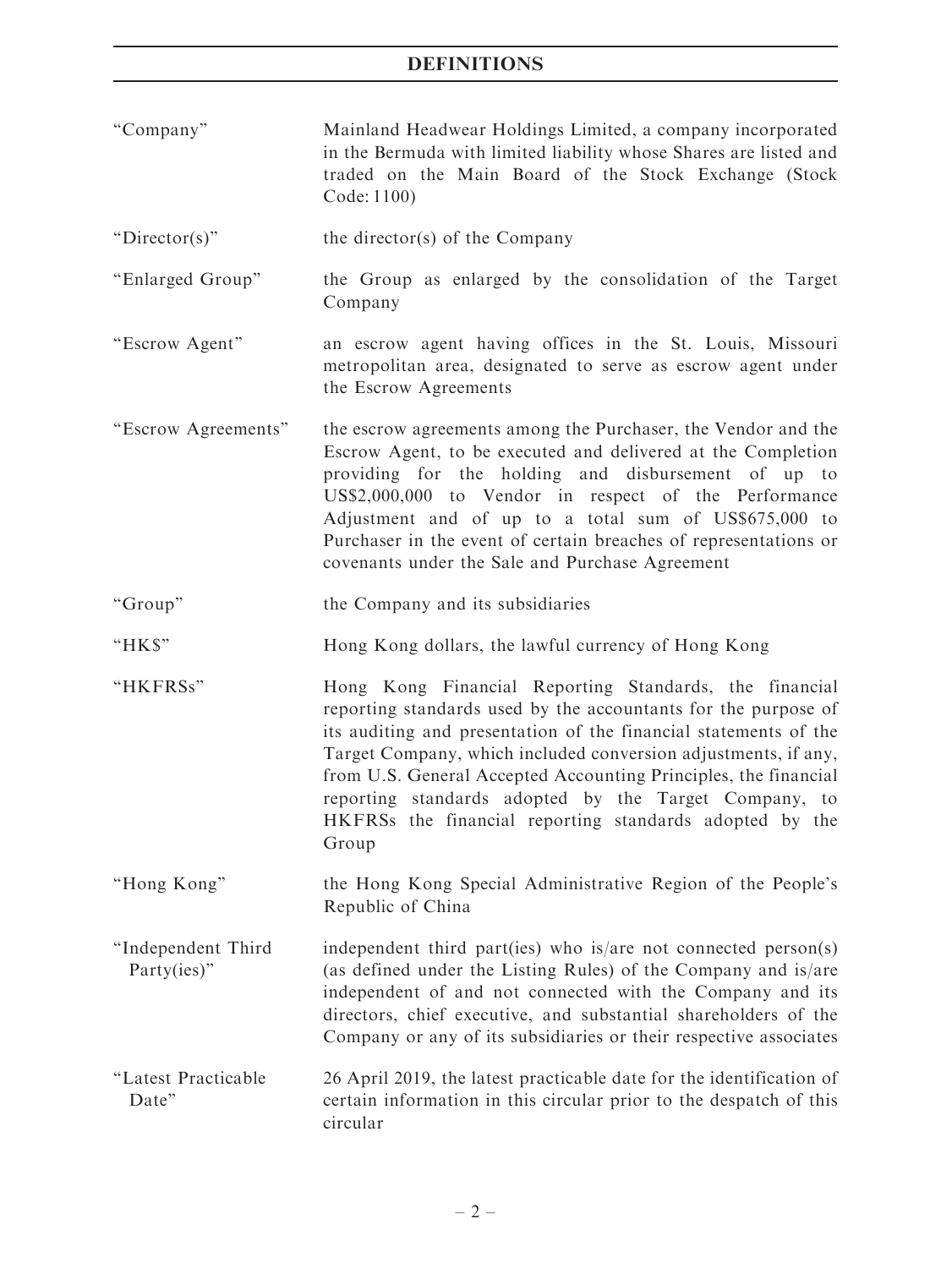- ''Company'' Mainland Headwear Holdings Limited, a company incorporated in the Bermuda with limited liability whose Shares are listed and traded on the Main Board of the Stock Exchange (Stock Code: 1100)
- "Director(s)" the director(s) of the Company
- ''Enlarged Group'' the Group as enlarged by the consolidation of the Target Company
- ''Escrow Agent'' an escrow agent having offices in the St. Louis, Missouri metropolitan area, designated to serve as escrow agent under the Escrow Agreements
- ''Escrow Agreements'' the escrow agreements among the Purchaser, the Vendor and the Escrow Agent, to be executed and delivered at the Completion providing for the holding and disbursement of up to US\$2,000,000 to Vendor in respect of the Performance Adjustment and of up to a total sum of US\$675,000 to Purchaser in the event of certain breaches of representations or covenants under the Sale and Purchase Agreement
- "Group" the Company and its subsidiaries
- ''HK\$'' Hong Kong dollars, the lawful currency of Hong Kong
- ''HKFRSs'' Hong Kong Financial Reporting Standards, the financial reporting standards used by the accountants for the purpose of its auditing and presentation of the financial statements of the Target Company, which included conversion adjustments, if any, from U.S. General Accepted Accounting Principles, the financial reporting standards adopted by the Target Company, to HKFRSs the financial reporting standards adopted by the Group
- ''Hong Kong'' the Hong Kong Special Administrative Region of the People's Republic of China
- ''Independent Third Party(ies)" independent third part(ies) who is/are not connected person(s) (as defined under the Listing Rules) of the Company and is/are independent of and not connected with the Company and its directors, chief executive, and substantial shareholders of the Company or any of its subsidiaries or their respective associates
- ''Latest Practicable Date'' 26 April 2019, the latest practicable date for the identification of certain information in this circular prior to the despatch of this circular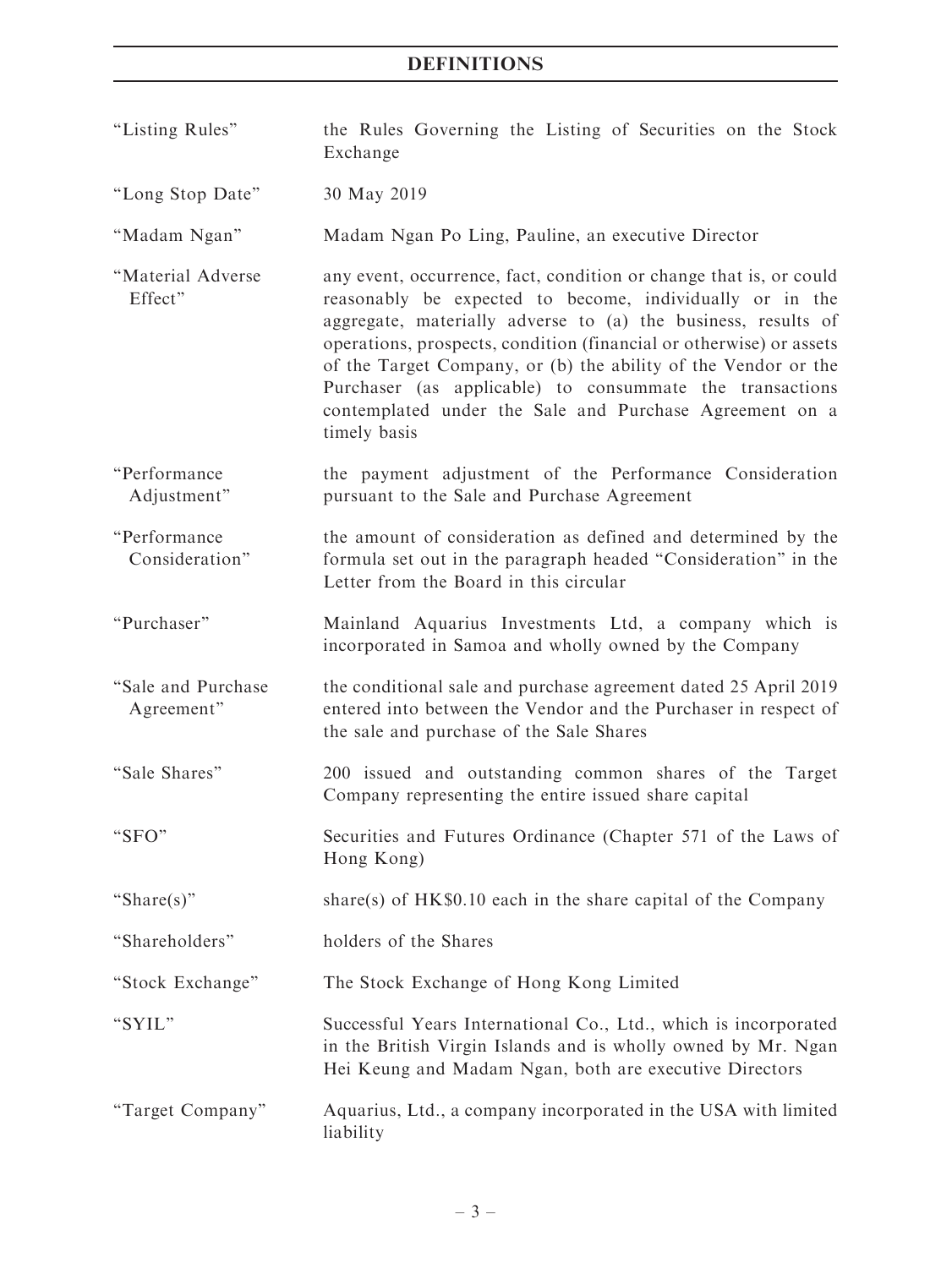# **DEFINITIONS**

- ''Listing Rules'' the Rules Governing the Listing of Securities on the Stock Exchange
- ''Long Stop Date'' 30 May 2019

''Madam Ngan'' Madam Ngan Po Ling, Pauline, an executive Director

- ''Material Adverse Effect'' any event, occurrence, fact, condition or change that is, or could reasonably be expected to become, individually or in the aggregate, materially adverse to (a) the business, results of operations, prospects, condition (financial or otherwise) or assets of the Target Company, or (b) the ability of the Vendor or the Purchaser (as applicable) to consummate the transactions contemplated under the Sale and Purchase Agreement on a timely basis
- ''Performance Adjustment'' the payment adjustment of the Performance Consideration pursuant to the Sale and Purchase Agreement
- ''Performance Consideration'' the amount of consideration as defined and determined by the formula set out in the paragraph headed ''Consideration'' in the Letter from the Board in this circular
- ''Purchaser'' Mainland Aquarius Investments Ltd, a company which is incorporated in Samoa and wholly owned by the Company
- ''Sale and Purchase Agreement'' the conditional sale and purchase agreement dated 25 April 2019 entered into between the Vendor and the Purchaser in respect of the sale and purchase of the Sale Shares
- ''Sale Shares'' 200 issued and outstanding common shares of the Target Company representing the entire issued share capital
- ''SFO'' Securities and Futures Ordinance (Chapter 571 of the Laws of Hong Kong)

"Share(s)" share(s) of  $HK$0.10$  each in the share capital of the Company

''Shareholders'' holders of the Shares

''Stock Exchange'' The Stock Exchange of Hong Kong Limited

- ''SYIL'' Successful Years International Co., Ltd., which is incorporated in the British Virgin Islands and is wholly owned by Mr. Ngan Hei Keung and Madam Ngan, both are executive Directors
- ''Target Company'' Aquarius, Ltd., a company incorporated in the USA with limited liability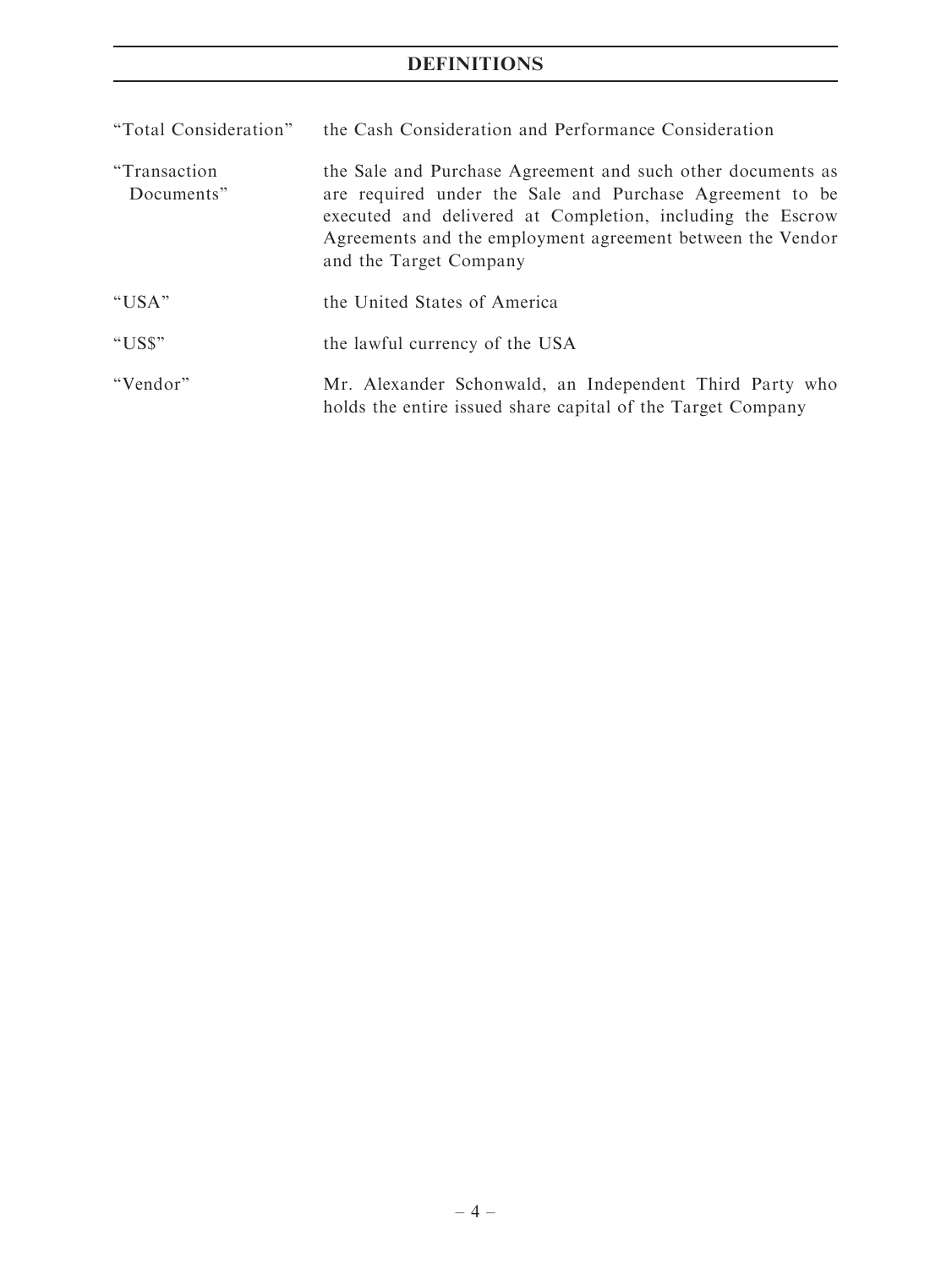# DEFINITIONS

| "Total Consideration"       | the Cash Consideration and Performance Consideration                                                                                                                                                                                                                          |
|-----------------------------|-------------------------------------------------------------------------------------------------------------------------------------------------------------------------------------------------------------------------------------------------------------------------------|
| "Transaction"<br>Documents" | the Sale and Purchase Agreement and such other documents as<br>are required under the Sale and Purchase Agreement to be<br>executed and delivered at Completion, including the Escrow<br>Agreements and the employment agreement between the Vendor<br>and the Target Company |
| "USA"                       | the United States of America                                                                                                                                                                                                                                                  |
| "US\$"                      | the lawful currency of the USA                                                                                                                                                                                                                                                |
| "Vendor"                    | Mr. Alexander Schonwald, an Independent Third Party who<br>holds the entire issued share capital of the Target Company                                                                                                                                                        |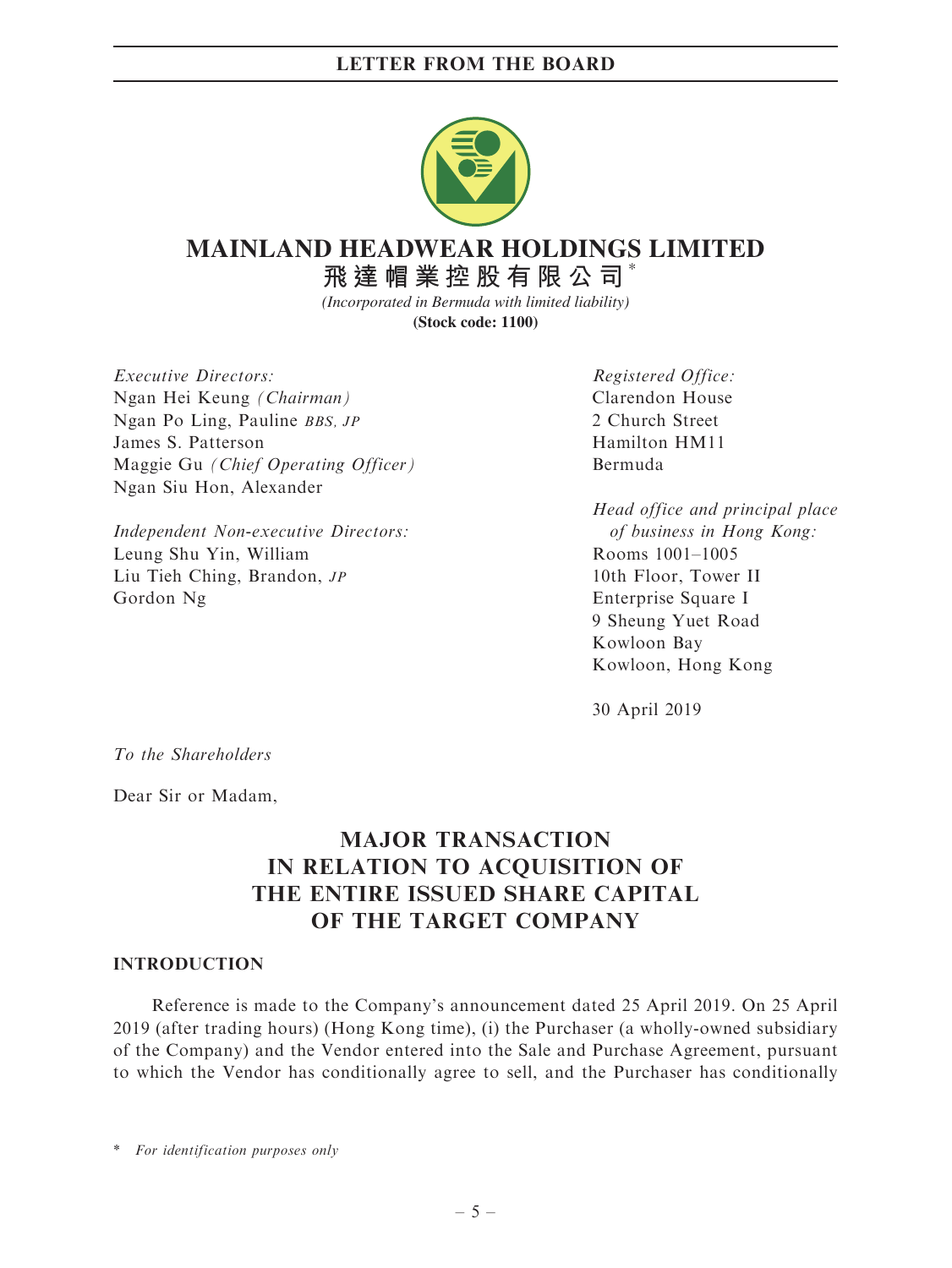

### \* **MAINLAND HEADWEAR HOLDINGS LIMITED**

**飛達帽業控股有限公司**

*(Incorporated in Bermuda with limited liability)* **(Stock code: 1100)**

Executive Directors: Ngan Hei Keung (Chairman) Ngan Po Ling, Pauline BBS, JP James S. Patterson Maggie Gu (Chief Operating Officer) Ngan Siu Hon, Alexander

Independent Non-executive Directors: Leung Shu Yin, William Liu Tieh Ching, Brandon, JP Gordon Ng

Registered Office: Clarendon House 2 Church Street Hamilton HM11 Bermuda

Head office and principal place of business in Hong Kong: Rooms 1001–1005 10th Floor, Tower II Enterprise Square I 9 Sheung Yuet Road Kowloon Bay Kowloon, Hong Kong

30 April 2019

To the Shareholders

Dear Sir or Madam,

# MAJOR TRANSACTION IN RELATION TO ACQUISITION OF THE ENTIRE ISSUED SHARE CAPITAL OF THE TARGET COMPANY

# INTRODUCTION

Reference is made to the Company's announcement dated 25 April 2019. On 25 April 2019 (after trading hours) (Hong Kong time), (i) the Purchaser (a wholly-owned subsidiary of the Company) and the Vendor entered into the Sale and Purchase Agreement, pursuant to which the Vendor has conditionally agree to sell, and the Purchaser has conditionally

\* For identification purposes only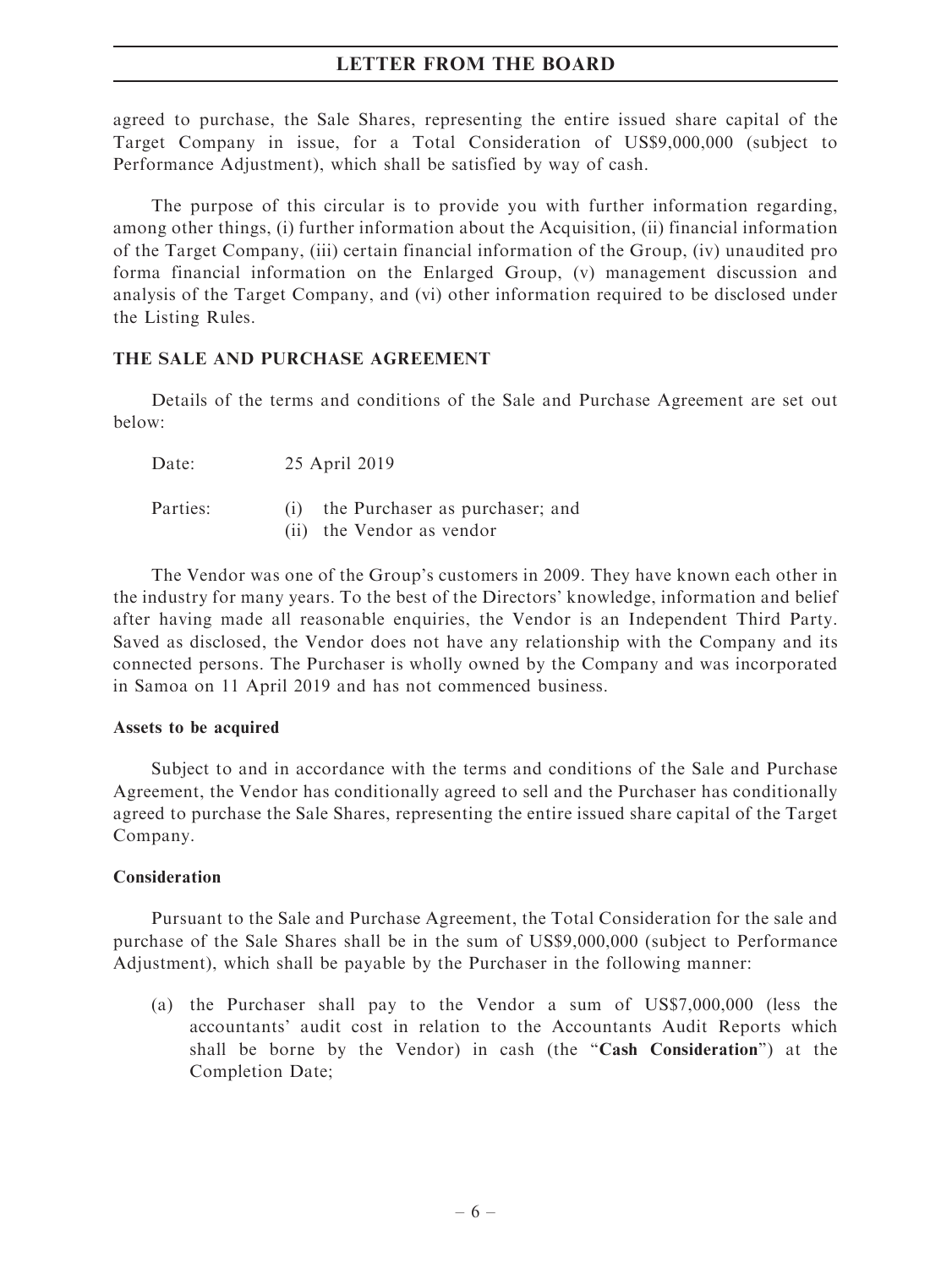agreed to purchase, the Sale Shares, representing the entire issued share capital of the Target Company in issue, for a Total Consideration of US\$9,000,000 (subject to Performance Adjustment), which shall be satisfied by way of cash.

The purpose of this circular is to provide you with further information regarding, among other things, (i) further information about the Acquisition, (ii) financial information of the Target Company, (iii) certain financial information of the Group, (iv) unaudited pro forma financial information on the Enlarged Group, (v) management discussion and analysis of the Target Company, and (vi) other information required to be disclosed under the Listing Rules.

# THE SALE AND PURCHASE AGREEMENT

Details of the terms and conditions of the Sale and Purchase Agreement are set out below:

Date: 25 April 2019

| Parties: | the Purchaser as purchaser; and |
|----------|---------------------------------|
|          | (ii) the Vendor as vendor       |

The Vendor was one of the Group's customers in 2009. They have known each other in the industry for many years. To the best of the Directors' knowledge, information and belief after having made all reasonable enquiries, the Vendor is an Independent Third Party. Saved as disclosed, the Vendor does not have any relationship with the Company and its connected persons. The Purchaser is wholly owned by the Company and was incorporated in Samoa on 11 April 2019 and has not commenced business.

# Assets to be acquired

Subject to and in accordance with the terms and conditions of the Sale and Purchase Agreement, the Vendor has conditionally agreed to sell and the Purchaser has conditionally agreed to purchase the Sale Shares, representing the entire issued share capital of the Target Company.

# **Consideration**

Pursuant to the Sale and Purchase Agreement, the Total Consideration for the sale and purchase of the Sale Shares shall be in the sum of US\$9,000,000 (subject to Performance Adjustment), which shall be payable by the Purchaser in the following manner:

(a) the Purchaser shall pay to the Vendor a sum of US\$7,000,000 (less the accountants' audit cost in relation to the Accountants Audit Reports which shall be borne by the Vendor) in cash (the "Cash Consideration") at the Completion Date;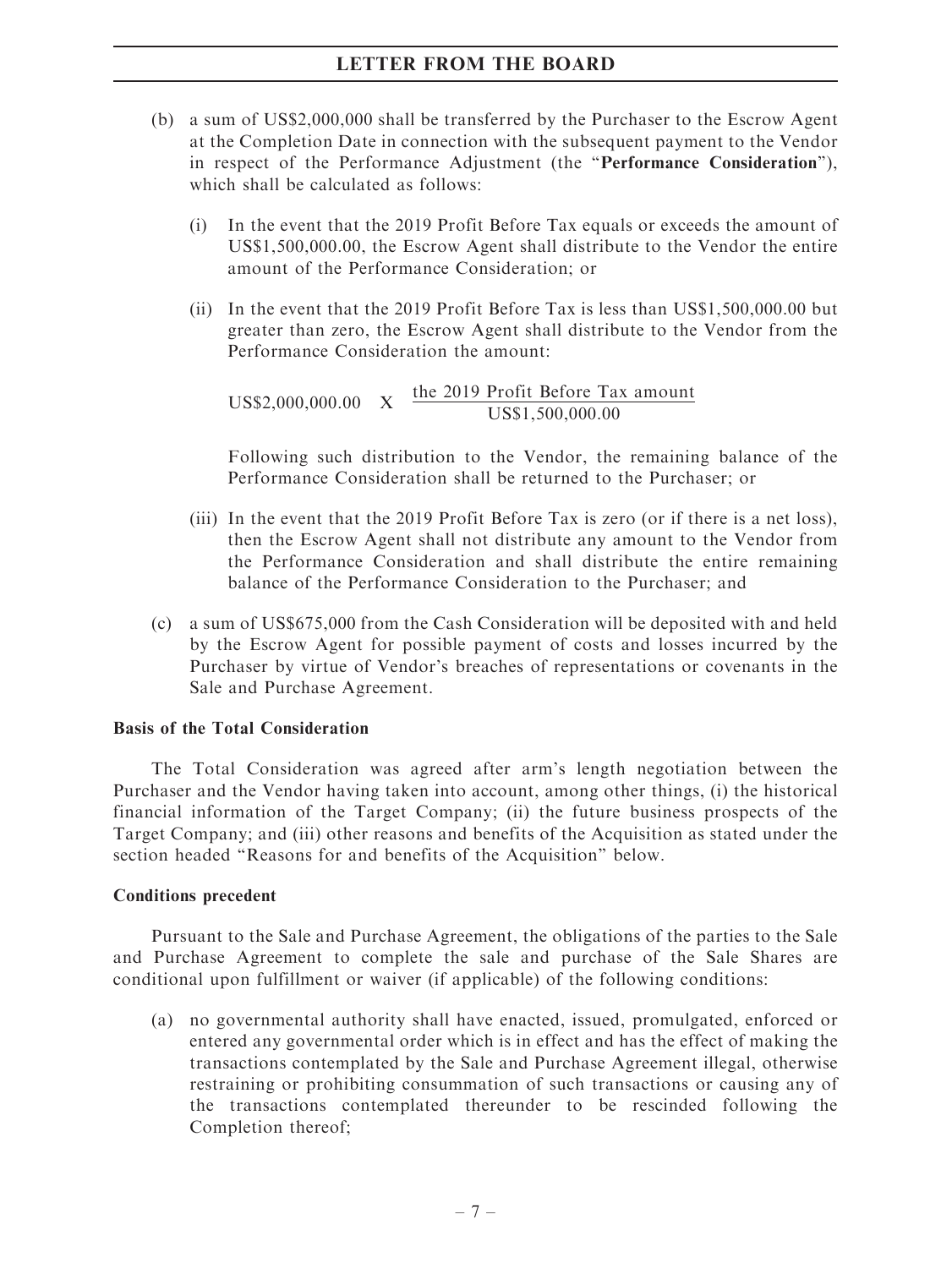- (b) a sum of US\$2,000,000 shall be transferred by the Purchaser to the Escrow Agent at the Completion Date in connection with the subsequent payment to the Vendor in respect of the Performance Adjustment (the "Performance Consideration"), which shall be calculated as follows:
	- (i) In the event that the 2019 Profit Before Tax equals or exceeds the amount of US\$1,500,000.00, the Escrow Agent shall distribute to the Vendor the entire amount of the Performance Consideration; or
	- (ii) In the event that the 2019 Profit Before Tax is less than US\$1,500,000.00 but greater than zero, the Escrow Agent shall distribute to the Vendor from the Performance Consideration the amount:

US\$2,000,000.00  $X$  the 2019 Profit Before Tax amount US\$1,500,000.00

Following such distribution to the Vendor, the remaining balance of the Performance Consideration shall be returned to the Purchaser; or

- (iii) In the event that the 2019 Profit Before Tax is zero (or if there is a net loss), then the Escrow Agent shall not distribute any amount to the Vendor from the Performance Consideration and shall distribute the entire remaining balance of the Performance Consideration to the Purchaser; and
- (c) a sum of US\$675,000 from the Cash Consideration will be deposited with and held by the Escrow Agent for possible payment of costs and losses incurred by the Purchaser by virtue of Vendor's breaches of representations or covenants in the Sale and Purchase Agreement.

# Basis of the Total Consideration

The Total Consideration was agreed after arm's length negotiation between the Purchaser and the Vendor having taken into account, among other things, (i) the historical financial information of the Target Company; (ii) the future business prospects of the Target Company; and (iii) other reasons and benefits of the Acquisition as stated under the section headed ''Reasons for and benefits of the Acquisition'' below.

# Conditions precedent

Pursuant to the Sale and Purchase Agreement, the obligations of the parties to the Sale and Purchase Agreement to complete the sale and purchase of the Sale Shares are conditional upon fulfillment or waiver (if applicable) of the following conditions:

(a) no governmental authority shall have enacted, issued, promulgated, enforced or entered any governmental order which is in effect and has the effect of making the transactions contemplated by the Sale and Purchase Agreement illegal, otherwise restraining or prohibiting consummation of such transactions or causing any of the transactions contemplated thereunder to be rescinded following the Completion thereof;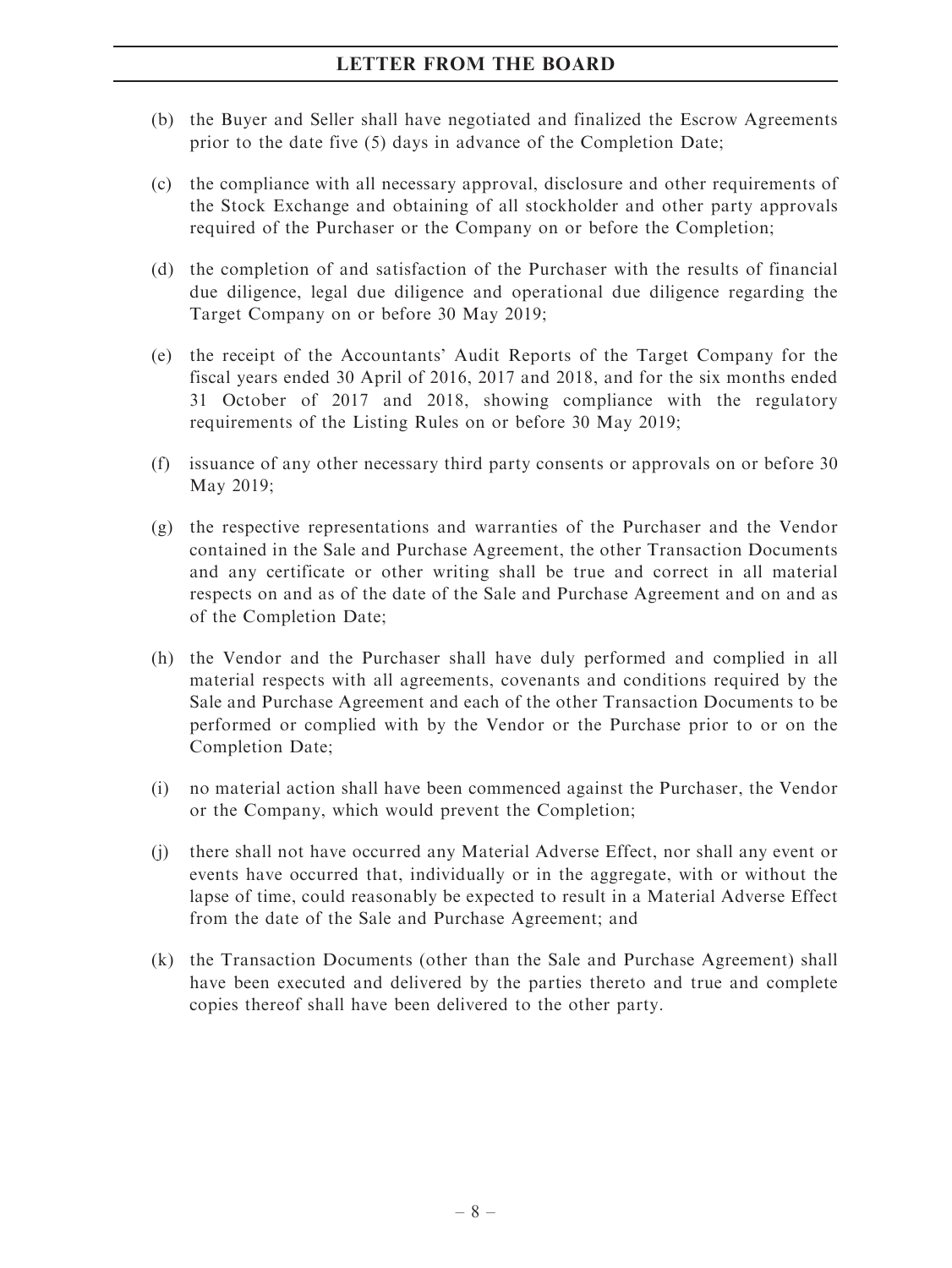- (b) the Buyer and Seller shall have negotiated and finalized the Escrow Agreements prior to the date five (5) days in advance of the Completion Date;
- (c) the compliance with all necessary approval, disclosure and other requirements of the Stock Exchange and obtaining of all stockholder and other party approvals required of the Purchaser or the Company on or before the Completion;
- (d) the completion of and satisfaction of the Purchaser with the results of financial due diligence, legal due diligence and operational due diligence regarding the Target Company on or before 30 May 2019;
- (e) the receipt of the Accountants' Audit Reports of the Target Company for the fiscal years ended 30 April of 2016, 2017 and 2018, and for the six months ended 31 October of 2017 and 2018, showing compliance with the regulatory requirements of the Listing Rules on or before 30 May 2019;
- (f) issuance of any other necessary third party consents or approvals on or before 30 May 2019;
- (g) the respective representations and warranties of the Purchaser and the Vendor contained in the Sale and Purchase Agreement, the other Transaction Documents and any certificate or other writing shall be true and correct in all material respects on and as of the date of the Sale and Purchase Agreement and on and as of the Completion Date;
- (h) the Vendor and the Purchaser shall have duly performed and complied in all material respects with all agreements, covenants and conditions required by the Sale and Purchase Agreement and each of the other Transaction Documents to be performed or complied with by the Vendor or the Purchase prior to or on the Completion Date;
- (i) no material action shall have been commenced against the Purchaser, the Vendor or the Company, which would prevent the Completion;
- (j) there shall not have occurred any Material Adverse Effect, nor shall any event or events have occurred that, individually or in the aggregate, with or without the lapse of time, could reasonably be expected to result in a Material Adverse Effect from the date of the Sale and Purchase Agreement; and
- (k) the Transaction Documents (other than the Sale and Purchase Agreement) shall have been executed and delivered by the parties thereto and true and complete copies thereof shall have been delivered to the other party.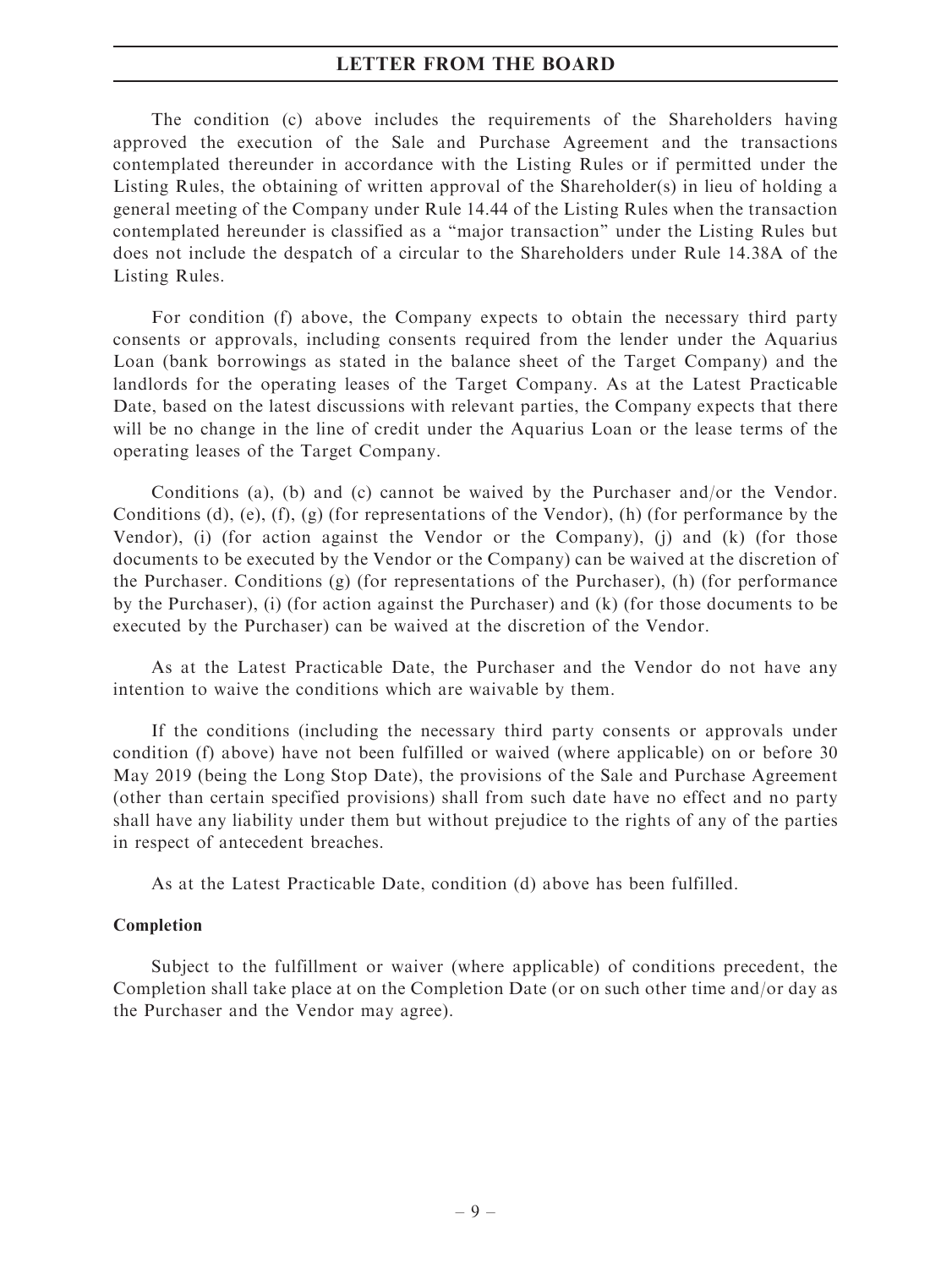The condition (c) above includes the requirements of the Shareholders having approved the execution of the Sale and Purchase Agreement and the transactions contemplated thereunder in accordance with the Listing Rules or if permitted under the Listing Rules, the obtaining of written approval of the Shareholder(s) in lieu of holding a general meeting of the Company under Rule 14.44 of the Listing Rules when the transaction contemplated hereunder is classified as a ''major transaction'' under the Listing Rules but does not include the despatch of a circular to the Shareholders under Rule 14.38A of the Listing Rules.

For condition (f) above, the Company expects to obtain the necessary third party consents or approvals, including consents required from the lender under the Aquarius Loan (bank borrowings as stated in the balance sheet of the Target Company) and the landlords for the operating leases of the Target Company. As at the Latest Practicable Date, based on the latest discussions with relevant parties, the Company expects that there will be no change in the line of credit under the Aquarius Loan or the lease terms of the operating leases of the Target Company.

Conditions (a), (b) and (c) cannot be waived by the Purchaser and/or the Vendor. Conditions (d), (e),  $(f)$ ,  $(g)$  (for representations of the Vendor), (h) (for performance by the Vendor), (i) (for action against the Vendor or the Company), (j) and (k) (for those documents to be executed by the Vendor or the Company) can be waived at the discretion of the Purchaser. Conditions (g) (for representations of the Purchaser), (h) (for performance by the Purchaser), (i) (for action against the Purchaser) and (k) (for those documents to be executed by the Purchaser) can be waived at the discretion of the Vendor.

As at the Latest Practicable Date, the Purchaser and the Vendor do not have any intention to waive the conditions which are waivable by them.

If the conditions (including the necessary third party consents or approvals under condition (f) above) have not been fulfilled or waived (where applicable) on or before 30 May 2019 (being the Long Stop Date), the provisions of the Sale and Purchase Agreement (other than certain specified provisions) shall from such date have no effect and no party shall have any liability under them but without prejudice to the rights of any of the parties in respect of antecedent breaches.

As at the Latest Practicable Date, condition (d) above has been fulfilled.

# Completion

Subject to the fulfillment or waiver (where applicable) of conditions precedent, the Completion shall take place at on the Completion Date (or on such other time and/or day as the Purchaser and the Vendor may agree).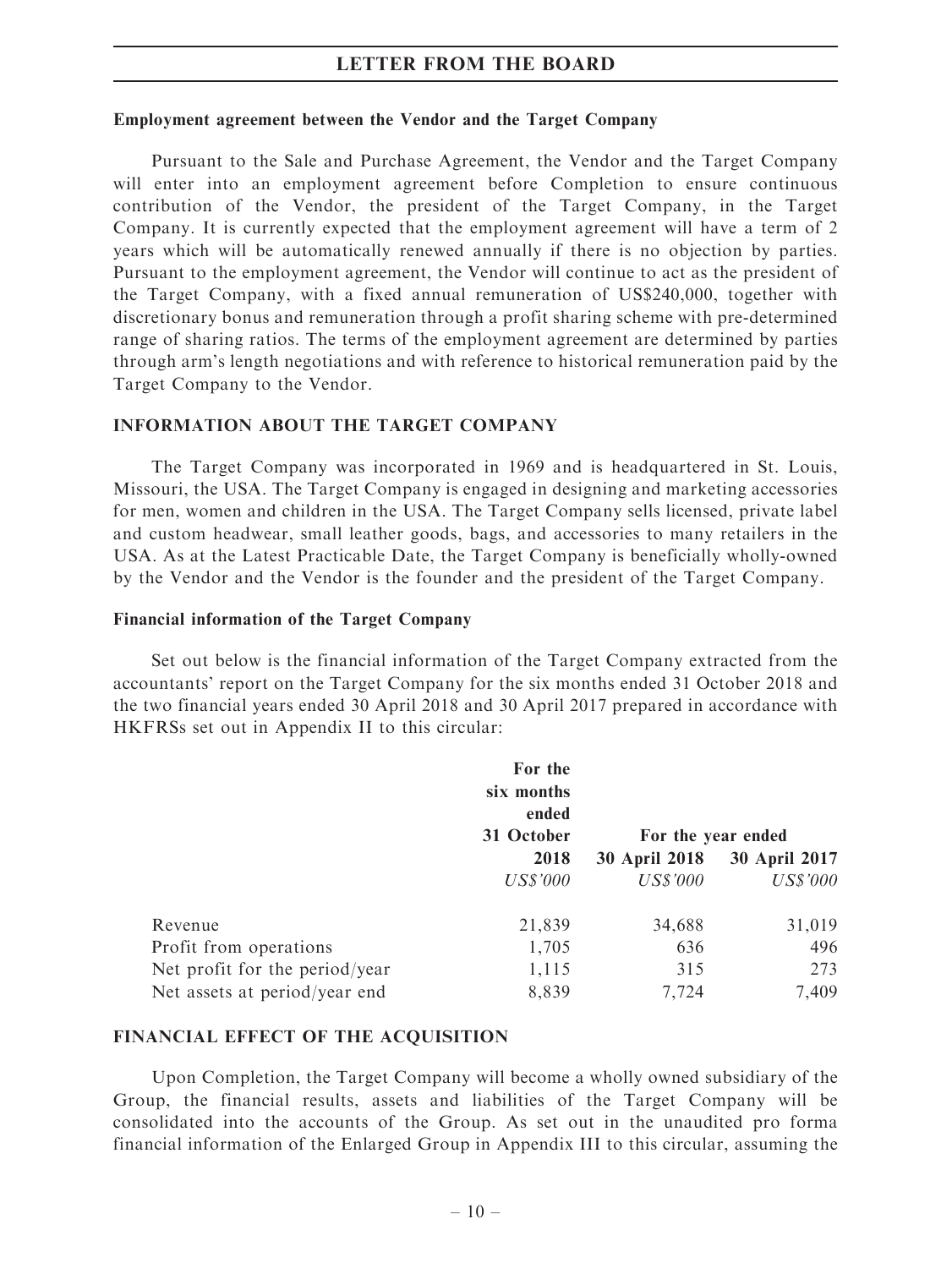### Employment agreement between the Vendor and the Target Company

Pursuant to the Sale and Purchase Agreement, the Vendor and the Target Company will enter into an employment agreement before Completion to ensure continuous contribution of the Vendor, the president of the Target Company, in the Target Company. It is currently expected that the employment agreement will have a term of 2 years which will be automatically renewed annually if there is no objection by parties. Pursuant to the employment agreement, the Vendor will continue to act as the president of the Target Company, with a fixed annual remuneration of US\$240,000, together with discretionary bonus and remuneration through a profit sharing scheme with pre-determined range of sharing ratios. The terms of the employment agreement are determined by parties through arm's length negotiations and with reference to historical remuneration paid by the Target Company to the Vendor.

### INFORMATION ABOUT THE TARGET COMPANY

The Target Company was incorporated in 1969 and is headquartered in St. Louis, Missouri, the USA. The Target Company is engaged in designing and marketing accessories for men, women and children in the USA. The Target Company sells licensed, private label and custom headwear, small leather goods, bags, and accessories to many retailers in the USA. As at the Latest Practicable Date, the Target Company is beneficially wholly-owned by the Vendor and the Vendor is the founder and the president of the Target Company.

# Financial information of the Target Company

Set out below is the financial information of the Target Company extracted from the accountants' report on the Target Company for the six months ended 31 October 2018 and the two financial years ended 30 April 2018 and 30 April 2017 prepared in accordance with HKFRSs set out in Appendix II to this circular:

|                                | For the<br>six months<br>ended<br>31 October | For the year ended   |                      |
|--------------------------------|----------------------------------------------|----------------------|----------------------|
|                                | 2018                                         | <b>30 April 2018</b> | <b>30 April 2017</b> |
|                                | US\$'000                                     | <b>US\$'000</b>      | <b>US\$'000</b>      |
| Revenue                        | 21,839                                       | 34,688               | 31,019               |
| Profit from operations         | 1,705                                        | 636                  | 496                  |
| Net profit for the period/year | 1,115                                        | 315                  | 273                  |
| Net assets at period/year end  | 8,839                                        | 7,724                | 7,409                |

### FINANCIAL EFFECT OF THE ACQUISITION

Upon Completion, the Target Company will become a wholly owned subsidiary of the Group, the financial results, assets and liabilities of the Target Company will be consolidated into the accounts of the Group. As set out in the unaudited pro forma financial information of the Enlarged Group in Appendix III to this circular, assuming the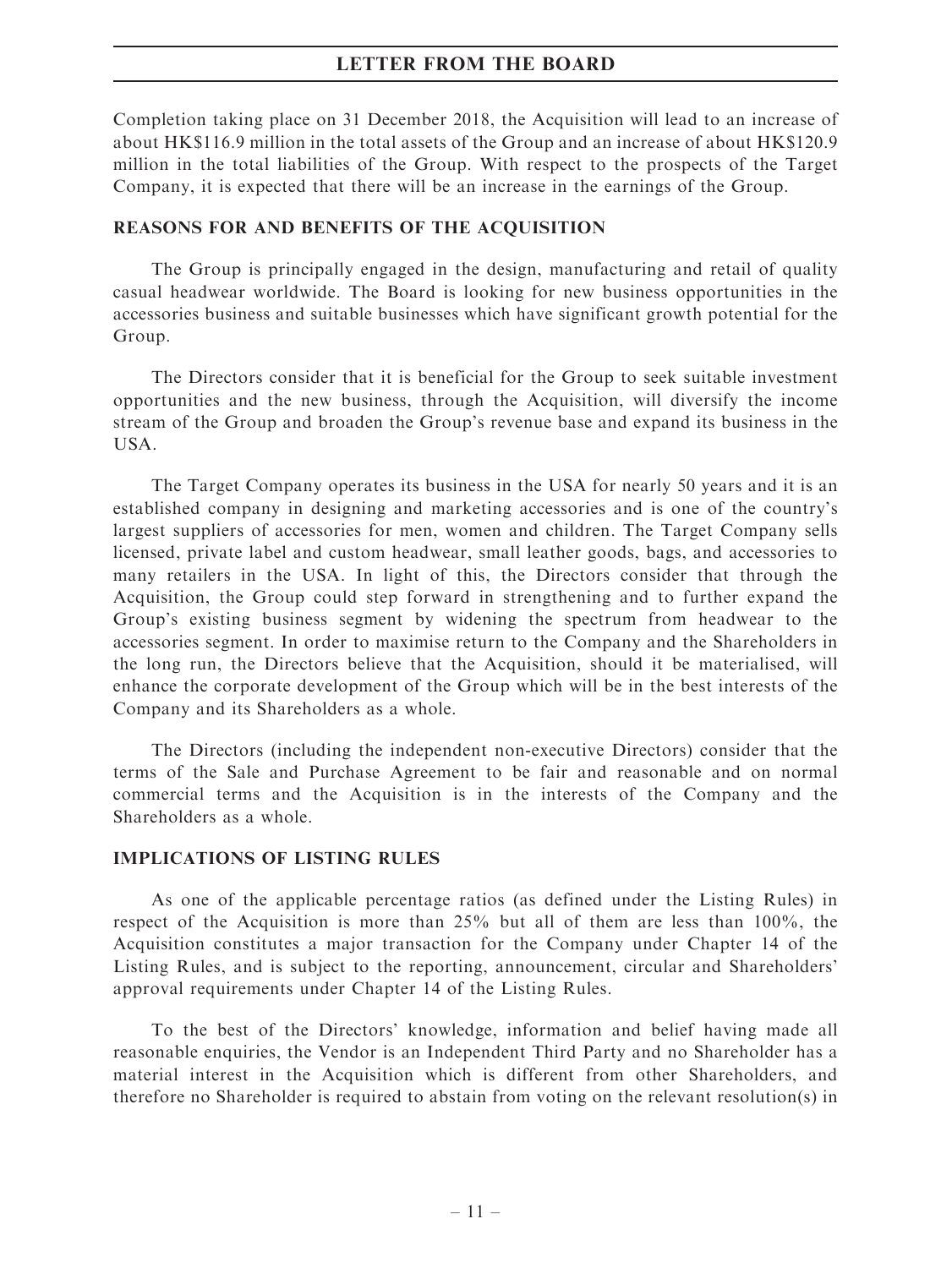Completion taking place on 31 December 2018, the Acquisition will lead to an increase of about HK\$116.9 million in the total assets of the Group and an increase of about HK\$120.9 million in the total liabilities of the Group. With respect to the prospects of the Target Company, it is expected that there will be an increase in the earnings of the Group.

# REASONS FOR AND BENEFITS OF THE ACQUISITION

The Group is principally engaged in the design, manufacturing and retail of quality casual headwear worldwide. The Board is looking for new business opportunities in the accessories business and suitable businesses which have significant growth potential for the Group.

The Directors consider that it is beneficial for the Group to seek suitable investment opportunities and the new business, through the Acquisition, will diversify the income stream of the Group and broaden the Group's revenue base and expand its business in the USA.

The Target Company operates its business in the USA for nearly 50 years and it is an established company in designing and marketing accessories and is one of the country's largest suppliers of accessories for men, women and children. The Target Company sells licensed, private label and custom headwear, small leather goods, bags, and accessories to many retailers in the USA. In light of this, the Directors consider that through the Acquisition, the Group could step forward in strengthening and to further expand the Group's existing business segment by widening the spectrum from headwear to the accessories segment. In order to maximise return to the Company and the Shareholders in the long run, the Directors believe that the Acquisition, should it be materialised, will enhance the corporate development of the Group which will be in the best interests of the Company and its Shareholders as a whole.

The Directors (including the independent non-executive Directors) consider that the terms of the Sale and Purchase Agreement to be fair and reasonable and on normal commercial terms and the Acquisition is in the interests of the Company and the Shareholders as a whole.

# IMPLICATIONS OF LISTING RULES

As one of the applicable percentage ratios (as defined under the Listing Rules) in respect of the Acquisition is more than 25% but all of them are less than 100%, the Acquisition constitutes a major transaction for the Company under Chapter 14 of the Listing Rules, and is subject to the reporting, announcement, circular and Shareholders' approval requirements under Chapter 14 of the Listing Rules.

To the best of the Directors' knowledge, information and belief having made all reasonable enquiries, the Vendor is an Independent Third Party and no Shareholder has a material interest in the Acquisition which is different from other Shareholders, and therefore no Shareholder is required to abstain from voting on the relevant resolution(s) in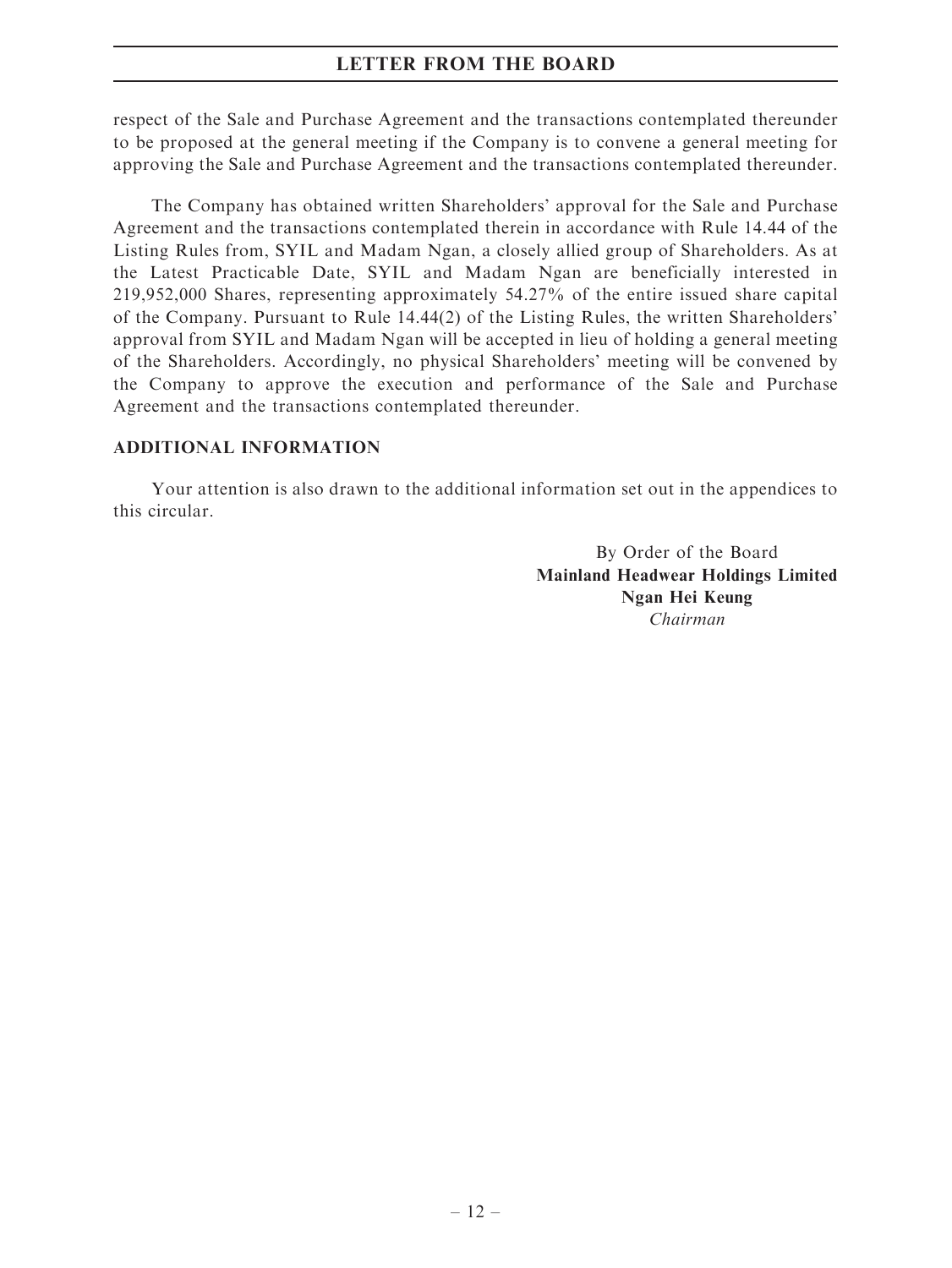respect of the Sale and Purchase Agreement and the transactions contemplated thereunder to be proposed at the general meeting if the Company is to convene a general meeting for approving the Sale and Purchase Agreement and the transactions contemplated thereunder.

The Company has obtained written Shareholders' approval for the Sale and Purchase Agreement and the transactions contemplated therein in accordance with Rule 14.44 of the Listing Rules from, SYIL and Madam Ngan, a closely allied group of Shareholders. As at the Latest Practicable Date, SYIL and Madam Ngan are beneficially interested in 219,952,000 Shares, representing approximately 54.27% of the entire issued share capital of the Company. Pursuant to Rule 14.44(2) of the Listing Rules, the written Shareholders' approval from SYIL and Madam Ngan will be accepted in lieu of holding a general meeting of the Shareholders. Accordingly, no physical Shareholders' meeting will be convened by the Company to approve the execution and performance of the Sale and Purchase Agreement and the transactions contemplated thereunder.

# ADDITIONAL INFORMATION

Your attention is also drawn to the additional information set out in the appendices to this circular.

> By Order of the Board Mainland Headwear Holdings Limited Ngan Hei Keung Chairman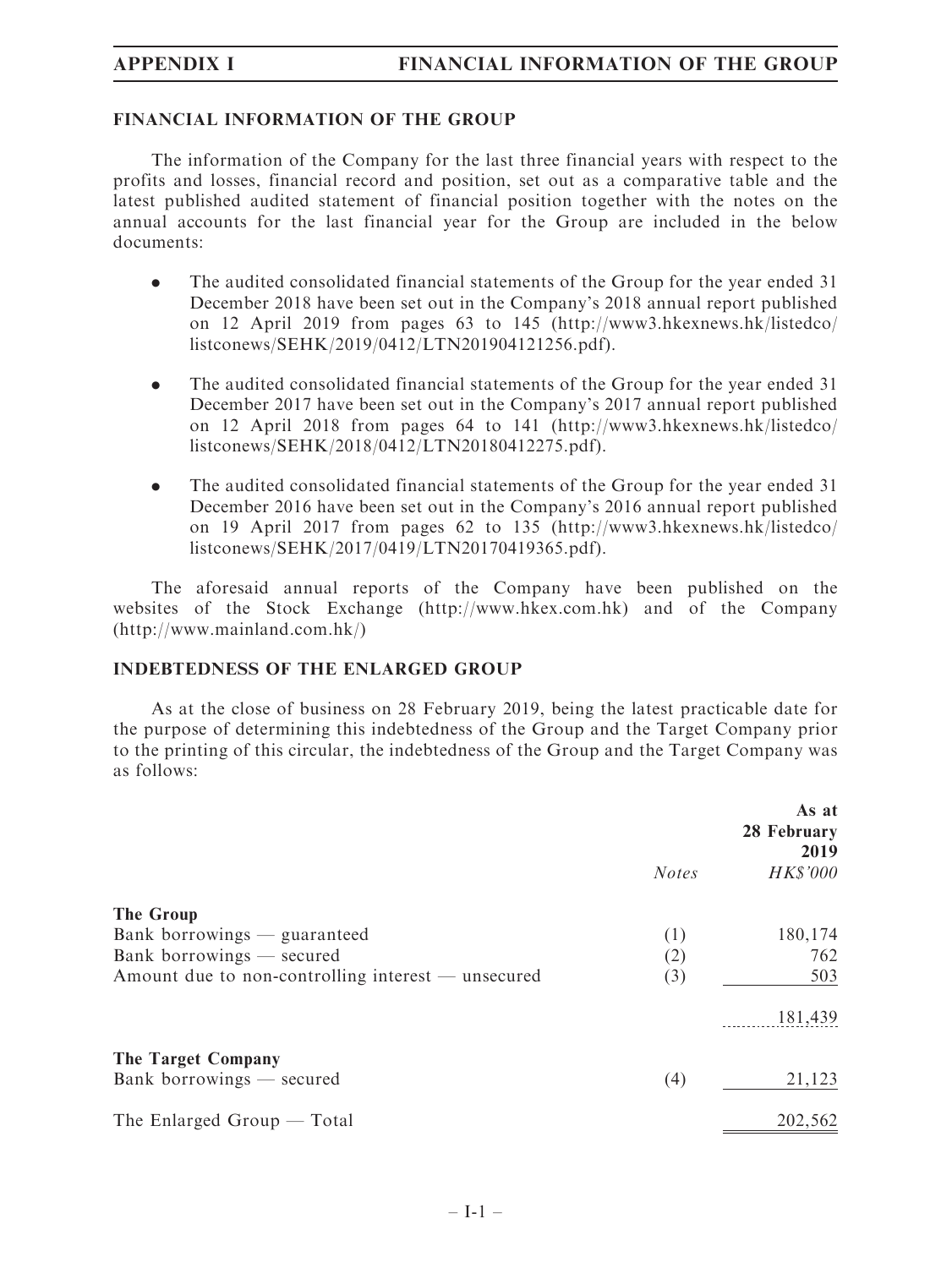# FINANCIAL INFORMATION OF THE GROUP

The information of the Company for the last three financial years with respect to the profits and losses, financial record and position, set out as a comparative table and the latest published audited statement of financial position together with the notes on the annual accounts for the last financial year for the Group are included in the below documents:

- . The audited consolidated financial statements of the Group for the year ended 31 December 2018 have been set out in the Company's 2018 annual report published on 12 April 2019 from pages 63 to 145 (http://www3.hkexnews.hk/listedco/ listconews/SEHK/2019/0412/LTN201904121256.pdf).
- . The audited consolidated financial statements of the Group for the year ended 31 December 2017 have been set out in the Company's 2017 annual report published on 12 April 2018 from pages 64 to 141 (http://www3.hkexnews.hk/listedco/ listconews/SEHK/2018/0412/LTN20180412275.pdf).
- . The audited consolidated financial statements of the Group for the year ended 31 December 2016 have been set out in the Company's 2016 annual report published on 19 April 2017 from pages 62 to 135 (http://www3.hkexnews.hk/listedco/ listconews/SEHK/2017/0419/LTN20170419365.pdf).

The aforesaid annual reports of the Company have been published on the websites of the Stock Exchange (http://www.hkex.com.hk) and of the Company (http://www.mainland.com.hk/)

### INDEBTEDNESS OF THE ENLARGED GROUP

As at the close of business on 28 February 2019, being the latest practicable date for the purpose of determining this indebtedness of the Group and the Target Company prior to the printing of this circular, the indebtedness of the Group and the Target Company was as follows:

|                                                    | As at<br>28 February<br>2019 |                 |
|----------------------------------------------------|------------------------------|-----------------|
|                                                    | <b>Notes</b>                 | <b>HK\$'000</b> |
| The Group                                          |                              |                 |
| Bank borrowings — guaranteed                       | (1)                          | 180,174         |
| Bank borrowings - secured                          | (2)                          | 762             |
| Amount due to non-controlling interest — unsecured | (3)                          | 503             |
|                                                    |                              | 181,439         |
| The Target Company                                 |                              |                 |
| Bank borrowings — secured                          | (4)                          | 21,123          |
| The Enlarged Group $-$ Total                       |                              | 202,562         |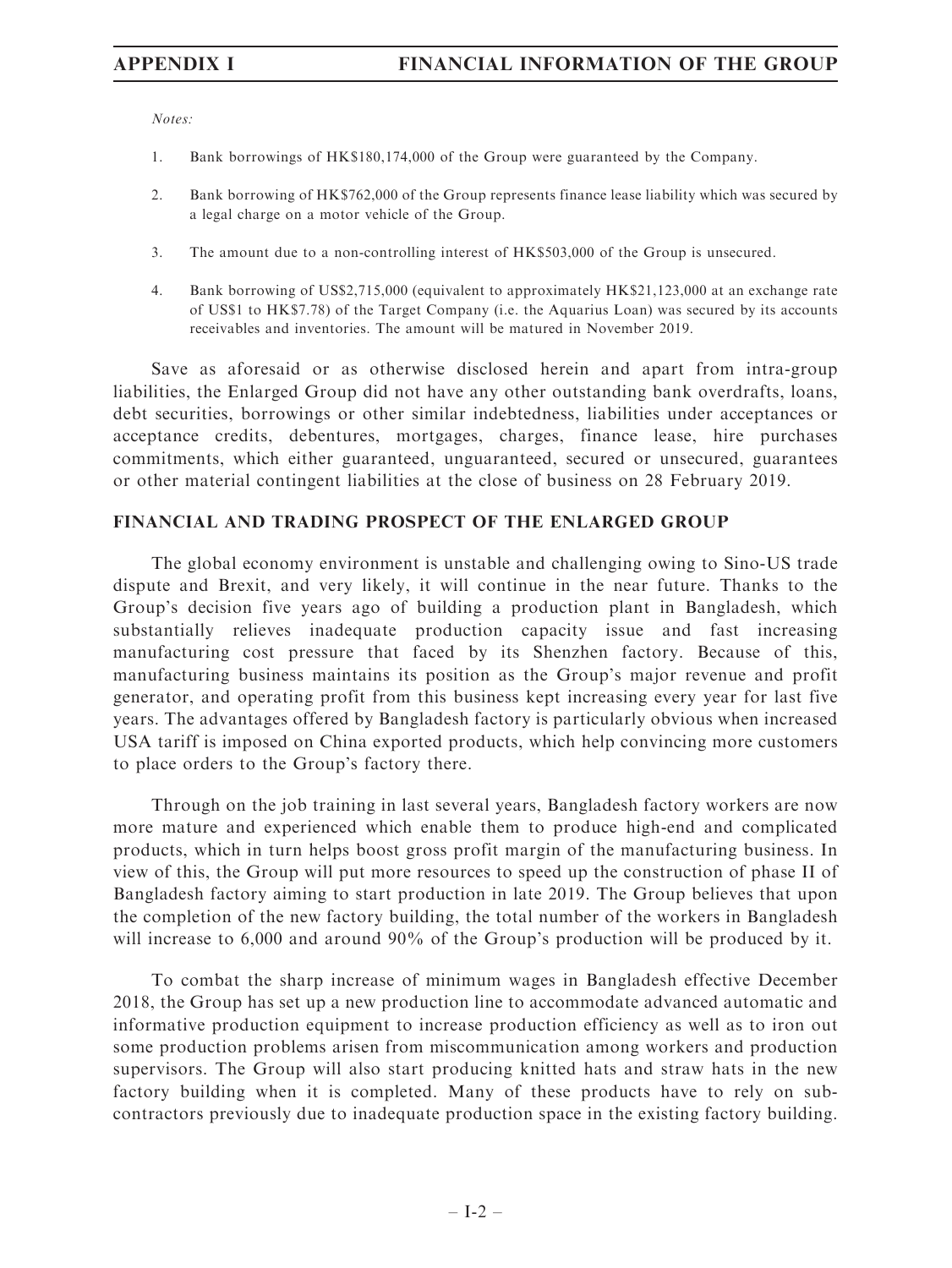Notes:

- 1. Bank borrowings of HK\$180,174,000 of the Group were guaranteed by the Company.
- 2. Bank borrowing of HK\$762,000 of the Group represents finance lease liability which was secured by a legal charge on a motor vehicle of the Group.
- 3. The amount due to a non-controlling interest of HK\$503,000 of the Group is unsecured.
- 4. Bank borrowing of US\$2,715,000 (equivalent to approximately HK\$21,123,000 at an exchange rate of US\$1 to HK\$7.78) of the Target Company (i.e. the Aquarius Loan) was secured by its accounts receivables and inventories. The amount will be matured in November 2019.

Save as aforesaid or as otherwise disclosed herein and apart from intra-group liabilities, the Enlarged Group did not have any other outstanding bank overdrafts, loans, debt securities, borrowings or other similar indebtedness, liabilities under acceptances or acceptance credits, debentures, mortgages, charges, finance lease, hire purchases commitments, which either guaranteed, unguaranteed, secured or unsecured, guarantees or other material contingent liabilities at the close of business on 28 February 2019.

# FINANCIAL AND TRADING PROSPECT OF THE ENLARGED GROUP

The global economy environment is unstable and challenging owing to Sino-US trade dispute and Brexit, and very likely, it will continue in the near future. Thanks to the Group's decision five years ago of building a production plant in Bangladesh, which substantially relieves inadequate production capacity issue and fast increasing manufacturing cost pressure that faced by its Shenzhen factory. Because of this, manufacturing business maintains its position as the Group's major revenue and profit generator, and operating profit from this business kept increasing every year for last five years. The advantages offered by Bangladesh factory is particularly obvious when increased USA tariff is imposed on China exported products, which help convincing more customers to place orders to the Group's factory there.

Through on the job training in last several years, Bangladesh factory workers are now more mature and experienced which enable them to produce high-end and complicated products, which in turn helps boost gross profit margin of the manufacturing business. In view of this, the Group will put more resources to speed up the construction of phase II of Bangladesh factory aiming to start production in late 2019. The Group believes that upon the completion of the new factory building, the total number of the workers in Bangladesh will increase to 6,000 and around 90% of the Group's production will be produced by it.

To combat the sharp increase of minimum wages in Bangladesh effective December 2018, the Group has set up a new production line to accommodate advanced automatic and informative production equipment to increase production efficiency as well as to iron out some production problems arisen from miscommunication among workers and production supervisors. The Group will also start producing knitted hats and straw hats in the new factory building when it is completed. Many of these products have to rely on subcontractors previously due to inadequate production space in the existing factory building.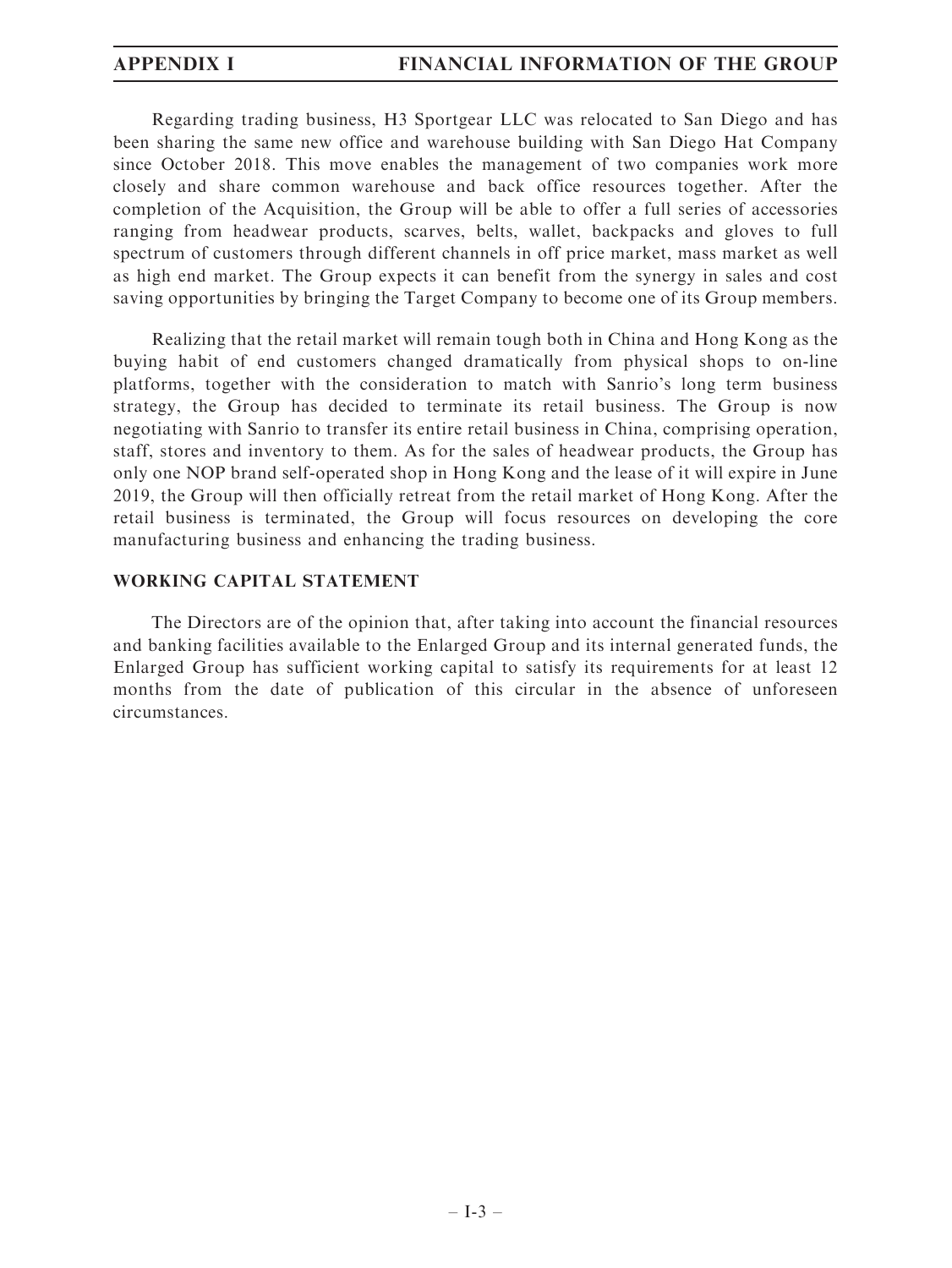Regarding trading business, H3 Sportgear LLC was relocated to San Diego and has been sharing the same new office and warehouse building with San Diego Hat Company since October 2018. This move enables the management of two companies work more closely and share common warehouse and back office resources together. After the completion of the Acquisition, the Group will be able to offer a full series of accessories ranging from headwear products, scarves, belts, wallet, backpacks and gloves to full spectrum of customers through different channels in off price market, mass market as well as high end market. The Group expects it can benefit from the synergy in sales and cost saving opportunities by bringing the Target Company to become one of its Group members.

Realizing that the retail market will remain tough both in China and Hong Kong as the buying habit of end customers changed dramatically from physical shops to on-line platforms, together with the consideration to match with Sanrio's long term business strategy, the Group has decided to terminate its retail business. The Group is now negotiating with Sanrio to transfer its entire retail business in China, comprising operation, staff, stores and inventory to them. As for the sales of headwear products, the Group has only one NOP brand self-operated shop in Hong Kong and the lease of it will expire in June 2019, the Group will then officially retreat from the retail market of Hong Kong. After the retail business is terminated, the Group will focus resources on developing the core manufacturing business and enhancing the trading business.

# WORKING CAPITAL STATEMENT

The Directors are of the opinion that, after taking into account the financial resources and banking facilities available to the Enlarged Group and its internal generated funds, the Enlarged Group has sufficient working capital to satisfy its requirements for at least 12 months from the date of publication of this circular in the absence of unforeseen circumstances.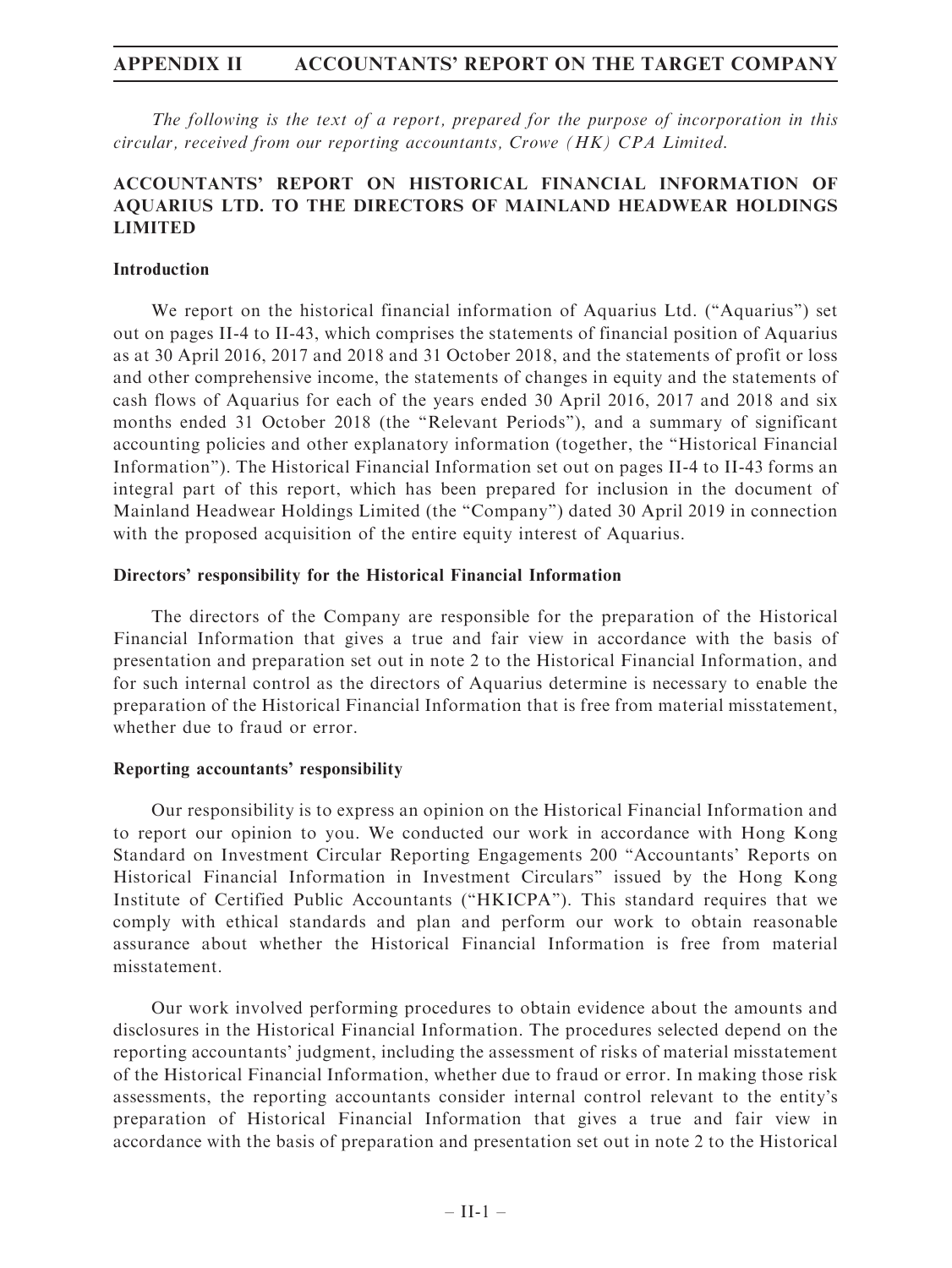The following is the text of a report, prepared for the purpose of incorporation in this circular, received from our reporting accountants, Crowe (HK) CPA Limited.

# ACCOUNTANTS' REPORT ON HISTORICAL FINANCIAL INFORMATION OF AQUARIUS LTD. TO THE DIRECTORS OF MAINLAND HEADWEAR HOLDINGS LIMITED

### Introduction

We report on the historical financial information of Aquarius Ltd. (''Aquarius'') set out on pages II-4 to II-43, which comprises the statements of financial position of Aquarius as at 30 April 2016, 2017 and 2018 and 31 October 2018, and the statements of profit or loss and other comprehensive income, the statements of changes in equity and the statements of cash flows of Aquarius for each of the years ended 30 April 2016, 2017 and 2018 and six months ended 31 October 2018 (the "Relevant Periods"), and a summary of significant accounting policies and other explanatory information (together, the ''Historical Financial Information''). The Historical Financial Information set out on pages II-4 to II-43 forms an integral part of this report, which has been prepared for inclusion in the document of Mainland Headwear Holdings Limited (the ''Company'') dated 30 April 2019 in connection with the proposed acquisition of the entire equity interest of Aquarius.

### Directors' responsibility for the Historical Financial Information

The directors of the Company are responsible for the preparation of the Historical Financial Information that gives a true and fair view in accordance with the basis of presentation and preparation set out in note 2 to the Historical Financial Information, and for such internal control as the directors of Aquarius determine is necessary to enable the preparation of the Historical Financial Information that is free from material misstatement, whether due to fraud or error.

### Reporting accountants' responsibility

Our responsibility is to express an opinion on the Historical Financial Information and to report our opinion to you. We conducted our work in accordance with Hong Kong Standard on Investment Circular Reporting Engagements 200 ''Accountants' Reports on Historical Financial Information in Investment Circulars'' issued by the Hong Kong Institute of Certified Public Accountants (''HKICPA''). This standard requires that we comply with ethical standards and plan and perform our work to obtain reasonable assurance about whether the Historical Financial Information is free from material misstatement.

Our work involved performing procedures to obtain evidence about the amounts and disclosures in the Historical Financial Information. The procedures selected depend on the reporting accountants' judgment, including the assessment of risks of material misstatement of the Historical Financial Information, whether due to fraud or error. In making those risk assessments, the reporting accountants consider internal control relevant to the entity's preparation of Historical Financial Information that gives a true and fair view in accordance with the basis of preparation and presentation set out in note 2 to the Historical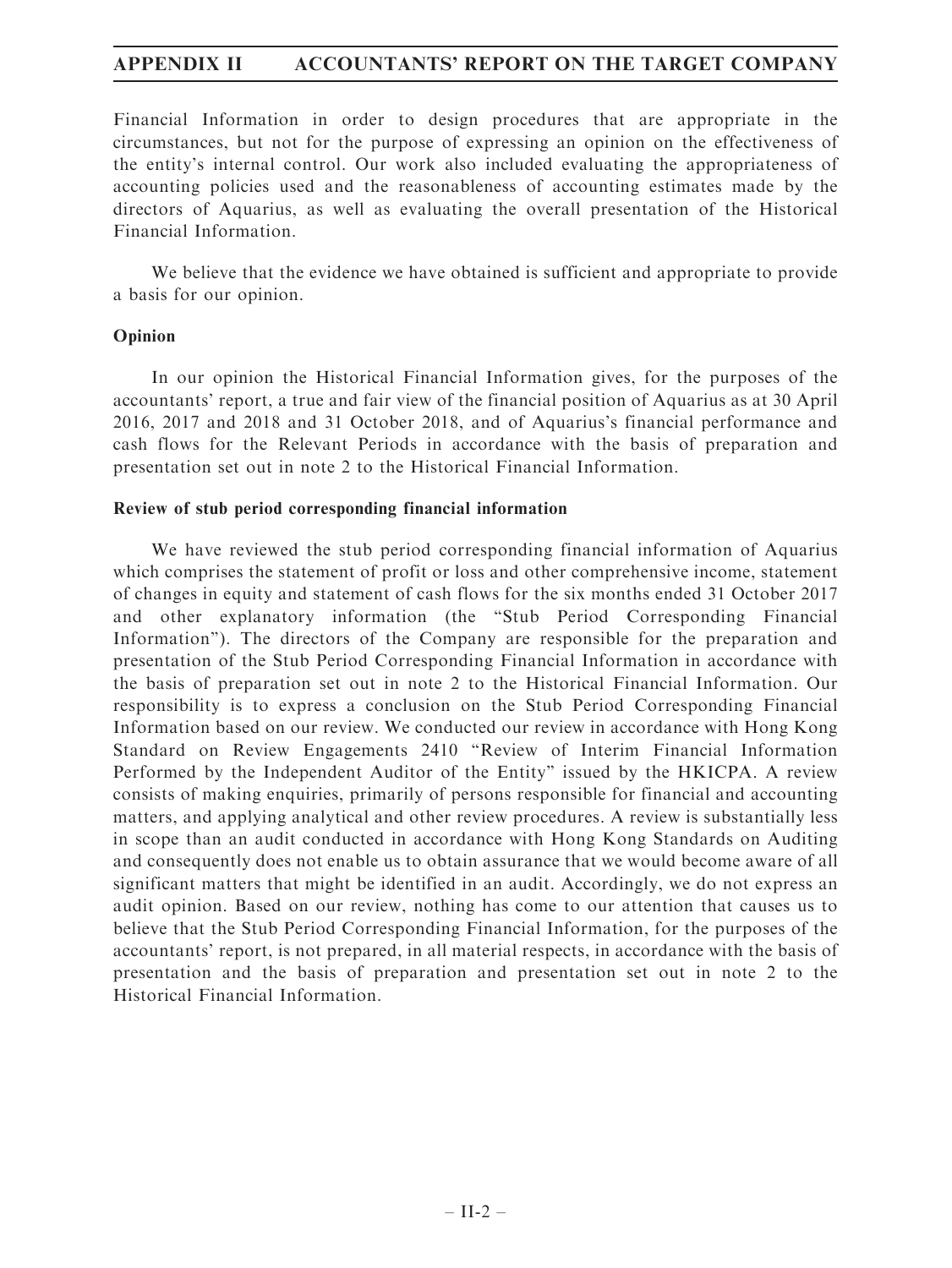Financial Information in order to design procedures that are appropriate in the circumstances, but not for the purpose of expressing an opinion on the effectiveness of the entity's internal control. Our work also included evaluating the appropriateness of accounting policies used and the reasonableness of accounting estimates made by the directors of Aquarius, as well as evaluating the overall presentation of the Historical Financial Information.

We believe that the evidence we have obtained is sufficient and appropriate to provide a basis for our opinion.

# Opinion

In our opinion the Historical Financial Information gives, for the purposes of the accountants' report, a true and fair view of the financial position of Aquarius as at 30 April 2016, 2017 and 2018 and 31 October 2018, and of Aquarius's financial performance and cash flows for the Relevant Periods in accordance with the basis of preparation and presentation set out in note 2 to the Historical Financial Information.

# Review of stub period corresponding financial information

We have reviewed the stub period corresponding financial information of Aquarius which comprises the statement of profit or loss and other comprehensive income, statement of changes in equity and statement of cash flows for the six months ended 31 October 2017 and other explanatory information (the ''Stub Period Corresponding Financial Information''). The directors of the Company are responsible for the preparation and presentation of the Stub Period Corresponding Financial Information in accordance with the basis of preparation set out in note 2 to the Historical Financial Information. Our responsibility is to express a conclusion on the Stub Period Corresponding Financial Information based on our review. We conducted our review in accordance with Hong Kong Standard on Review Engagements 2410 ''Review of Interim Financial Information Performed by the Independent Auditor of the Entity'' issued by the HKICPA. A review consists of making enquiries, primarily of persons responsible for financial and accounting matters, and applying analytical and other review procedures. A review is substantially less in scope than an audit conducted in accordance with Hong Kong Standards on Auditing and consequently does not enable us to obtain assurance that we would become aware of all significant matters that might be identified in an audit. Accordingly, we do not express an audit opinion. Based on our review, nothing has come to our attention that causes us to believe that the Stub Period Corresponding Financial Information, for the purposes of the accountants' report, is not prepared, in all material respects, in accordance with the basis of presentation and the basis of preparation and presentation set out in note 2 to the Historical Financial Information.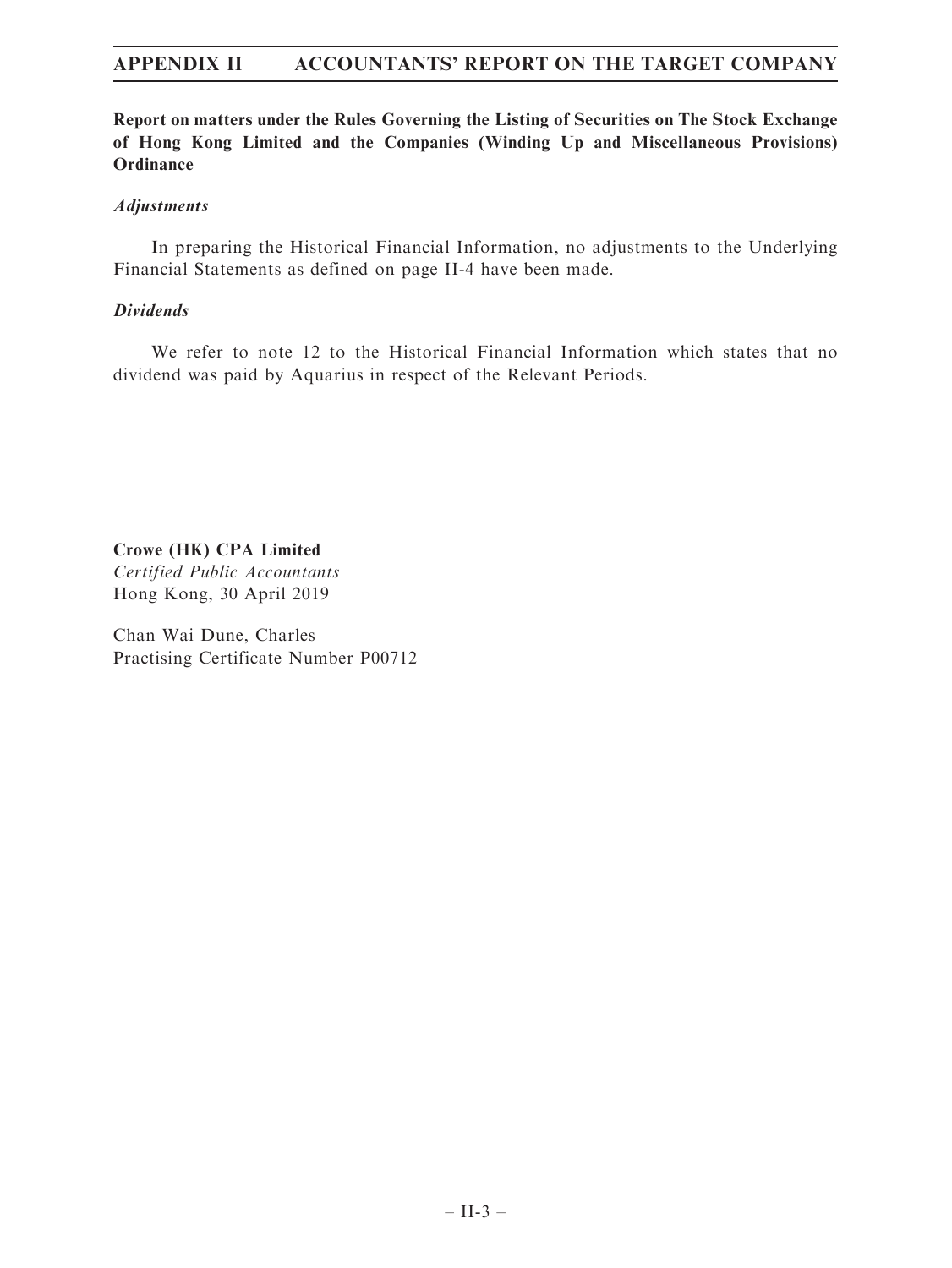Report on matters under the Rules Governing the Listing of Securities on The Stock Exchange of Hong Kong Limited and the Companies (Winding Up and Miscellaneous Provisions) **Ordinance** 

### Adjustments

In preparing the Historical Financial Information, no adjustments to the Underlying Financial Statements as defined on page II-4 have been made.

# Dividends

We refer to note 12 to the Historical Financial Information which states that no dividend was paid by Aquarius in respect of the Relevant Periods.

Crowe (HK) CPA Limited Certified Public Accountants

Hong Kong, 30 April 2019

Chan Wai Dune, Charles Practising Certificate Number P00712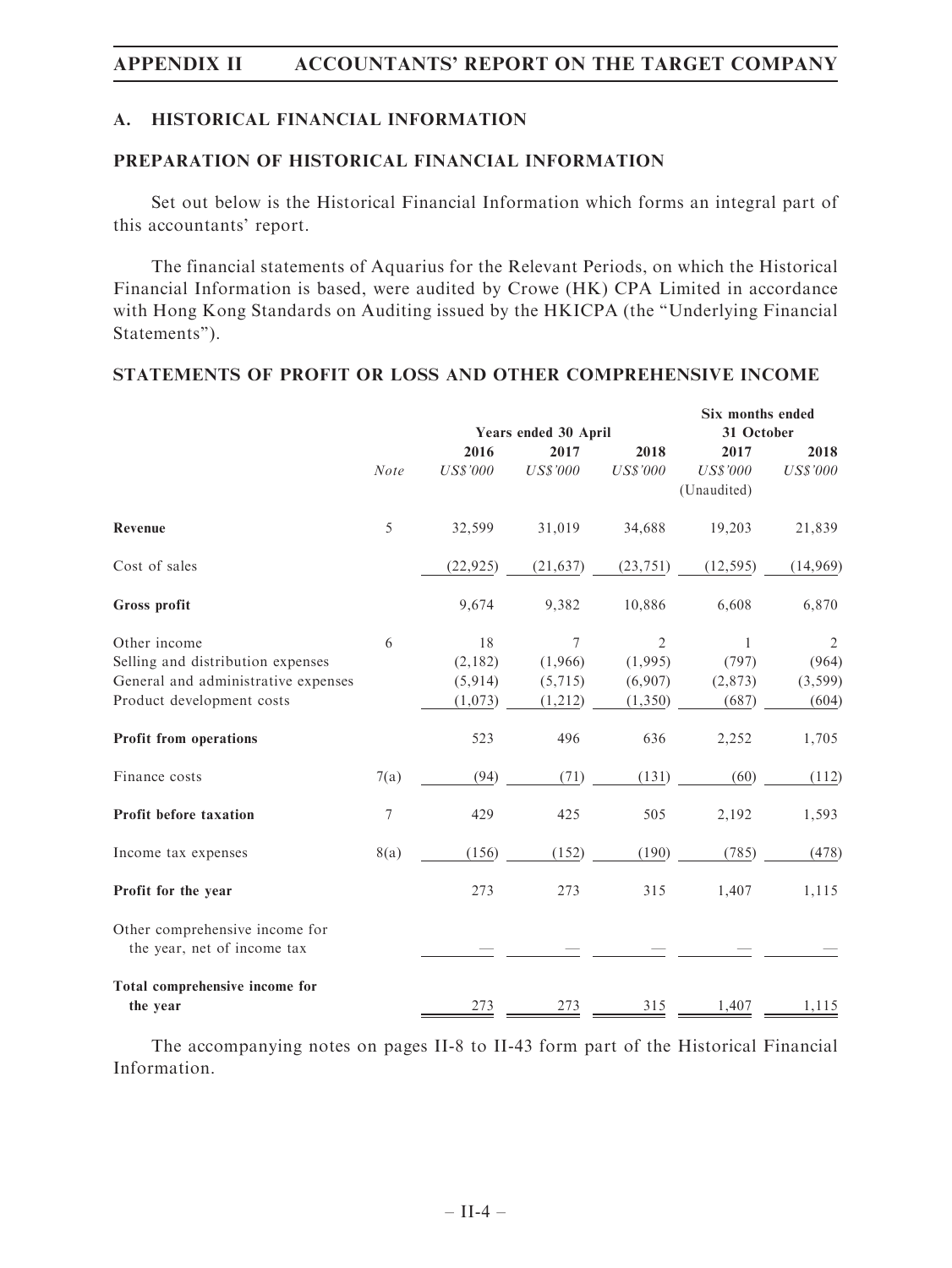# A. HISTORICAL FINANCIAL INFORMATION

# PREPARATION OF HISTORICAL FINANCIAL INFORMATION

Set out below is the Historical Financial Information which forms an integral part of this accountants' report.

The financial statements of Aquarius for the Relevant Periods, on which the Historical Financial Information is based, were audited by Crowe (HK) CPA Limited in accordance with Hong Kong Standards on Auditing issued by the HKICPA (the ''Underlying Financial Statements'').

# STATEMENTS OF PROFIT OR LOSS AND OTHER COMPREHENSIVE INCOME

|                                                               |                  |                      |                 |                 | Six months ended |                 |
|---------------------------------------------------------------|------------------|----------------------|-----------------|-----------------|------------------|-----------------|
|                                                               |                  | Years ended 30 April |                 |                 | 31 October       |                 |
|                                                               |                  | 2016                 | 2017            | 2018            | 2017             | 2018            |
|                                                               | <b>Note</b>      | <b>US\$'000</b>      | <b>US\$'000</b> | <b>US\$'000</b> | <b>US\$'000</b>  | <b>US\$'000</b> |
|                                                               |                  |                      |                 |                 | (Unaudited)      |                 |
| Revenue                                                       | 5                | 32,599               | 31,019          | 34,688          | 19,203           | 21,839          |
| Cost of sales                                                 |                  | (22, 925)            | (21, 637)       | (23, 751)       | (12, 595)        | (14,969)        |
| Gross profit                                                  |                  | 9,674                | 9,382           | 10,886          | 6,608            | 6,870           |
| Other income                                                  | 6                | 18                   | 7               | $\mathfrak{2}$  | $\mathbf{1}$     | $\overline{2}$  |
| Selling and distribution expenses                             |                  | (2,182)              | (1,966)         | (1,995)         | (797)            | (964)           |
| General and administrative expenses                           |                  | (5, 914)             | (5,715)         | (6,907)         | (2,873)          | (3, 599)        |
| Product development costs                                     |                  | (1,073)              | (1,212)         | (1,350)         | (687)            | (604)           |
| Profit from operations                                        |                  | 523                  | 496             | 636             | 2,252            | 1,705           |
| Finance costs                                                 | 7(a)             | (94)                 | (71)            | (131)           | (60)             | (112)           |
| Profit before taxation                                        | $\boldsymbol{7}$ | 429                  | 425             | 505             | 2,192            | 1,593           |
| Income tax expenses                                           | 8(a)             | (156)                | (152)           | (190)           | (785)            | (478)           |
| Profit for the year                                           |                  | 273                  | 273             | 315             | 1,407            | 1,115           |
| Other comprehensive income for<br>the year, net of income tax |                  |                      |                 |                 |                  |                 |
| Total comprehensive income for                                |                  |                      |                 |                 |                  |                 |
| the year                                                      |                  | 273                  | 273             | 315             | 1,407            | 1,115           |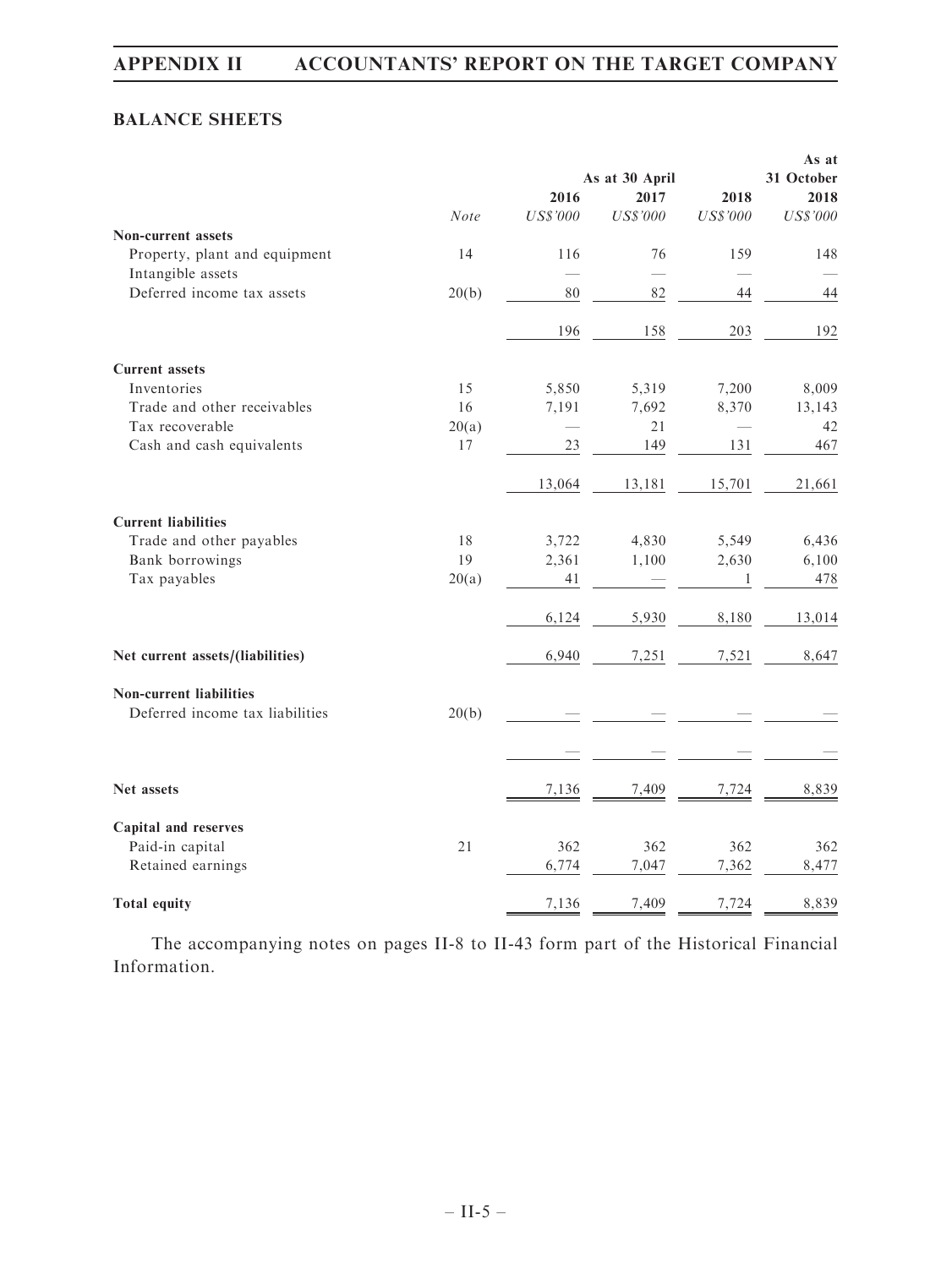# BALANCE SHEETS

|                                  |       |             |                 |          | As at           |
|----------------------------------|-------|-------------|-----------------|----------|-----------------|
|                                  |       |             | As at 30 April  |          | 31 October      |
|                                  |       | 2016        | 2017            | 2018     | 2018            |
|                                  | Note  | $U S\$ '000 | <b>US\$'000</b> | US\$'000 | <b>US\$'000</b> |
| <b>Non-current assets</b>        |       |             |                 |          |                 |
| Property, plant and equipment    | 14    | 116         | 76              | 159      | 148             |
| Intangible assets                |       |             |                 |          |                 |
| Deferred income tax assets       | 20(b) | 80          | 82              | 44       | 44              |
|                                  |       | 196         | 158             | 203      | 192             |
| <b>Current assets</b>            |       |             |                 |          |                 |
| Inventories                      | 15    | 5,850       | 5,319           | 7,200    | 8,009           |
| Trade and other receivables      | 16    | 7,191       | 7,692           | 8,370    | 13,143          |
| Tax recoverable                  | 20(a) |             | 21              |          | 42              |
| Cash and cash equivalents        | 17    | 23          | 149             | 131      | 467             |
|                                  |       | 13,064      | 13,181          | 15,701   | 21,661          |
| <b>Current liabilities</b>       |       |             |                 |          |                 |
| Trade and other payables         | 18    | 3,722       | 4,830           | 5,549    | 6,436           |
| Bank borrowings                  | 19    | 2,361       | 1,100           | 2,630    | 6,100           |
| Tax payables                     | 20(a) | 41          |                 | 1        | 478             |
|                                  |       | 6,124       | 5,930           | 8,180    | 13,014          |
| Net current assets/(liabilities) |       | 6,940       | 7,251           | 7,521    | 8,647           |
| <b>Non-current liabilities</b>   |       |             |                 |          |                 |
| Deferred income tax liabilities  | 20(b) |             |                 |          |                 |
|                                  |       |             |                 |          |                 |
| <b>Net assets</b>                |       | 7,136       | 7,409           | 7,724    | 8,839           |
| Capital and reserves             |       |             |                 |          |                 |
| Paid-in capital                  | 21    | 362         | 362             | 362      | 362             |
| Retained earnings                |       | 6,774       | 7,047           | 7,362    | 8,477           |
| <b>Total equity</b>              |       | 7,136       | 7,409           | 7,724    | 8,839           |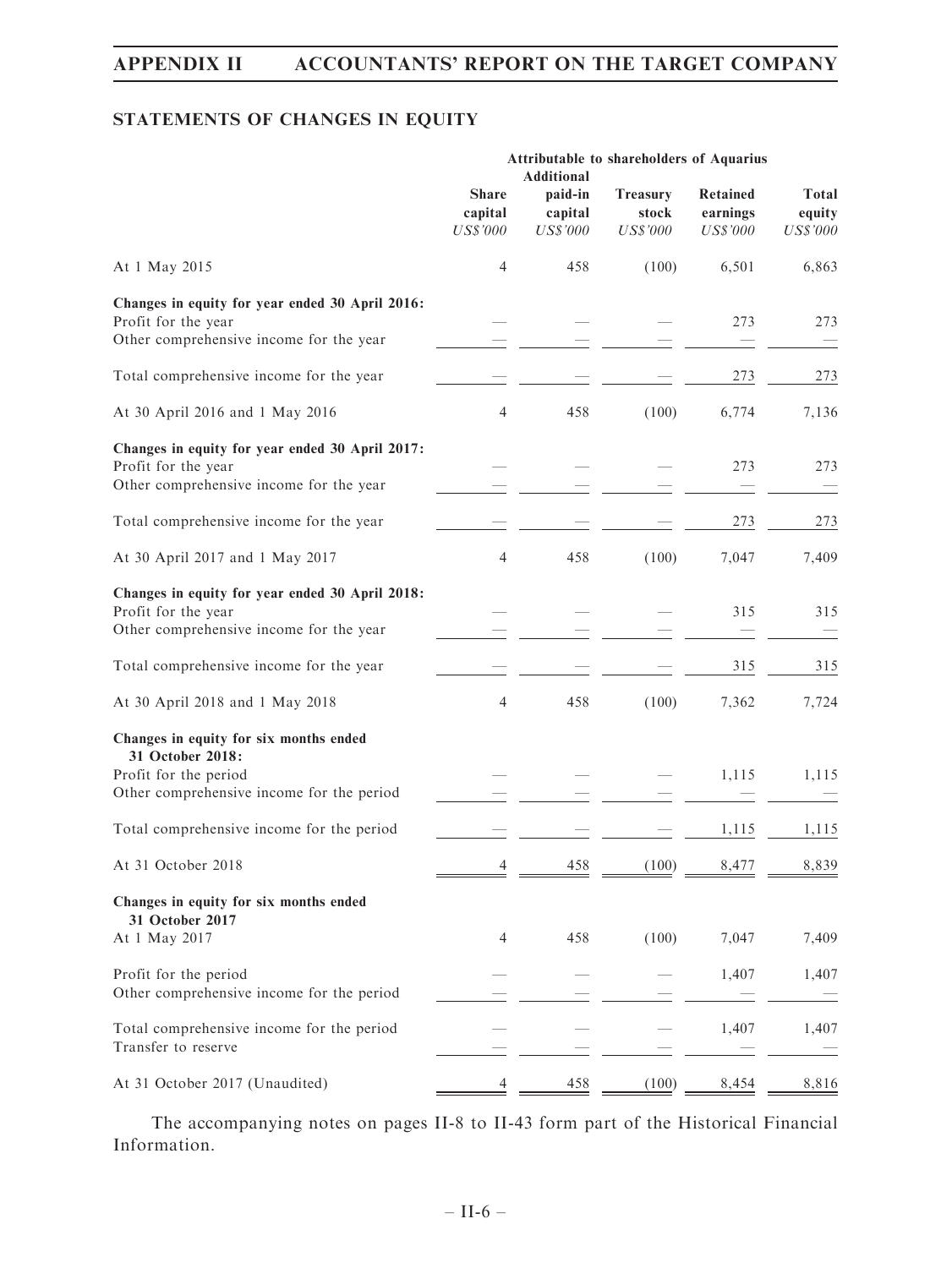# STATEMENTS OF CHANGES IN EQUITY

|                                                                                                                                  | Attributable to shareholders of Aquarius<br><b>Additional</b> |                                       |                                             |                                         |                                           |
|----------------------------------------------------------------------------------------------------------------------------------|---------------------------------------------------------------|---------------------------------------|---------------------------------------------|-----------------------------------------|-------------------------------------------|
|                                                                                                                                  | <b>Share</b><br>capital<br><b>US\$'000</b>                    | paid-in<br>capital<br><b>US\$'000</b> | <b>Treasury</b><br>stock<br><b>US\$'000</b> | Retained<br>earnings<br><b>US\$'000</b> | <b>Total</b><br>equity<br><b>US\$'000</b> |
| At 1 May 2015                                                                                                                    | 4                                                             | 458                                   | (100)                                       | 6,501                                   | 6,863                                     |
| Changes in equity for year ended 30 April 2016:<br>Profit for the year<br>Other comprehensive income for the year                |                                                               |                                       |                                             | 273                                     | 273                                       |
| Total comprehensive income for the year                                                                                          |                                                               |                                       |                                             | 273                                     | 273                                       |
| At 30 April 2016 and 1 May 2016                                                                                                  | 4                                                             | 458                                   | (100)                                       | 6,774                                   | 7,136                                     |
| Changes in equity for year ended 30 April 2017:<br>Profit for the year<br>Other comprehensive income for the year                |                                                               |                                       |                                             | 273                                     | 273                                       |
| Total comprehensive income for the year                                                                                          |                                                               |                                       |                                             | 273                                     | 273                                       |
| At 30 April 2017 and 1 May 2017                                                                                                  | 4                                                             | 458                                   | (100)                                       | 7,047                                   | 7,409                                     |
| Changes in equity for year ended 30 April 2018:<br>Profit for the year<br>Other comprehensive income for the year                |                                                               |                                       |                                             | 315                                     | 315                                       |
| Total comprehensive income for the year                                                                                          |                                                               |                                       |                                             | 315                                     | 315                                       |
| At 30 April 2018 and 1 May 2018                                                                                                  | 4                                                             | 458                                   | (100)                                       | 7,362                                   | 7,724                                     |
| Changes in equity for six months ended<br>31 October 2018:<br>Profit for the period<br>Other comprehensive income for the period |                                                               |                                       |                                             | 1,115                                   | 1,115                                     |
| Total comprehensive income for the period                                                                                        |                                                               |                                       |                                             | 1,115                                   | 1,115                                     |
| At 31 October 2018                                                                                                               | 4                                                             | 458                                   | (100)                                       | 8,477                                   | 8,839                                     |
| Changes in equity for six months ended<br>31 October 2017<br>At 1 May 2017                                                       | 4                                                             | 458                                   | (100)                                       | 7,047                                   | 7,409                                     |
| Profit for the period<br>Other comprehensive income for the period                                                               |                                                               |                                       |                                             | 1,407                                   | 1,407                                     |
| Total comprehensive income for the period<br>Transfer to reserve                                                                 |                                                               |                                       |                                             | 1,407                                   | 1,407                                     |
| At 31 October 2017 (Unaudited)                                                                                                   |                                                               | 458                                   | (100)                                       | 8,454                                   | 8,816                                     |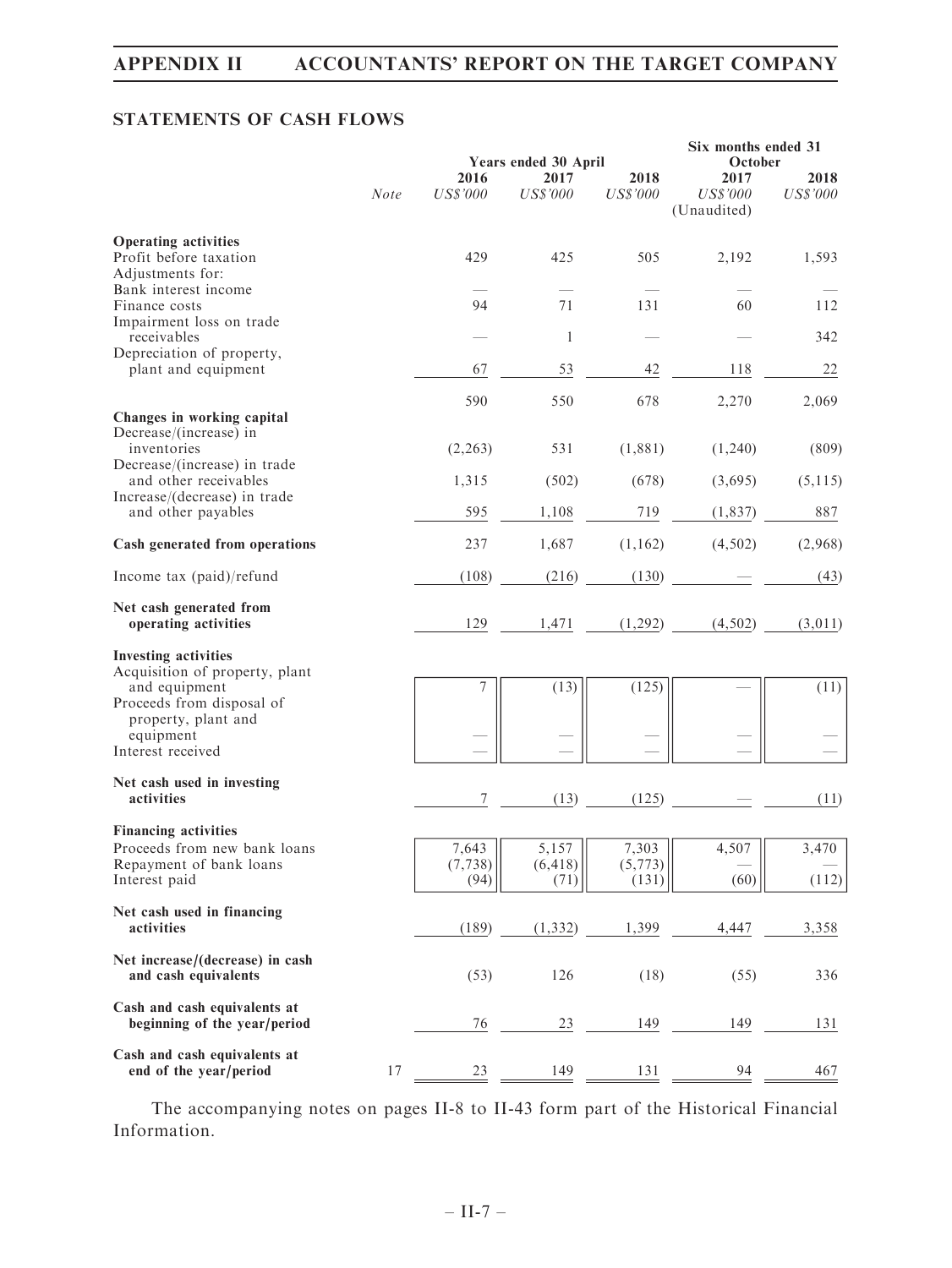# STATEMENTS OF CASH FLOWS

|                                                                           | Years ended 30 April |                         |                         | Six months ended 31<br>October |                                        |                         |
|---------------------------------------------------------------------------|----------------------|-------------------------|-------------------------|--------------------------------|----------------------------------------|-------------------------|
|                                                                           | <b>Note</b>          | 2016<br><b>US\$'000</b> | 2017<br><b>US\$'000</b> | 2018<br><b>US\$'000</b>        | 2017<br><b>US\$'000</b><br>(Unaudited) | 2018<br><b>US\$'000</b> |
| <b>Operating activities</b><br>Profit before taxation<br>Adjustments for: |                      | 429                     | 425                     | 505                            | 2,192                                  | 1,593                   |
| Bank interest income<br>Finance costs<br>Impairment loss on trade         |                      | 94                      | 71                      | 131                            | 60                                     | 112                     |
| receivables<br>Depreciation of property,                                  |                      |                         | 1                       |                                |                                        | 342                     |
| plant and equipment                                                       |                      | 67                      | 53                      | 42                             | 118                                    | 22                      |
| Changes in working capital<br>Decrease/(increase) in                      |                      | 590                     | 550                     | 678                            | 2,270                                  | 2,069                   |
| inventories<br>Decrease/(increase) in trade                               |                      | (2,263)                 | 531                     | (1,881)                        | (1,240)                                | (809)                   |
| and other receivables                                                     |                      | 1,315                   | (502)                   | (678)                          | (3,695)                                | (5, 115)                |
| Increase/(decrease) in trade<br>and other payables                        |                      | 595                     | 1,108                   | 719                            | (1, 837)                               | 887                     |
| Cash generated from operations                                            |                      | 237                     | 1,687                   | (1, 162)                       | (4, 502)                               | (2,968)                 |
| Income tax (paid)/refund                                                  |                      | (108)                   | (216)                   | (130)                          |                                        | (43)                    |
| Net cash generated from<br>operating activities                           |                      | 129                     | 1,471                   | (1,292)                        | (4, 502)                               | (3,011)                 |
| <b>Investing activities</b><br>Acquisition of property, plant             |                      |                         |                         |                                |                                        |                         |
| and equipment<br>Proceeds from disposal of<br>property, plant and         |                      | 7                       | (13)                    | (125)                          |                                        | (11)                    |
| equipment<br>Interest received                                            |                      |                         |                         |                                |                                        |                         |
| Net cash used in investing<br>activities                                  |                      | 7                       | (13)                    | (125)                          |                                        | (11)                    |
| <b>Financing activities</b><br>Proceeds from new bank loans               |                      | 7,643                   | 5,157                   | 7,303                          | 4,507                                  | 3,470                   |
| Repayment of bank loans<br>Interest paid                                  |                      | (7, 738)<br>(94)        | (6, 418)<br>(71)        | (5, 773)<br>(131)              | (60)                                   | (112)                   |
| Net cash used in financing<br>activities                                  |                      | (189)                   | (1, 332)                | 1,399                          | 4,447                                  | 3,358                   |
| Net increase/(decrease) in cash<br>and cash equivalents                   |                      | (53)                    | 126                     | (18)                           | (55)                                   | 336                     |
| Cash and cash equivalents at<br>beginning of the year/period              |                      | 76                      | 23                      | 149                            | 149                                    | <u>131</u>              |
| Cash and cash equivalents at<br>end of the year/period                    | 17                   | 23                      | 149                     | 131                            | 94                                     | 467                     |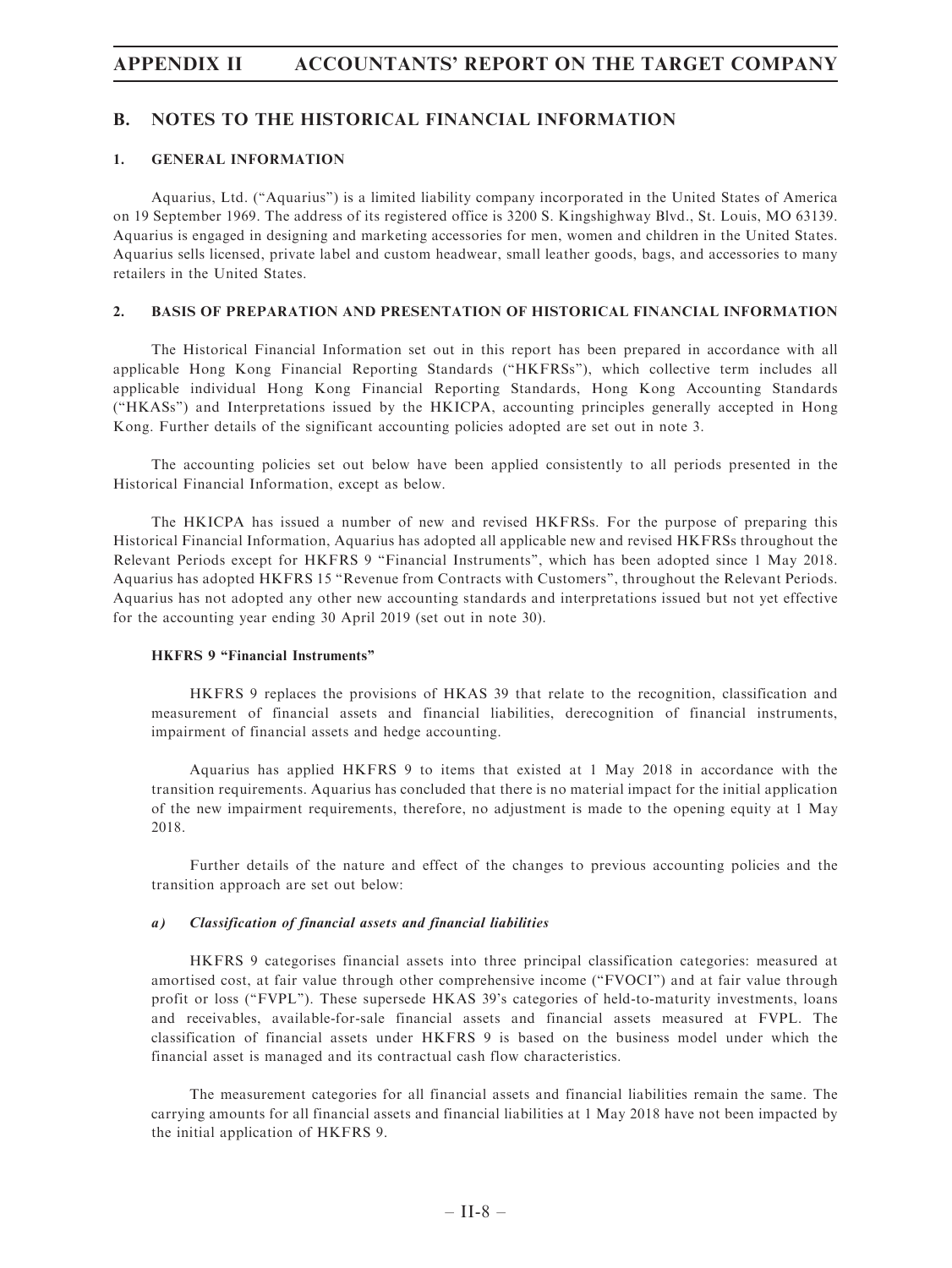### B. NOTES TO THE HISTORICAL FINANCIAL INFORMATION

### 1. GENERAL INFORMATION

Aquarius, Ltd. (''Aquarius'') is a limited liability company incorporated in the United States of America on 19 September 1969. The address of its registered office is 3200 S. Kingshighway Blvd., St. Louis, MO 63139. Aquarius is engaged in designing and marketing accessories for men, women and children in the United States. Aquarius sells licensed, private label and custom headwear, small leather goods, bags, and accessories to many retailers in the United States.

### 2. BASIS OF PREPARATION AND PRESENTATION OF HISTORICAL FINANCIAL INFORMATION

The Historical Financial Information set out in this report has been prepared in accordance with all applicable Hong Kong Financial Reporting Standards (''HKFRSs''), which collective term includes all applicable individual Hong Kong Financial Reporting Standards, Hong Kong Accounting Standards (''HKASs'') and Interpretations issued by the HKICPA, accounting principles generally accepted in Hong Kong. Further details of the significant accounting policies adopted are set out in note 3.

The accounting policies set out below have been applied consistently to all periods presented in the Historical Financial Information, except as below.

The HKICPA has issued a number of new and revised HKFRSs. For the purpose of preparing this Historical Financial Information, Aquarius has adopted all applicable new and revised HKFRSs throughout the Relevant Periods except for HKFRS 9 "Financial Instruments", which has been adopted since 1 May 2018. Aquarius has adopted HKFRS 15 ''Revenue from Contracts with Customers'', throughout the Relevant Periods. Aquarius has not adopted any other new accounting standards and interpretations issued but not yet effective for the accounting year ending 30 April 2019 (set out in note 30).

### HKFRS 9 "Financial Instruments"

HKFRS 9 replaces the provisions of HKAS 39 that relate to the recognition, classification and measurement of financial assets and financial liabilities, derecognition of financial instruments, impairment of financial assets and hedge accounting.

Aquarius has applied HKFRS 9 to items that existed at 1 May 2018 in accordance with the transition requirements. Aquarius has concluded that there is no material impact for the initial application of the new impairment requirements, therefore, no adjustment is made to the opening equity at 1 May 2018.

Further details of the nature and effect of the changes to previous accounting policies and the transition approach are set out below:

### a) Classification of financial assets and financial liabilities

HKFRS 9 categorises financial assets into three principal classification categories: measured at amortised cost, at fair value through other comprehensive income (''FVOCI'') and at fair value through profit or loss ("FVPL"). These supersede HKAS 39's categories of held-to-maturity investments, loans and receivables, available-for-sale financial assets and financial assets measured at FVPL. The classification of financial assets under HKFRS 9 is based on the business model under which the financial asset is managed and its contractual cash flow characteristics.

The measurement categories for all financial assets and financial liabilities remain the same. The carrying amounts for all financial assets and financial liabilities at 1 May 2018 have not been impacted by the initial application of HKFRS 9.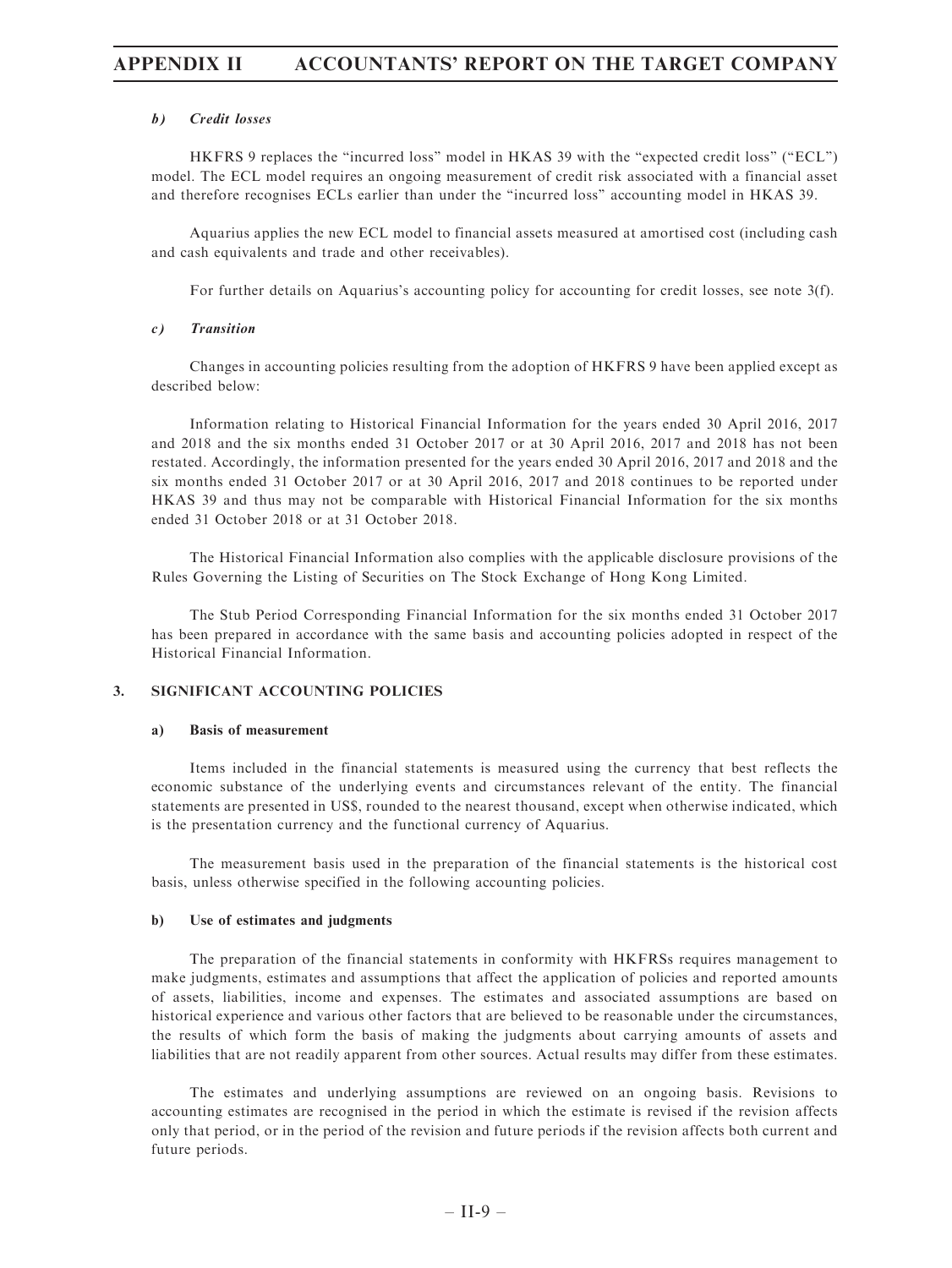### b) Credit losses

HKFRS 9 replaces the "incurred loss" model in HKAS 39 with the "expected credit loss" ("ECL") model. The ECL model requires an ongoing measurement of credit risk associated with a financial asset and therefore recognises ECLs earlier than under the ''incurred loss'' accounting model in HKAS 39.

Aquarius applies the new ECL model to financial assets measured at amortised cost (including cash and cash equivalents and trade and other receivables).

For further details on Aquarius's accounting policy for accounting for credit losses, see note 3(f).

#### c) Transition

Changes in accounting policies resulting from the adoption of HKFRS 9 have been applied except as described below:

Information relating to Historical Financial Information for the years ended 30 April 2016, 2017 and 2018 and the six months ended 31 October 2017 or at 30 April 2016, 2017 and 2018 has not been restated. Accordingly, the information presented for the years ended 30 April 2016, 2017 and 2018 and the six months ended 31 October 2017 or at 30 April 2016, 2017 and 2018 continues to be reported under HKAS 39 and thus may not be comparable with Historical Financial Information for the six months ended 31 October 2018 or at 31 October 2018.

The Historical Financial Information also complies with the applicable disclosure provisions of the Rules Governing the Listing of Securities on The Stock Exchange of Hong Kong Limited.

The Stub Period Corresponding Financial Information for the six months ended 31 October 2017 has been prepared in accordance with the same basis and accounting policies adopted in respect of the Historical Financial Information.

### 3. SIGNIFICANT ACCOUNTING POLICIES

#### a) Basis of measurement

Items included in the financial statements is measured using the currency that best reflects the economic substance of the underlying events and circumstances relevant of the entity. The financial statements are presented in US\$, rounded to the nearest thousand, except when otherwise indicated, which is the presentation currency and the functional currency of Aquarius.

The measurement basis used in the preparation of the financial statements is the historical cost basis, unless otherwise specified in the following accounting policies.

#### b) Use of estimates and judgments

The preparation of the financial statements in conformity with HKFRSs requires management to make judgments, estimates and assumptions that affect the application of policies and reported amounts of assets, liabilities, income and expenses. The estimates and associated assumptions are based on historical experience and various other factors that are believed to be reasonable under the circumstances, the results of which form the basis of making the judgments about carrying amounts of assets and liabilities that are not readily apparent from other sources. Actual results may differ from these estimates.

The estimates and underlying assumptions are reviewed on an ongoing basis. Revisions to accounting estimates are recognised in the period in which the estimate is revised if the revision affects only that period, or in the period of the revision and future periods if the revision affects both current and future periods.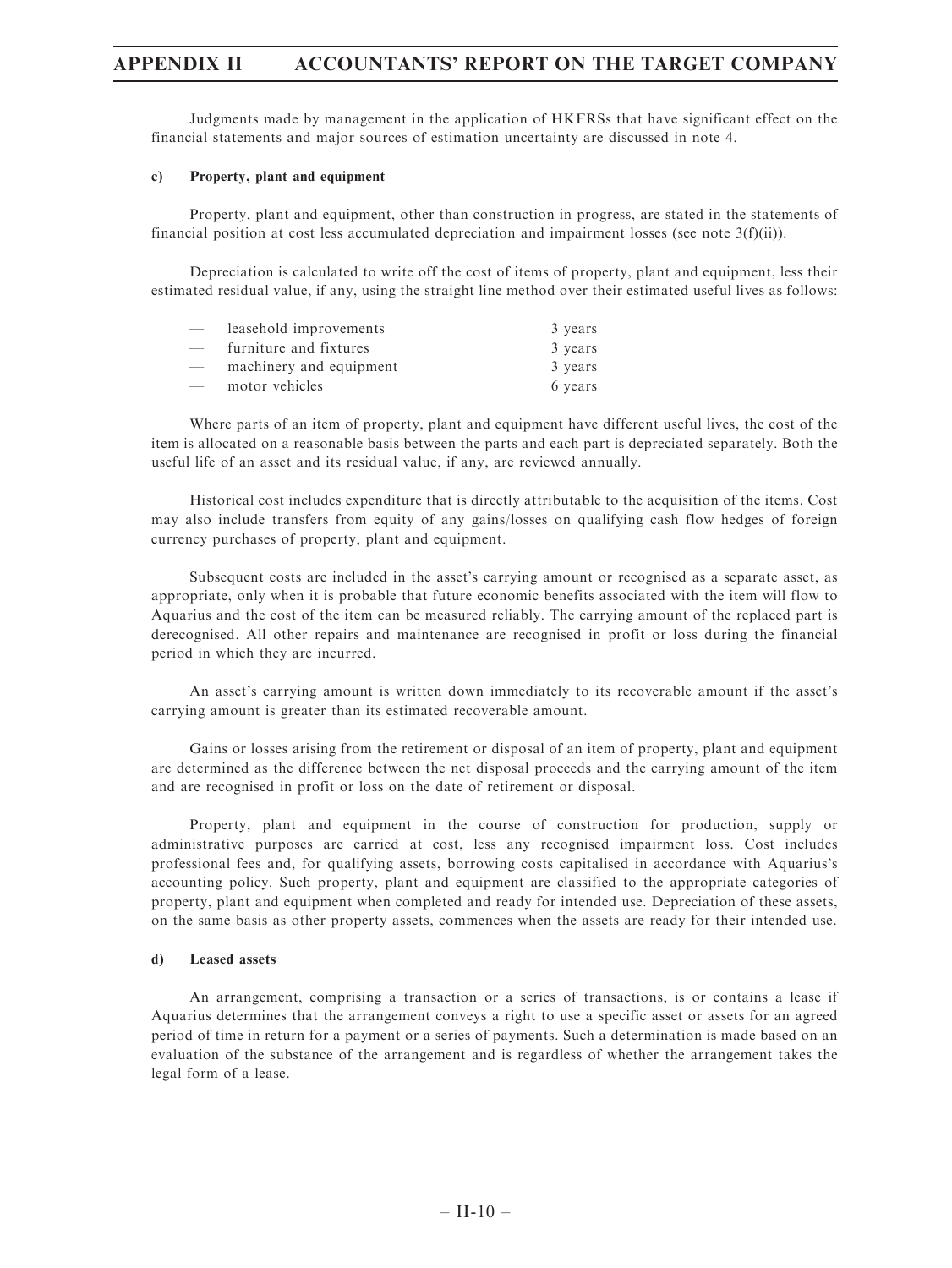Judgments made by management in the application of HKFRSs that have significant effect on the financial statements and major sources of estimation uncertainty are discussed in note 4.

### c) Property, plant and equipment

Property, plant and equipment, other than construction in progress, are stated in the statements of financial position at cost less accumulated depreciation and impairment losses (see note  $3(f)(ii)$ ).

Depreciation is calculated to write off the cost of items of property, plant and equipment, less their estimated residual value, if any, using the straight line method over their estimated useful lives as follows:

| $\overbrace{\phantom{aaaaa}}$ | leasehold improvements  | 3 years |
|-------------------------------|-------------------------|---------|
| $\overline{\phantom{0}}$      | furniture and fixtures  | 3 years |
| $\overline{\phantom{0}}$      | machinery and equipment | 3 years |
| $\overline{\phantom{a}}$      | motor vehicles          | 6 years |

Where parts of an item of property, plant and equipment have different useful lives, the cost of the item is allocated on a reasonable basis between the parts and each part is depreciated separately. Both the useful life of an asset and its residual value, if any, are reviewed annually.

Historical cost includes expenditure that is directly attributable to the acquisition of the items. Cost may also include transfers from equity of any gains/losses on qualifying cash flow hedges of foreign currency purchases of property, plant and equipment.

Subsequent costs are included in the asset's carrying amount or recognised as a separate asset, as appropriate, only when it is probable that future economic benefits associated with the item will flow to Aquarius and the cost of the item can be measured reliably. The carrying amount of the replaced part is derecognised. All other repairs and maintenance are recognised in profit or loss during the financial period in which they are incurred.

An asset's carrying amount is written down immediately to its recoverable amount if the asset's carrying amount is greater than its estimated recoverable amount.

Gains or losses arising from the retirement or disposal of an item of property, plant and equipment are determined as the difference between the net disposal proceeds and the carrying amount of the item and are recognised in profit or loss on the date of retirement or disposal.

Property, plant and equipment in the course of construction for production, supply or administrative purposes are carried at cost, less any recognised impairment loss. Cost includes professional fees and, for qualifying assets, borrowing costs capitalised in accordance with Aquarius's accounting policy. Such property, plant and equipment are classified to the appropriate categories of property, plant and equipment when completed and ready for intended use. Depreciation of these assets, on the same basis as other property assets, commences when the assets are ready for their intended use.

#### d) Leased assets

An arrangement, comprising a transaction or a series of transactions, is or contains a lease if Aquarius determines that the arrangement conveys a right to use a specific asset or assets for an agreed period of time in return for a payment or a series of payments. Such a determination is made based on an evaluation of the substance of the arrangement and is regardless of whether the arrangement takes the legal form of a lease.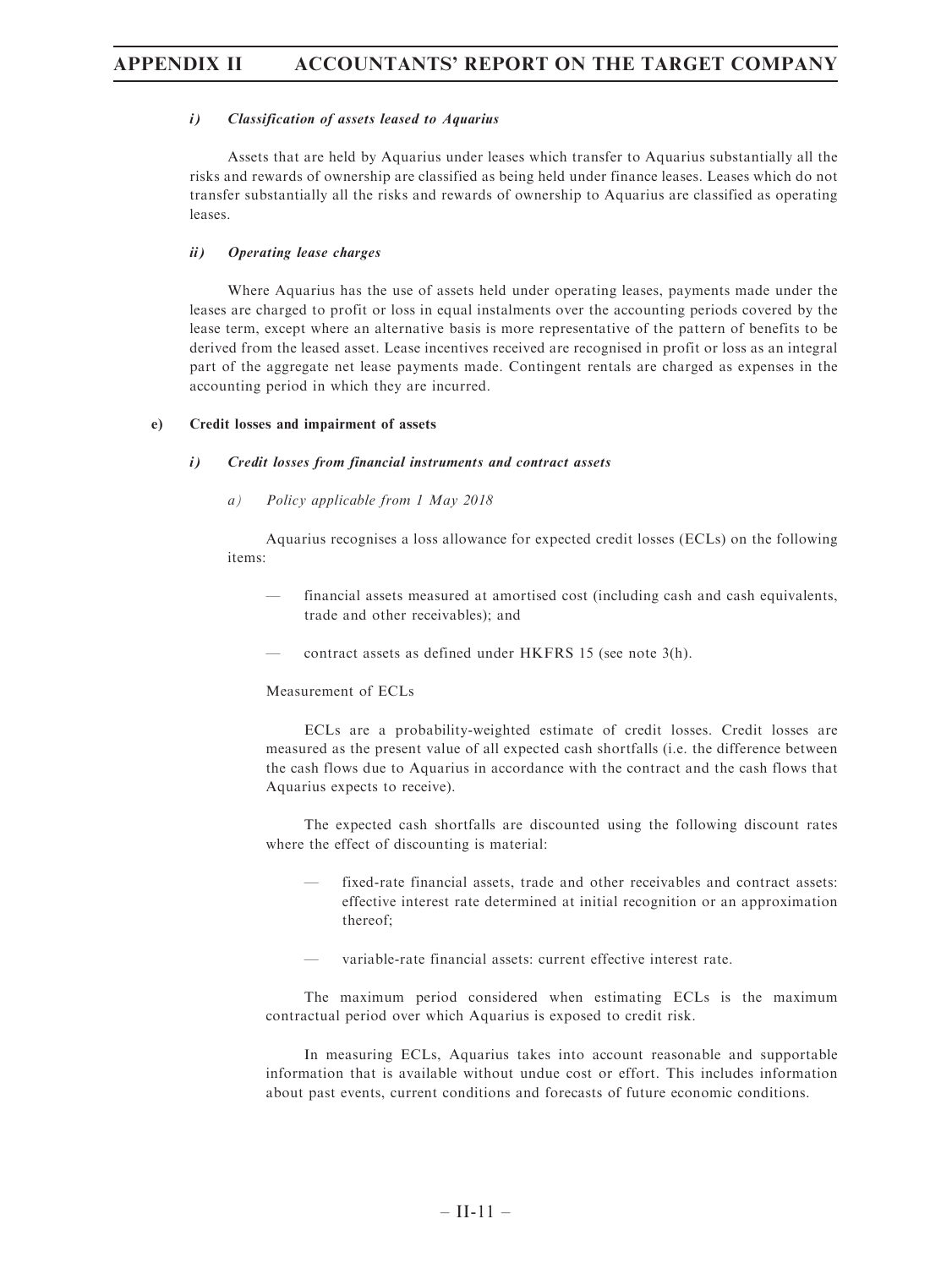### i) Classification of assets leased to Aquarius

Assets that are held by Aquarius under leases which transfer to Aquarius substantially all the risks and rewards of ownership are classified as being held under finance leases. Leases which do not transfer substantially all the risks and rewards of ownership to Aquarius are classified as operating leases.

### ii) Operating lease charges

Where Aquarius has the use of assets held under operating leases, payments made under the leases are charged to profit or loss in equal instalments over the accounting periods covered by the lease term, except where an alternative basis is more representative of the pattern of benefits to be derived from the leased asset. Lease incentives received are recognised in profit or loss as an integral part of the aggregate net lease payments made. Contingent rentals are charged as expenses in the accounting period in which they are incurred.

### e) Credit losses and impairment of assets

#### i) Credit losses from financial instruments and contract assets

a) Policy applicable from 1 May 2018

Aquarius recognises a loss allowance for expected credit losses (ECLs) on the following items:

- financial assets measured at amortised cost (including cash and cash equivalents, trade and other receivables); and
- contract assets as defined under HKFRS 15 (see note 3(h).

### Measurement of ECLs

ECLs are a probability-weighted estimate of credit losses. Credit losses are measured as the present value of all expected cash shortfalls (i.e. the difference between the cash flows due to Aquarius in accordance with the contract and the cash flows that Aquarius expects to receive).

The expected cash shortfalls are discounted using the following discount rates where the effect of discounting is material:

- fixed-rate financial assets, trade and other receivables and contract assets: effective interest rate determined at initial recognition or an approximation thereof;
- variable-rate financial assets: current effective interest rate.

The maximum period considered when estimating ECLs is the maximum contractual period over which Aquarius is exposed to credit risk.

In measuring ECLs, Aquarius takes into account reasonable and supportable information that is available without undue cost or effort. This includes information about past events, current conditions and forecasts of future economic conditions.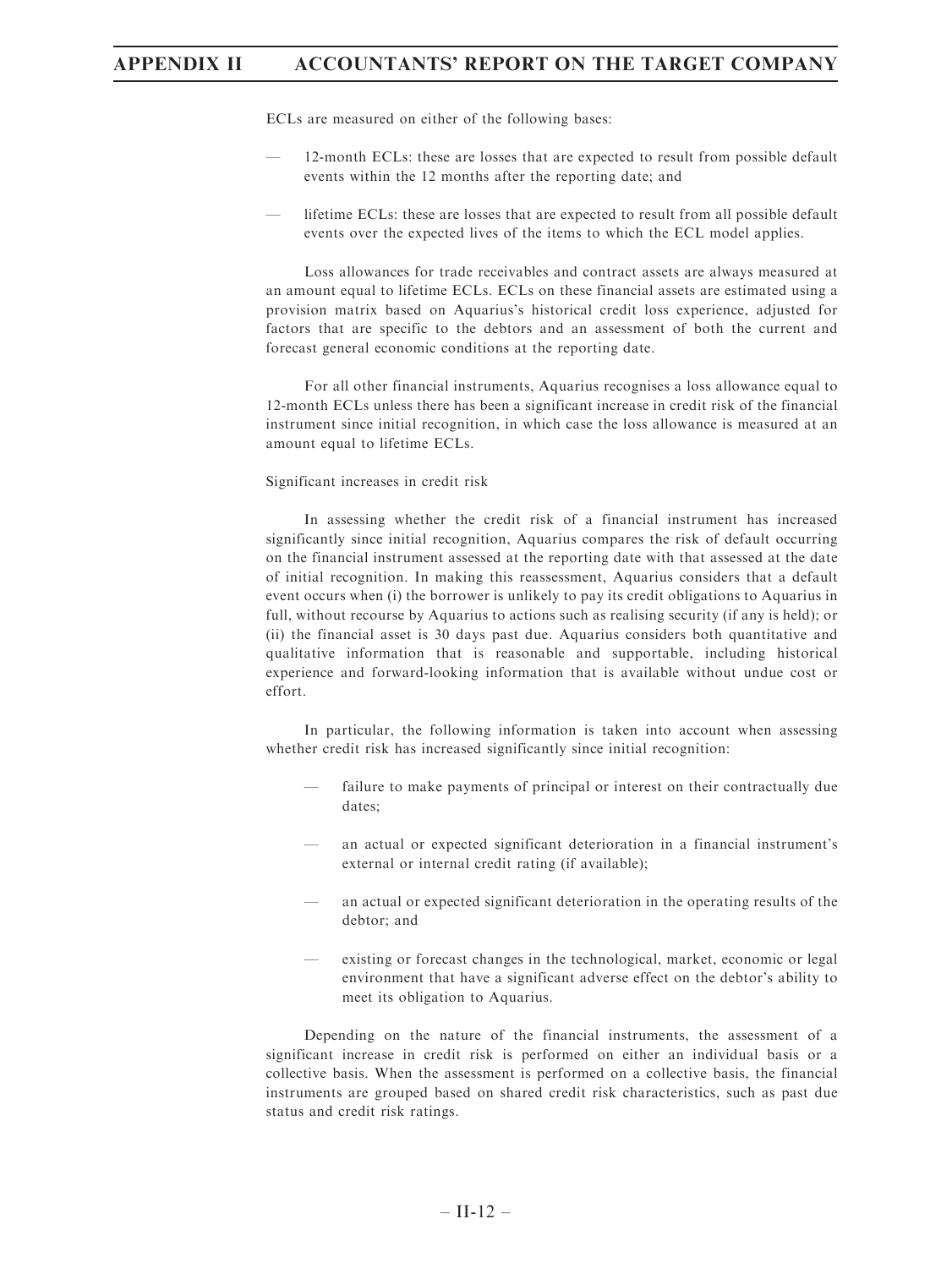ECLs are measured on either of the following bases:

- 12-month ECLs: these are losses that are expected to result from possible default events within the 12 months after the reporting date; and
- lifetime ECLs: these are losses that are expected to result from all possible default events over the expected lives of the items to which the ECL model applies.

Loss allowances for trade receivables and contract assets are always measured at an amount equal to lifetime ECLs. ECLs on these financial assets are estimated using a provision matrix based on Aquarius's historical credit loss experience, adjusted for factors that are specific to the debtors and an assessment of both the current and forecast general economic conditions at the reporting date.

For all other financial instruments, Aquarius recognises a loss allowance equal to 12-month ECLs unless there has been a significant increase in credit risk of the financial instrument since initial recognition, in which case the loss allowance is measured at an amount equal to lifetime ECLs.

#### Significant increases in credit risk

In assessing whether the credit risk of a financial instrument has increased significantly since initial recognition, Aquarius compares the risk of default occurring on the financial instrument assessed at the reporting date with that assessed at the date of initial recognition. In making this reassessment, Aquarius considers that a default event occurs when (i) the borrower is unlikely to pay its credit obligations to Aquarius in full, without recourse by Aquarius to actions such as realising security (if any is held); or (ii) the financial asset is 30 days past due. Aquarius considers both quantitative and qualitative information that is reasonable and supportable, including historical experience and forward-looking information that is available without undue cost or effort.

In particular, the following information is taken into account when assessing whether credit risk has increased significantly since initial recognition:

- failure to make payments of principal or interest on their contractually due dates;
- an actual or expected significant deterioration in a financial instrument's external or internal credit rating (if available);
- an actual or expected significant deterioration in the operating results of the debtor; and
- existing or forecast changes in the technological, market, economic or legal environment that have a significant adverse effect on the debtor's ability to meet its obligation to Aquarius.

Depending on the nature of the financial instruments, the assessment of a significant increase in credit risk is performed on either an individual basis or a collective basis. When the assessment is performed on a collective basis, the financial instruments are grouped based on shared credit risk characteristics, such as past due status and credit risk ratings.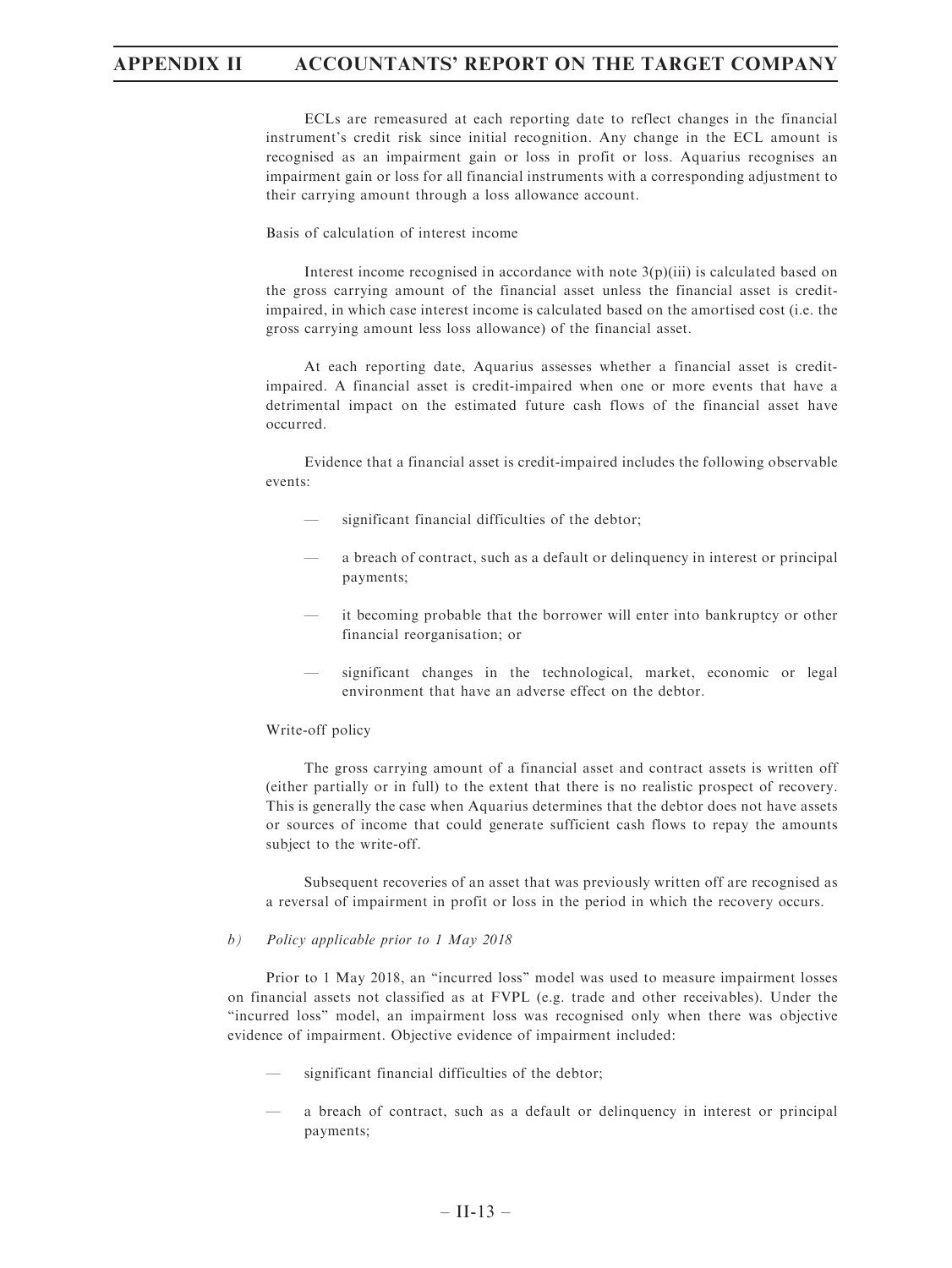ECLs are remeasured at each reporting date to reflect changes in the financial instrument's credit risk since initial recognition. Any change in the ECL amount is recognised as an impairment gain or loss in profit or loss. Aquarius recognises an impairment gain or loss for all financial instruments with a corresponding adjustment to their carrying amount through a loss allowance account.

Basis of calculation of interest income

Interest income recognised in accordance with note  $3(p)(iii)$  is calculated based on the gross carrying amount of the financial asset unless the financial asset is creditimpaired, in which case interest income is calculated based on the amortised cost (i.e. the gross carrying amount less loss allowance) of the financial asset.

At each reporting date, Aquarius assesses whether a financial asset is creditimpaired. A financial asset is credit-impaired when one or more events that have a detrimental impact on the estimated future cash flows of the financial asset have occurred.

Evidence that a financial asset is credit-impaired includes the following observable events:

- significant financial difficulties of the debtor;
- a breach of contract, such as a default or delinquency in interest or principal payments;
- it becoming probable that the borrower will enter into bankruptcy or other financial reorganisation; or
- significant changes in the technological, market, economic or legal environment that have an adverse effect on the debtor.

#### Write-off policy

The gross carrying amount of a financial asset and contract assets is written off (either partially or in full) to the extent that there is no realistic prospect of recovery. This is generally the case when Aquarius determines that the debtor does not have assets or sources of income that could generate sufficient cash flows to repay the amounts subject to the write-off.

Subsequent recoveries of an asset that was previously written off are recognised as a reversal of impairment in profit or loss in the period in which the recovery occurs.

### b) Policy applicable prior to 1 May 2018

Prior to 1 May 2018, an ''incurred loss'' model was used to measure impairment losses on financial assets not classified as at FVPL (e.g. trade and other receivables). Under the ''incurred loss'' model, an impairment loss was recognised only when there was objective evidence of impairment. Objective evidence of impairment included:

- significant financial difficulties of the debtor;
- a breach of contract, such as a default or delinquency in interest or principal payments;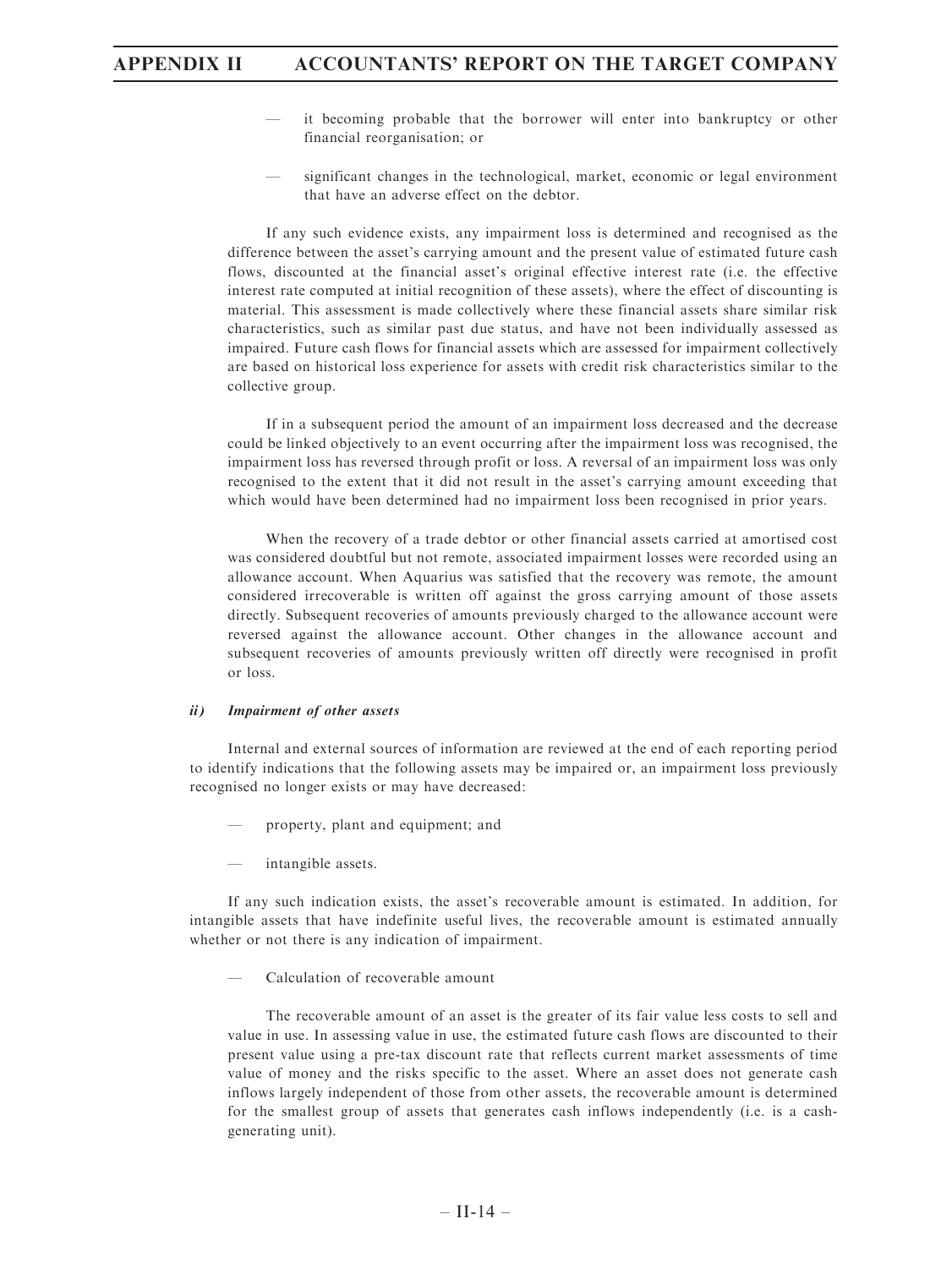- it becoming probable that the borrower will enter into bankruptcy or other financial reorganisation; or
- significant changes in the technological, market, economic or legal environment that have an adverse effect on the debtor.

If any such evidence exists, any impairment loss is determined and recognised as the difference between the asset's carrying amount and the present value of estimated future cash flows, discounted at the financial asset's original effective interest rate (i.e. the effective interest rate computed at initial recognition of these assets), where the effect of discounting is material. This assessment is made collectively where these financial assets share similar risk characteristics, such as similar past due status, and have not been individually assessed as impaired. Future cash flows for financial assets which are assessed for impairment collectively are based on historical loss experience for assets with credit risk characteristics similar to the collective group.

If in a subsequent period the amount of an impairment loss decreased and the decrease could be linked objectively to an event occurring after the impairment loss was recognised, the impairment loss has reversed through profit or loss. A reversal of an impairment loss was only recognised to the extent that it did not result in the asset's carrying amount exceeding that which would have been determined had no impairment loss been recognised in prior years.

When the recovery of a trade debtor or other financial assets carried at amortised cost was considered doubtful but not remote, associated impairment losses were recorded using an allowance account. When Aquarius was satisfied that the recovery was remote, the amount considered irrecoverable is written off against the gross carrying amount of those assets directly. Subsequent recoveries of amounts previously charged to the allowance account were reversed against the allowance account. Other changes in the allowance account and subsequent recoveries of amounts previously written off directly were recognised in profit or loss.

### ii) Impairment of other assets

Internal and external sources of information are reviewed at the end of each reporting period to identify indications that the following assets may be impaired or, an impairment loss previously recognised no longer exists or may have decreased:

- property, plant and equipment; and
- intangible assets.

If any such indication exists, the asset's recoverable amount is estimated. In addition, for intangible assets that have indefinite useful lives, the recoverable amount is estimated annually whether or not there is any indication of impairment.

— Calculation of recoverable amount

The recoverable amount of an asset is the greater of its fair value less costs to sell and value in use. In assessing value in use, the estimated future cash flows are discounted to their present value using a pre-tax discount rate that reflects current market assessments of time value of money and the risks specific to the asset. Where an asset does not generate cash inflows largely independent of those from other assets, the recoverable amount is determined for the smallest group of assets that generates cash inflows independently (i.e. is a cashgenerating unit).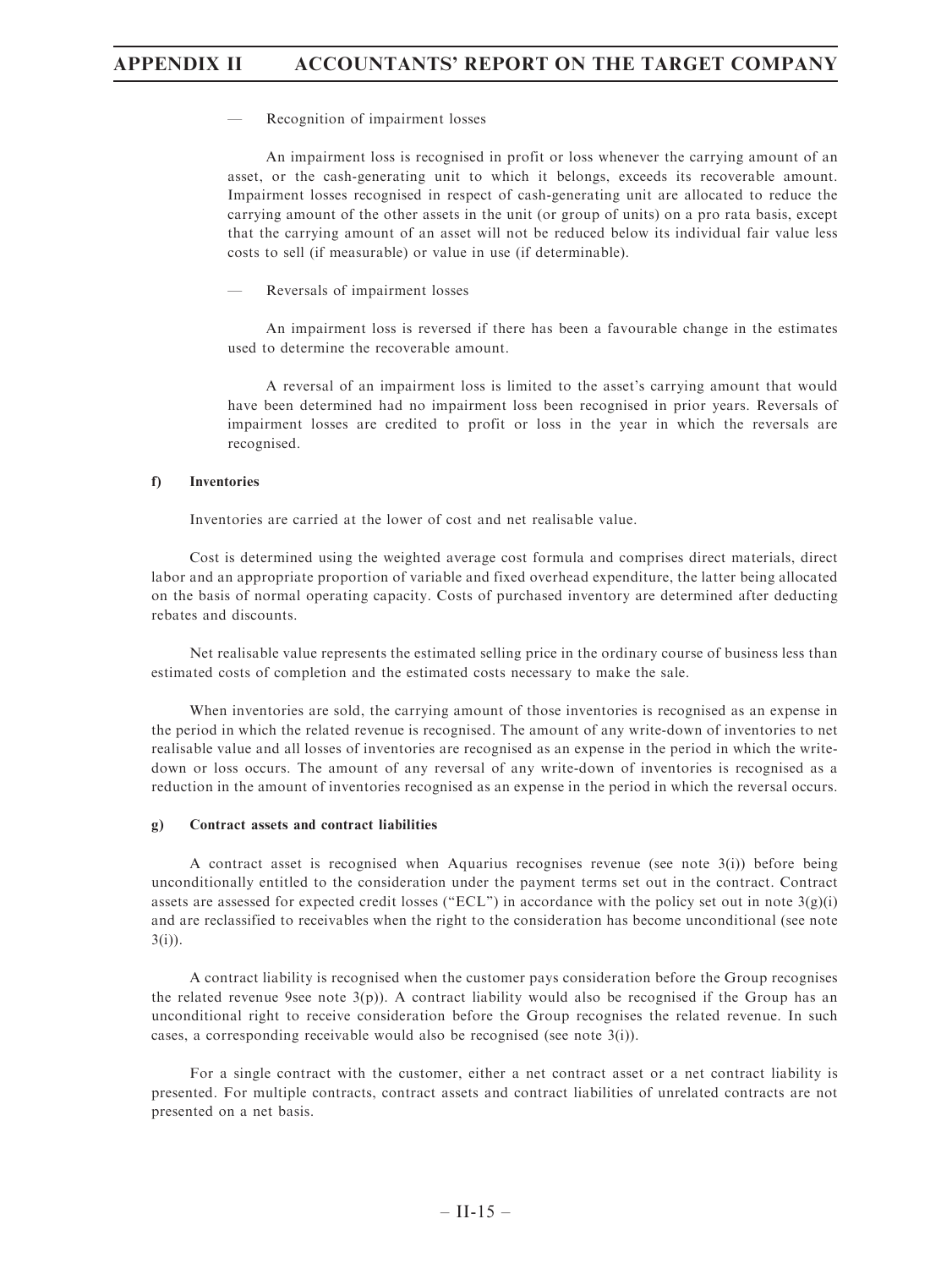— Recognition of impairment losses

An impairment loss is recognised in profit or loss whenever the carrying amount of an asset, or the cash-generating unit to which it belongs, exceeds its recoverable amount. Impairment losses recognised in respect of cash-generating unit are allocated to reduce the carrying amount of the other assets in the unit (or group of units) on a pro rata basis, except that the carrying amount of an asset will not be reduced below its individual fair value less costs to sell (if measurable) or value in use (if determinable).

— Reversals of impairment losses

An impairment loss is reversed if there has been a favourable change in the estimates used to determine the recoverable amount.

A reversal of an impairment loss is limited to the asset's carrying amount that would have been determined had no impairment loss been recognised in prior years. Reversals of impairment losses are credited to profit or loss in the year in which the reversals are recognised.

#### f) Inventories

Inventories are carried at the lower of cost and net realisable value.

Cost is determined using the weighted average cost formula and comprises direct materials, direct labor and an appropriate proportion of variable and fixed overhead expenditure, the latter being allocated on the basis of normal operating capacity. Costs of purchased inventory are determined after deducting rebates and discounts.

Net realisable value represents the estimated selling price in the ordinary course of business less than estimated costs of completion and the estimated costs necessary to make the sale.

When inventories are sold, the carrying amount of those inventories is recognised as an expense in the period in which the related revenue is recognised. The amount of any write-down of inventories to net realisable value and all losses of inventories are recognised as an expense in the period in which the writedown or loss occurs. The amount of any reversal of any write-down of inventories is recognised as a reduction in the amount of inventories recognised as an expense in the period in which the reversal occurs.

### g) Contract assets and contract liabilities

A contract asset is recognised when Aquarius recognises revenue (see note 3(i)) before being unconditionally entitled to the consideration under the payment terms set out in the contract. Contract assets are assessed for expected credit losses ("ECL") in accordance with the policy set out in note  $3(g)(i)$ and are reclassified to receivables when the right to the consideration has become unconditional (see note 3(i)).

A contract liability is recognised when the customer pays consideration before the Group recognises the related revenue 9see note  $3(p)$ ). A contract liability would also be recognised if the Group has an unconditional right to receive consideration before the Group recognises the related revenue. In such cases, a corresponding receivable would also be recognised (see note 3(i)).

For a single contract with the customer, either a net contract asset or a net contract liability is presented. For multiple contracts, contract assets and contract liabilities of unrelated contracts are not presented on a net basis.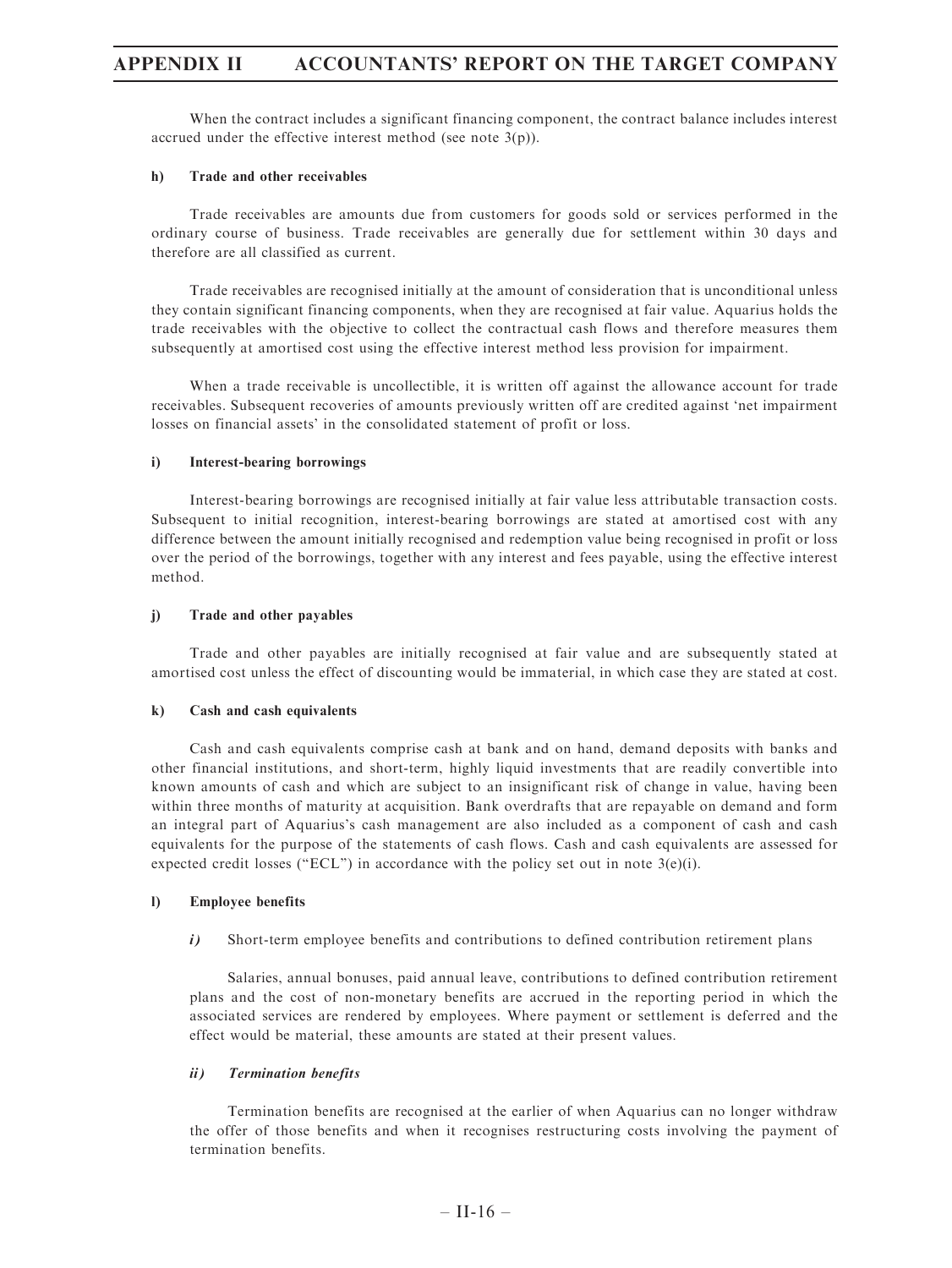When the contract includes a significant financing component, the contract balance includes interest accrued under the effective interest method (see note 3(p)).

#### h) Trade and other receivables

Trade receivables are amounts due from customers for goods sold or services performed in the ordinary course of business. Trade receivables are generally due for settlement within 30 days and therefore are all classified as current.

Trade receivables are recognised initially at the amount of consideration that is unconditional unless they contain significant financing components, when they are recognised at fair value. Aquarius holds the trade receivables with the objective to collect the contractual cash flows and therefore measures them subsequently at amortised cost using the effective interest method less provision for impairment.

When a trade receivable is uncollectible, it is written off against the allowance account for trade receivables. Subsequent recoveries of amounts previously written off are credited against 'net impairment losses on financial assets' in the consolidated statement of profit or loss.

#### i) Interest-bearing borrowings

Interest-bearing borrowings are recognised initially at fair value less attributable transaction costs. Subsequent to initial recognition, interest-bearing borrowings are stated at amortised cost with any difference between the amount initially recognised and redemption value being recognised in profit or loss over the period of the borrowings, together with any interest and fees payable, using the effective interest method.

### j) Trade and other payables

Trade and other payables are initially recognised at fair value and are subsequently stated at amortised cost unless the effect of discounting would be immaterial, in which case they are stated at cost.

#### k) Cash and cash equivalents

Cash and cash equivalents comprise cash at bank and on hand, demand deposits with banks and other financial institutions, and short-term, highly liquid investments that are readily convertible into known amounts of cash and which are subject to an insignificant risk of change in value, having been within three months of maturity at acquisition. Bank overdrafts that are repayable on demand and form an integral part of Aquarius's cash management are also included as a component of cash and cash equivalents for the purpose of the statements of cash flows. Cash and cash equivalents are assessed for expected credit losses ("ECL") in accordance with the policy set out in note  $3(e)(i)$ .

#### l) Employee benefits

i) Short-term employee benefits and contributions to defined contribution retirement plans

Salaries, annual bonuses, paid annual leave, contributions to defined contribution retirement plans and the cost of non-monetary benefits are accrued in the reporting period in which the associated services are rendered by employees. Where payment or settlement is deferred and the effect would be material, these amounts are stated at their present values.

### ii) Termination benefits

Termination benefits are recognised at the earlier of when Aquarius can no longer withdraw the offer of those benefits and when it recognises restructuring costs involving the payment of termination benefits.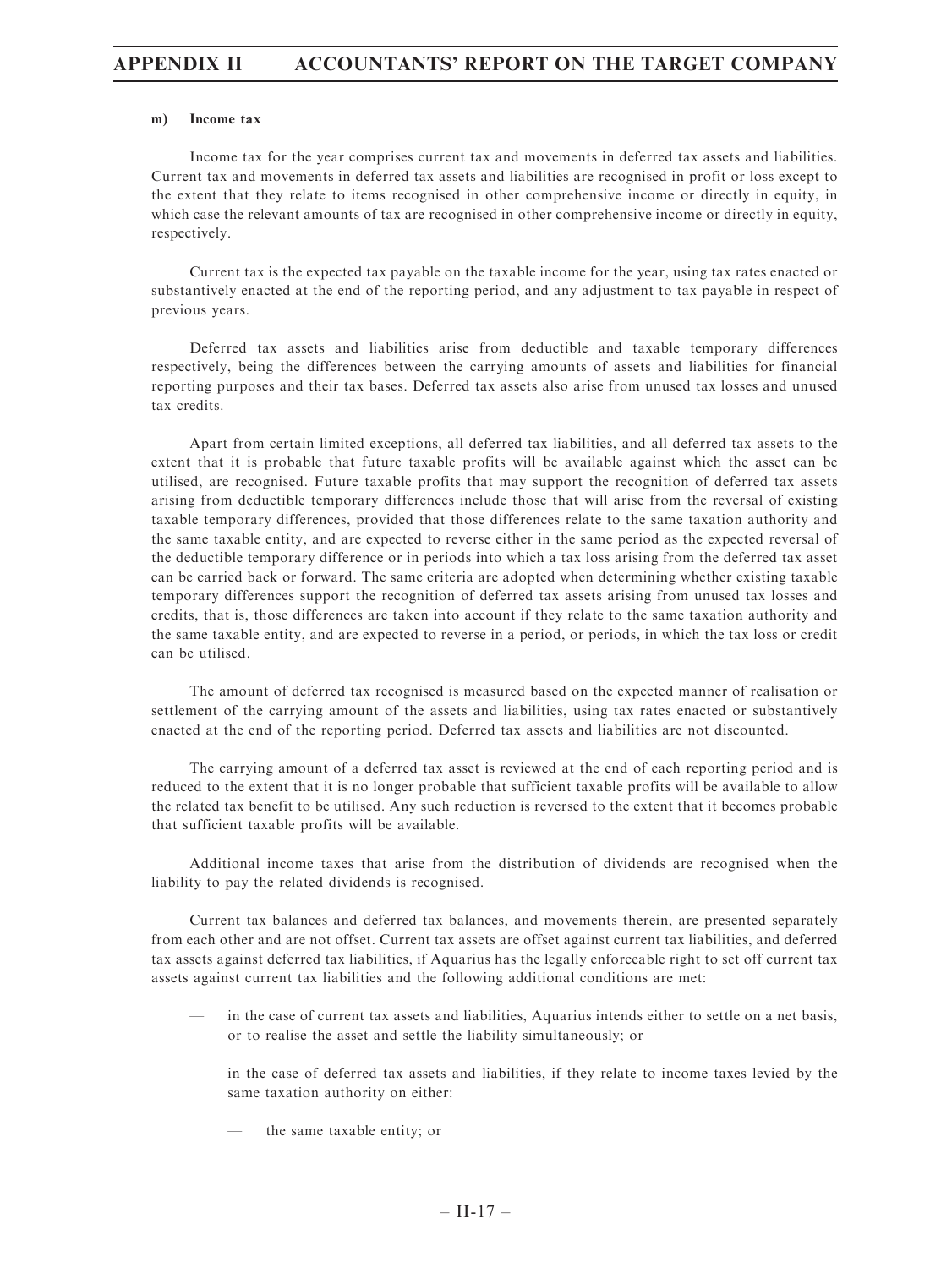#### m) Income tax

Income tax for the year comprises current tax and movements in deferred tax assets and liabilities. Current tax and movements in deferred tax assets and liabilities are recognised in profit or loss except to the extent that they relate to items recognised in other comprehensive income or directly in equity, in which case the relevant amounts of tax are recognised in other comprehensive income or directly in equity, respectively.

Current tax is the expected tax payable on the taxable income for the year, using tax rates enacted or substantively enacted at the end of the reporting period, and any adjustment to tax payable in respect of previous years.

Deferred tax assets and liabilities arise from deductible and taxable temporary differences respectively, being the differences between the carrying amounts of assets and liabilities for financial reporting purposes and their tax bases. Deferred tax assets also arise from unused tax losses and unused tax credits.

Apart from certain limited exceptions, all deferred tax liabilities, and all deferred tax assets to the extent that it is probable that future taxable profits will be available against which the asset can be utilised, are recognised. Future taxable profits that may support the recognition of deferred tax assets arising from deductible temporary differences include those that will arise from the reversal of existing taxable temporary differences, provided that those differences relate to the same taxation authority and the same taxable entity, and are expected to reverse either in the same period as the expected reversal of the deductible temporary difference or in periods into which a tax loss arising from the deferred tax asset can be carried back or forward. The same criteria are adopted when determining whether existing taxable temporary differences support the recognition of deferred tax assets arising from unused tax losses and credits, that is, those differences are taken into account if they relate to the same taxation authority and the same taxable entity, and are expected to reverse in a period, or periods, in which the tax loss or credit can be utilised.

The amount of deferred tax recognised is measured based on the expected manner of realisation or settlement of the carrying amount of the assets and liabilities, using tax rates enacted or substantively enacted at the end of the reporting period. Deferred tax assets and liabilities are not discounted.

The carrying amount of a deferred tax asset is reviewed at the end of each reporting period and is reduced to the extent that it is no longer probable that sufficient taxable profits will be available to allow the related tax benefit to be utilised. Any such reduction is reversed to the extent that it becomes probable that sufficient taxable profits will be available.

Additional income taxes that arise from the distribution of dividends are recognised when the liability to pay the related dividends is recognised.

Current tax balances and deferred tax balances, and movements therein, are presented separately from each other and are not offset. Current tax assets are offset against current tax liabilities, and deferred tax assets against deferred tax liabilities, if Aquarius has the legally enforceable right to set off current tax assets against current tax liabilities and the following additional conditions are met:

- in the case of current tax assets and liabilities, Aquarius intends either to settle on a net basis, or to realise the asset and settle the liability simultaneously; or
- in the case of deferred tax assets and liabilities, if they relate to income taxes levied by the same taxation authority on either:
	- the same taxable entity; or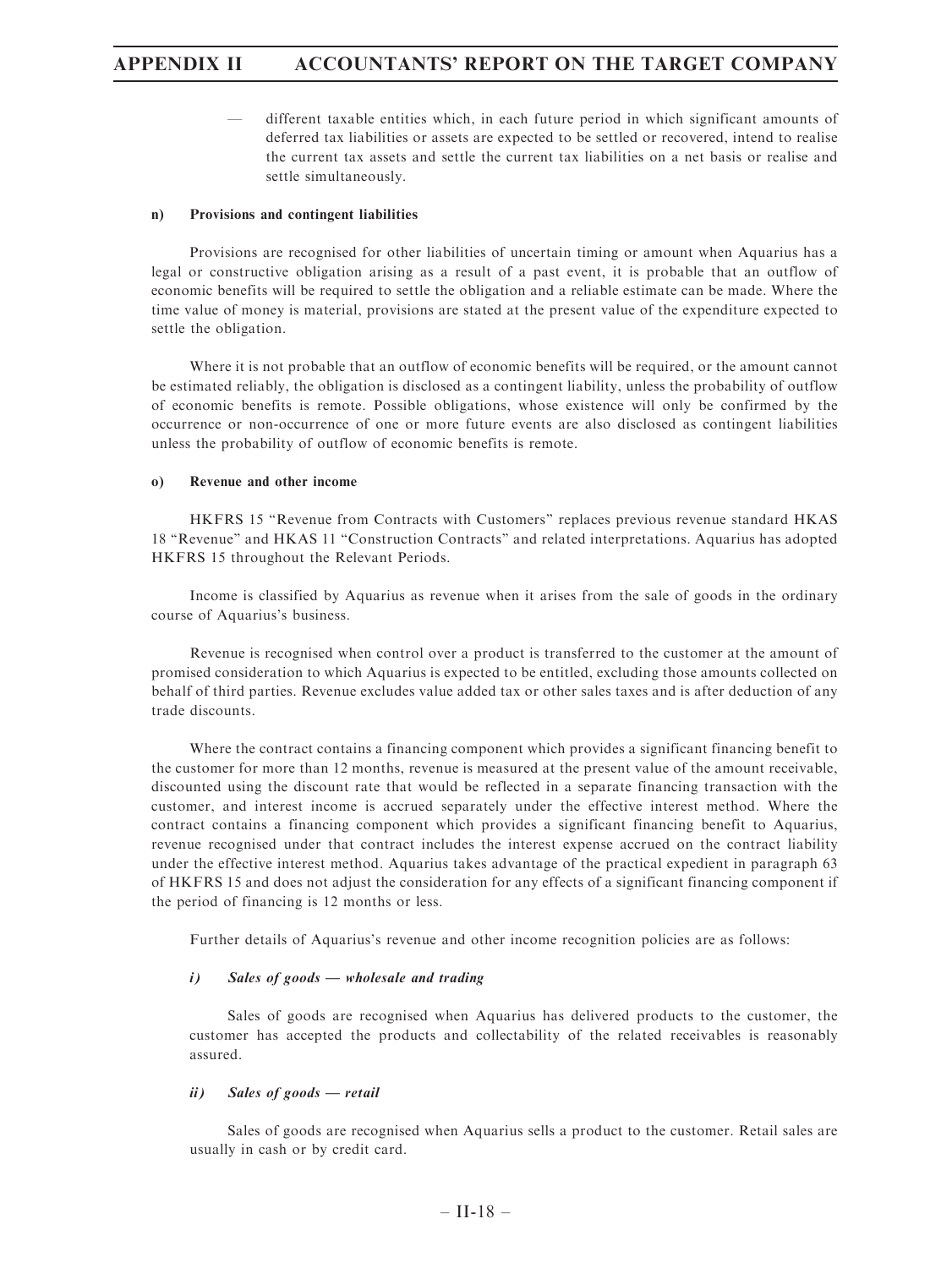— different taxable entities which, in each future period in which significant amounts of deferred tax liabilities or assets are expected to be settled or recovered, intend to realise the current tax assets and settle the current tax liabilities on a net basis or realise and settle simultaneously.

### n) Provisions and contingent liabilities

Provisions are recognised for other liabilities of uncertain timing or amount when Aquarius has a legal or constructive obligation arising as a result of a past event, it is probable that an outflow of economic benefits will be required to settle the obligation and a reliable estimate can be made. Where the time value of money is material, provisions are stated at the present value of the expenditure expected to settle the obligation.

Where it is not probable that an outflow of economic benefits will be required, or the amount cannot be estimated reliably, the obligation is disclosed as a contingent liability, unless the probability of outflow of economic benefits is remote. Possible obligations, whose existence will only be confirmed by the occurrence or non-occurrence of one or more future events are also disclosed as contingent liabilities unless the probability of outflow of economic benefits is remote.

### o) Revenue and other income

HKFRS 15 ''Revenue from Contracts with Customers'' replaces previous revenue standard HKAS 18 ''Revenue'' and HKAS 11 ''Construction Contracts'' and related interpretations. Aquarius has adopted HKFRS 15 throughout the Relevant Periods.

Income is classified by Aquarius as revenue when it arises from the sale of goods in the ordinary course of Aquarius's business.

Revenue is recognised when control over a product is transferred to the customer at the amount of promised consideration to which Aquarius is expected to be entitled, excluding those amounts collected on behalf of third parties. Revenue excludes value added tax or other sales taxes and is after deduction of any trade discounts.

Where the contract contains a financing component which provides a significant financing benefit to the customer for more than 12 months, revenue is measured at the present value of the amount receivable, discounted using the discount rate that would be reflected in a separate financing transaction with the customer, and interest income is accrued separately under the effective interest method. Where the contract contains a financing component which provides a significant financing benefit to Aquarius, revenue recognised under that contract includes the interest expense accrued on the contract liability under the effective interest method. Aquarius takes advantage of the practical expedient in paragraph 63 of HKFRS 15 and does not adjust the consideration for any effects of a significant financing component if the period of financing is 12 months or less.

Further details of Aquarius's revenue and other income recognition policies are as follows:

### i) Sales of goods — wholesale and trading

Sales of goods are recognised when Aquarius has delivered products to the customer, the customer has accepted the products and collectability of the related receivables is reasonably assured.

### ii) Sales of goods — retail

Sales of goods are recognised when Aquarius sells a product to the customer. Retail sales are usually in cash or by credit card.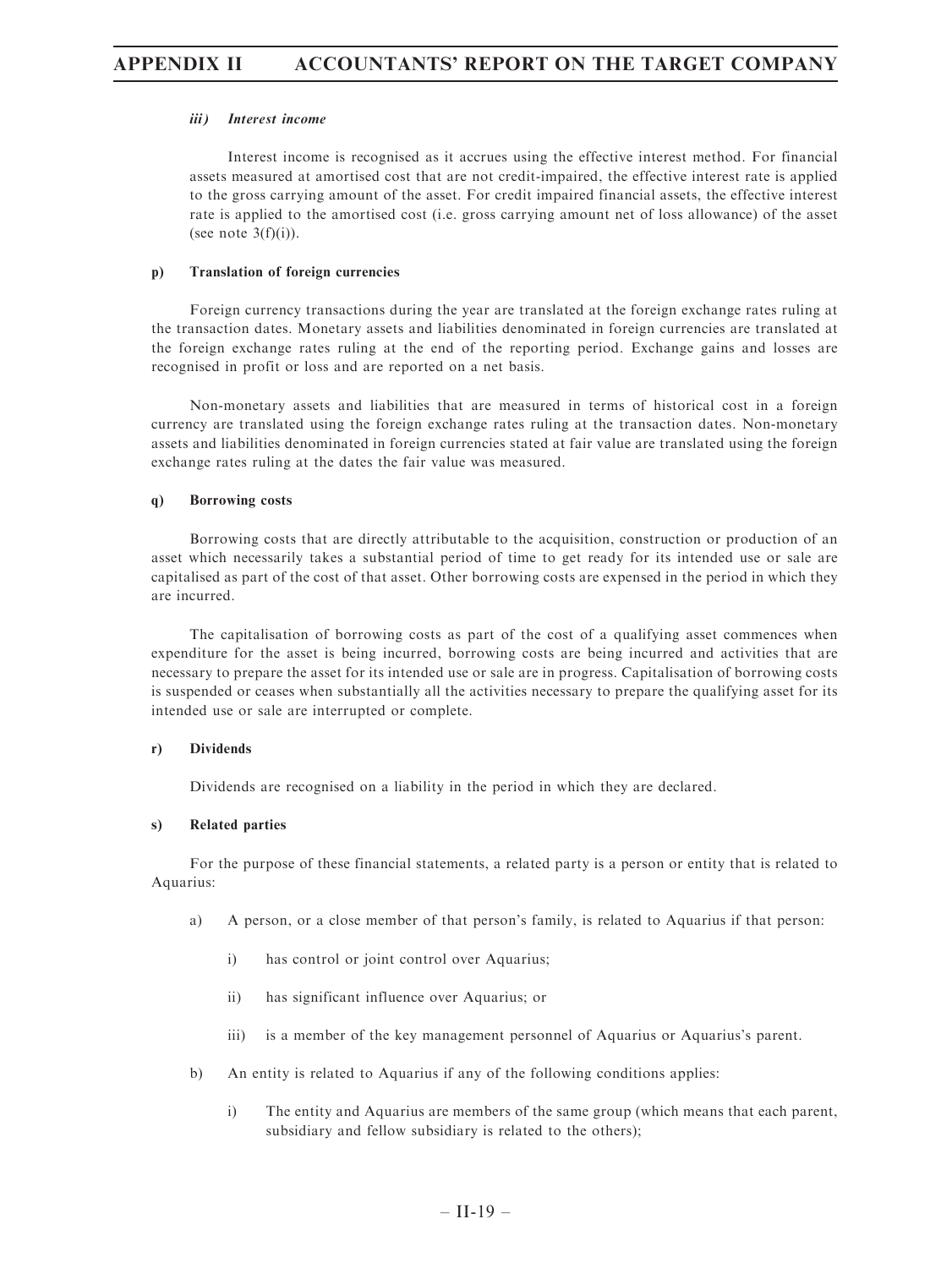### iii) Interest income

Interest income is recognised as it accrues using the effective interest method. For financial assets measured at amortised cost that are not credit-impaired, the effective interest rate is applied to the gross carrying amount of the asset. For credit impaired financial assets, the effective interest rate is applied to the amortised cost (i.e. gross carrying amount net of loss allowance) of the asset (see note  $3(f)(i)$ ).

### p) Translation of foreign currencies

Foreign currency transactions during the year are translated at the foreign exchange rates ruling at the transaction dates. Monetary assets and liabilities denominated in foreign currencies are translated at the foreign exchange rates ruling at the end of the reporting period. Exchange gains and losses are recognised in profit or loss and are reported on a net basis.

Non-monetary assets and liabilities that are measured in terms of historical cost in a foreign currency are translated using the foreign exchange rates ruling at the transaction dates. Non-monetary assets and liabilities denominated in foreign currencies stated at fair value are translated using the foreign exchange rates ruling at the dates the fair value was measured.

### q) Borrowing costs

Borrowing costs that are directly attributable to the acquisition, construction or production of an asset which necessarily takes a substantial period of time to get ready for its intended use or sale are capitalised as part of the cost of that asset. Other borrowing costs are expensed in the period in which they are incurred.

The capitalisation of borrowing costs as part of the cost of a qualifying asset commences when expenditure for the asset is being incurred, borrowing costs are being incurred and activities that are necessary to prepare the asset for its intended use or sale are in progress. Capitalisation of borrowing costs is suspended or ceases when substantially all the activities necessary to prepare the qualifying asset for its intended use or sale are interrupted or complete.

### r) Dividends

Dividends are recognised on a liability in the period in which they are declared.

### s) Related parties

For the purpose of these financial statements, a related party is a person or entity that is related to Aquarius:

- a) A person, or a close member of that person's family, is related to Aquarius if that person:
	- i) has control or joint control over Aquarius;
	- ii) has significant influence over Aquarius; or
	- iii) is a member of the key management personnel of Aquarius or Aquarius's parent.
- b) An entity is related to Aquarius if any of the following conditions applies:
	- i) The entity and Aquarius are members of the same group (which means that each parent, subsidiary and fellow subsidiary is related to the others);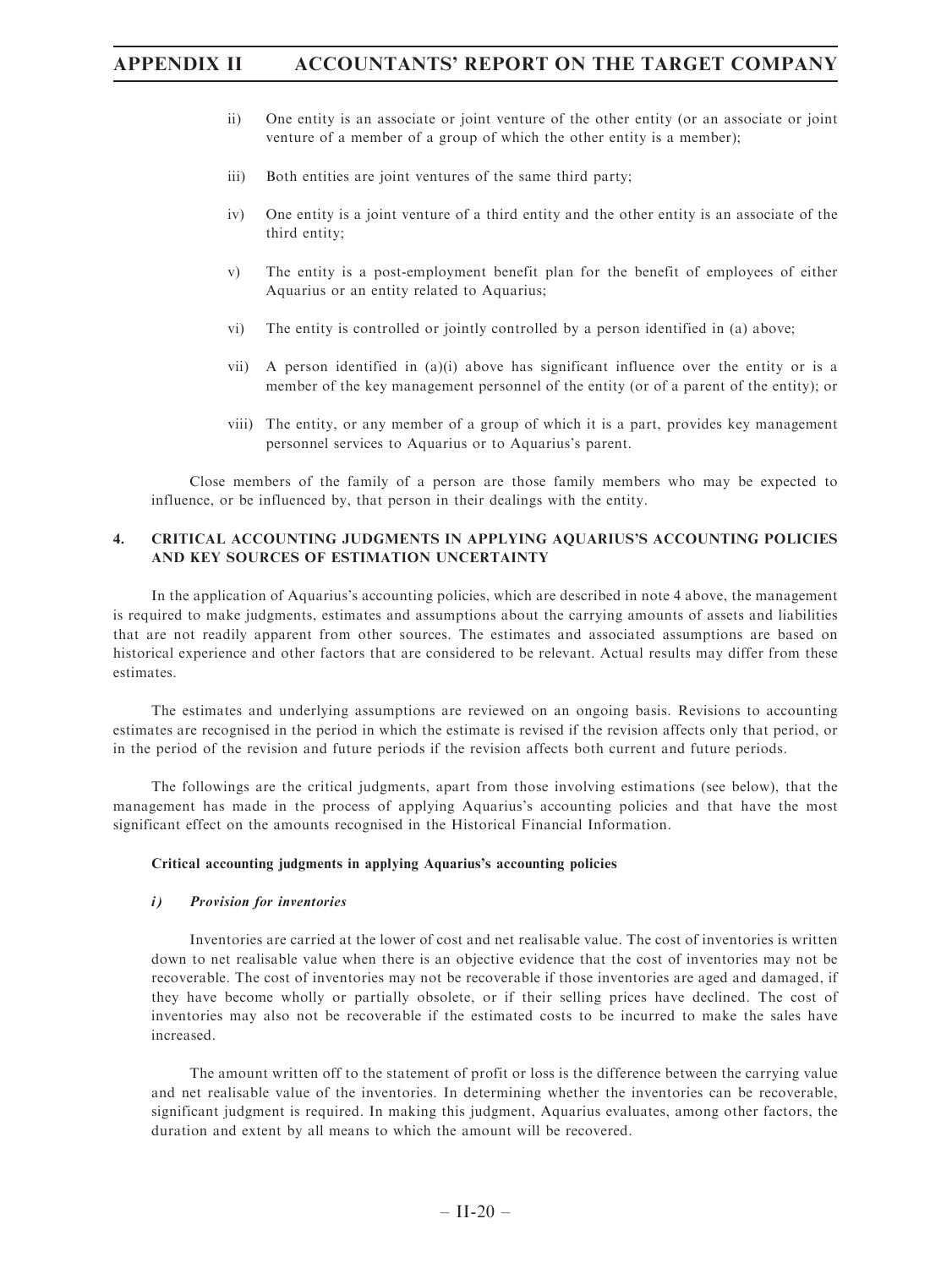- ii) One entity is an associate or joint venture of the other entity (or an associate or joint venture of a member of a group of which the other entity is a member);
- iii) Both entities are joint ventures of the same third party;
- iv) One entity is a joint venture of a third entity and the other entity is an associate of the third entity;
- v) The entity is a post-employment benefit plan for the benefit of employees of either Aquarius or an entity related to Aquarius;
- vi) The entity is controlled or jointly controlled by a person identified in (a) above;
- vii) A person identified in (a)(i) above has significant influence over the entity or is a member of the key management personnel of the entity (or of a parent of the entity); or
- viii) The entity, or any member of a group of which it is a part, provides key management personnel services to Aquarius or to Aquarius's parent.

Close members of the family of a person are those family members who may be expected to influence, or be influenced by, that person in their dealings with the entity.

## 4. CRITICAL ACCOUNTING JUDGMENTS IN APPLYING AQUARIUS'S ACCOUNTING POLICIES AND KEY SOURCES OF ESTIMATION UNCERTAINTY

In the application of Aquarius's accounting policies, which are described in note 4 above, the management is required to make judgments, estimates and assumptions about the carrying amounts of assets and liabilities that are not readily apparent from other sources. The estimates and associated assumptions are based on historical experience and other factors that are considered to be relevant. Actual results may differ from these estimates.

The estimates and underlying assumptions are reviewed on an ongoing basis. Revisions to accounting estimates are recognised in the period in which the estimate is revised if the revision affects only that period, or in the period of the revision and future periods if the revision affects both current and future periods.

The followings are the critical judgments, apart from those involving estimations (see below), that the management has made in the process of applying Aquarius's accounting policies and that have the most significant effect on the amounts recognised in the Historical Financial Information.

#### Critical accounting judgments in applying Aquarius's accounting policies

#### i) Provision for inventories

Inventories are carried at the lower of cost and net realisable value. The cost of inventories is written down to net realisable value when there is an objective evidence that the cost of inventories may not be recoverable. The cost of inventories may not be recoverable if those inventories are aged and damaged, if they have become wholly or partially obsolete, or if their selling prices have declined. The cost of inventories may also not be recoverable if the estimated costs to be incurred to make the sales have increased.

The amount written off to the statement of profit or loss is the difference between the carrying value and net realisable value of the inventories. In determining whether the inventories can be recoverable, significant judgment is required. In making this judgment, Aquarius evaluates, among other factors, the duration and extent by all means to which the amount will be recovered.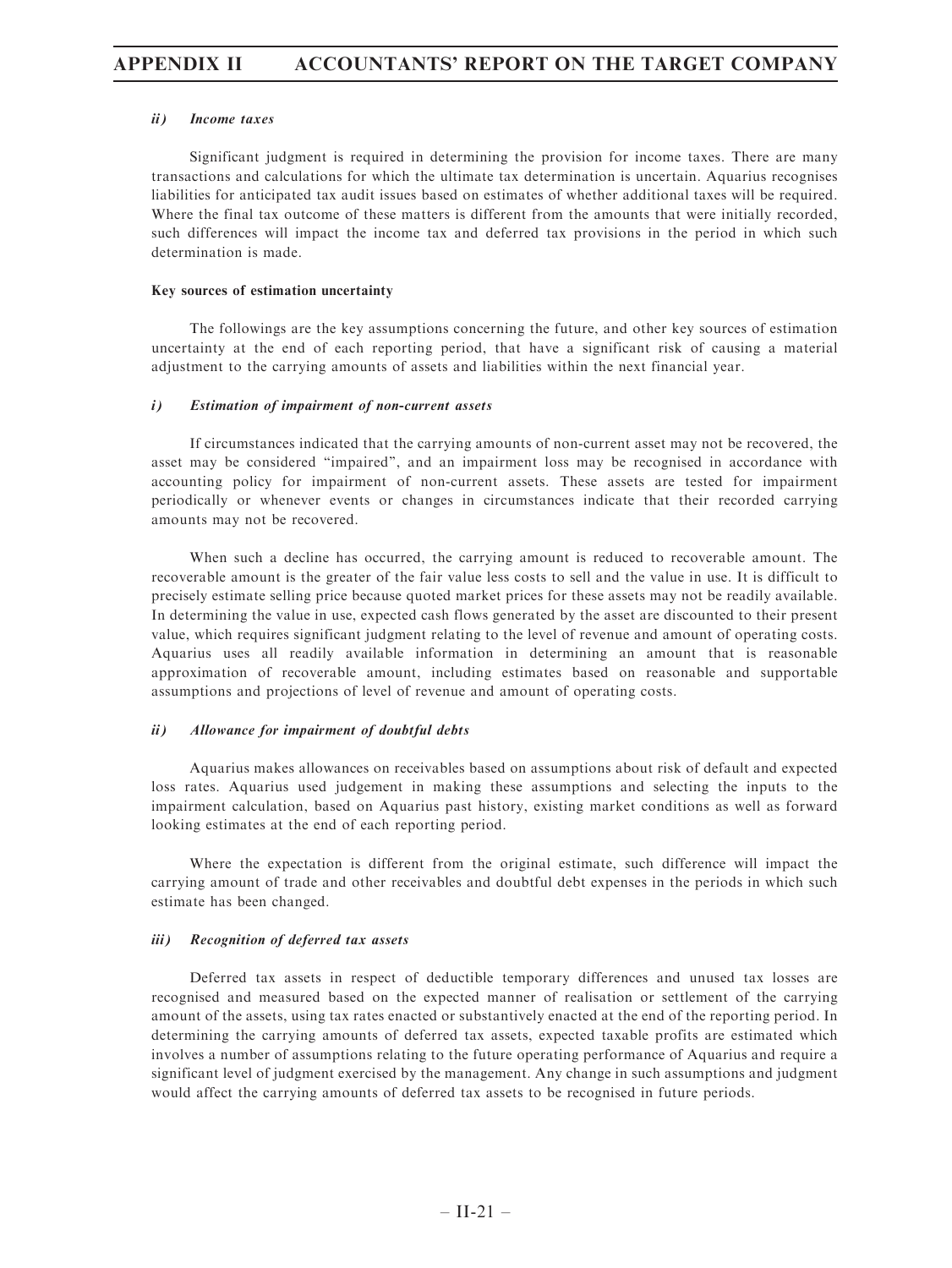#### ii) Income taxes

Significant judgment is required in determining the provision for income taxes. There are many transactions and calculations for which the ultimate tax determination is uncertain. Aquarius recognises liabilities for anticipated tax audit issues based on estimates of whether additional taxes will be required. Where the final tax outcome of these matters is different from the amounts that were initially recorded, such differences will impact the income tax and deferred tax provisions in the period in which such determination is made.

#### Key sources of estimation uncertainty

The followings are the key assumptions concerning the future, and other key sources of estimation uncertainty at the end of each reporting period, that have a significant risk of causing a material adjustment to the carrying amounts of assets and liabilities within the next financial year.

#### i) Estimation of impairment of non-current assets

If circumstances indicated that the carrying amounts of non-current asset may not be recovered, the asset may be considered ''impaired'', and an impairment loss may be recognised in accordance with accounting policy for impairment of non-current assets. These assets are tested for impairment periodically or whenever events or changes in circumstances indicate that their recorded carrying amounts may not be recovered.

When such a decline has occurred, the carrying amount is reduced to recoverable amount. The recoverable amount is the greater of the fair value less costs to sell and the value in use. It is difficult to precisely estimate selling price because quoted market prices for these assets may not be readily available. In determining the value in use, expected cash flows generated by the asset are discounted to their present value, which requires significant judgment relating to the level of revenue and amount of operating costs. Aquarius uses all readily available information in determining an amount that is reasonable approximation of recoverable amount, including estimates based on reasonable and supportable assumptions and projections of level of revenue and amount of operating costs.

#### ii) Allowance for impairment of doubtful debts

Aquarius makes allowances on receivables based on assumptions about risk of default and expected loss rates. Aquarius used judgement in making these assumptions and selecting the inputs to the impairment calculation, based on Aquarius past history, existing market conditions as well as forward looking estimates at the end of each reporting period.

Where the expectation is different from the original estimate, such difference will impact the carrying amount of trade and other receivables and doubtful debt expenses in the periods in which such estimate has been changed.

#### iii) Recognition of deferred tax assets

Deferred tax assets in respect of deductible temporary differences and unused tax losses are recognised and measured based on the expected manner of realisation or settlement of the carrying amount of the assets, using tax rates enacted or substantively enacted at the end of the reporting period. In determining the carrying amounts of deferred tax assets, expected taxable profits are estimated which involves a number of assumptions relating to the future operating performance of Aquarius and require a significant level of judgment exercised by the management. Any change in such assumptions and judgment would affect the carrying amounts of deferred tax assets to be recognised in future periods.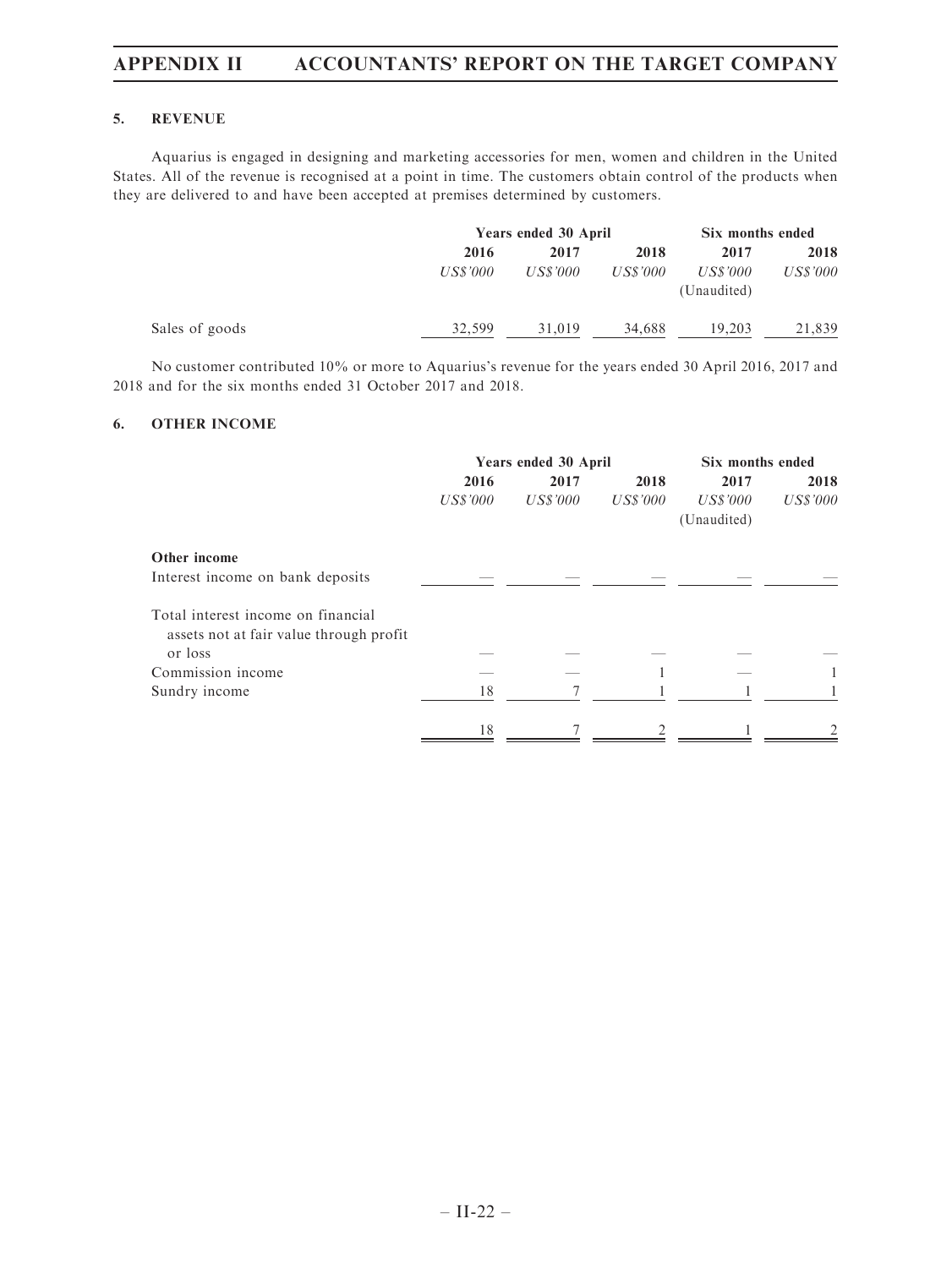### 5. REVENUE

Aquarius is engaged in designing and marketing accessories for men, women and children in the United States. All of the revenue is recognised at a point in time. The customers obtain control of the products when they are delivered to and have been accepted at premises determined by customers.

|                |          | Years ended 30 April |          |                         | Six months ended |  |
|----------------|----------|----------------------|----------|-------------------------|------------------|--|
|                | 2016     | 2017                 | 2018     | 2017                    | 2018             |  |
|                | US\$'000 | US\$'000             | US\$'000 | US\$'000<br>(Unaudited) | US\$'000         |  |
| Sales of goods | 32.599   | 31,019               | 34.688   | 19.203                  | 21.839           |  |

No customer contributed 10% or more to Aquarius's revenue for the years ended 30 April 2016, 2017 and 2018 and for the six months ended 31 October 2017 and 2018.

## 6. OTHER INCOME

|                 |          | Six months ended |                      |          |  |
|-----------------|----------|------------------|----------------------|----------|--|
| 2016<br>2017    |          | 2018             | 2017                 | 2018     |  |
| <b>US\$'000</b> | US\$'000 | US\$'000         | US\$'000             | US\$'000 |  |
|                 |          |                  | (Unaudited)          |          |  |
|                 |          |                  |                      |          |  |
|                 |          |                  |                      |          |  |
|                 |          |                  |                      |          |  |
|                 |          |                  |                      |          |  |
|                 |          |                  |                      |          |  |
| 18              |          |                  |                      |          |  |
| 18              |          |                  |                      |          |  |
|                 |          |                  | Years ended 30 April |          |  |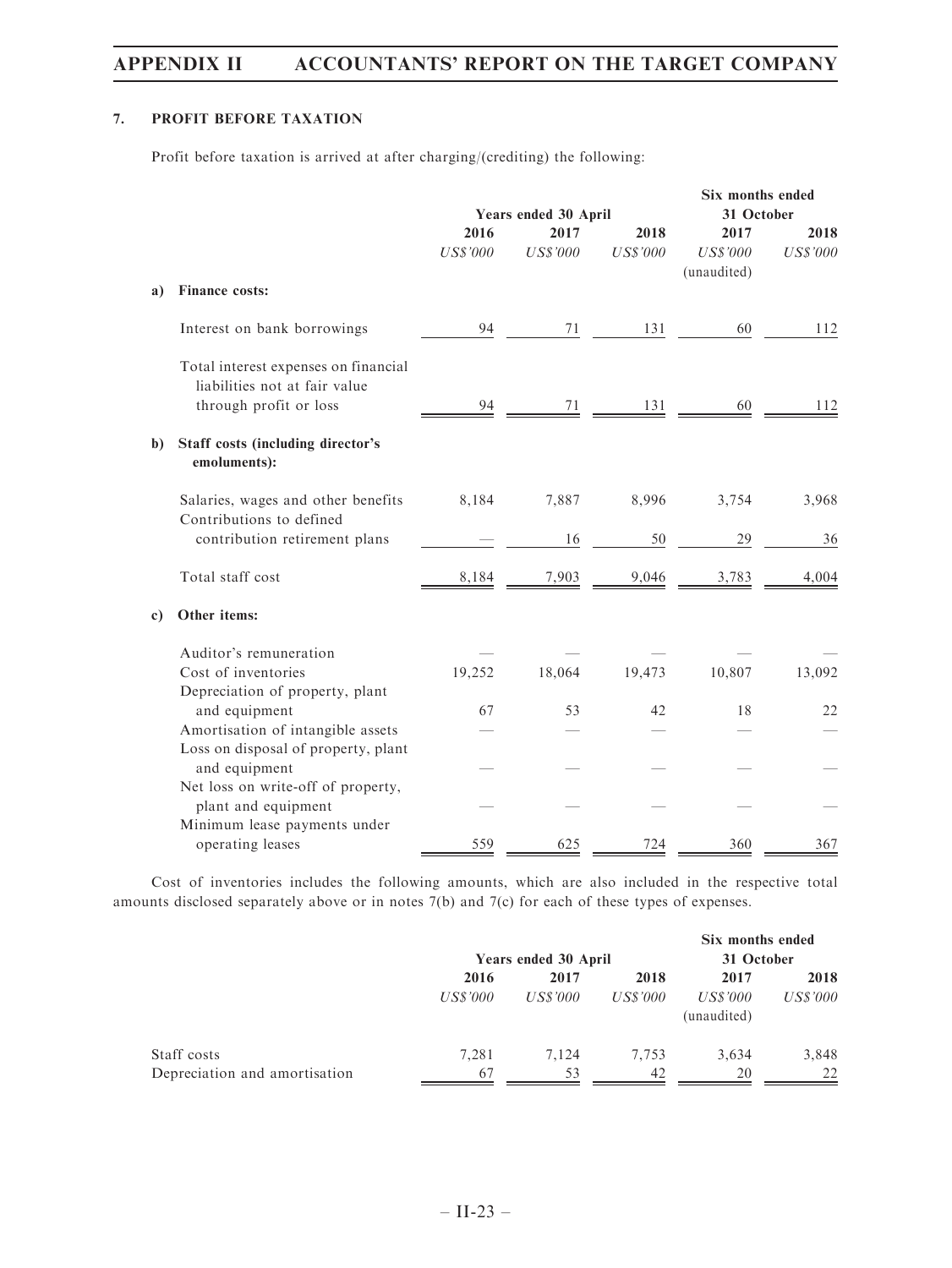## 7. PROFIT BEFORE TAXATION

Profit before taxation is arrived at after charging/(crediting) the following:

|              |                                                                                                 |                         | Years ended 30 April    |                         | Six months ended<br>31 October         |                         |
|--------------|-------------------------------------------------------------------------------------------------|-------------------------|-------------------------|-------------------------|----------------------------------------|-------------------------|
|              |                                                                                                 | 2016<br><b>US\$'000</b> | 2017<br><b>US\$'000</b> | 2018<br><b>US\$'000</b> | 2017<br><b>US\$'000</b><br>(unaudited) | 2018<br><b>US\$'000</b> |
| a)           | Finance costs:                                                                                  |                         |                         |                         |                                        |                         |
|              | Interest on bank borrowings                                                                     | 94                      | 71                      | 131                     | 60                                     | 112                     |
|              | Total interest expenses on financial<br>liabilities not at fair value<br>through profit or loss | 94                      | 71                      | 131                     | 60                                     | 112                     |
| b)           | <b>Staff costs (including director's</b><br>emoluments):                                        |                         |                         |                         |                                        |                         |
|              | Salaries, wages and other benefits                                                              | 8,184                   | 7,887                   | 8,996                   | 3,754                                  | 3,968                   |
|              | Contributions to defined<br>contribution retirement plans                                       |                         | 16                      | 50                      | 29                                     | 36                      |
|              | Total staff cost                                                                                | 8,184                   | 7,903                   | 9,046                   | 3,783                                  | 4,004                   |
| $\mathbf{c}$ | Other items:                                                                                    |                         |                         |                         |                                        |                         |
|              | Auditor's remuneration                                                                          |                         |                         |                         |                                        |                         |
|              | Cost of inventories                                                                             | 19,252                  | 18,064                  | 19,473                  | 10,807                                 | 13,092                  |
|              | Depreciation of property, plant<br>and equipment                                                | 67                      | 53                      | 42                      | 18                                     | 22                      |
|              | Amortisation of intangible assets                                                               |                         |                         |                         |                                        |                         |
|              | Loss on disposal of property, plant                                                             |                         |                         |                         |                                        |                         |
|              | and equipment                                                                                   |                         |                         |                         |                                        |                         |
|              | Net loss on write-off of property,                                                              |                         |                         |                         |                                        |                         |
|              | plant and equipment                                                                             |                         |                         |                         |                                        |                         |
|              | Minimum lease payments under                                                                    |                         |                         |                         |                                        |                         |
|              | operating leases                                                                                | 559                     | 625                     | 724                     | 360                                    | 367                     |

Cost of inventories includes the following amounts, which are also included in the respective total amounts disclosed separately above or in notes 7(b) and 7(c) for each of these types of expenses.

|                               |                      |                 |                 | Six months ended |                 |
|-------------------------------|----------------------|-----------------|-----------------|------------------|-----------------|
|                               | Years ended 30 April |                 |                 | 31 October       |                 |
|                               | 2016                 | 2017            | 2018            | 2017             | 2018            |
|                               | US\$'000             | <i>US\$'000</i> | <i>US\$'000</i> | <i>US\$'000</i>  | <i>US\$'000</i> |
|                               |                      |                 |                 | (unaudited)      |                 |
| Staff costs                   | 7.281                | 7.124           | 7.753           | 3.634            | 3,848           |
| Depreciation and amortisation | 67                   | 53              | 42              | 20               | 22              |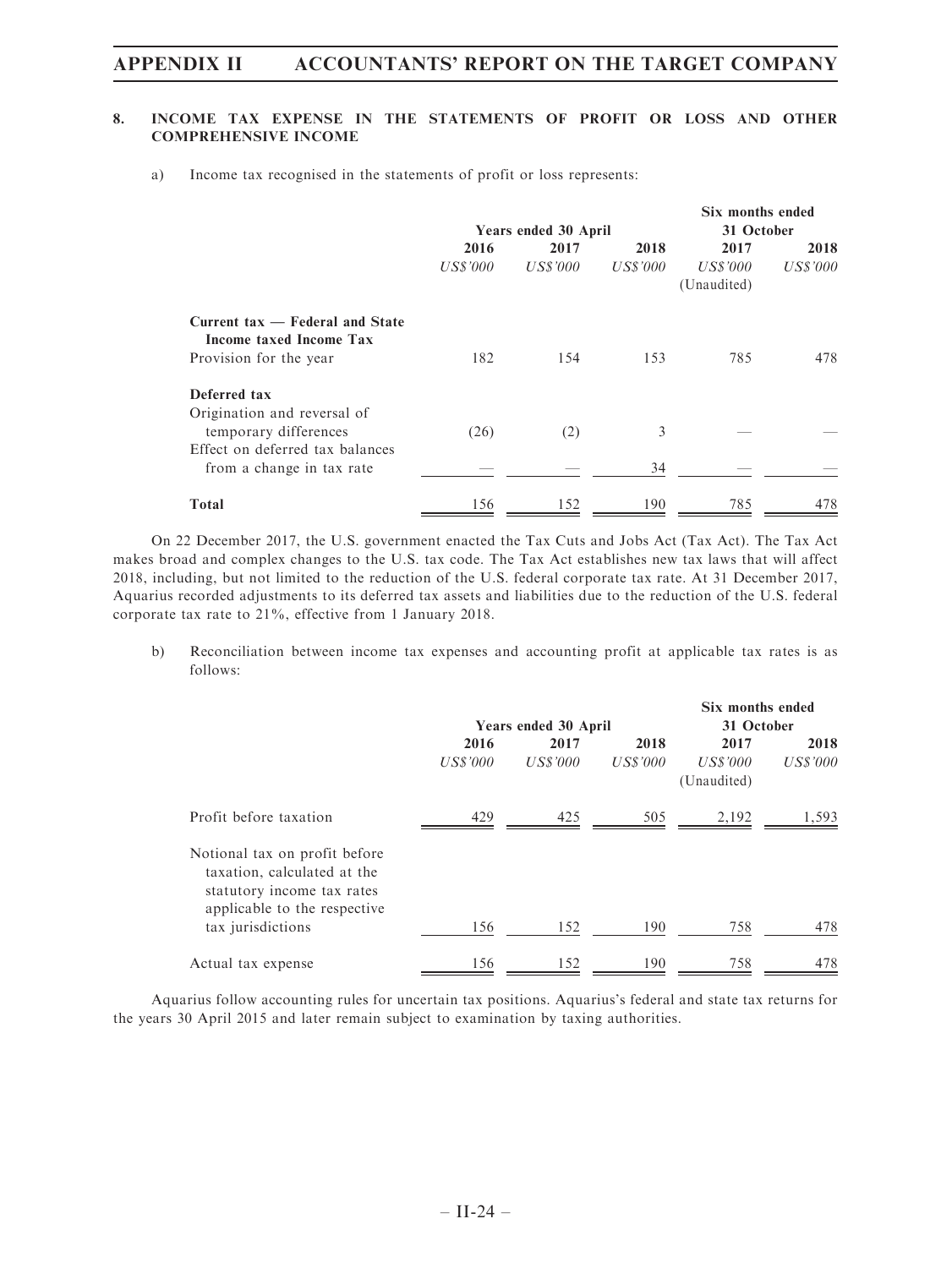## 8. INCOME TAX EXPENSE IN THE STATEMENTS OF PROFIT OR LOSS AND OTHER COMPREHENSIVE INCOME

a) Income tax recognised in the statements of profit or loss represents:

|                                                            |                 |                      |          | Six months ended        |          |  |
|------------------------------------------------------------|-----------------|----------------------|----------|-------------------------|----------|--|
|                                                            |                 | Years ended 30 April |          | 31 October              |          |  |
|                                                            | 2016            | 2017                 | 2018     | 2017                    | 2018     |  |
|                                                            | <b>US\$'000</b> | US\$'000             | US\$'000 | US\$'000<br>(Unaudited) | US\$'000 |  |
| Current tax — Federal and State<br>Income taxed Income Tax |                 |                      |          |                         |          |  |
| Provision for the year                                     | 182             | 154                  | 153      | 785                     | 478.     |  |
| Deferred tax<br>Origination and reversal of                |                 |                      |          |                         |          |  |
| temporary differences<br>Effect on deferred tax balances   | (26)            | (2)                  | 3        |                         |          |  |
| from a change in tax rate                                  |                 |                      | 34       |                         |          |  |
| <b>Total</b>                                               | 156             | 152                  | 190      | 785                     | 478      |  |

On 22 December 2017, the U.S. government enacted the Tax Cuts and Jobs Act (Tax Act). The Tax Act makes broad and complex changes to the U.S. tax code. The Tax Act establishes new tax laws that will affect 2018, including, but not limited to the reduction of the U.S. federal corporate tax rate. At 31 December 2017, Aquarius recorded adjustments to its deferred tax assets and liabilities due to the reduction of the U.S. federal corporate tax rate to 21%, effective from 1 January 2018.

b) Reconciliation between income tax expenses and accounting profit at applicable tax rates is as follows:

|                                                                                                                                                 |                  |                      |                  | Six months ended                |                  |  |  |
|-------------------------------------------------------------------------------------------------------------------------------------------------|------------------|----------------------|------------------|---------------------------------|------------------|--|--|
|                                                                                                                                                 |                  | Years ended 30 April |                  |                                 | 31 October       |  |  |
|                                                                                                                                                 | 2016<br>US\$'000 | 2017<br>US\$'000     | 2018<br>US\$'000 | 2017<br>US\$'000<br>(Unaudited) | 2018<br>US\$'000 |  |  |
| Profit before taxation                                                                                                                          | 429              | 425                  | 505              | 2,192                           | 1,593            |  |  |
| Notional tax on profit before<br>taxation, calculated at the<br>statutory income tax rates<br>applicable to the respective<br>tax jurisdictions | 156              | 152                  | 190              | 758                             | 478              |  |  |
|                                                                                                                                                 |                  |                      |                  |                                 |                  |  |  |
| Actual tax expense                                                                                                                              | 156              | 152                  | 190              | 758                             | 478              |  |  |

Aquarius follow accounting rules for uncertain tax positions. Aquarius's federal and state tax returns for the years 30 April 2015 and later remain subject to examination by taxing authorities.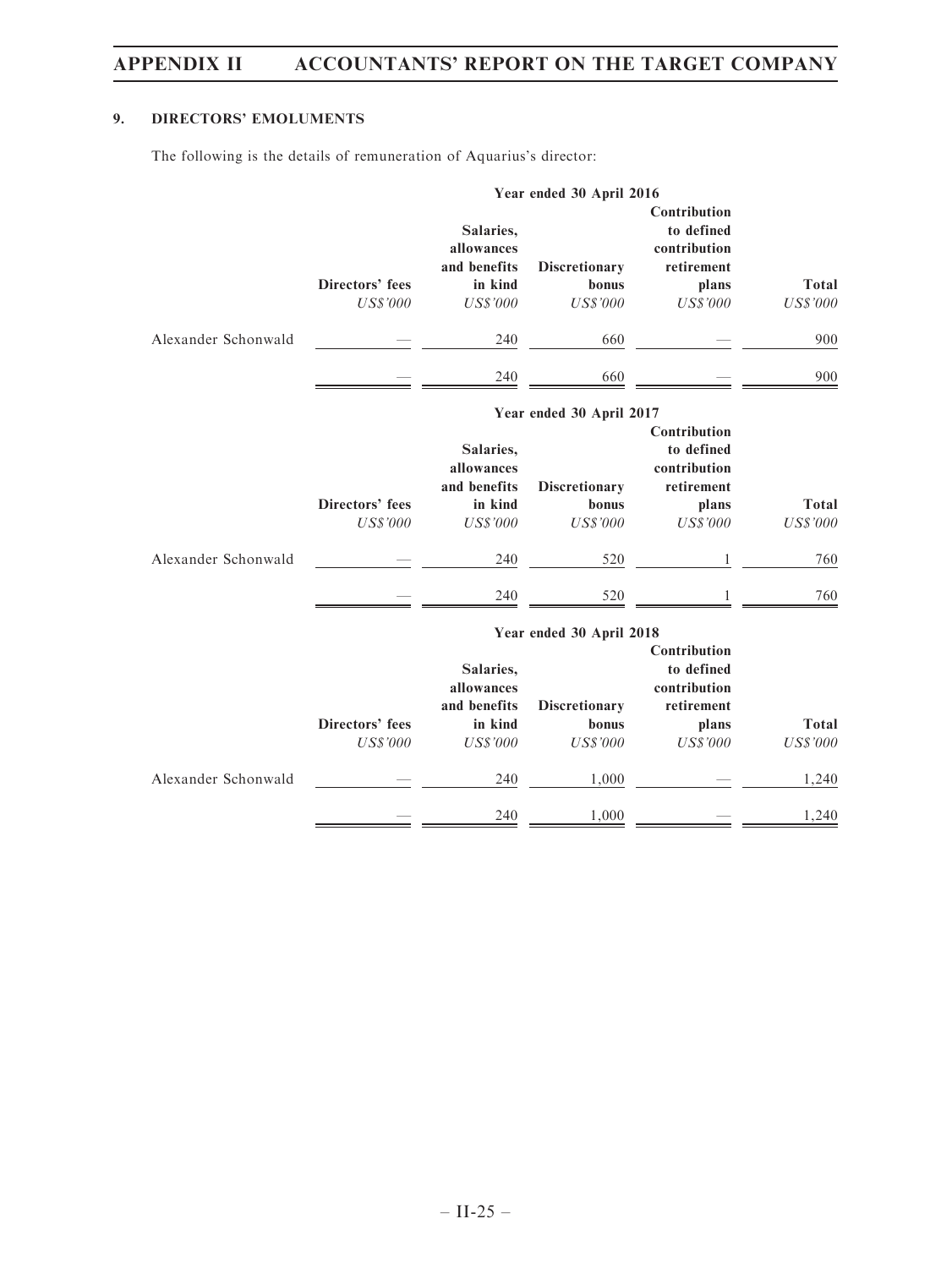# 9. DIRECTORS' EMOLUMENTS

The following is the details of remuneration of Aquarius's director:

|                     |                                    |                                                                       | Year ended 30 April 2016                         |                                                                                      |                                 |
|---------------------|------------------------------------|-----------------------------------------------------------------------|--------------------------------------------------|--------------------------------------------------------------------------------------|---------------------------------|
|                     | Directors' fees<br><b>US\$'000</b> | Salaries,<br>allowances<br>and benefits<br>in kind<br><b>US\$'000</b> | <b>Discretionary</b><br>bonus<br>$U S\$ '000     | Contribution<br>to defined<br>contribution<br>retirement<br>plans<br><b>US\$'000</b> | <b>Total</b><br><b>US\$'000</b> |
| Alexander Schonwald |                                    | 240                                                                   | 660                                              |                                                                                      | 900                             |
|                     |                                    | 240                                                                   | 660                                              |                                                                                      | 900                             |
|                     |                                    |                                                                       | Year ended 30 April 2017                         |                                                                                      |                                 |
|                     | Directors' fees<br><b>US\$'000</b> | Salaries,<br>allowances<br>and benefits<br>in kind<br><b>US\$'000</b> | <b>Discretionary</b><br>bonus<br>$U S\$ '000     | Contribution<br>to defined<br>contribution<br>retirement<br>plans<br><b>US\$'000</b> | <b>Total</b><br><b>US\$'000</b> |
| Alexander Schonwald |                                    | 240                                                                   | 520                                              |                                                                                      | 760                             |
|                     |                                    | 240                                                                   | 520                                              |                                                                                      | 760                             |
|                     |                                    |                                                                       | Year ended 30 April 2018                         |                                                                                      |                                 |
|                     | Directors' fees<br>$U S\$ '000     | Salaries,<br>allowances<br>and benefits<br>in kind<br><b>US\$'000</b> | <b>Discretionary</b><br>bonus<br><b>US\$'000</b> | Contribution<br>to defined<br>contribution<br>retirement<br>plans<br><b>US\$'000</b> | Total<br>$U S\$ '000            |
| Alexander Schonwald |                                    | 240                                                                   | 1,000                                            |                                                                                      | 1,240                           |
|                     |                                    | 240                                                                   | 1,000                                            |                                                                                      | 1,240                           |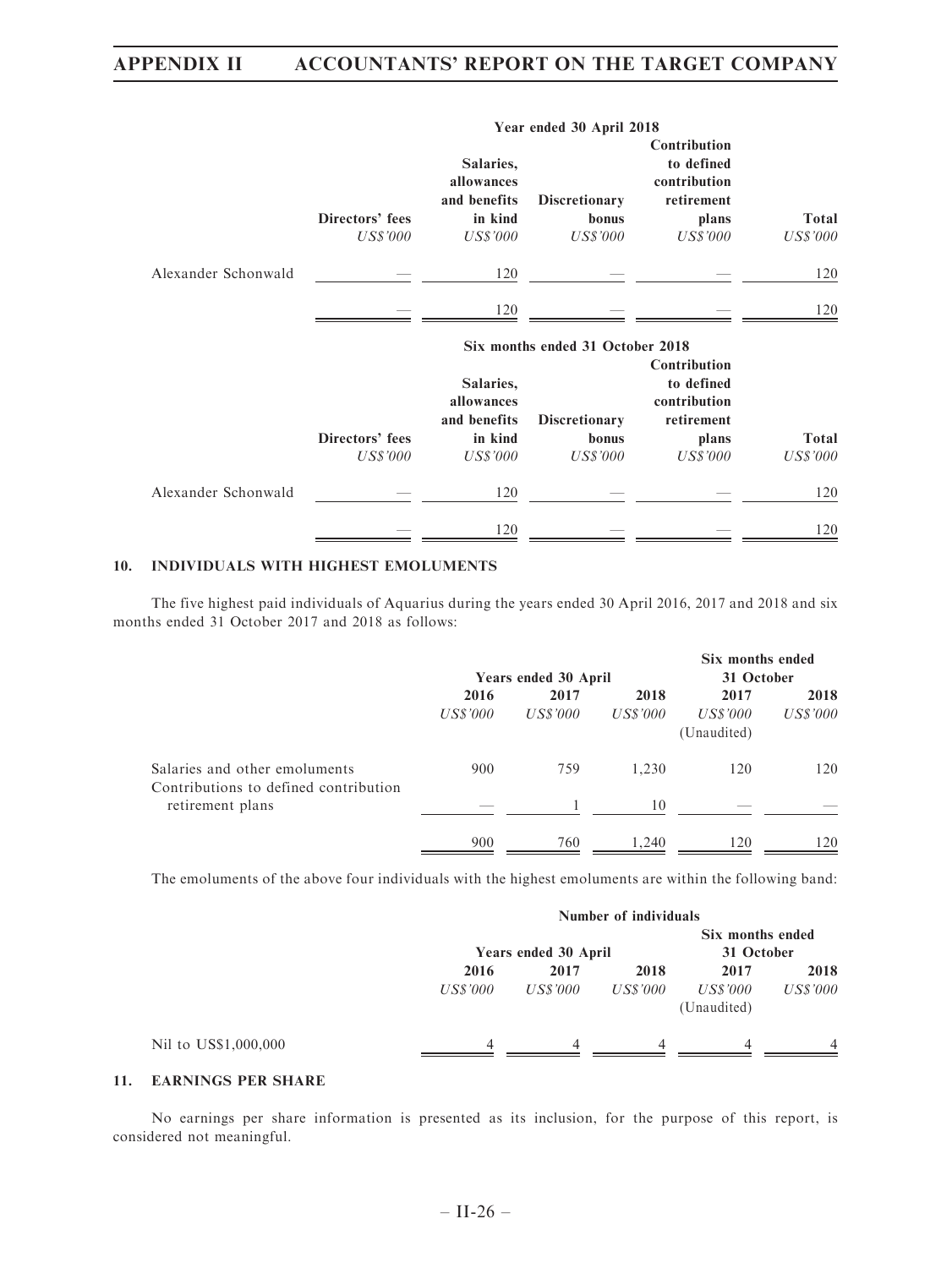|                     | Year ended 30 April 2018           |                                                                       |                                                  |                                                                                      |                          |  |  |
|---------------------|------------------------------------|-----------------------------------------------------------------------|--------------------------------------------------|--------------------------------------------------------------------------------------|--------------------------|--|--|
|                     | Directors' fees<br><b>US\$'000</b> | Salaries,<br>allowances<br>and benefits<br>in kind<br><b>US\$'000</b> | <b>Discretionary</b><br>bonus<br><b>US\$'000</b> | Contribution<br>to defined<br>contribution<br>retirement<br>plans<br><b>US\$'000</b> | <b>Total</b><br>US\$'000 |  |  |
| Alexander Schonwald |                                    | 120                                                                   |                                                  |                                                                                      | 120                      |  |  |
|                     |                                    | 120                                                                   |                                                  |                                                                                      | 120                      |  |  |
|                     |                                    |                                                                       | Six months ended 31 October 2018                 | Contribution                                                                         |                          |  |  |
|                     | Directors' fees<br><b>US\$'000</b> | Salaries,<br>allowances<br>and benefits<br>in kind<br><i>US\$'000</i> | <b>Discretionary</b><br>bonus<br><b>US\$'000</b> | to defined<br>contribution<br>retirement<br>plans<br><b>US\$'000</b>                 | Total<br><b>US\$'000</b> |  |  |
| Alexander Schonwald |                                    | 120                                                                   |                                                  |                                                                                      | 120                      |  |  |
|                     |                                    |                                                                       |                                                  |                                                                                      |                          |  |  |

### 10. INDIVIDUALS WITH HIGHEST EMOLUMENTS

The five highest paid individuals of Aquarius during the years ended 30 April 2016, 2017 and 2018 and six months ended 31 October 2017 and 2018 as follows:

|                                                                        |                  |                      |                  | Six months ended                |                         |  |
|------------------------------------------------------------------------|------------------|----------------------|------------------|---------------------------------|-------------------------|--|
|                                                                        |                  | Years ended 30 April |                  | 31 October                      |                         |  |
|                                                                        | 2016<br>US\$'000 | 2017<br>US\$'000     | 2018<br>US\$'000 | 2017<br>US\$'000<br>(Unaudited) | 2018<br><i>US\$'000</i> |  |
| Salaries and other emoluments<br>Contributions to defined contribution | 900              | 759                  | 1,230            | 120                             | 120                     |  |
| retirement plans                                                       |                  |                      | 10               |                                 |                         |  |
|                                                                        | 900              | 760                  | .240             | 120                             | 120                     |  |

The emoluments of the above four individuals with the highest emoluments are within the following band:

|                      |          | Number of individuals |            |                         |                 |  |  |  |  |
|----------------------|----------|-----------------------|------------|-------------------------|-----------------|--|--|--|--|
|                      |          |                       |            | Six months ended        |                 |  |  |  |  |
|                      |          | Years ended 30 April  | 31 October |                         |                 |  |  |  |  |
|                      | 2016     | 2017                  | 2018       | 2017                    | 2018            |  |  |  |  |
|                      | US\$'000 | US\$'000              | US\$'000   | US\$'000<br>(Unaudited) | <i>US\$'000</i> |  |  |  |  |
| Nil to US\$1,000,000 | Δ        | 4                     | 4          | Δ                       | $\overline{4}$  |  |  |  |  |

## 11. EARNINGS PER SHARE

No earnings per share information is presented as its inclusion, for the purpose of this report, is considered not meaningful.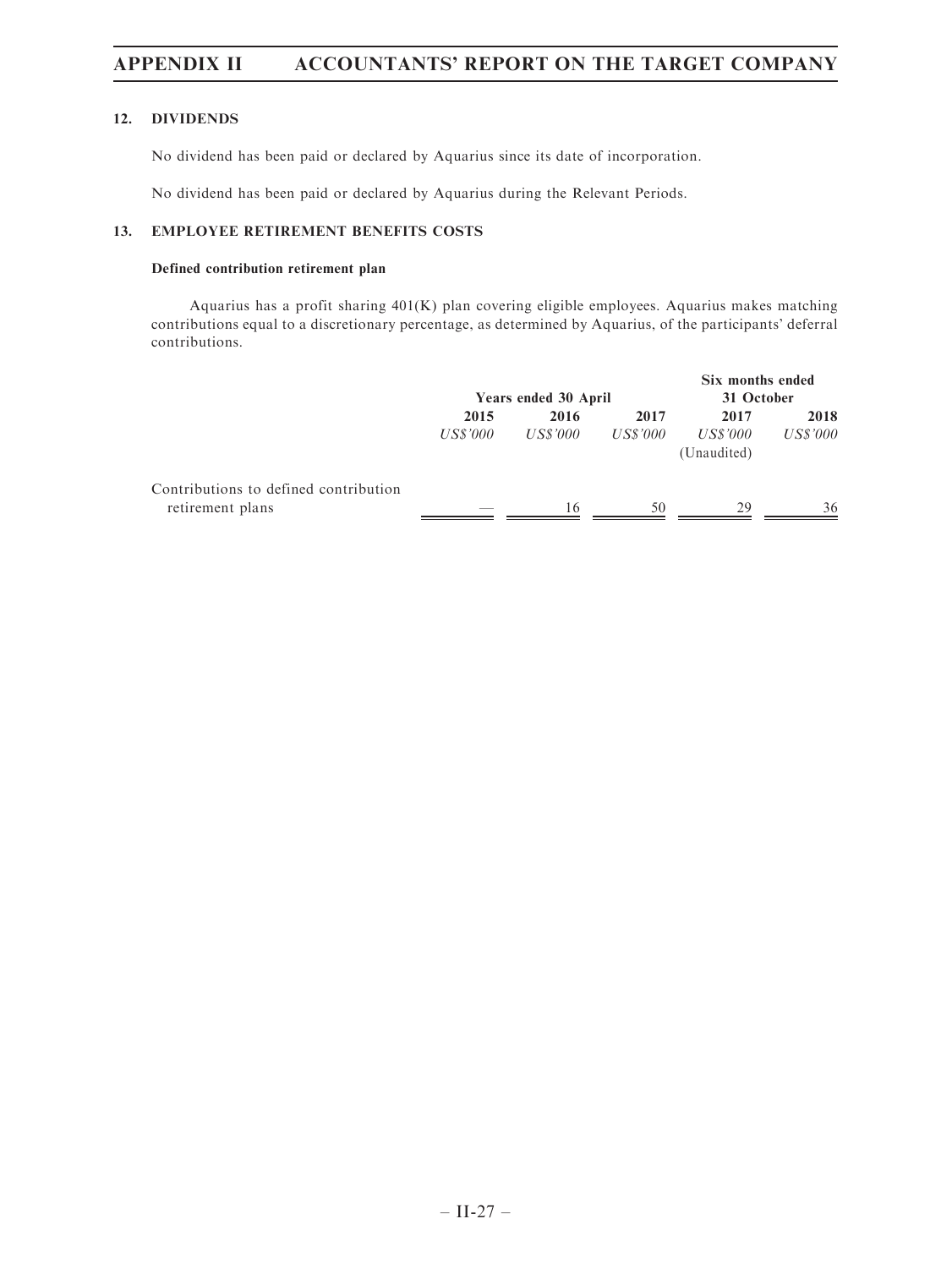### 12. DIVIDENDS

No dividend has been paid or declared by Aquarius since its date of incorporation.

No dividend has been paid or declared by Aquarius during the Relevant Periods.

### 13. EMPLOYEE RETIREMENT BENEFITS COSTS

### Defined contribution retirement plan

Aquarius has a profit sharing 401(K) plan covering eligible employees. Aquarius makes matching contributions equal to a discretionary percentage, as determined by Aquarius, of the participants' deferral contributions.

|                                                           | Years ended 30 April |                  |                  | Six months ended<br>31 October  |                  |  |
|-----------------------------------------------------------|----------------------|------------------|------------------|---------------------------------|------------------|--|
|                                                           | 2015<br>US\$'000     | 2016<br>US\$'000 | 2017<br>US\$'000 | 2017<br>US\$'000<br>(Unaudited) | 2018<br>US\$'000 |  |
| Contributions to defined contribution<br>retirement plans | ___                  | 16               | 50               | 29                              | 36               |  |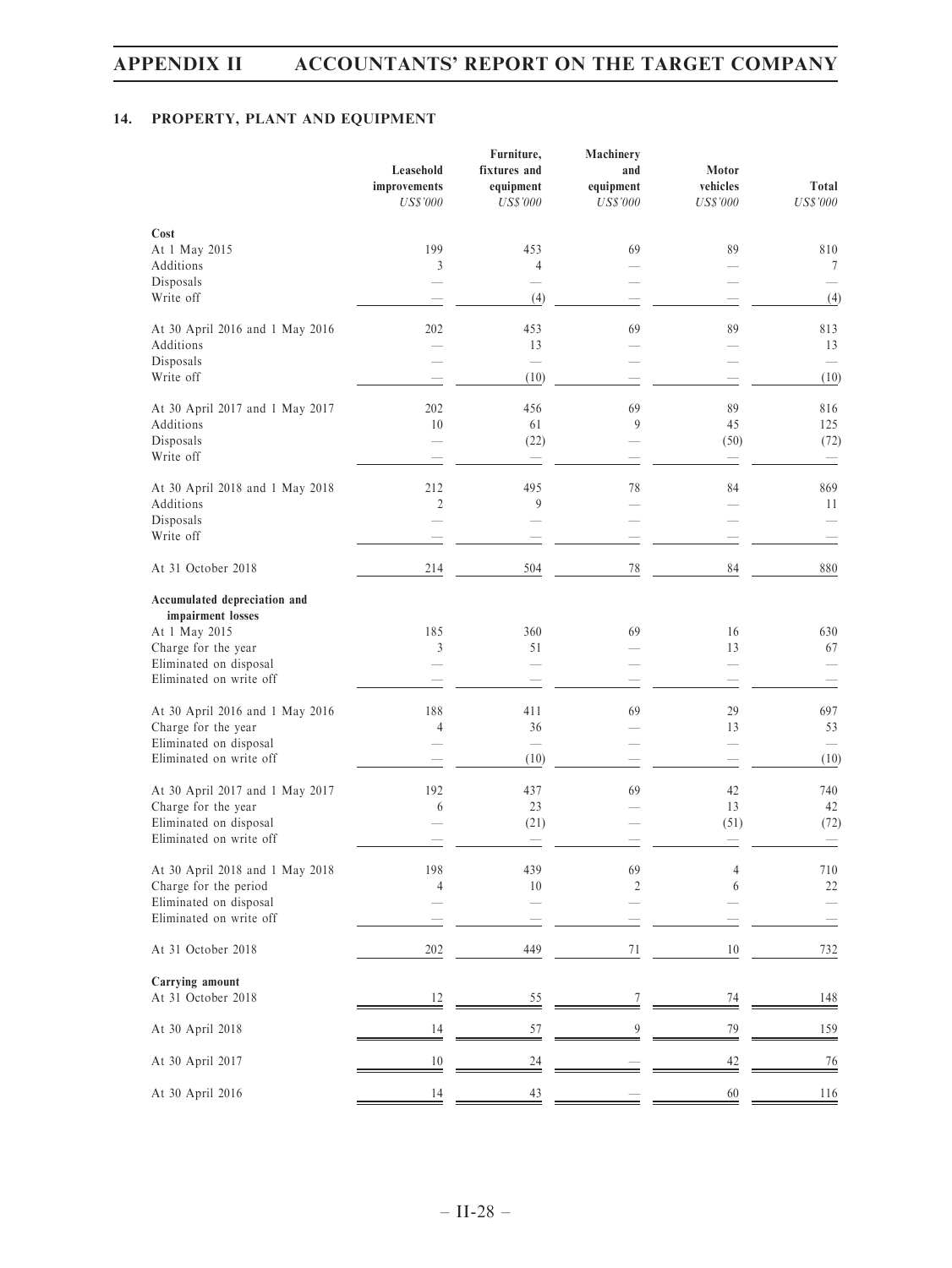## 14. PROPERTY, PLANT AND EQUIPMENT

|                                                                            | Leasehold<br>improvements<br><b>US\$'000</b> | Furniture,<br>fixtures and<br>equipment<br><b>US\$'000</b> | Machinery<br>and<br>equipment<br><b>US\$'000</b> | Motor<br>vehicles<br><b>US\$'000</b> | Total<br><b>US\$'000</b>                      |
|----------------------------------------------------------------------------|----------------------------------------------|------------------------------------------------------------|--------------------------------------------------|--------------------------------------|-----------------------------------------------|
| Cost<br>At 1 May 2015                                                      | 199                                          | 453                                                        | 69                                               | 89                                   | 810                                           |
| Additions                                                                  | 3                                            | 4                                                          |                                                  |                                      | 7                                             |
| Disposals<br>Write off                                                     |                                              | (4)                                                        |                                                  |                                      | (4)                                           |
| At 30 April 2016 and 1 May 2016<br>Additions<br>Disposals                  | 202                                          | 453<br>13                                                  | 69                                               | 89                                   | 813<br>13                                     |
| Write off                                                                  |                                              | (10)                                                       |                                                  |                                      | (10)                                          |
| At 30 April 2017 and 1 May 2017                                            | 202                                          | 456                                                        | 69                                               | 89                                   | 816                                           |
| Additions<br>Disposals<br>Write off                                        | 10                                           | 61<br>(22)<br>$\overline{\phantom{0}}$                     | 9                                                | 45<br>(50)                           | 125<br>(72)<br>$\qquad \qquad \longleftarrow$ |
| At 30 April 2018 and 1 May 2018                                            | 212                                          | 495                                                        | 78                                               | 84                                   | 869                                           |
| Additions                                                                  | $\mathfrak{2}$                               | 9                                                          |                                                  |                                      | 11                                            |
| Disposals<br>Write off                                                     |                                              |                                                            |                                                  |                                      |                                               |
| At 31 October 2018                                                         | 214                                          | 504                                                        | 78                                               | 84                                   | 880                                           |
| Accumulated depreciation and<br>impairment losses                          |                                              |                                                            |                                                  |                                      |                                               |
| At 1 May 2015<br>Charge for the year                                       | 185<br>3                                     | 360<br>51                                                  | 69                                               | 16<br>13                             | 630<br>67                                     |
| Eliminated on disposal<br>Eliminated on write off                          |                                              |                                                            |                                                  |                                      |                                               |
|                                                                            |                                              |                                                            |                                                  |                                      |                                               |
| At 30 April 2016 and 1 May 2016<br>Charge for the year                     | 188<br>4                                     | 411<br>36                                                  | 69                                               | 29<br>13                             | 697<br>53                                     |
| Eliminated on disposal<br>Eliminated on write off                          |                                              | $\equiv$<br>(10)                                           |                                                  |                                      | (10)                                          |
| At 30 April 2017 and 1 May 2017                                            | 192                                          | 437                                                        | 69                                               | 42                                   | 740                                           |
| Charge for the year                                                        | 6                                            | 23                                                         |                                                  | 13                                   | 42                                            |
| Eliminated on disposal<br>Eliminated on write off                          |                                              | (21)                                                       |                                                  | (51)                                 | (72)                                          |
| At 30 April 2018 and 1 May 2018                                            | 198                                          | 439                                                        | 69                                               | 4                                    | $710\,$                                       |
| Charge for the period<br>Eliminated on disposal<br>Eliminated on write off | 4                                            | 10                                                         | $\overline{c}$                                   | 6                                    | 22                                            |
| At 31 October 2018                                                         | 202                                          | 449                                                        | $71\,$                                           | $10\,$                               | 732                                           |
| Carrying amount<br>At 31 October 2018                                      | $\frac{12}{1}$                               | $rac{55}{1}$                                               | $\overline{7}$                                   | $\frac{74}{1}$                       | $\frac{148}{1}$                               |
| At 30 April 2018                                                           | $\frac{14}{1}$                               | 57                                                         | $\overline{9}$                                   | 79                                   | 159                                           |
| At 30 April 2017                                                           | 10                                           | $\frac{24}{1}$                                             |                                                  | 42                                   | $\frac{76}{1}$                                |
| At 30 April 2016                                                           | 14                                           | $\frac{43}{5}$                                             |                                                  | 60                                   | <u>116</u>                                    |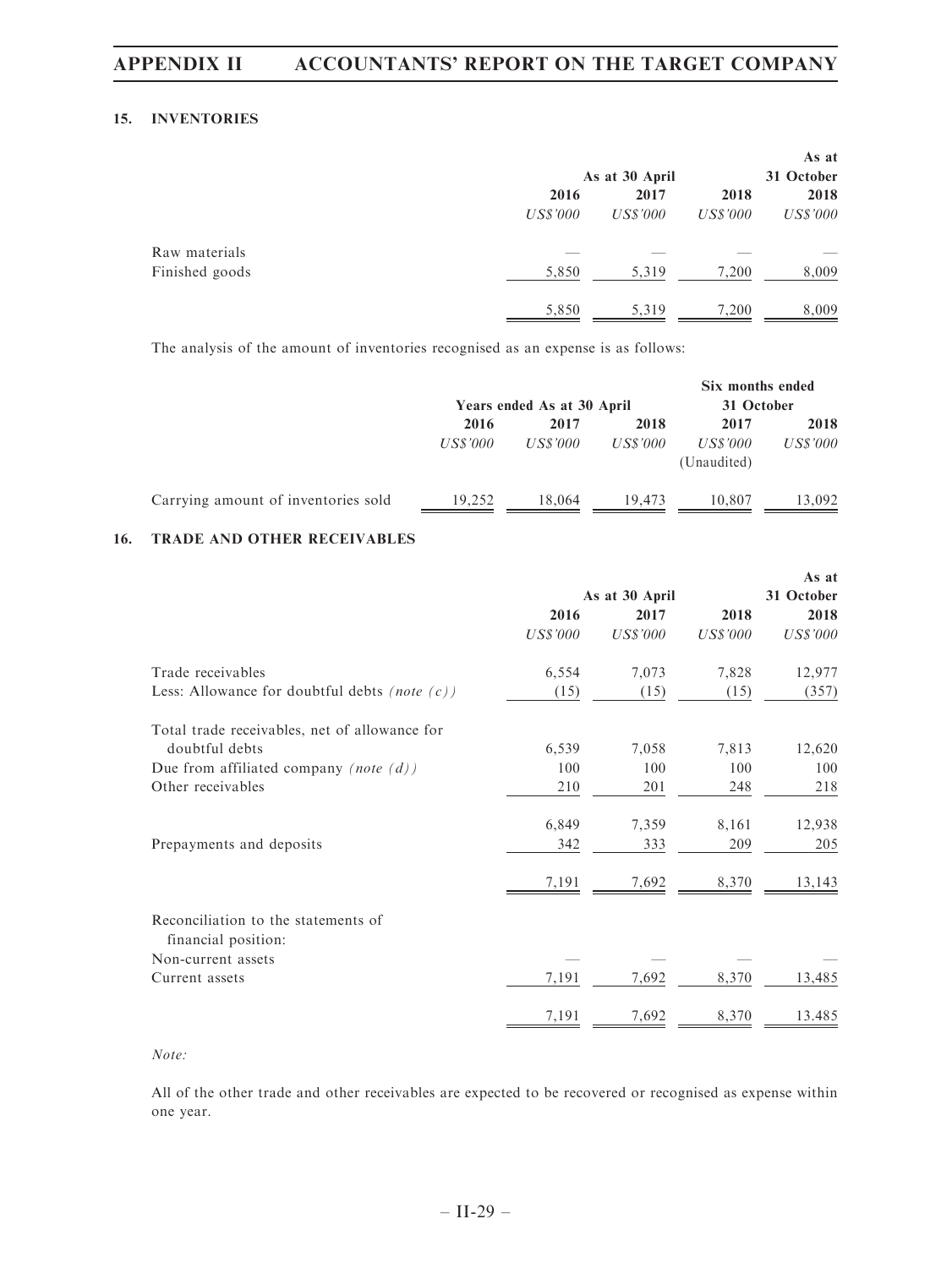#### 15. INVENTORIES

|                |          |                |                 | As at      |
|----------------|----------|----------------|-----------------|------------|
|                |          | As at 30 April |                 | 31 October |
|                | 2016     | 2017           | 2018            | 2018       |
|                | US\$'000 | US\$'000       | <b>US\$'000</b> | US\$'000   |
| Raw materials  |          |                |                 |            |
| Finished goods | 5,850    | 5,319          | 7,200           | 8,009      |
|                | 5,850    | 5,319          | 7,200           | 8,009      |

The analysis of the amount of inventories recognised as an expense is as follows:

|                                     | Years ended As at 30 April |                 |          | Six months ended<br>31 October |          |
|-------------------------------------|----------------------------|-----------------|----------|--------------------------------|----------|
|                                     | 2016                       | 2017            | 2018     | 2017                           | 2018     |
|                                     | <b>US\$'000</b>            | <b>US\$'000</b> | US\$'000 | US\$'000<br>(Unaudited)        | US\$'000 |
| Carrying amount of inventories sold | 19.252                     | 18,064          | 19.473   | 10.807                         | 13.092   |

#### 16. TRADE AND OTHER RECEIVABLES

|                                                            |                 |          |                 | As at      |  |
|------------------------------------------------------------|-----------------|----------|-----------------|------------|--|
|                                                            | As at 30 April  |          |                 | 31 October |  |
|                                                            | 2016            | 2017     | 2018            | 2018       |  |
|                                                            | <b>US\$'000</b> | US\$'000 | <b>US\$'000</b> | US\$'000   |  |
| Trade receivables                                          | 6,554           | 7,073    | 7,828           | 12,977     |  |
| Less: Allowance for doubtful debts (note $(c)$ )           | (15)            | (15)     | (15)            | (357)      |  |
| Total trade receivables, net of allowance for              |                 |          |                 |            |  |
| doubtful debts                                             | 6,539           | 7,058    | 7,813           | 12,620     |  |
| Due from affiliated company (note $(d)$ )                  | 100             | 100      | 100             | 100        |  |
| Other receivables                                          | 210             | 201      | 248             | 218        |  |
|                                                            | 6,849           | 7,359    | 8,161           | 12,938     |  |
| Prepayments and deposits                                   | 342             | 333      | 209             | 205        |  |
|                                                            | 7,191           | 7,692    | 8,370           | 13,143     |  |
| Reconciliation to the statements of<br>financial position: |                 |          |                 |            |  |
| Non-current assets                                         |                 |          |                 |            |  |
| Current assets                                             | 7,191           | 7,692    | 8,370           | 13,485     |  |
|                                                            | 7,191           | 7,692    | 8,370           | 13.485     |  |

Note:

All of the other trade and other receivables are expected to be recovered or recognised as expense within one year.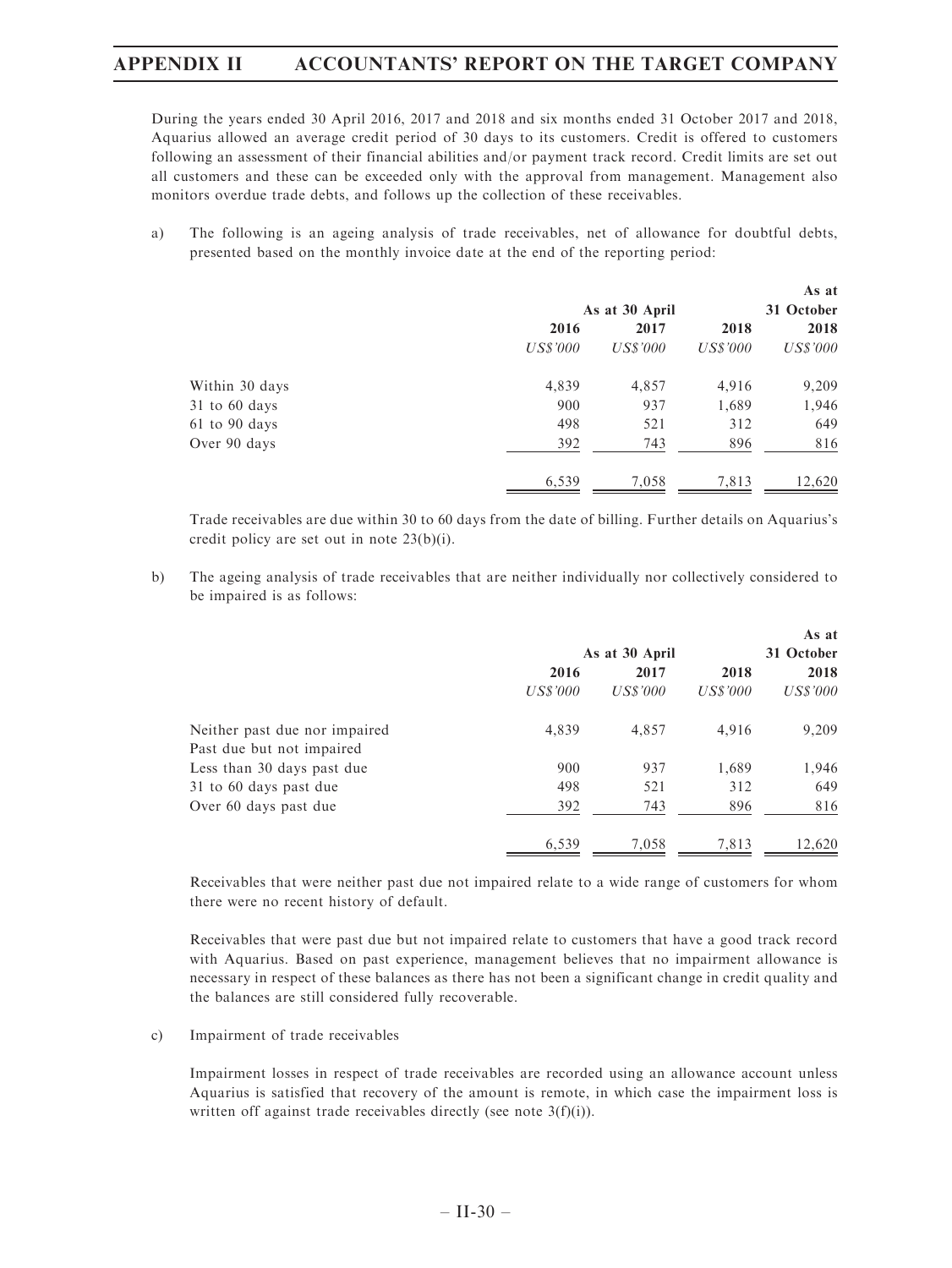During the years ended 30 April 2016, 2017 and 2018 and six months ended 31 October 2017 and 2018, Aquarius allowed an average credit period of 30 days to its customers. Credit is offered to customers following an assessment of their financial abilities and/or payment track record. Credit limits are set out all customers and these can be exceeded only with the approval from management. Management also monitors overdue trade debts, and follows up the collection of these receivables.

a) The following is an ageing analysis of trade receivables, net of allowance for doubtful debts, presented based on the monthly invoice date at the end of the reporting period:

|                   |          | As at 30 April |          | As at<br>31 October |
|-------------------|----------|----------------|----------|---------------------|
|                   | 2016     | 2017           | 2018     | 2018                |
|                   | US\$'000 | US\$'000       | US\$'000 | US\$'000            |
| Within 30 days    | 4,839    | 4,857          | 4,916    | 9,209               |
| $31$ to 60 days   | 900      | 937            | 1,689    | 1,946               |
| $61$ to $90$ days | 498      | 521            | 312      | 649                 |
| Over 90 days      | 392      | 743            | 896      | 816                 |
|                   | 6,539    | 7,058          | 7,813    | 12,620              |

Trade receivables are due within 30 to 60 days from the date of billing. Further details on Aquarius's credit policy are set out in note 23(b)(i).

b) The ageing analysis of trade receivables that are neither individually nor collectively considered to be impaired is as follows:

|                               | As at 30 April |          |          | As at<br>31 October |
|-------------------------------|----------------|----------|----------|---------------------|
|                               | 2016           | 2017     | 2018     | 2018                |
|                               | US\$'000       | US\$'000 | US\$'000 | US\$'000            |
| Neither past due nor impaired | 4,839          | 4,857    | 4,916    | 9,209               |
| Past due but not impaired     |                |          |          |                     |
| Less than 30 days past due    | 900            | 937      | 1,689    | 1,946               |
| 31 to 60 days past due        | 498            | 521      | 312      | 649                 |
| Over 60 days past due         | 392            | 743      | 896      | 816                 |
|                               | 6,539          | 7,058    | 7,813    | 12,620              |

Receivables that were neither past due not impaired relate to a wide range of customers for whom there were no recent history of default.

Receivables that were past due but not impaired relate to customers that have a good track record with Aquarius. Based on past experience, management believes that no impairment allowance is necessary in respect of these balances as there has not been a significant change in credit quality and the balances are still considered fully recoverable.

c) Impairment of trade receivables

Impairment losses in respect of trade receivables are recorded using an allowance account unless Aquarius is satisfied that recovery of the amount is remote, in which case the impairment loss is written off against trade receivables directly (see note 3(f)(i)).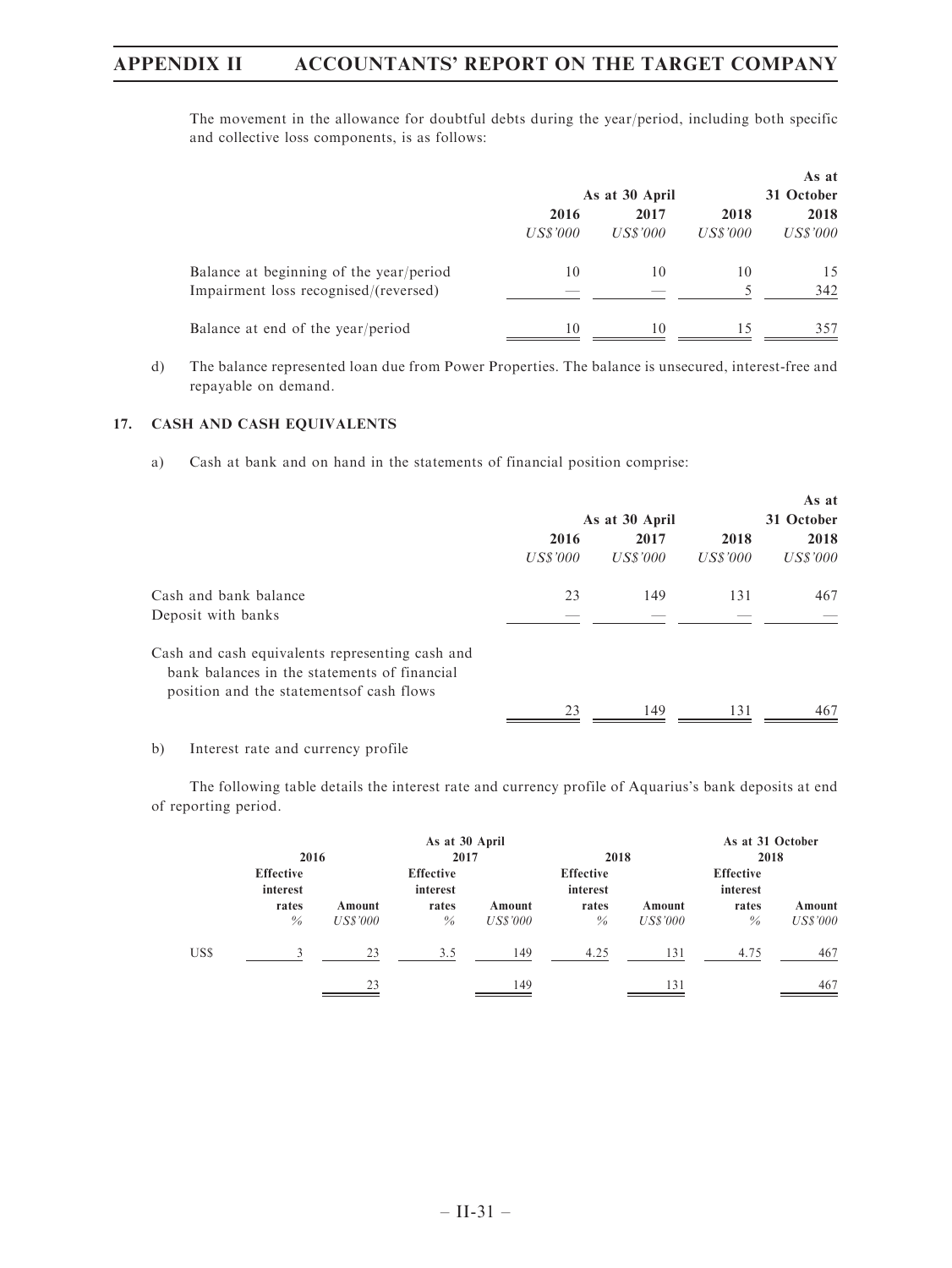The movement in the allowance for doubtful debts during the year/period, including both specific and collective loss components, is as follows:

|                                         |                |          |          | As at           |  |
|-----------------------------------------|----------------|----------|----------|-----------------|--|
|                                         | As at 30 April |          |          | 31 October      |  |
|                                         | 2016           | 2017     |          | 2018            |  |
|                                         | US\$'000       | US\$'000 | US\$'000 | <i>US\$'000</i> |  |
| Balance at beginning of the year/period | 10             | 10       | 10       | 15              |  |
| Impairment loss recognised/(reversed)   |                |          |          | 342             |  |
| Balance at end of the year/period       | 10             | 10       |          | 357             |  |

d) The balance represented loan due from Power Properties. The balance is unsecured, interest-free and repayable on demand.

## 17. CASH AND CASH EQUIVALENTS

a) Cash at bank and on hand in the statements of financial position comprise:

|                                                                                                                                              | As at 30 April   |                  |                  | As at<br>31 October |  |
|----------------------------------------------------------------------------------------------------------------------------------------------|------------------|------------------|------------------|---------------------|--|
|                                                                                                                                              | 2016<br>US\$'000 | 2017<br>US\$'000 | 2018<br>US\$'000 | 2018<br>US\$'000    |  |
| Cash and bank balance<br>Deposit with banks                                                                                                  | 23               | 149              | 131              | 467                 |  |
| Cash and cash equivalents representing cash and<br>bank balances in the statements of financial<br>position and the statements of cash flows |                  |                  |                  |                     |  |
|                                                                                                                                              | 23               | 149              | 131              | 467                 |  |

b) Interest rate and currency profile

The following table details the interest rate and currency profile of Aquarius's bank deposits at end of reporting period.

|      | 2016                                                   |                    | As at 30 April<br>2017                        |                           | 2018                                          |                           | As at 31 October<br>2018                      |                           |
|------|--------------------------------------------------------|--------------------|-----------------------------------------------|---------------------------|-----------------------------------------------|---------------------------|-----------------------------------------------|---------------------------|
|      | <b>Effective</b><br>interest<br>rates<br>$\frac{0}{0}$ | Amount<br>US\$'000 | <b>Effective</b><br>interest<br>rates<br>$\%$ | Amount<br><b>US\$'000</b> | <b>Effective</b><br>interest<br>rates<br>$\%$ | Amount<br><b>US\$'000</b> | <b>Effective</b><br>interest<br>rates<br>$\%$ | Amount<br><i>US\$'000</i> |
| US\$ | $\mathcal{L}$                                          | 23                 | 3.5                                           | 149                       | 4.25                                          | 131                       | 4.75                                          | 467                       |
|      |                                                        | 23                 |                                               | 149                       |                                               | 131                       |                                               | 467                       |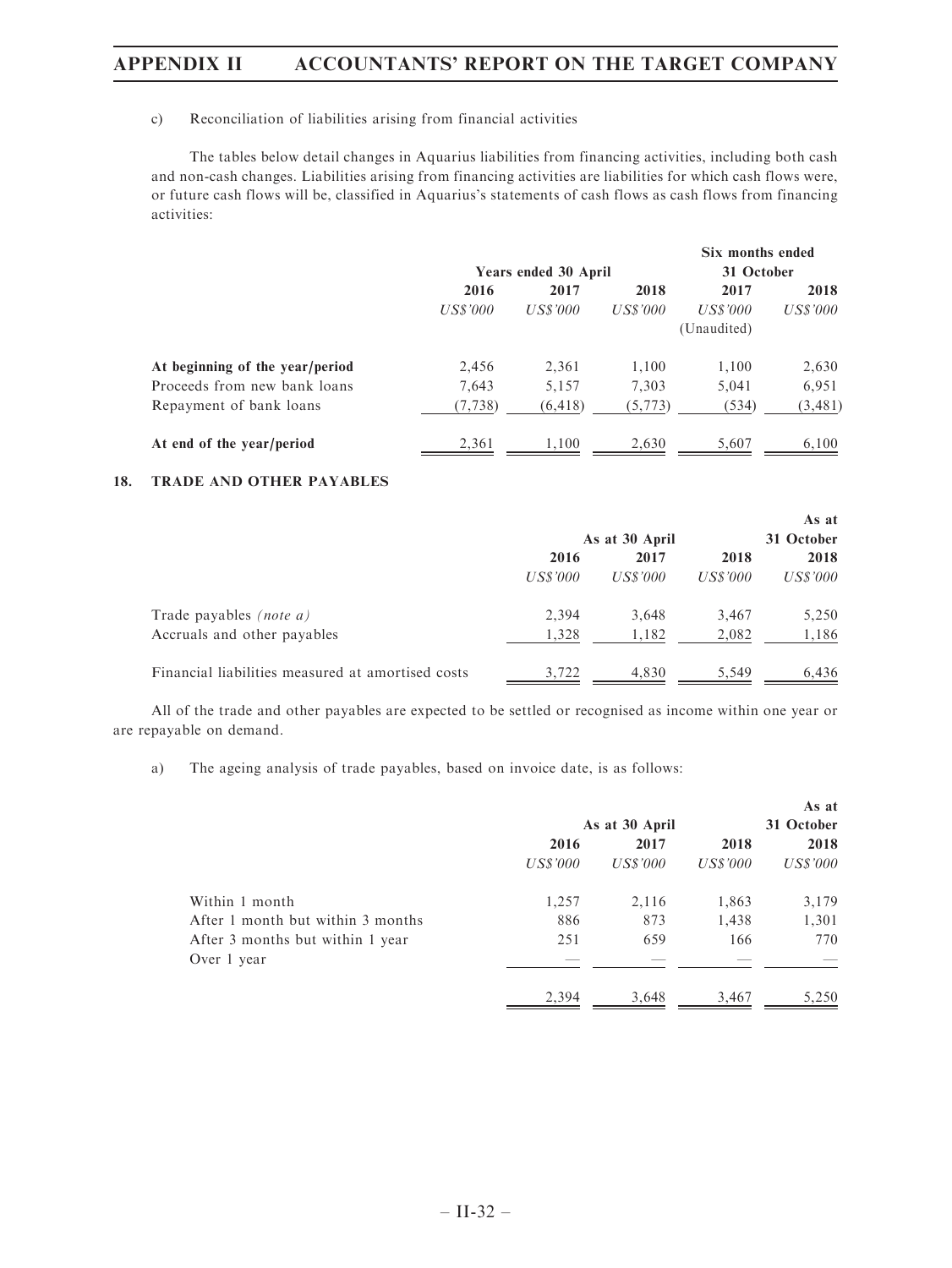## c) Reconciliation of liabilities arising from financial activities

The tables below detail changes in Aquarius liabilities from financing activities, including both cash and non-cash changes. Liabilities arising from financing activities are liabilities for which cash flows were, or future cash flows will be, classified in Aquarius's statements of cash flows as cash flows from financing activities:

|                                 |          |                      |          | Six months ended |          |
|---------------------------------|----------|----------------------|----------|------------------|----------|
|                                 |          | Years ended 30 April |          | 31 October       |          |
|                                 | 2016     | 2017                 | 2018     | 2017             | 2018     |
|                                 | US\$'000 | US\$'000             | US\$'000 | US\$'000         | US\$'000 |
|                                 |          |                      |          | (Unaudited)      |          |
| At beginning of the year/period | 2,456    | 2,361                | 1,100    | 1,100            | 2,630    |
| Proceeds from new bank loans    | 7.643    | 5,157                | 7,303    | 5.041            | 6,951    |
| Repayment of bank loans         | (7, 738) | (6, 418)             | (5, 773) | (534)            | (3, 481) |
| At end of the year/period       | 2,361    | 1,100                | 2,630    | 5,607            | 6,100    |

### 18. TRADE AND OTHER PAYABLES

|                                                   |          |                |          | As at    |
|---------------------------------------------------|----------|----------------|----------|----------|
|                                                   |          | As at 30 April |          |          |
|                                                   | 2016     | 2017           |          | 2018     |
|                                                   | US\$'000 | US\$'000       | US\$'000 | US\$'000 |
| Trade payables <i>(note a)</i>                    | 2,394    | 3,648          | 3,467    | 5,250    |
| Accruals and other payables                       | 1,328    | 1,182          | 2,082    | 1,186    |
| Financial liabilities measured at amortised costs | 3.722    | 4.830          | 5.549    | 6,436    |

All of the trade and other payables are expected to be settled or recognised as income within one year or are repayable on demand.

a) The ageing analysis of trade payables, based on invoice date, is as follows:

|                                   |          | As at 30 April |          | As at<br>31 October |
|-----------------------------------|----------|----------------|----------|---------------------|
|                                   |          |                |          |                     |
|                                   | 2016     | 2017           | 2018     | 2018                |
|                                   | US\$'000 | US\$'000       | US\$'000 | <i>US\$'000</i>     |
| Within 1 month                    | 1,257    | 2,116          | 1,863    | 3,179               |
| After 1 month but within 3 months | 886      | 873            | 1,438    | 1,301               |
| After 3 months but within 1 year  | 251      | 659            | 166      | 770                 |
| Over 1 year                       |          |                |          |                     |
|                                   | 2.394    | 3,648          | 3,467    | 5,250               |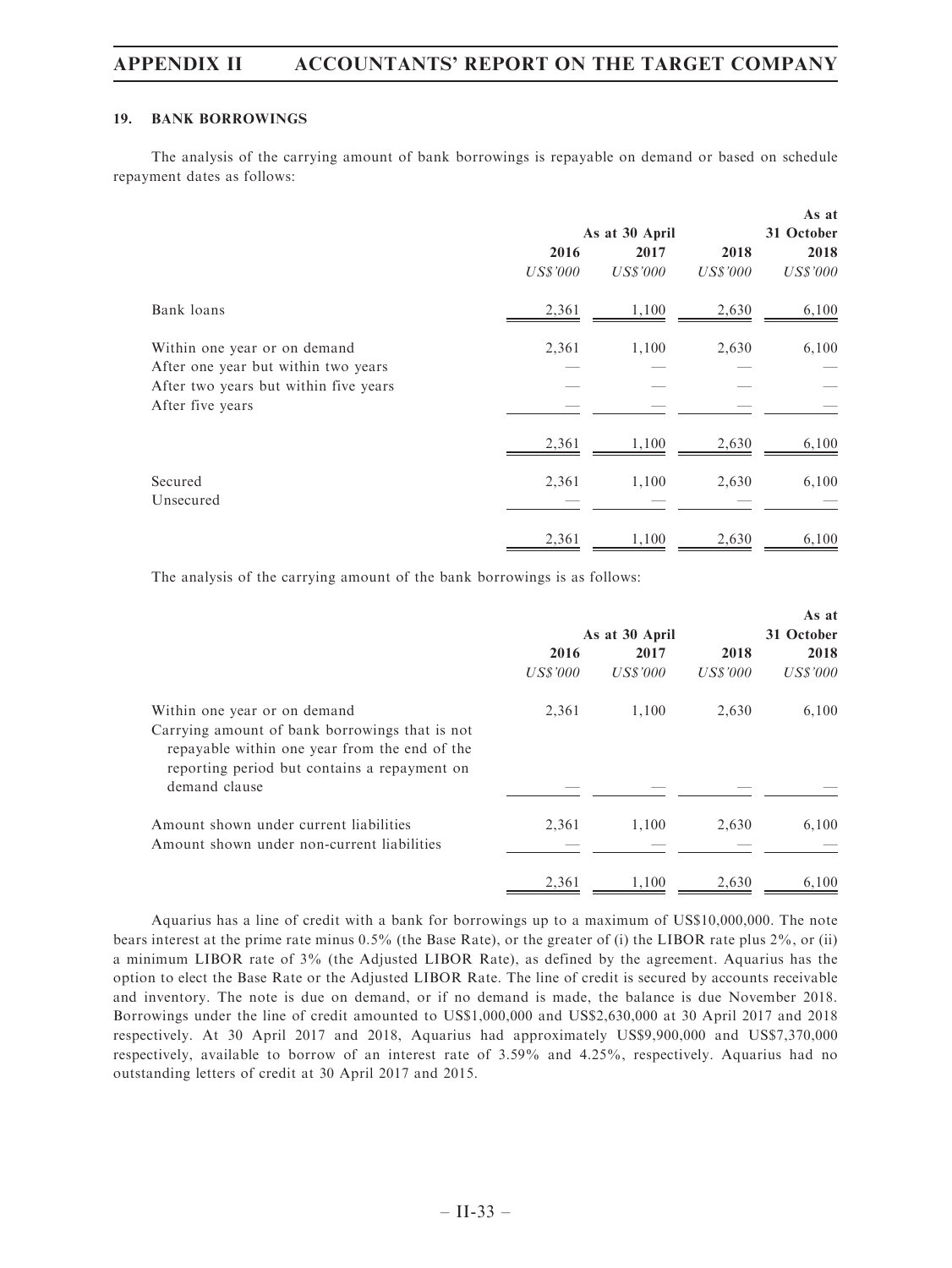#### 19. BANK BORROWINGS

The analysis of the carrying amount of bank borrowings is repayable on demand or based on schedule repayment dates as follows:

|                                       |                 | As at 30 April  |                 | As at<br>31 October |
|---------------------------------------|-----------------|-----------------|-----------------|---------------------|
|                                       | 2016            | 2017            | 2018            | 2018                |
|                                       | <b>US\$'000</b> | <b>US\$'000</b> | <b>US\$'000</b> | <b>US\$'000</b>     |
| Bank loans                            | 2,361           | 1,100           | 2,630           | 6,100               |
| Within one year or on demand          | 2,361           | 1,100           | 2,630           | 6,100               |
| After one year but within two years   |                 |                 |                 |                     |
| After two years but within five years |                 |                 |                 |                     |
| After five years                      |                 |                 |                 |                     |
|                                       | 2,361           | 1,100           | 2,630           | 6,100               |
| Secured                               | 2,361           | 1,100           | 2,630           | 6,100               |
| Unsecured                             |                 |                 |                 |                     |
|                                       | 2,361           | 1,100           | 2,630           | 6,100               |

The analysis of the carrying amount of the bank borrowings is as follows:

|                                                                                                                                                 |                |          |          | As at      |  |
|-------------------------------------------------------------------------------------------------------------------------------------------------|----------------|----------|----------|------------|--|
|                                                                                                                                                 | As at 30 April |          |          | 31 October |  |
|                                                                                                                                                 | 2016           | 2017     | 2018     | 2018       |  |
|                                                                                                                                                 | US\$'000       | US\$'000 | US\$'000 | US\$'000   |  |
| Within one year or on demand                                                                                                                    | 2,361          | 1.100    | 2,630    | 6,100      |  |
| Carrying amount of bank borrowings that is not<br>repayable within one year from the end of the<br>reporting period but contains a repayment on |                |          |          |            |  |
| demand clause                                                                                                                                   |                |          |          |            |  |
| Amount shown under current liabilities                                                                                                          | 2,361          | 1,100    | 2,630    | 6,100      |  |
| Amount shown under non-current liabilities                                                                                                      |                |          |          |            |  |
|                                                                                                                                                 | 2,361          | 1.100    | 2.630    | 6.100      |  |

Aquarius has a line of credit with a bank for borrowings up to a maximum of US\$10,000,000. The note bears interest at the prime rate minus 0.5% (the Base Rate), or the greater of (i) the LIBOR rate plus 2%, or (ii) a minimum LIBOR rate of 3% (the Adjusted LIBOR Rate), as defined by the agreement. Aquarius has the option to elect the Base Rate or the Adjusted LIBOR Rate. The line of credit is secured by accounts receivable and inventory. The note is due on demand, or if no demand is made, the balance is due November 2018. Borrowings under the line of credit amounted to US\$1,000,000 and US\$2,630,000 at 30 April 2017 and 2018 respectively. At 30 April 2017 and 2018, Aquarius had approximately US\$9,900,000 and US\$7,370,000 respectively, available to borrow of an interest rate of 3.59% and 4.25%, respectively. Aquarius had no outstanding letters of credit at 30 April 2017 and 2015.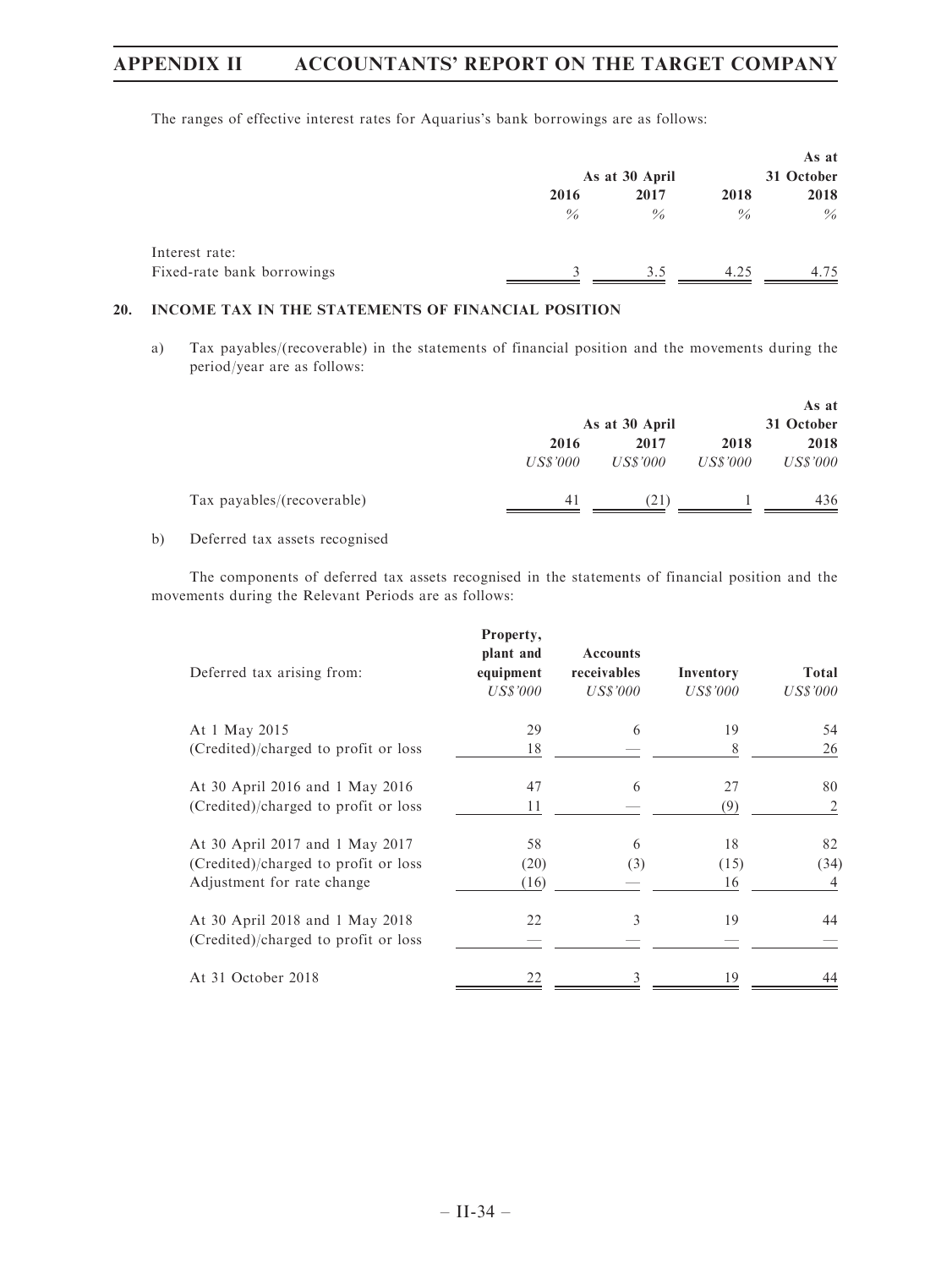The ranges of effective interest rates for Aquarius's bank borrowings are as follows:

|                            |      | As at 30 April |      | As at<br>31 October |
|----------------------------|------|----------------|------|---------------------|
|                            | 2016 | 2017           | 2018 | 2018                |
|                            | $\%$ | $\%$           | $\%$ | $\%$                |
| Interest rate:             |      |                |      |                     |
| Fixed-rate bank borrowings |      | 3.5            | 4.25 | 4.75                |

## 20. INCOME TAX IN THE STATEMENTS OF FINANCIAL POSITION

a) Tax payables/(recoverable) in the statements of financial position and the movements during the period/year are as follows:

|                            |          | As at 30 April |                 | As at<br>31 October |
|----------------------------|----------|----------------|-----------------|---------------------|
|                            | 2016     | 2017           | 2018            | 2018                |
|                            | US\$'000 | US\$'000       | <i>US\$'000</i> | <i>US\$'000</i>     |
| Tax payables/(recoverable) | 41       | (21)           |                 | 436                 |

b) Deferred tax assets recognised

The components of deferred tax assets recognised in the statements of financial position and the movements during the Relevant Periods are as follows:

| Deferred tax arising from:           | Property,<br>plant and<br>equipment<br><i>US\$'000</i> | <b>Accounts</b><br>receivables<br><b>US\$'000</b> | Inventory<br>US\$'000 | Total<br><i>US\$'000</i> |
|--------------------------------------|--------------------------------------------------------|---------------------------------------------------|-----------------------|--------------------------|
| At 1 May 2015                        | 29                                                     | 6                                                 | 19                    | 54                       |
| (Credited)/charged to profit or loss | 18                                                     |                                                   | 8                     | 26                       |
| At 30 April 2016 and 1 May 2016      | 47                                                     | 6                                                 | 27                    | 80                       |
| (Credited)/charged to profit or loss | 11                                                     |                                                   | (9)                   | 2                        |
| At 30 April 2017 and 1 May 2017      | 58                                                     | 6                                                 | 18                    | 82                       |
| (Credited)/charged to profit or loss | (20)                                                   | (3)                                               | (15)                  | (34)                     |
| Adjustment for rate change           | (16)                                                   |                                                   | 16                    | 4                        |
| At 30 April 2018 and 1 May 2018      | 22                                                     | 3                                                 | 19                    | 44                       |
| (Credited)/charged to profit or loss |                                                        |                                                   |                       |                          |
| At 31 October 2018                   | 22                                                     |                                                   | 19                    | 44                       |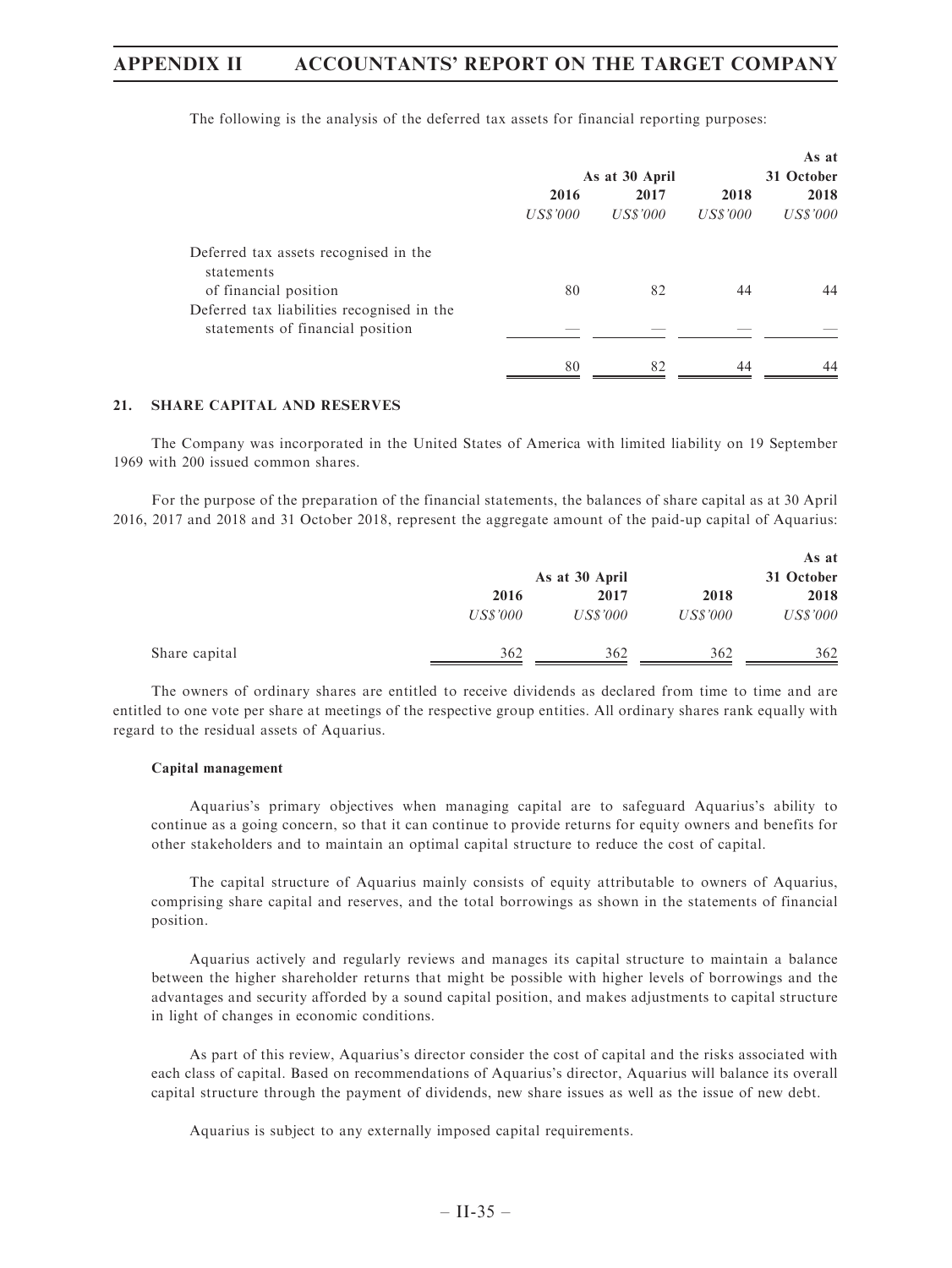|                                                     |                 |                |                 | As at           |  |
|-----------------------------------------------------|-----------------|----------------|-----------------|-----------------|--|
|                                                     |                 | As at 30 April |                 | 31 October      |  |
|                                                     | 2016            | 2017           | 2018            | 2018            |  |
|                                                     | <i>US\$'000</i> | US\$'000       | <i>US\$'000</i> | <b>US\$'000</b> |  |
| Deferred tax assets recognised in the<br>statements |                 |                |                 |                 |  |
| of financial position                               | 80              | 82             | 44              | 44              |  |
| Deferred tax liabilities recognised in the          |                 |                |                 |                 |  |
| statements of financial position                    |                 |                |                 |                 |  |
|                                                     | 80              | 82             | 44              | 44              |  |
|                                                     |                 |                |                 |                 |  |

The following is the analysis of the deferred tax assets for financial reporting purposes:

#### 21. SHARE CAPITAL AND RESERVES

The Company was incorporated in the United States of America with limited liability on 19 September 1969 with 200 issued common shares.

For the purpose of the preparation of the financial statements, the balances of share capital as at 30 April 2016, 2017 and 2018 and 31 October 2018, represent the aggregate amount of the paid-up capital of Aquarius:

|               | As at 30 April | As at<br>31 October |                 |                 |
|---------------|----------------|---------------------|-----------------|-----------------|
|               | 2016           | 2017                | 2018            | 2018            |
|               | US\$'000       | <i>US\$'000</i>     | <i>US\$'000</i> | <b>US\$'000</b> |
| Share capital | 362            | 362                 | 362             | 362             |

The owners of ordinary shares are entitled to receive dividends as declared from time to time and are entitled to one vote per share at meetings of the respective group entities. All ordinary shares rank equally with regard to the residual assets of Aquarius.

#### Capital management

Aquarius's primary objectives when managing capital are to safeguard Aquarius's ability to continue as a going concern, so that it can continue to provide returns for equity owners and benefits for other stakeholders and to maintain an optimal capital structure to reduce the cost of capital.

The capital structure of Aquarius mainly consists of equity attributable to owners of Aquarius, comprising share capital and reserves, and the total borrowings as shown in the statements of financial position.

Aquarius actively and regularly reviews and manages its capital structure to maintain a balance between the higher shareholder returns that might be possible with higher levels of borrowings and the advantages and security afforded by a sound capital position, and makes adjustments to capital structure in light of changes in economic conditions.

As part of this review, Aquarius's director consider the cost of capital and the risks associated with each class of capital. Based on recommendations of Aquarius's director, Aquarius will balance its overall capital structure through the payment of dividends, new share issues as well as the issue of new debt.

Aquarius is subject to any externally imposed capital requirements.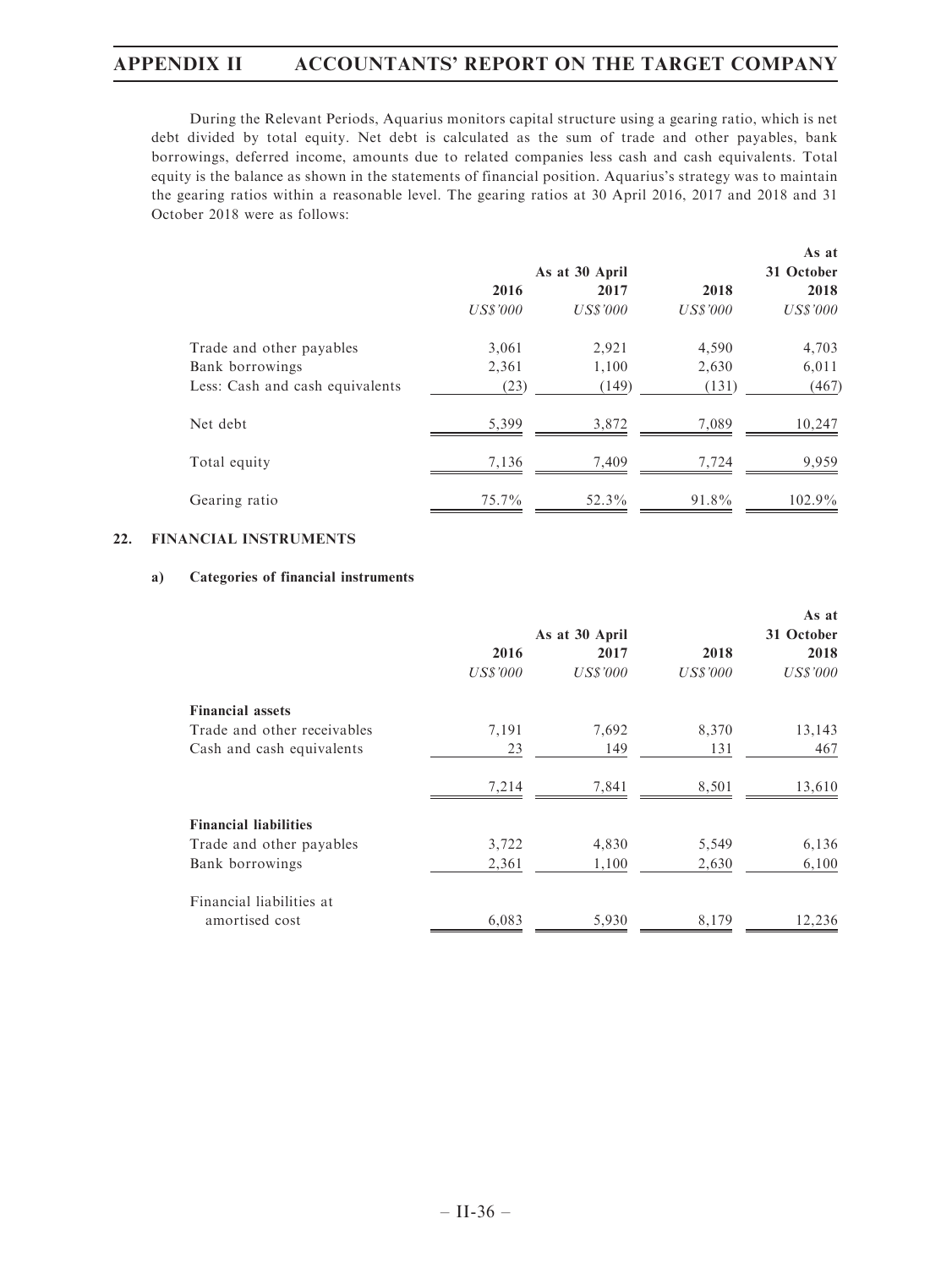During the Relevant Periods, Aquarius monitors capital structure using a gearing ratio, which is net debt divided by total equity. Net debt is calculated as the sum of trade and other payables, bank borrowings, deferred income, amounts due to related companies less cash and cash equivalents. Total equity is the balance as shown in the statements of financial position. Aquarius's strategy was to maintain the gearing ratios within a reasonable level. The gearing ratios at 30 April 2016, 2017 and 2018 and 31 October 2018 were as follows:

|                                 |                 |                |                 | As at           |
|---------------------------------|-----------------|----------------|-----------------|-----------------|
|                                 |                 | As at 30 April |                 | 31 October      |
|                                 | 2016            | 2017           | 2018            | 2018            |
|                                 | <b>US\$'000</b> | US\$'000       | <b>US\$'000</b> | <b>US\$'000</b> |
| Trade and other payables        | 3,061           | 2,921          | 4,590           | 4,703           |
| Bank borrowings                 | 2,361           | 1,100          | 2,630           | 6,011           |
| Less: Cash and cash equivalents | (23)            | (149)          | (131)           | (467)           |
| Net debt                        | 5,399           | 3,872          | 7,089           | 10,247          |
| Total equity                    | 7,136           | 7,409          | 7,724           | 9.959           |
| Gearing ratio                   | $75.7\%$        | 52.3%          | 91.8%           | $102.9\%$       |

### 22. FINANCIAL INSTRUMENTS

## a) Categories of financial instruments

|                              |                 |                |          | As at           |
|------------------------------|-----------------|----------------|----------|-----------------|
|                              |                 | As at 30 April |          | 31 October      |
|                              | 2016            | 2017           | 2018     | 2018            |
|                              | <b>US\$'000</b> | US\$'000       | US\$'000 | <b>US\$'000</b> |
| <b>Financial assets</b>      |                 |                |          |                 |
| Trade and other receivables  | 7,191           | 7,692          | 8,370    | 13,143          |
| Cash and cash equivalents    | 23              | 149            | 131      | 467             |
|                              | 7,214           | 7,841          | 8,501    | 13,610          |
| <b>Financial liabilities</b> |                 |                |          |                 |
| Trade and other payables     | 3,722           | 4,830          | 5,549    | 6,136           |
| Bank borrowings              | 2,361           | 1,100          | 2,630    | 6,100           |
| Financial liabilities at     |                 |                |          |                 |
| amortised cost               | 6,083           | 5,930          | 8,179    | 12,236          |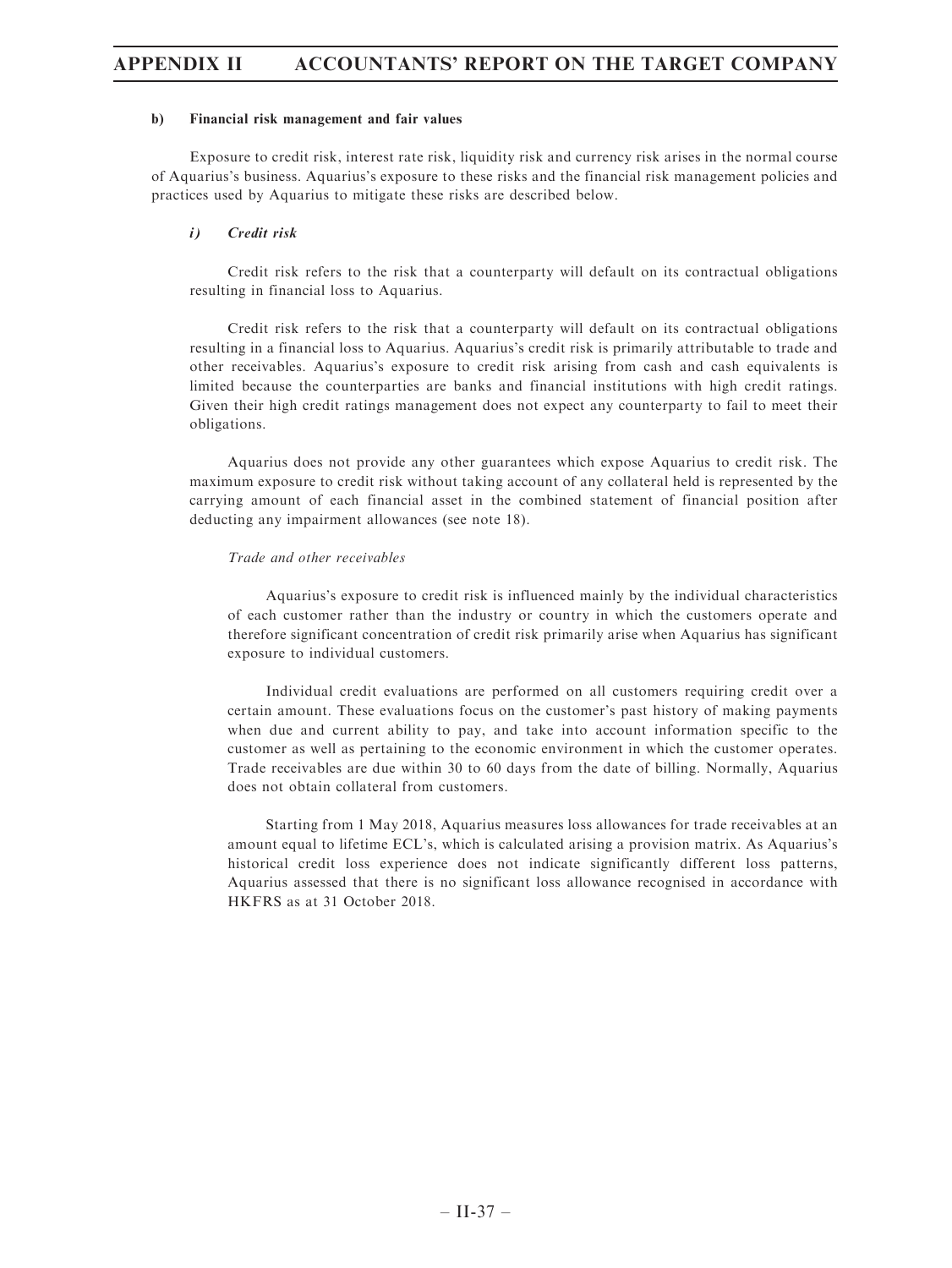#### b) Financial risk management and fair values

Exposure to credit risk, interest rate risk, liquidity risk and currency risk arises in the normal course of Aquarius's business. Aquarius's exposure to these risks and the financial risk management policies and practices used by Aquarius to mitigate these risks are described below.

#### i) Credit risk

Credit risk refers to the risk that a counterparty will default on its contractual obligations resulting in financial loss to Aquarius.

Credit risk refers to the risk that a counterparty will default on its contractual obligations resulting in a financial loss to Aquarius. Aquarius's credit risk is primarily attributable to trade and other receivables. Aquarius's exposure to credit risk arising from cash and cash equivalents is limited because the counterparties are banks and financial institutions with high credit ratings. Given their high credit ratings management does not expect any counterparty to fail to meet their obligations.

Aquarius does not provide any other guarantees which expose Aquarius to credit risk. The maximum exposure to credit risk without taking account of any collateral held is represented by the carrying amount of each financial asset in the combined statement of financial position after deducting any impairment allowances (see note 18).

#### Trade and other receivables

Aquarius's exposure to credit risk is influenced mainly by the individual characteristics of each customer rather than the industry or country in which the customers operate and therefore significant concentration of credit risk primarily arise when Aquarius has significant exposure to individual customers.

Individual credit evaluations are performed on all customers requiring credit over a certain amount. These evaluations focus on the customer's past history of making payments when due and current ability to pay, and take into account information specific to the customer as well as pertaining to the economic environment in which the customer operates. Trade receivables are due within 30 to 60 days from the date of billing. Normally, Aquarius does not obtain collateral from customers.

Starting from 1 May 2018, Aquarius measures loss allowances for trade receivables at an amount equal to lifetime ECL's, which is calculated arising a provision matrix. As Aquarius's historical credit loss experience does not indicate significantly different loss patterns, Aquarius assessed that there is no significant loss allowance recognised in accordance with HKFRS as at 31 October 2018.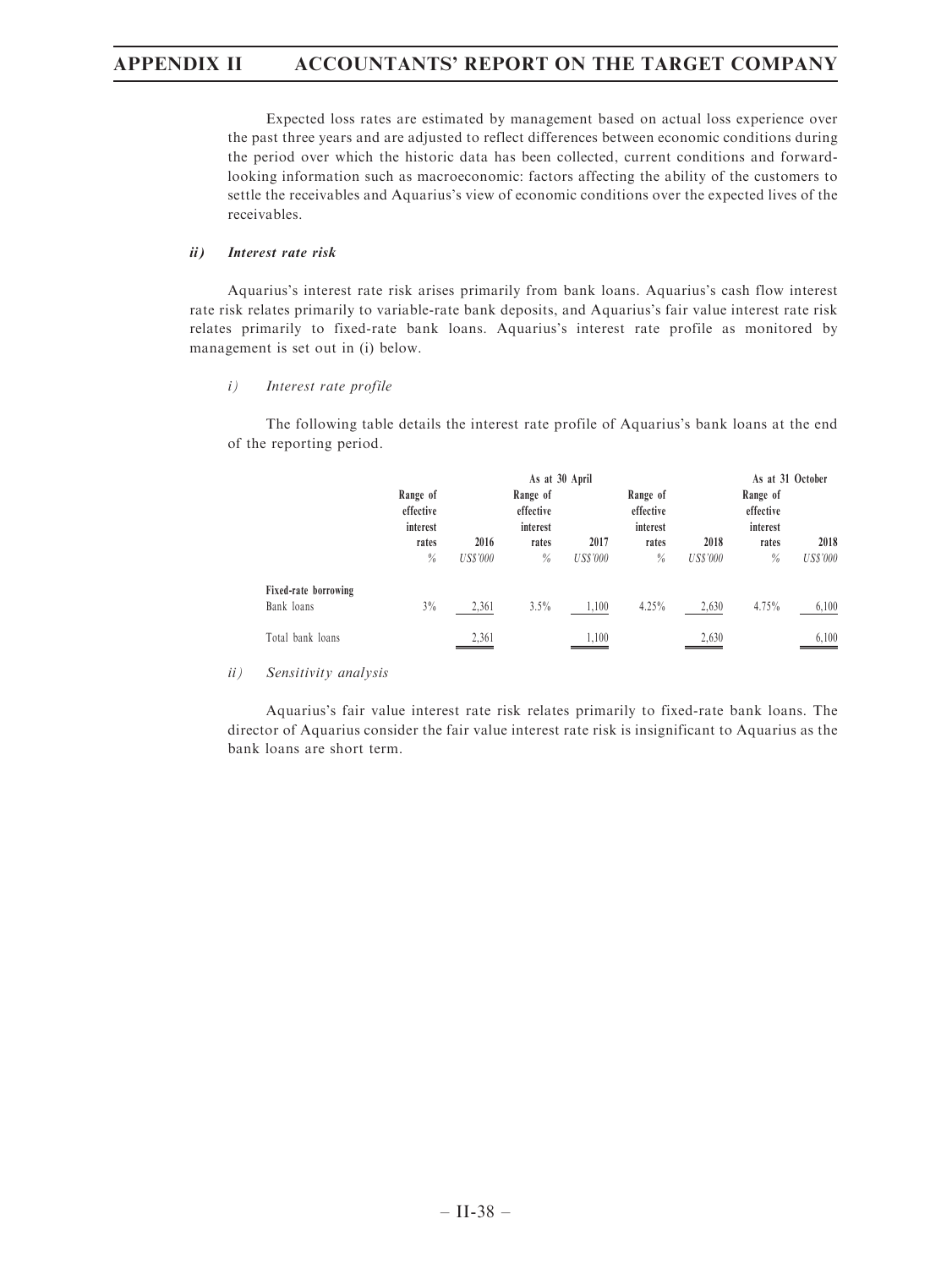Expected loss rates are estimated by management based on actual loss experience over the past three years and are adjusted to reflect differences between economic conditions during the period over which the historic data has been collected, current conditions and forwardlooking information such as macroeconomic: factors affecting the ability of the customers to settle the receivables and Aquarius's view of economic conditions over the expected lives of the receivables.

### ii) Interest rate risk

Aquarius's interest rate risk arises primarily from bank loans. Aquarius's cash flow interest rate risk relates primarily to variable-rate bank deposits, and Aquarius's fair value interest rate risk relates primarily to fixed-rate bank loans. Aquarius's interest rate profile as monitored by management is set out in (i) below.

#### i) Interest rate profile

The following table details the interest rate profile of Aquarius's bank loans at the end of the reporting period.

|                                    |                       | As at 30 April  |                       |                 |                       |                 |                       | As at 31 October |
|------------------------------------|-----------------------|-----------------|-----------------------|-----------------|-----------------------|-----------------|-----------------------|------------------|
|                                    | Range of<br>effective |                 | Range of<br>effective |                 | Range of<br>effective |                 | Range of<br>effective |                  |
|                                    | interest<br>rates     | 2016            | interest<br>rates     | 2017            | interest<br>rates     | 2018            | interest<br>rates     | 2018             |
|                                    | $\%$                  | <b>US\$'000</b> | %                     | <b>US\$'000</b> | $\%$                  | <b>US\$'000</b> | $\frac{0}{0}$         | <b>US\$'000</b>  |
| Fixed-rate borrowing<br>Bank loans | 3%                    | 2,361           | 3.5%                  | 1,100           | 4.25%                 | 2,630           | 4.75%                 | 6,100            |
| Total bank loans                   |                       | 2,361           |                       | 1.100           |                       | 2,630           |                       | 6,100            |

## ii) Sensitivity analysis

Aquarius's fair value interest rate risk relates primarily to fixed-rate bank loans. The director of Aquarius consider the fair value interest rate risk is insignificant to Aquarius as the bank loans are short term.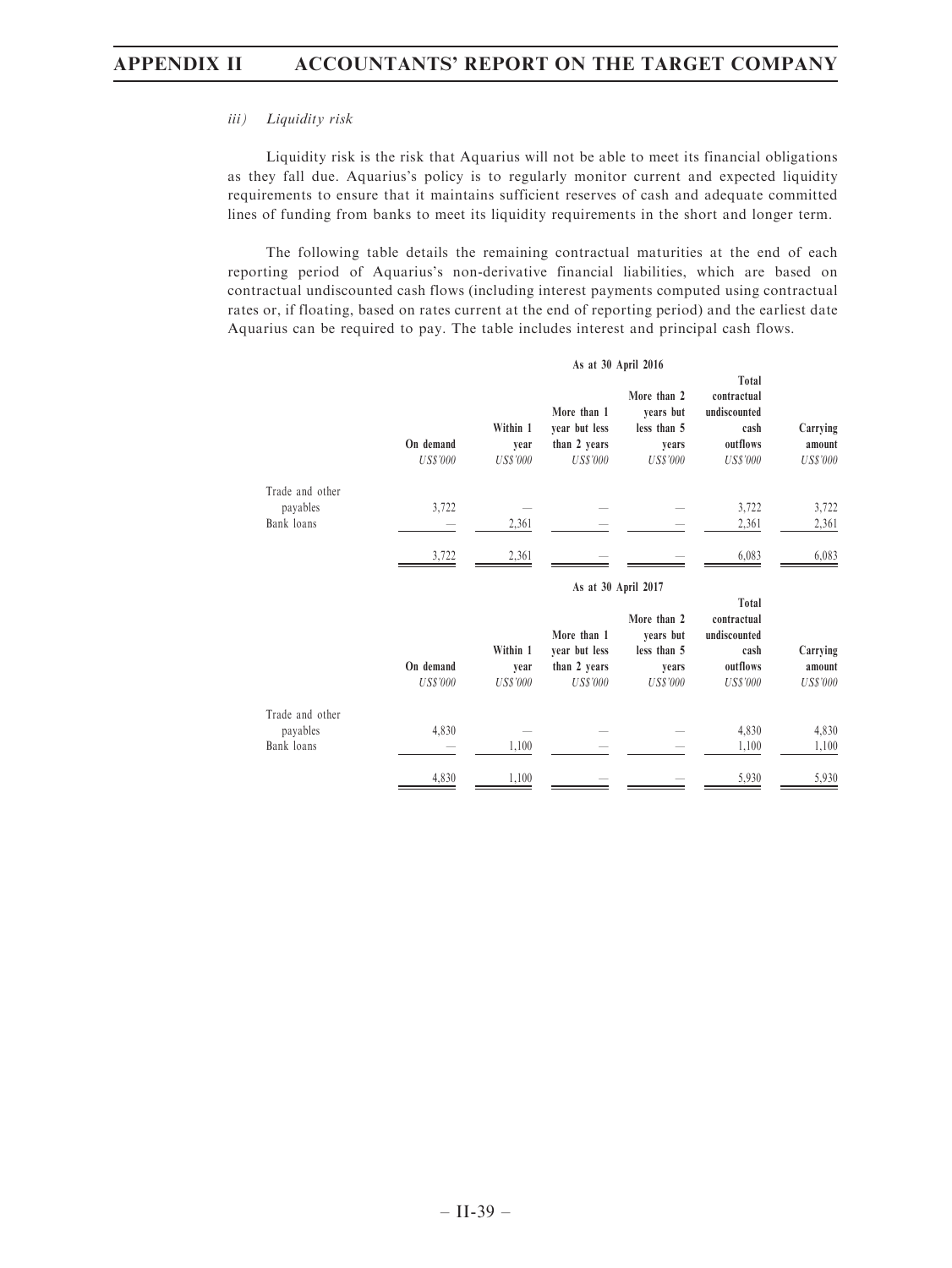### iii) Liquidity risk

Liquidity risk is the risk that Aquarius will not be able to meet its financial obligations as they fall due. Aquarius's policy is to regularly monitor current and expected liquidity requirements to ensure that it maintains sufficient reserves of cash and adequate committed lines of funding from banks to meet its liquidity requirements in the short and longer term.

The following table details the remaining contractual maturities at the end of each reporting period of Aquarius's non-derivative financial liabilities, which are based on contractual undiscounted cash flows (including interest payments computed using contractual rates or, if floating, based on rates current at the end of reporting period) and the earliest date Aquarius can be required to pay. The table includes interest and principal cash flows.

|                                           | As at 30 April 2016          |                                     |                                                                 |                                                                     |                                                                             |                                       |
|-------------------------------------------|------------------------------|-------------------------------------|-----------------------------------------------------------------|---------------------------------------------------------------------|-----------------------------------------------------------------------------|---------------------------------------|
|                                           | On demand<br><b>US\$'000</b> | Within 1<br>year<br><b>US\$'000</b> | More than 1<br>year but less<br>than 2 years<br><b>US\$'000</b> | More than 2<br>years but<br>less than 5<br>years<br><b>US\$'000</b> | Total<br>contractual<br>undiscounted<br>cash<br>outflows<br><b>US\$'000</b> | Carrying<br>amount<br><b>US\$'000</b> |
| Trade and other<br>payables<br>Bank loans | 3,722                        | 2,361                               |                                                                 |                                                                     | 3,722<br>2,361                                                              | 3,722<br>2,361                        |
|                                           | 3,722                        | 2,361                               |                                                                 |                                                                     | 6,083                                                                       | 6,083                                 |
|                                           |                              |                                     | As at 30 April 2017                                             |                                                                     |                                                                             |                                       |
|                                           | On demand<br><b>US\$'000</b> | Within 1<br>year<br><b>US\$'000</b> | More than 1<br>year but less<br>than 2 years<br><b>US\$'000</b> | More than 2<br>years but<br>less than 5<br>years<br><b>US\$'000</b> | Total<br>contractual<br>undiscounted<br>cash<br>outflows<br><b>US\$'000</b> | Carrying<br>amount<br><b>US\$'000</b> |
| Trade and other<br>payables<br>Bank loans | 4,830                        | 1,100                               |                                                                 |                                                                     | 4,830<br>1,100                                                              | 4,830<br>1,100                        |
|                                           | 4,830                        | 1,100                               |                                                                 |                                                                     | 5,930                                                                       | 5,930                                 |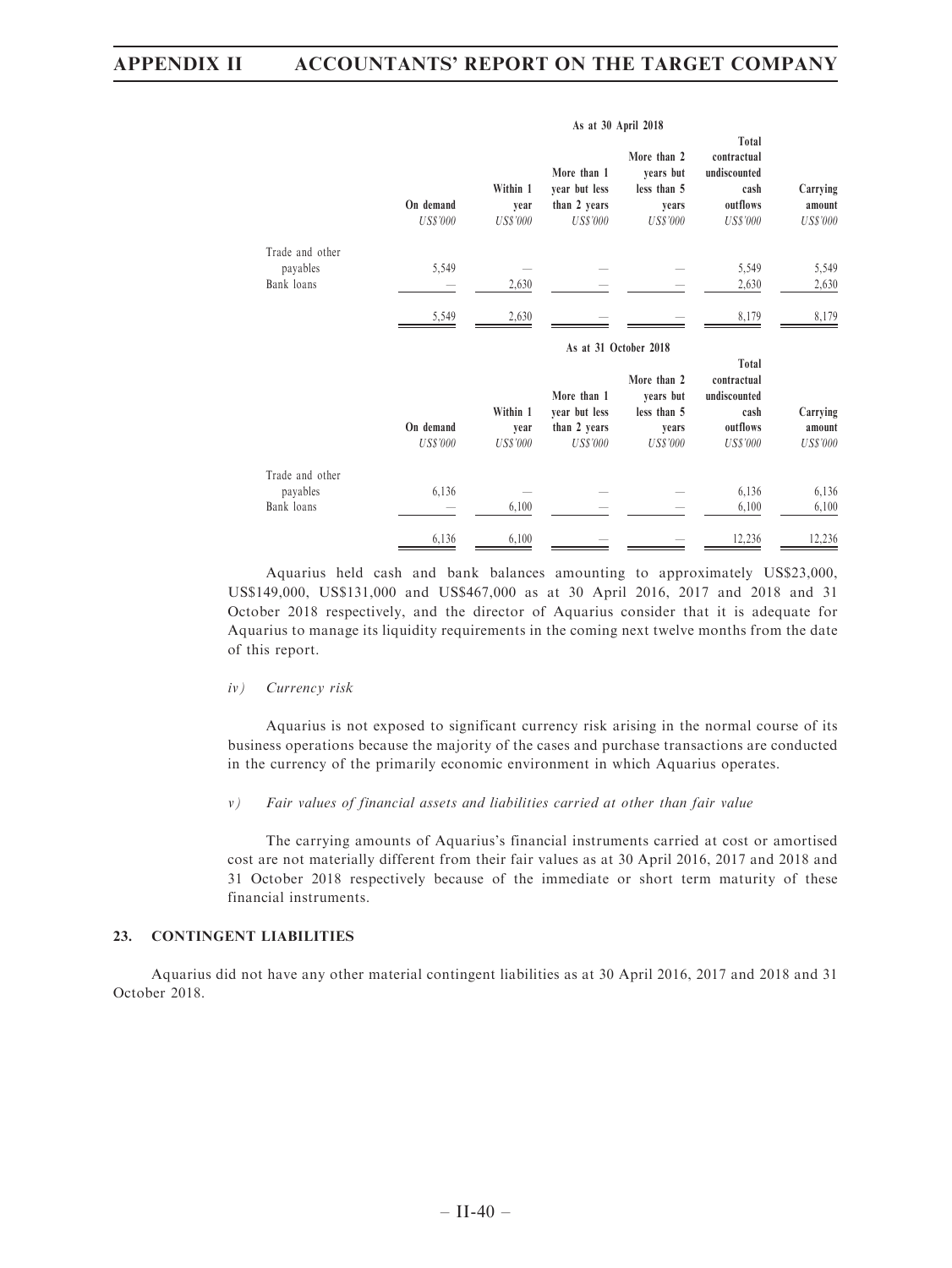|                             | As at 30 April 2018          |                                     |                                                                 |                                                                     |                                                                             |                                       |
|-----------------------------|------------------------------|-------------------------------------|-----------------------------------------------------------------|---------------------------------------------------------------------|-----------------------------------------------------------------------------|---------------------------------------|
|                             | On demand<br><b>US\$'000</b> | Within 1<br>vear<br><b>US\$'000</b> | More than 1<br>year but less<br>than 2 years<br><b>US\$'000</b> | More than 2<br>years but<br>less than 5<br>years<br><b>US\$'000</b> | Total<br>contractual<br>undiscounted<br>cash<br>outflows<br><b>US\$'000</b> | Carrying<br>amount<br><b>US\$'000</b> |
| Trade and other             |                              |                                     |                                                                 |                                                                     |                                                                             |                                       |
| payables<br>Bank loans      | 5,549                        | 2,630                               |                                                                 |                                                                     | 5,549<br>2,630                                                              | 5,549<br>2,630                        |
|                             |                              |                                     |                                                                 |                                                                     |                                                                             |                                       |
|                             | 5,549                        | 2,630                               |                                                                 |                                                                     | 8,179                                                                       | 8,179                                 |
|                             |                              |                                     |                                                                 | As at 31 October 2018                                               |                                                                             |                                       |
|                             | On demand<br><b>US\$'000</b> | Within 1<br>year<br><b>US\$'000</b> | More than 1<br>year but less<br>than 2 years<br><b>US\$'000</b> | More than 2<br>years but<br>less than 5<br>years<br><b>US\$'000</b> | Total<br>contractual<br>undiscounted<br>cash<br>outflows<br><b>US\$'000</b> | Carrying<br>amount<br><b>US\$'000</b> |
| Trade and other<br>payables | 6,136                        |                                     |                                                                 |                                                                     | 6,136                                                                       | 6,136                                 |
| Bank loans                  |                              | 6,100                               |                                                                 |                                                                     | 6,100                                                                       | 6,100                                 |
|                             | 6,136                        | 6,100                               |                                                                 |                                                                     | 12,236                                                                      | 12,236                                |

Aquarius held cash and bank balances amounting to approximately US\$23,000, US\$149,000, US\$131,000 and US\$467,000 as at 30 April 2016, 2017 and 2018 and 31 October 2018 respectively, and the director of Aquarius consider that it is adequate for Aquarius to manage its liquidity requirements in the coming next twelve months from the date of this report.

#### iv) Currency risk

Aquarius is not exposed to significant currency risk arising in the normal course of its business operations because the majority of the cases and purchase transactions are conducted in the currency of the primarily economic environment in which Aquarius operates.

#### v) Fair values of financial assets and liabilities carried at other than fair value

The carrying amounts of Aquarius's financial instruments carried at cost or amortised cost are not materially different from their fair values as at 30 April 2016, 2017 and 2018 and 31 October 2018 respectively because of the immediate or short term maturity of these financial instruments.

### 23. CONTINGENT LIABILITIES

Aquarius did not have any other material contingent liabilities as at 30 April 2016, 2017 and 2018 and 31 October 2018.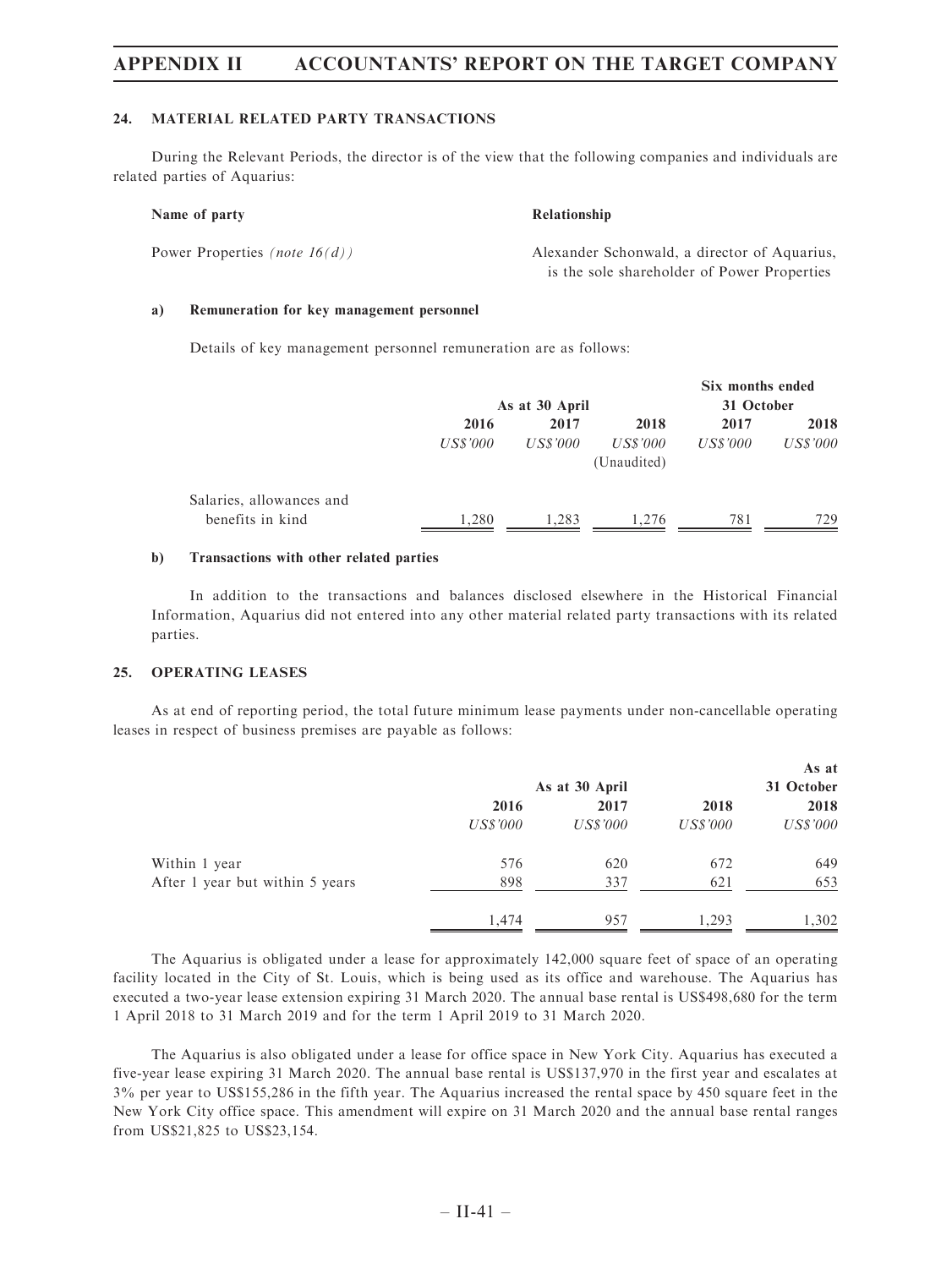#### 24. MATERIAL RELATED PARTY TRANSACTIONS

During the Relevant Periods, the director is of the view that the following companies and individuals are related parties of Aquarius:

#### Name of party Relationship

Power Properties (note  $16(d)$ ) Alexander Schonwald, a director of Aquarius, is the sole shareholder of Power Properties

#### a) Remuneration for key management personnel

Details of key management personnel remuneration are as follows:

|                          |          | As at 30 April |             | Six months ended<br>31 October |                 |
|--------------------------|----------|----------------|-------------|--------------------------------|-----------------|
|                          | 2016     | 2017           | 2018        | 2017                           | 2018            |
|                          | US\$'000 | US\$'000       | US\$'000    | US\$'000                       | <i>US\$'000</i> |
|                          |          |                | (Unaudited) |                                |                 |
| Salaries, allowances and |          |                |             |                                |                 |
| benefits in kind         | 1.280    | 1,283          | 1.276       | 781                            | 729             |

#### b) Transactions with other related parties

In addition to the transactions and balances disclosed elsewhere in the Historical Financial Information, Aquarius did not entered into any other material related party transactions with its related parties.

### 25. OPERATING LEASES

As at end of reporting period, the total future minimum lease payments under non-cancellable operating leases in respect of business premises are payable as follows:

|                                 |                 |                 |          | As at           |  |
|---------------------------------|-----------------|-----------------|----------|-----------------|--|
|                                 | As at 30 April  |                 |          | 31 October      |  |
|                                 | 2016            | 2017            | 2018     | 2018            |  |
|                                 | <i>US\$'000</i> | <i>US\$'000</i> | US\$'000 | <i>US\$'000</i> |  |
| Within 1 year                   | 576             | 620             | 672      | 649             |  |
| After 1 year but within 5 years | 898             | 337             | 621      | 653             |  |
|                                 | 1,474           | 957             | 1,293    | 1,302           |  |

The Aquarius is obligated under a lease for approximately 142,000 square feet of space of an operating facility located in the City of St. Louis, which is being used as its office and warehouse. The Aquarius has executed a two-year lease extension expiring 31 March 2020. The annual base rental is US\$498,680 for the term 1 April 2018 to 31 March 2019 and for the term 1 April 2019 to 31 March 2020.

The Aquarius is also obligated under a lease for office space in New York City. Aquarius has executed a five-year lease expiring 31 March 2020. The annual base rental is US\$137,970 in the first year and escalates at 3% per year to US\$155,286 in the fifth year. The Aquarius increased the rental space by 450 square feet in the New York City office space. This amendment will expire on 31 March 2020 and the annual base rental ranges from US\$21,825 to US\$23,154.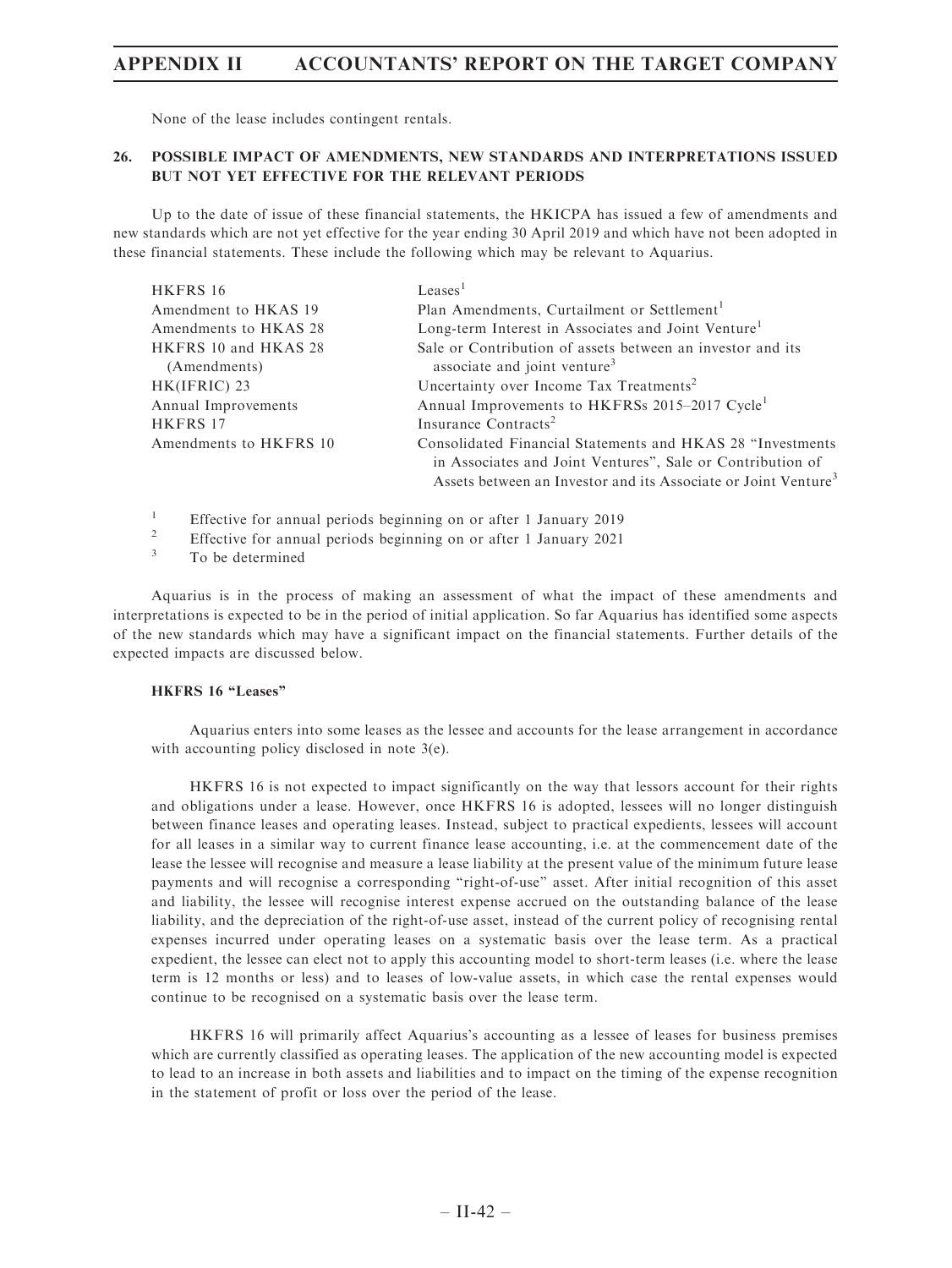None of the lease includes contingent rentals.

### 26. POSSIBLE IMPACT OF AMENDMENTS, NEW STANDARDS AND INTERPRETATIONS ISSUED BUT NOT YET EFFECTIVE FOR THE RELEVANT PERIODS

Up to the date of issue of these financial statements, the HKICPA has issued a few of amendments and new standards which are not yet effective for the year ending 30 April 2019 and which have not been adopted in these financial statements. These include the following which may be relevant to Aquarius.

| HKFRS 16               | Leases <sup>1</sup>                                                                                                                      |
|------------------------|------------------------------------------------------------------------------------------------------------------------------------------|
| Amendment to HKAS 19   | Plan Amendments, Curtailment or Settlement <sup>1</sup>                                                                                  |
| Amendments to HKAS 28  | Long-term Interest in Associates and Joint Venture <sup>1</sup>                                                                          |
| HKFRS 10 and HKAS 28   | Sale or Contribution of assets between an investor and its                                                                               |
| (Amendments)           | associate and joint venture <sup>3</sup>                                                                                                 |
| HK(IFRIC) 23           | Uncertainty over Income Tax Treatments <sup>2</sup>                                                                                      |
| Annual Improvements    | Annual Improvements to HKFRSs 2015–2017 Cycle <sup>1</sup>                                                                               |
| HKFRS 17               | Insurance Contracts <sup>2</sup>                                                                                                         |
| Amendments to HKFRS 10 | Consolidated Financial Statements and HKAS 28 "Investments"                                                                              |
|                        | in Associates and Joint Ventures", Sale or Contribution of<br>Assets between an Investor and its Associate or Joint Venture <sup>3</sup> |
|                        |                                                                                                                                          |

<sup>1</sup> Effective for annual periods beginning on or after 1 January 2019

<sup>2</sup> Effective for annual periods beginning on or after 1 January 2021<br> $\frac{3}{2}$  To be determined

To be determined

Aquarius is in the process of making an assessment of what the impact of these amendments and interpretations is expected to be in the period of initial application. So far Aquarius has identified some aspects of the new standards which may have a significant impact on the financial statements. Further details of the expected impacts are discussed below.

## HKFRS 16 "Leases"

Aquarius enters into some leases as the lessee and accounts for the lease arrangement in accordance with accounting policy disclosed in note 3(e).

HKFRS 16 is not expected to impact significantly on the way that lessors account for their rights and obligations under a lease. However, once HKFRS 16 is adopted, lessees will no longer distinguish between finance leases and operating leases. Instead, subject to practical expedients, lessees will account for all leases in a similar way to current finance lease accounting, i.e. at the commencement date of the lease the lessee will recognise and measure a lease liability at the present value of the minimum future lease payments and will recognise a corresponding ''right-of-use'' asset. After initial recognition of this asset and liability, the lessee will recognise interest expense accrued on the outstanding balance of the lease liability, and the depreciation of the right-of-use asset, instead of the current policy of recognising rental expenses incurred under operating leases on a systematic basis over the lease term. As a practical expedient, the lessee can elect not to apply this accounting model to short-term leases (i.e. where the lease term is 12 months or less) and to leases of low-value assets, in which case the rental expenses would continue to be recognised on a systematic basis over the lease term.

HKFRS 16 will primarily affect Aquarius's accounting as a lessee of leases for business premises which are currently classified as operating leases. The application of the new accounting model is expected to lead to an increase in both assets and liabilities and to impact on the timing of the expense recognition in the statement of profit or loss over the period of the lease.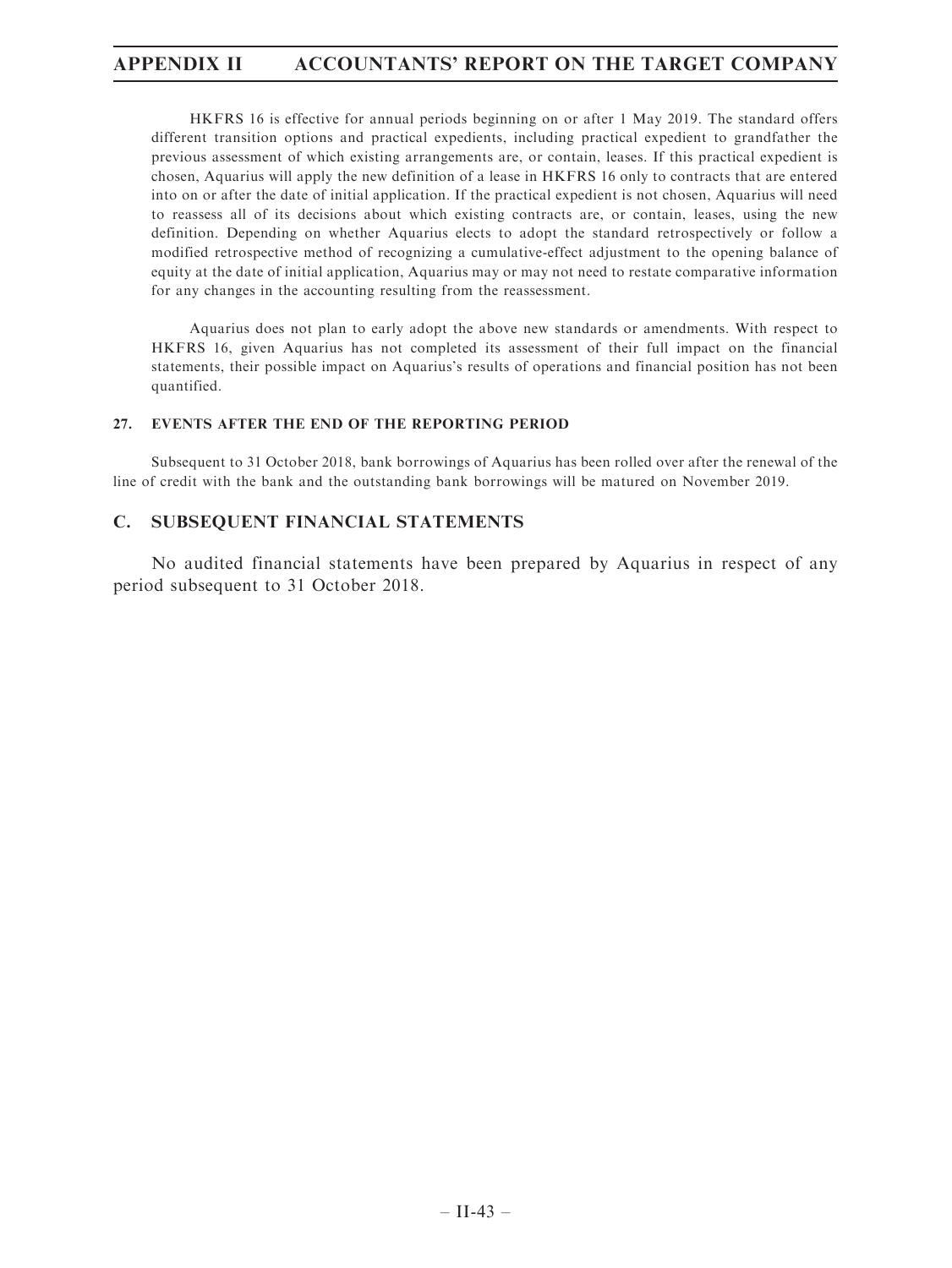HKFRS 16 is effective for annual periods beginning on or after 1 May 2019. The standard offers different transition options and practical expedients, including practical expedient to grandfather the previous assessment of which existing arrangements are, or contain, leases. If this practical expedient is chosen, Aquarius will apply the new definition of a lease in HKFRS 16 only to contracts that are entered into on or after the date of initial application. If the practical expedient is not chosen, Aquarius will need to reassess all of its decisions about which existing contracts are, or contain, leases, using the new definition. Depending on whether Aquarius elects to adopt the standard retrospectively or follow a modified retrospective method of recognizing a cumulative-effect adjustment to the opening balance of equity at the date of initial application, Aquarius may or may not need to restate comparative information for any changes in the accounting resulting from the reassessment.

Aquarius does not plan to early adopt the above new standards or amendments. With respect to HKFRS 16, given Aquarius has not completed its assessment of their full impact on the financial statements, their possible impact on Aquarius's results of operations and financial position has not been quantified.

## 27. EVENTS AFTER THE END OF THE REPORTING PERIOD

Subsequent to 31 October 2018, bank borrowings of Aquarius has been rolled over after the renewal of the line of credit with the bank and the outstanding bank borrowings will be matured on November 2019.

## C. SUBSEQUENT FINANCIAL STATEMENTS

No audited financial statements have been prepared by Aquarius in respect of any period subsequent to 31 October 2018.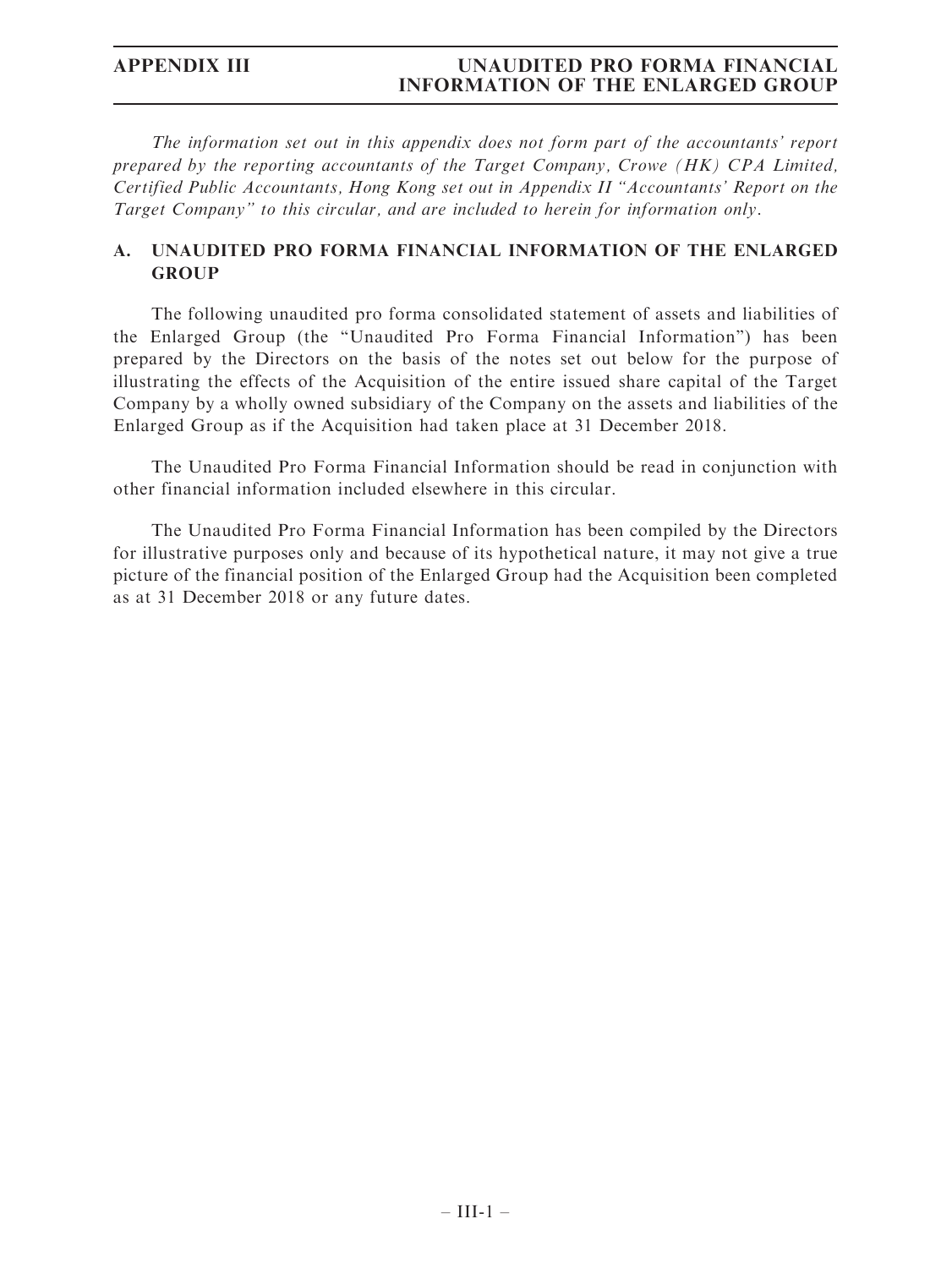The information set out in this appendix does not form part of the accountants' report prepared by the reporting accountants of the Target Company, Crowe (HK) CPA Limited, Certified Public Accountants, Hong Kong set out in Appendix II ''Accountants' Report on the Target Company'' to this circular, and are included to herein for information only.

# A. UNAUDITED PRO FORMA FINANCIAL INFORMATION OF THE ENLARGED GROUP

The following unaudited pro forma consolidated statement of assets and liabilities of the Enlarged Group (the ''Unaudited Pro Forma Financial Information'') has been prepared by the Directors on the basis of the notes set out below for the purpose of illustrating the effects of the Acquisition of the entire issued share capital of the Target Company by a wholly owned subsidiary of the Company on the assets and liabilities of the Enlarged Group as if the Acquisition had taken place at 31 December 2018.

The Unaudited Pro Forma Financial Information should be read in conjunction with other financial information included elsewhere in this circular.

The Unaudited Pro Forma Financial Information has been compiled by the Directors for illustrative purposes only and because of its hypothetical nature, it may not give a true picture of the financial position of the Enlarged Group had the Acquisition been completed as at 31 December 2018 or any future dates.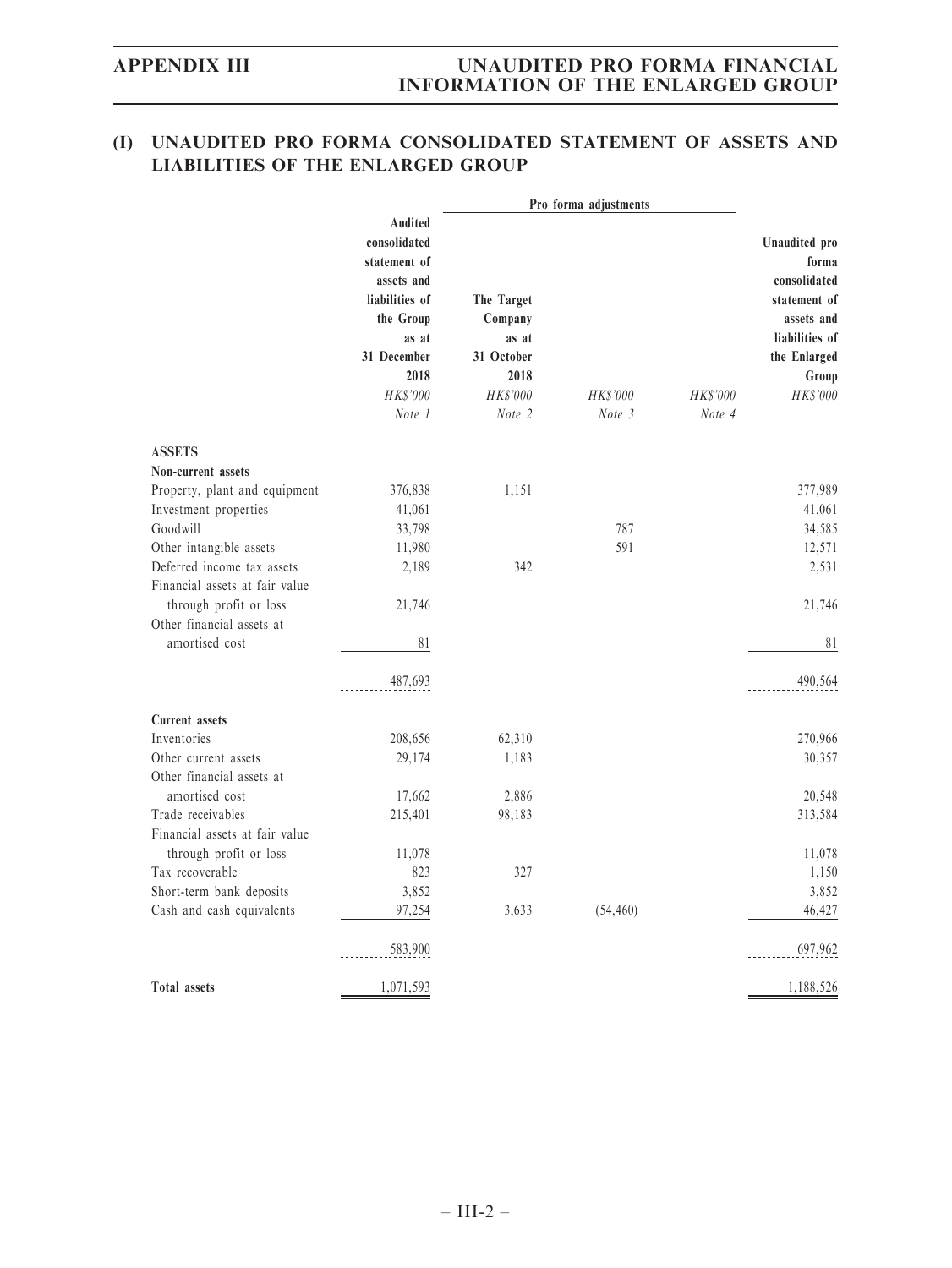# (I) UNAUDITED PRO FORMA CONSOLIDATED STATEMENT OF ASSETS AND LIABILITIES OF THE ENLARGED GROUP

|                                |                                                                                                                                  |                                                                  | Pro forma adjustments |          |                                                                                                                                    |
|--------------------------------|----------------------------------------------------------------------------------------------------------------------------------|------------------------------------------------------------------|-----------------------|----------|------------------------------------------------------------------------------------------------------------------------------------|
|                                | Audited<br>consolidated<br>statement of<br>assets and<br>liabilities of<br>the Group<br>as at<br>31 December<br>2018<br>HK\$'000 | The Target<br>Company<br>as at<br>31 October<br>2018<br>HK\$'000 | HK\$'000              | HK\$'000 | Unaudited pro<br>forma<br>consolidated<br>statement of<br>assets and<br>liabilities of<br>the Enlarged<br>Group<br><b>HK\$'000</b> |
|                                | Note 1                                                                                                                           | Note 2                                                           | Note 3                | Note 4   |                                                                                                                                    |
| <b>ASSETS</b>                  |                                                                                                                                  |                                                                  |                       |          |                                                                                                                                    |
| Non-current assets             |                                                                                                                                  |                                                                  |                       |          |                                                                                                                                    |
| Property, plant and equipment  | 376,838                                                                                                                          | 1,151                                                            |                       |          | 377,989                                                                                                                            |
| Investment properties          | 41,061                                                                                                                           |                                                                  |                       |          | 41,061                                                                                                                             |
| Goodwill                       | 33,798                                                                                                                           |                                                                  | 787                   |          | 34,585                                                                                                                             |
| Other intangible assets        | 11,980                                                                                                                           |                                                                  | 591                   |          | 12,571                                                                                                                             |
| Deferred income tax assets     | 2,189                                                                                                                            | 342                                                              |                       |          | 2,531                                                                                                                              |
| Financial assets at fair value |                                                                                                                                  |                                                                  |                       |          |                                                                                                                                    |
| through profit or loss         | 21,746                                                                                                                           |                                                                  |                       |          | 21,746                                                                                                                             |
| Other financial assets at      |                                                                                                                                  |                                                                  |                       |          |                                                                                                                                    |
| amortised cost                 | $8\sqrt{1}$                                                                                                                      |                                                                  |                       |          | 81                                                                                                                                 |
|                                | 487,693                                                                                                                          |                                                                  |                       |          | 490,564                                                                                                                            |
| Current assets                 |                                                                                                                                  |                                                                  |                       |          |                                                                                                                                    |
| Inventories                    | 208,656                                                                                                                          | 62,310                                                           |                       |          | 270,966                                                                                                                            |
| Other current assets           | 29,174                                                                                                                           | 1,183                                                            |                       |          | 30,357                                                                                                                             |
| Other financial assets at      |                                                                                                                                  |                                                                  |                       |          |                                                                                                                                    |
| amortised cost                 | 17,662                                                                                                                           | 2,886                                                            |                       |          | 20,548                                                                                                                             |
| Trade receivables              | 215,401                                                                                                                          | 98,183                                                           |                       |          | 313,584                                                                                                                            |
| Financial assets at fair value |                                                                                                                                  |                                                                  |                       |          |                                                                                                                                    |
| through profit or loss         | 11,078                                                                                                                           |                                                                  |                       |          | 11,078                                                                                                                             |
| Tax recoverable                | 823                                                                                                                              | 327                                                              |                       |          | 1,150                                                                                                                              |
| Short-term bank deposits       | 3,852                                                                                                                            |                                                                  |                       |          | 3,852                                                                                                                              |
| Cash and cash equivalents      | 97,254                                                                                                                           | 3,633                                                            | (54, 460)             |          | 46,427                                                                                                                             |
|                                | 583,900                                                                                                                          |                                                                  |                       |          | 697,962                                                                                                                            |
| <b>Total assets</b>            | 1,071,593                                                                                                                        |                                                                  |                       |          | 1,188,526                                                                                                                          |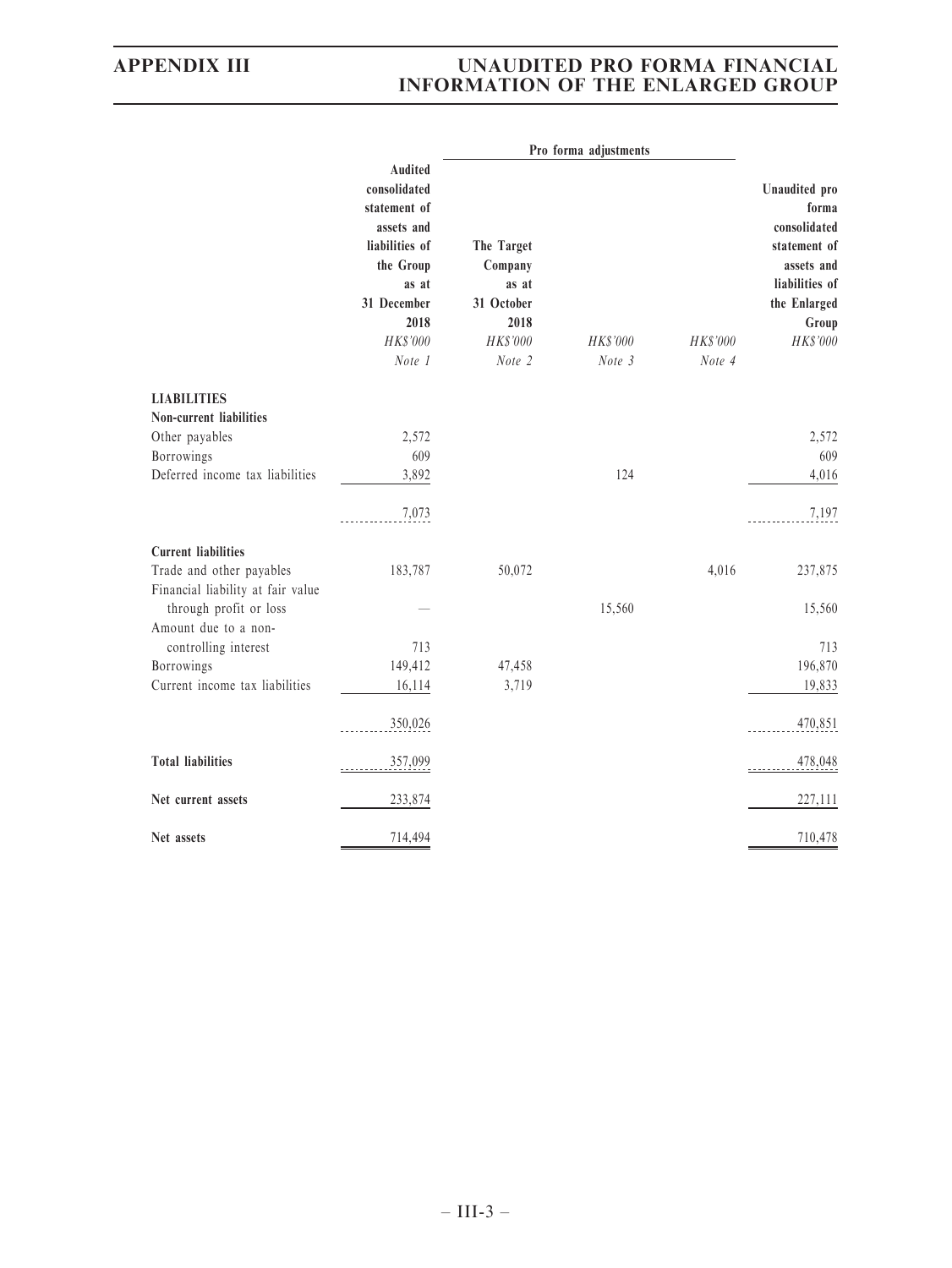|                                                |                                                                                                                      |                                                      | Pro forma adjustments |                    |                                                                                                                 |
|------------------------------------------------|----------------------------------------------------------------------------------------------------------------------|------------------------------------------------------|-----------------------|--------------------|-----------------------------------------------------------------------------------------------------------------|
|                                                | Audited<br>consolidated<br>statement of<br>assets and<br>liabilities of<br>the Group<br>as at<br>31 December<br>2018 | The Target<br>Company<br>as at<br>31 October<br>2018 |                       |                    | Unaudited pro<br>forma<br>consolidated<br>statement of<br>assets and<br>liabilities of<br>the Enlarged<br>Group |
|                                                | HK\$'000<br>Note 1                                                                                                   | HK\$'000<br>Note 2                                   | HK\$'000<br>Note 3    | HK\$'000<br>Note 4 | HK\$'000                                                                                                        |
| <b>LIABILITIES</b><br>Non-current liabilities  |                                                                                                                      |                                                      |                       |                    |                                                                                                                 |
| Other payables                                 | 2,572                                                                                                                |                                                      |                       |                    | 2,572                                                                                                           |
| Borrowings                                     | 609                                                                                                                  |                                                      |                       |                    | 609                                                                                                             |
| Deferred income tax liabilities                | 3,892                                                                                                                |                                                      | 124                   |                    | 4,016                                                                                                           |
|                                                | 7,073                                                                                                                |                                                      |                       |                    | 7,197                                                                                                           |
| <b>Current liabilities</b>                     |                                                                                                                      |                                                      |                       |                    |                                                                                                                 |
| Trade and other payables                       | 183,787                                                                                                              | 50,072                                               |                       | 4,016              | 237,875                                                                                                         |
| Financial liability at fair value              |                                                                                                                      |                                                      |                       |                    |                                                                                                                 |
| through profit or loss<br>Amount due to a non- |                                                                                                                      |                                                      | 15,560                |                    | 15,560                                                                                                          |
| controlling interest                           | 713                                                                                                                  |                                                      |                       |                    | 713                                                                                                             |
| Borrowings                                     | 149,412                                                                                                              | 47,458                                               |                       |                    | 196,870                                                                                                         |
| Current income tax liabilities                 | 16,114                                                                                                               | 3,719                                                |                       |                    | 19,833                                                                                                          |
|                                                | 350,026                                                                                                              |                                                      |                       |                    | 470,851                                                                                                         |
| <b>Total liabilities</b>                       | 357,099                                                                                                              |                                                      |                       |                    | 478,048                                                                                                         |
| Net current assets                             | 233,874                                                                                                              |                                                      |                       |                    | 227,111                                                                                                         |
| Net assets                                     | 714,494                                                                                                              |                                                      |                       |                    | 710,478                                                                                                         |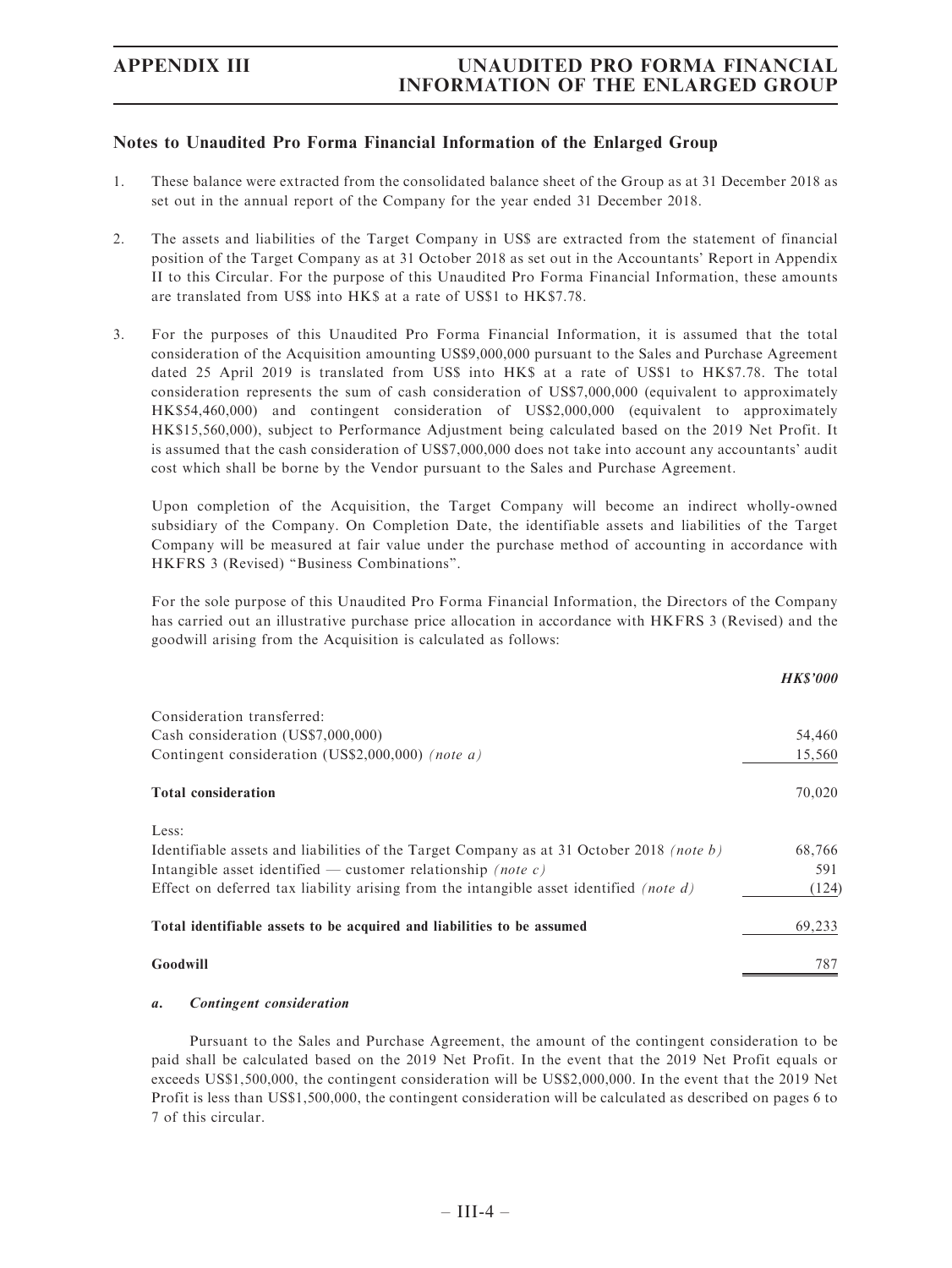## Notes to Unaudited Pro Forma Financial Information of the Enlarged Group

- 1. These balance were extracted from the consolidated balance sheet of the Group as at 31 December 2018 as set out in the annual report of the Company for the year ended 31 December 2018.
- 2. The assets and liabilities of the Target Company in US\$ are extracted from the statement of financial position of the Target Company as at 31 October 2018 as set out in the Accountants' Report in Appendix II to this Circular. For the purpose of this Unaudited Pro Forma Financial Information, these amounts are translated from US\$ into HK\$ at a rate of US\$1 to HK\$7.78.
- 3. For the purposes of this Unaudited Pro Forma Financial Information, it is assumed that the total consideration of the Acquisition amounting US\$9,000,000 pursuant to the Sales and Purchase Agreement dated 25 April 2019 is translated from US\$ into HK\$ at a rate of US\$1 to HK\$7.78. The total consideration represents the sum of cash consideration of US\$7,000,000 (equivalent to approximately HK\$54,460,000) and contingent consideration of US\$2,000,000 (equivalent to approximately HK\$15,560,000), subject to Performance Adjustment being calculated based on the 2019 Net Profit. It is assumed that the cash consideration of US\$7,000,000 does not take into account any accountants' audit cost which shall be borne by the Vendor pursuant to the Sales and Purchase Agreement.

Upon completion of the Acquisition, the Target Company will become an indirect wholly-owned subsidiary of the Company. On Completion Date, the identifiable assets and liabilities of the Target Company will be measured at fair value under the purchase method of accounting in accordance with HKFRS 3 (Revised) ''Business Combinations''.

For the sole purpose of this Unaudited Pro Forma Financial Information, the Directors of the Company has carried out an illustrative purchase price allocation in accordance with HKFRS 3 (Revised) and the goodwill arising from the Acquisition is calculated as follows:

|                                                                                               | <b>HKS'000</b> |
|-----------------------------------------------------------------------------------------------|----------------|
| Consideration transferred:                                                                    |                |
| Cash consideration (US\$7,000,000)                                                            | 54,460         |
| Contingent consideration (US\$2,000,000) (note a)                                             | 15,560         |
| <b>Total consideration</b>                                                                    | 70,020         |
| Less:                                                                                         |                |
| Identifiable assets and liabilities of the Target Company as at 31 October 2018 (note b)      | 68,766         |
| Intangible asset identified — customer relationship <i>(note c)</i>                           | 591            |
| Effect on deferred tax liability arising from the intangible asset identified <i>(note d)</i> | (124)          |
| Total identifiable assets to be acquired and liabilities to be assumed                        | 69,233         |
| Goodwill                                                                                      | 787            |

#### a. Contingent consideration

Pursuant to the Sales and Purchase Agreement, the amount of the contingent consideration to be paid shall be calculated based on the 2019 Net Profit. In the event that the 2019 Net Profit equals or exceeds US\$1,500,000, the contingent consideration will be US\$2,000,000. In the event that the 2019 Net Profit is less than US\$1,500,000, the contingent consideration will be calculated as described on pages 6 to 7 of this circular.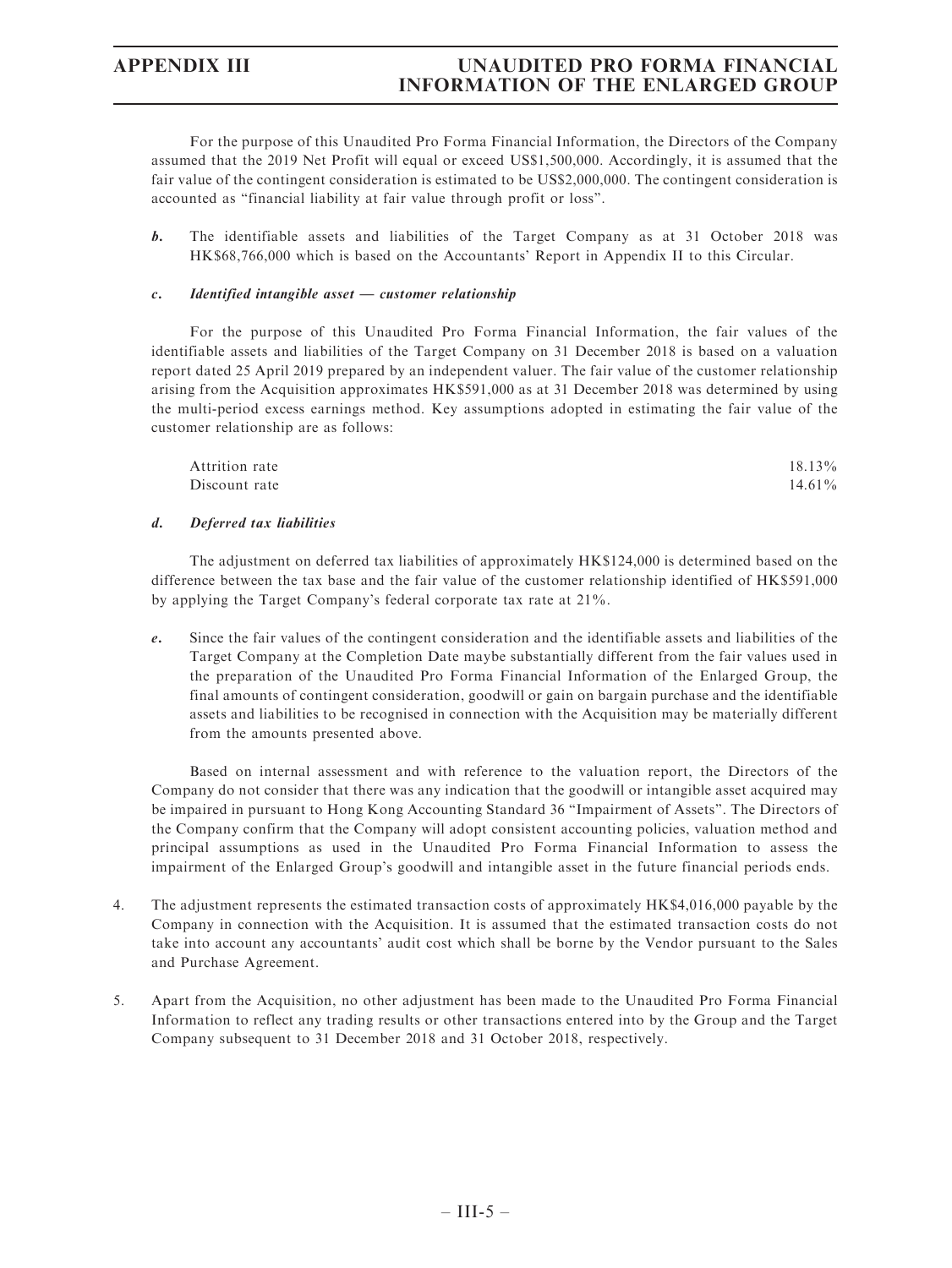For the purpose of this Unaudited Pro Forma Financial Information, the Directors of the Company assumed that the 2019 Net Profit will equal or exceed US\$1,500,000. Accordingly, it is assumed that the fair value of the contingent consideration is estimated to be US\$2,000,000. The contingent consideration is accounted as ''financial liability at fair value through profit or loss''.

b. The identifiable assets and liabilities of the Target Company as at 31 October 2018 was HK\$68,766,000 which is based on the Accountants' Report in Appendix II to this Circular.

#### c. Identified intangible asset — customer relationship

For the purpose of this Unaudited Pro Forma Financial Information, the fair values of the identifiable assets and liabilities of the Target Company on 31 December 2018 is based on a valuation report dated 25 April 2019 prepared by an independent valuer. The fair value of the customer relationship arising from the Acquisition approximates HK\$591,000 as at 31 December 2018 was determined by using the multi-period excess earnings method. Key assumptions adopted in estimating the fair value of the customer relationship are as follows:

| Attrition rate | $18.13\%$ |
|----------------|-----------|
| Discount rate  | $14.61\%$ |

#### d. Deferred tax liabilities

The adjustment on deferred tax liabilities of approximately HK\$124,000 is determined based on the difference between the tax base and the fair value of the customer relationship identified of HK\$591,000 by applying the Target Company's federal corporate tax rate at 21%.

e. Since the fair values of the contingent consideration and the identifiable assets and liabilities of the Target Company at the Completion Date maybe substantially different from the fair values used in the preparation of the Unaudited Pro Forma Financial Information of the Enlarged Group, the final amounts of contingent consideration, goodwill or gain on bargain purchase and the identifiable assets and liabilities to be recognised in connection with the Acquisition may be materially different from the amounts presented above.

Based on internal assessment and with reference to the valuation report, the Directors of the Company do not consider that there was any indication that the goodwill or intangible asset acquired may be impaired in pursuant to Hong Kong Accounting Standard 36 ''Impairment of Assets''. The Directors of the Company confirm that the Company will adopt consistent accounting policies, valuation method and principal assumptions as used in the Unaudited Pro Forma Financial Information to assess the impairment of the Enlarged Group's goodwill and intangible asset in the future financial periods ends.

- 4. The adjustment represents the estimated transaction costs of approximately HK\$4,016,000 payable by the Company in connection with the Acquisition. It is assumed that the estimated transaction costs do not take into account any accountants' audit cost which shall be borne by the Vendor pursuant to the Sales and Purchase Agreement.
- 5. Apart from the Acquisition, no other adjustment has been made to the Unaudited Pro Forma Financial Information to reflect any trading results or other transactions entered into by the Group and the Target Company subsequent to 31 December 2018 and 31 October 2018, respectively.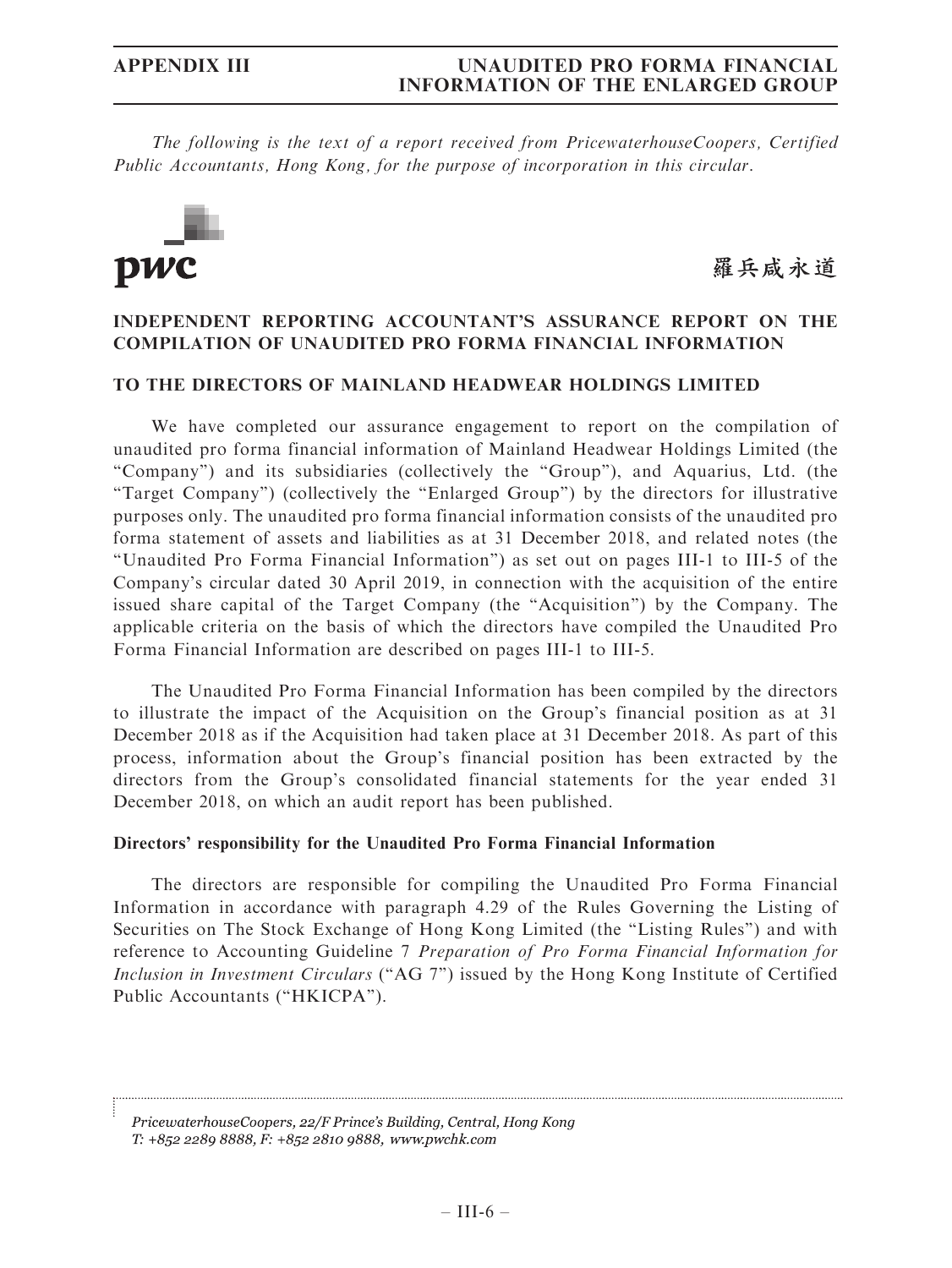The following is the text of a report received from PricewaterhouseCoopers, Certified Public Accountants, Hong Kong, for the purpose of incorporation in this circular.



羅兵咸永道

## INDEPENDENT REPORTING ACCOUNTANT'S ASSURANCE REPORT ON THE COMPILATION OF UNAUDITED PRO FORMA FINANCIAL INFORMATION

## TO THE DIRECTORS OF MAINLAND HEADWEAR HOLDINGS LIMITED

We have completed our assurance engagement to report on the compilation of unaudited pro forma financial information of Mainland Headwear Holdings Limited (the ''Company'') and its subsidiaries (collectively the ''Group''), and Aquarius, Ltd. (the ''Target Company'') (collectively the ''Enlarged Group'') by the directors for illustrative purposes only. The unaudited pro forma financial information consists of the unaudited pro forma statement of assets and liabilities as at 31 December 2018, and related notes (the ''Unaudited Pro Forma Financial Information'') as set out on pages III-1 to III-5 of the Company's circular dated 30 April 2019, in connection with the acquisition of the entire issued share capital of the Target Company (the ''Acquisition'') by the Company. The applicable criteria on the basis of which the directors have compiled the Unaudited Pro Forma Financial Information are described on pages III-1 to III-5.

The Unaudited Pro Forma Financial Information has been compiled by the directors to illustrate the impact of the Acquisition on the Group's financial position as at 31 December 2018 as if the Acquisition had taken place at 31 December 2018. As part of this process, information about the Group's financial position has been extracted by the directors from the Group's consolidated financial statements for the year ended 31 December 2018, on which an audit report has been published.

### Directors' responsibility for the Unaudited Pro Forma Financial Information

The directors are responsible for compiling the Unaudited Pro Forma Financial Information in accordance with paragraph 4.29 of the Rules Governing the Listing of Securities on The Stock Exchange of Hong Kong Limited (the "Listing Rules") and with reference to Accounting Guideline 7 Preparation of Pro Forma Financial Information for Inclusion in Investment Circulars ("AG 7") issued by the Hong Kong Institute of Certified Public Accountants ("HKICPA").

PricewaterhouseCoopers, 22/F Prince's Building, Central, Hong Kong T: +852 2289 8888, F: +852 2810 9888, www.pwchk.com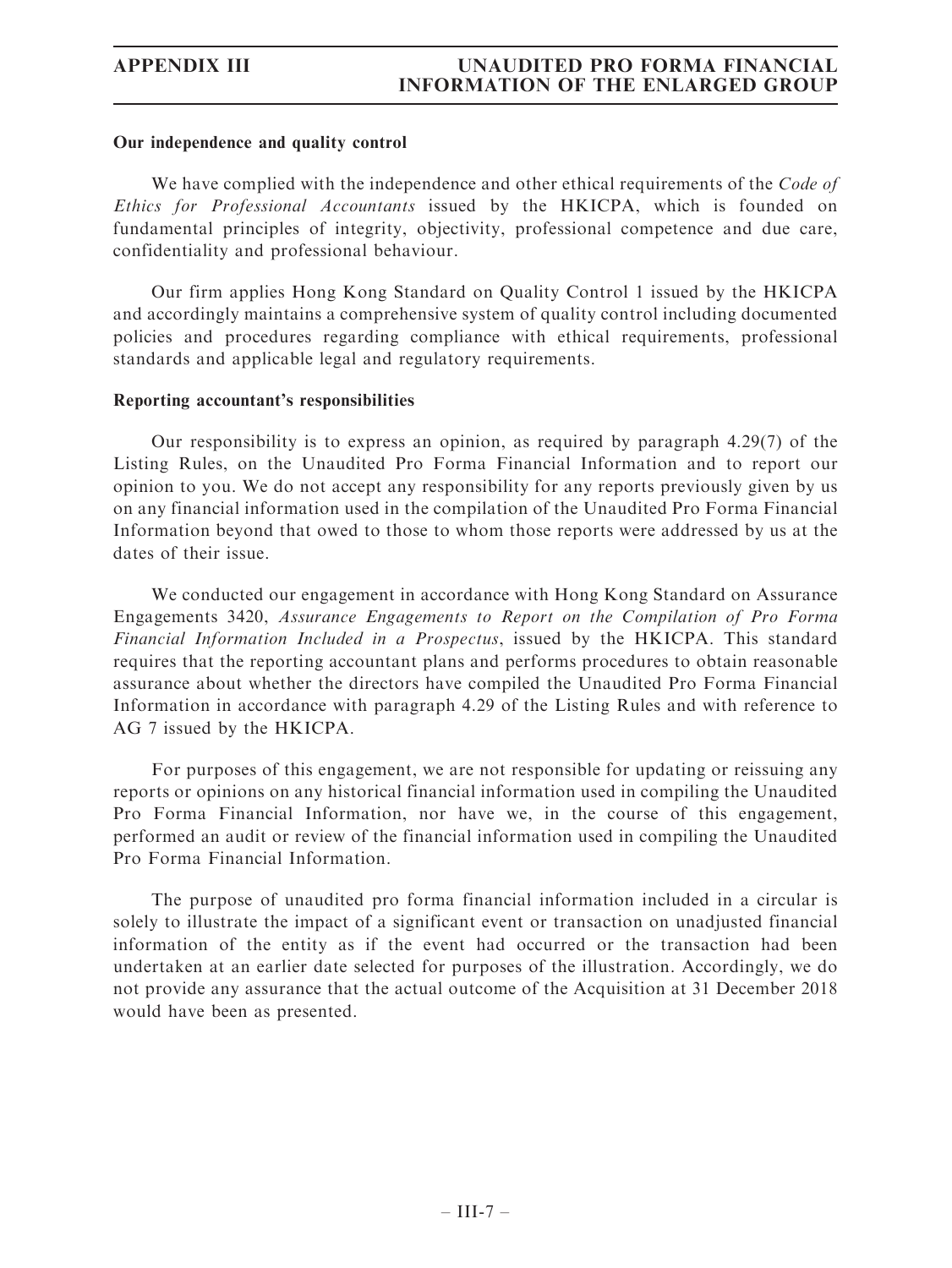## Our independence and quality control

We have complied with the independence and other ethical requirements of the *Code of* Ethics for Professional Accountants issued by the HKICPA, which is founded on fundamental principles of integrity, objectivity, professional competence and due care, confidentiality and professional behaviour.

Our firm applies Hong Kong Standard on Quality Control 1 issued by the HKICPA and accordingly maintains a comprehensive system of quality control including documented policies and procedures regarding compliance with ethical requirements, professional standards and applicable legal and regulatory requirements.

## Reporting accountant's responsibilities

Our responsibility is to express an opinion, as required by paragraph 4.29(7) of the Listing Rules, on the Unaudited Pro Forma Financial Information and to report our opinion to you. We do not accept any responsibility for any reports previously given by us on any financial information used in the compilation of the Unaudited Pro Forma Financial Information beyond that owed to those to whom those reports were addressed by us at the dates of their issue.

We conducted our engagement in accordance with Hong Kong Standard on Assurance Engagements 3420, Assurance Engagements to Report on the Compilation of Pro Forma Financial Information Included in a Prospectus, issued by the HKICPA. This standard requires that the reporting accountant plans and performs procedures to obtain reasonable assurance about whether the directors have compiled the Unaudited Pro Forma Financial Information in accordance with paragraph 4.29 of the Listing Rules and with reference to AG 7 issued by the HKICPA.

For purposes of this engagement, we are not responsible for updating or reissuing any reports or opinions on any historical financial information used in compiling the Unaudited Pro Forma Financial Information, nor have we, in the course of this engagement, performed an audit or review of the financial information used in compiling the Unaudited Pro Forma Financial Information.

The purpose of unaudited pro forma financial information included in a circular is solely to illustrate the impact of a significant event or transaction on unadjusted financial information of the entity as if the event had occurred or the transaction had been undertaken at an earlier date selected for purposes of the illustration. Accordingly, we do not provide any assurance that the actual outcome of the Acquisition at 31 December 2018 would have been as presented.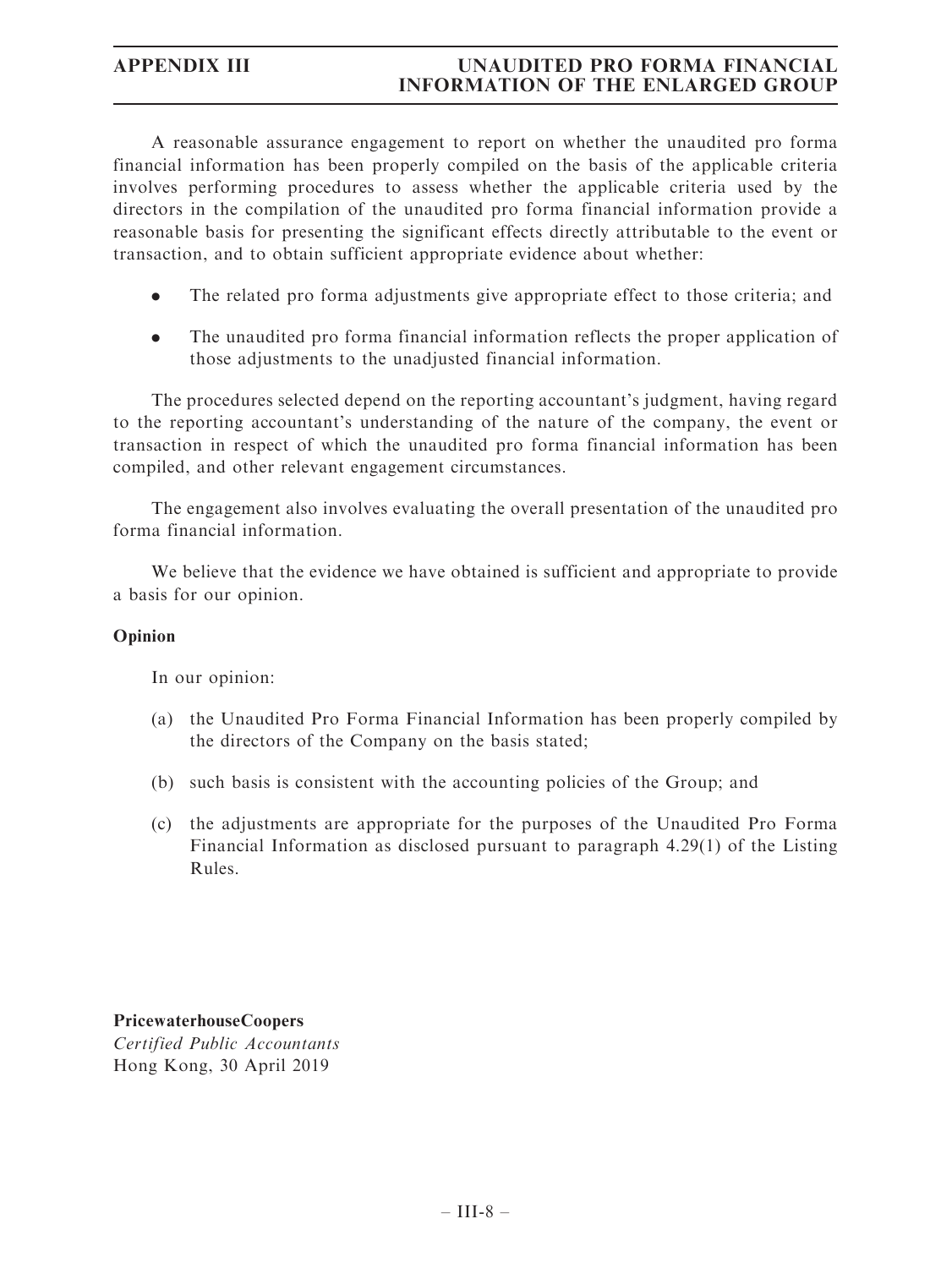A reasonable assurance engagement to report on whether the unaudited pro forma financial information has been properly compiled on the basis of the applicable criteria involves performing procedures to assess whether the applicable criteria used by the directors in the compilation of the unaudited pro forma financial information provide a reasonable basis for presenting the significant effects directly attributable to the event or transaction, and to obtain sufficient appropriate evidence about whether:

- . The related pro forma adjustments give appropriate effect to those criteria; and
- . The unaudited pro forma financial information reflects the proper application of those adjustments to the unadjusted financial information.

The procedures selected depend on the reporting accountant's judgment, having regard to the reporting accountant's understanding of the nature of the company, the event or transaction in respect of which the unaudited pro forma financial information has been compiled, and other relevant engagement circumstances.

The engagement also involves evaluating the overall presentation of the unaudited pro forma financial information.

We believe that the evidence we have obtained is sufficient and appropriate to provide a basis for our opinion.

## Opinion

In our opinion:

- (a) the Unaudited Pro Forma Financial Information has been properly compiled by the directors of the Company on the basis stated;
- (b) such basis is consistent with the accounting policies of the Group; and
- (c) the adjustments are appropriate for the purposes of the Unaudited Pro Forma Financial Information as disclosed pursuant to paragraph 4.29(1) of the Listing Rules.

PricewaterhouseCoopers Certified Public Accountants Hong Kong, 30 April 2019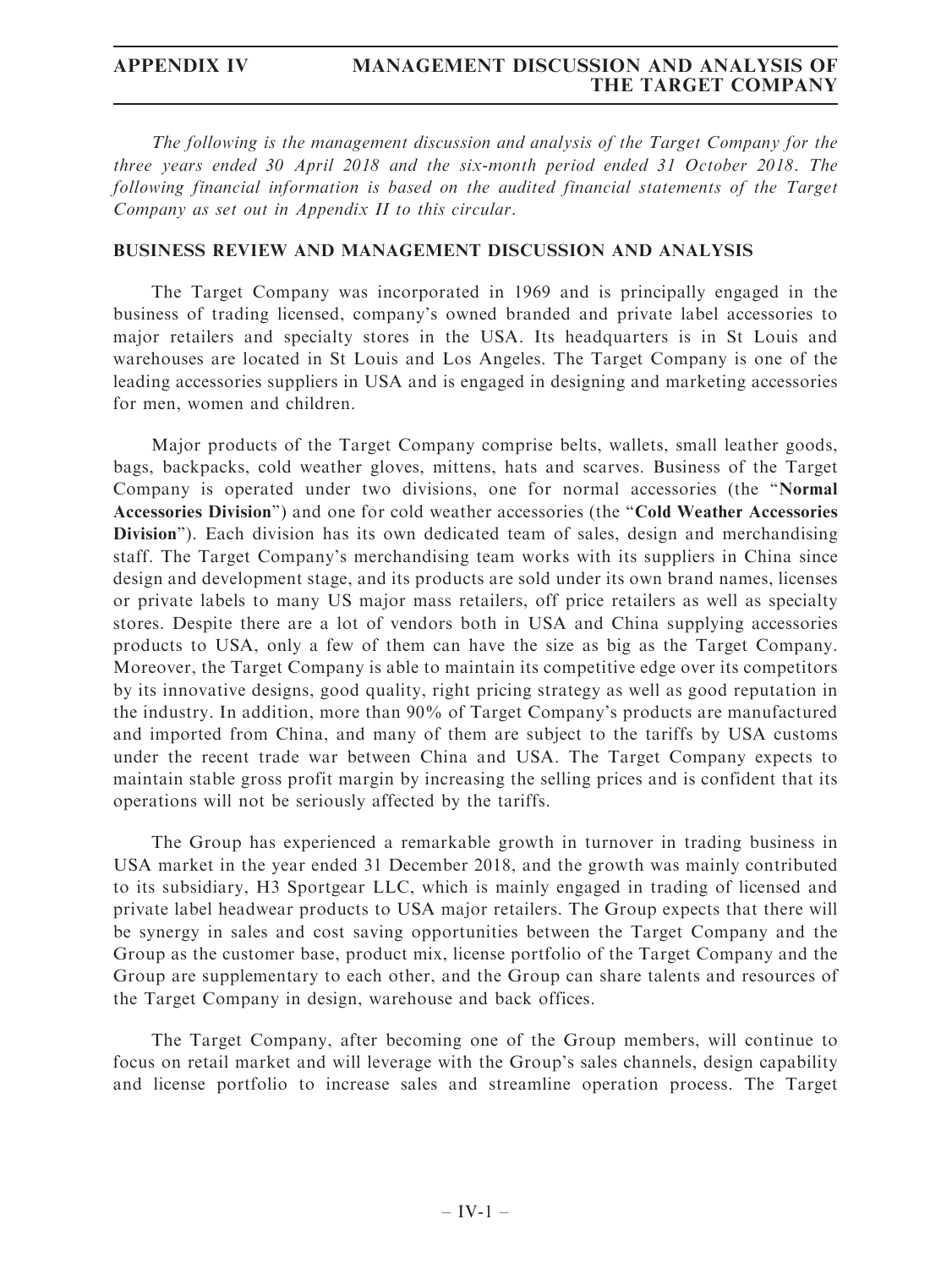The following is the management discussion and analysis of the Target Company for the three years ended 30 April 2018 and the six-month period ended 31 October 2018. The following financial information is based on the audited financial statements of the Target Company as set out in Appendix II to this circular.

## BUSINESS REVIEW AND MANAGEMENT DISCUSSION AND ANALYSIS

The Target Company was incorporated in 1969 and is principally engaged in the business of trading licensed, company's owned branded and private label accessories to major retailers and specialty stores in the USA. Its headquarters is in St Louis and warehouses are located in St Louis and Los Angeles. The Target Company is one of the leading accessories suppliers in USA and is engaged in designing and marketing accessories for men, women and children.

Major products of the Target Company comprise belts, wallets, small leather goods, bags, backpacks, cold weather gloves, mittens, hats and scarves. Business of the Target Company is operated under two divisions, one for normal accessories (the ''Normal Accessories Division'') and one for cold weather accessories (the ''Cold Weather Accessories Division"). Each division has its own dedicated team of sales, design and merchandising staff. The Target Company's merchandising team works with its suppliers in China since design and development stage, and its products are sold under its own brand names, licenses or private labels to many US major mass retailers, off price retailers as well as specialty stores. Despite there are a lot of vendors both in USA and China supplying accessories products to USA, only a few of them can have the size as big as the Target Company. Moreover, the Target Company is able to maintain its competitive edge over its competitors by its innovative designs, good quality, right pricing strategy as well as good reputation in the industry. In addition, more than 90% of Target Company's products are manufactured and imported from China, and many of them are subject to the tariffs by USA customs under the recent trade war between China and USA. The Target Company expects to maintain stable gross profit margin by increasing the selling prices and is confident that its operations will not be seriously affected by the tariffs.

The Group has experienced a remarkable growth in turnover in trading business in USA market in the year ended 31 December 2018, and the growth was mainly contributed to its subsidiary, H3 Sportgear LLC, which is mainly engaged in trading of licensed and private label headwear products to USA major retailers. The Group expects that there will be synergy in sales and cost saving opportunities between the Target Company and the Group as the customer base, product mix, license portfolio of the Target Company and the Group are supplementary to each other, and the Group can share talents and resources of the Target Company in design, warehouse and back offices.

The Target Company, after becoming one of the Group members, will continue to focus on retail market and will leverage with the Group's sales channels, design capability and license portfolio to increase sales and streamline operation process. The Target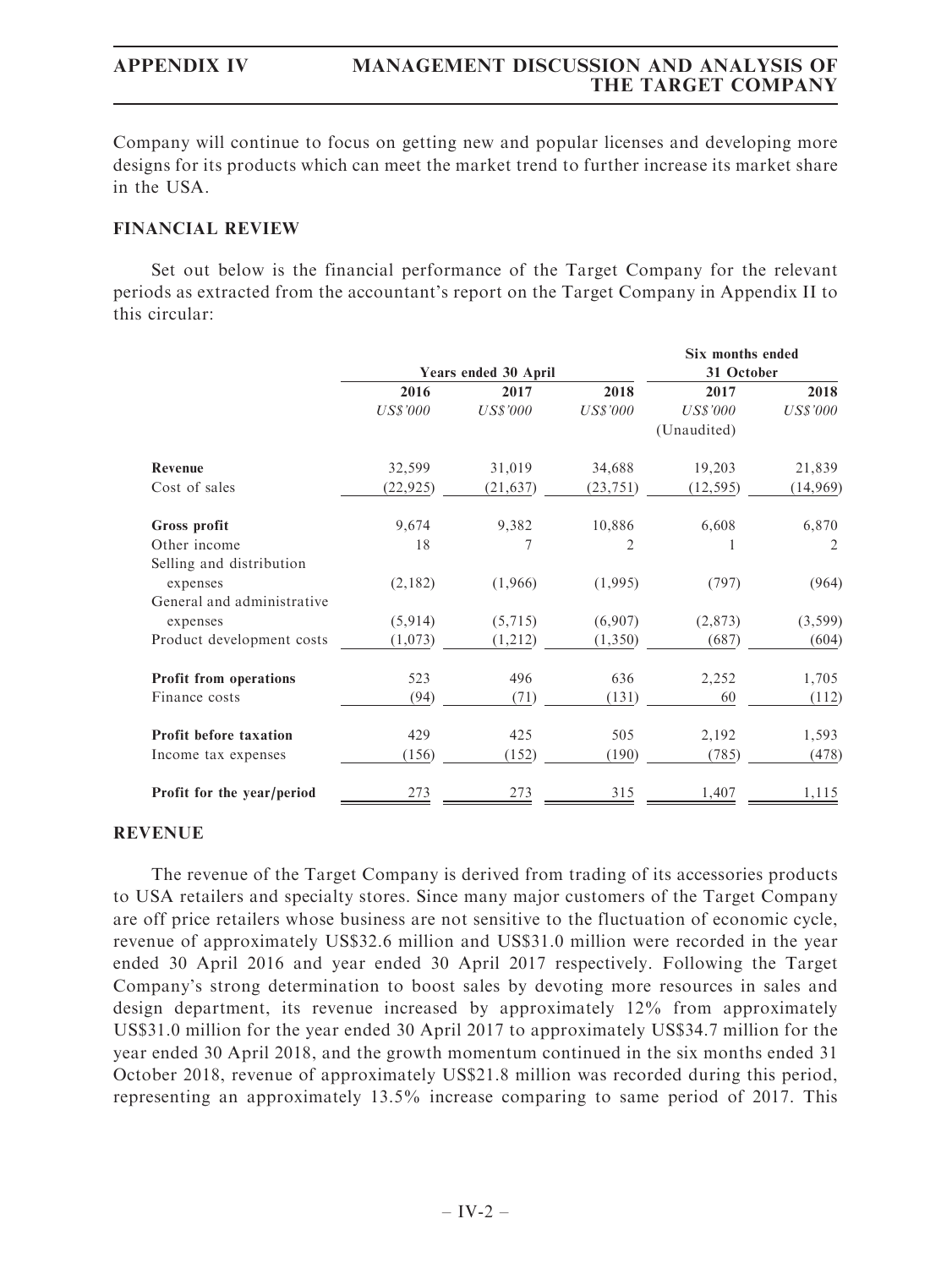Company will continue to focus on getting new and popular licenses and developing more designs for its products which can meet the market trend to further increase its market share in the USA.

## FINANCIAL REVIEW

Set out below is the financial performance of the Target Company for the relevant periods as extracted from the accountant's report on the Target Company in Appendix II to this circular:

|                            |                      |                 |                 | Six months ended |             |
|----------------------------|----------------------|-----------------|-----------------|------------------|-------------|
|                            | Years ended 30 April |                 |                 | 31 October       |             |
|                            | 2016                 | 2017            | 2018            | 2017             | 2018        |
|                            | US\$'000             | <b>US\$'000</b> | <b>US\$'000</b> | US\$'000         | $U S\$ '000 |
|                            |                      |                 |                 | (Unaudited)      |             |
| Revenue                    | 32,599               | 31,019          | 34,688          | 19,203           | 21,839      |
| Cost of sales              | (22, 925)            | (21, 637)       | (23, 751)       | (12, 595)        | (14, 969)   |
| <b>Gross profit</b>        | 9,674                | 9,382           | 10,886          | 6,608            | 6,870       |
| Other income               | 18                   | 7               | 2               |                  | 2           |
| Selling and distribution   |                      |                 |                 |                  |             |
| expenses                   | (2,182)              | (1,966)         | (1,995)         | (797)            | (964)       |
| General and administrative |                      |                 |                 |                  |             |
| expenses                   | (5,914)              | (5,715)         | (6,907)         | (2,873)          | (3, 599)    |
| Product development costs  | (1,073)              | (1,212)         | (1,350)         | (687)            | (604)       |
| Profit from operations     | 523                  | 496             | 636             | 2,252            | 1,705       |
| Finance costs              | (94)                 | (71)            | (131)           | 60               | (112)       |
| Profit before taxation     | 429                  | 425             | 505             | 2,192            | 1,593       |
| Income tax expenses        | (156)                | (152)           | (190)           | (785)            | (478)       |
| Profit for the year/period | 273                  | 273             | 315             | 1,407            | 1,115       |

## REVENUE

The revenue of the Target Company is derived from trading of its accessories products to USA retailers and specialty stores. Since many major customers of the Target Company are off price retailers whose business are not sensitive to the fluctuation of economic cycle, revenue of approximately US\$32.6 million and US\$31.0 million were recorded in the year ended 30 April 2016 and year ended 30 April 2017 respectively. Following the Target Company's strong determination to boost sales by devoting more resources in sales and design department, its revenue increased by approximately 12% from approximately US\$31.0 million for the year ended 30 April 2017 to approximately US\$34.7 million for the year ended 30 April 2018, and the growth momentum continued in the six months ended 31 October 2018, revenue of approximately US\$21.8 million was recorded during this period, representing an approximately 13.5% increase comparing to same period of 2017. This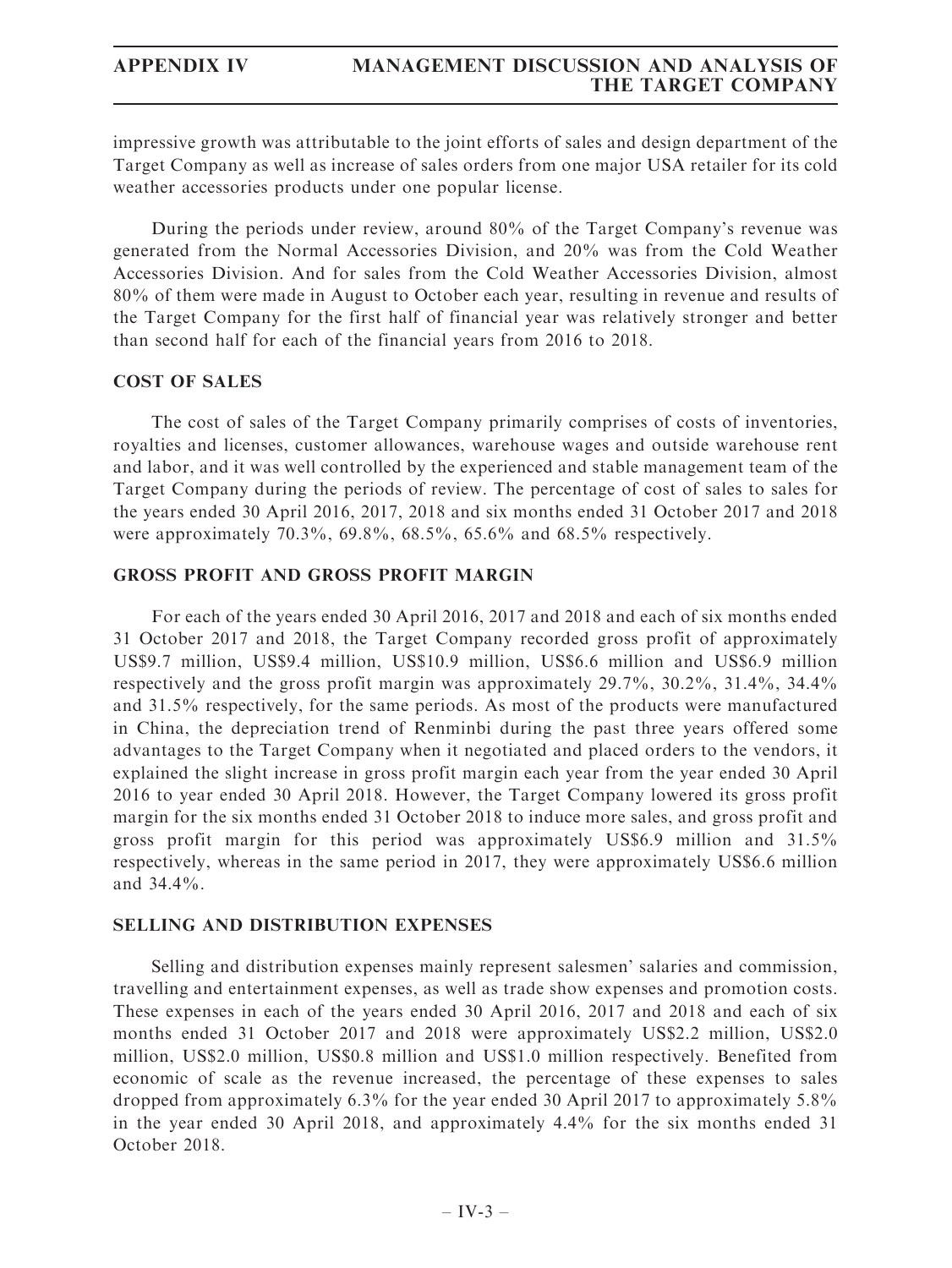impressive growth was attributable to the joint efforts of sales and design department of the Target Company as well as increase of sales orders from one major USA retailer for its cold weather accessories products under one popular license.

During the periods under review, around 80% of the Target Company's revenue was generated from the Normal Accessories Division, and 20% was from the Cold Weather Accessories Division. And for sales from the Cold Weather Accessories Division, almost 80% of them were made in August to October each year, resulting in revenue and results of the Target Company for the first half of financial year was relatively stronger and better than second half for each of the financial years from 2016 to 2018.

## COST OF SALES

The cost of sales of the Target Company primarily comprises of costs of inventories, royalties and licenses, customer allowances, warehouse wages and outside warehouse rent and labor, and it was well controlled by the experienced and stable management team of the Target Company during the periods of review. The percentage of cost of sales to sales for the years ended 30 April 2016, 2017, 2018 and six months ended 31 October 2017 and 2018 were approximately 70.3%, 69.8%, 68.5%, 65.6% and 68.5% respectively.

## GROSS PROFIT AND GROSS PROFIT MARGIN

For each of the years ended 30 April 2016, 2017 and 2018 and each of six months ended 31 October 2017 and 2018, the Target Company recorded gross profit of approximately US\$9.7 million, US\$9.4 million, US\$10.9 million, US\$6.6 million and US\$6.9 million respectively and the gross profit margin was approximately 29.7%, 30.2%, 31.4%, 34.4% and 31.5% respectively, for the same periods. As most of the products were manufactured in China, the depreciation trend of Renminbi during the past three years offered some advantages to the Target Company when it negotiated and placed orders to the vendors, it explained the slight increase in gross profit margin each year from the year ended 30 April 2016 to year ended 30 April 2018. However, the Target Company lowered its gross profit margin for the six months ended 31 October 2018 to induce more sales, and gross profit and gross profit margin for this period was approximately US\$6.9 million and 31.5% respectively, whereas in the same period in 2017, they were approximately US\$6.6 million and 34.4%.

## SELLING AND DISTRIBUTION EXPENSES

Selling and distribution expenses mainly represent salesmen' salaries and commission, travelling and entertainment expenses, as well as trade show expenses and promotion costs. These expenses in each of the years ended 30 April 2016, 2017 and 2018 and each of six months ended 31 October 2017 and 2018 were approximately US\$2.2 million, US\$2.0 million, US\$2.0 million, US\$0.8 million and US\$1.0 million respectively. Benefited from economic of scale as the revenue increased, the percentage of these expenses to sales dropped from approximately 6.3% for the year ended 30 April 2017 to approximately 5.8% in the year ended 30 April 2018, and approximately 4.4% for the six months ended 31 October 2018.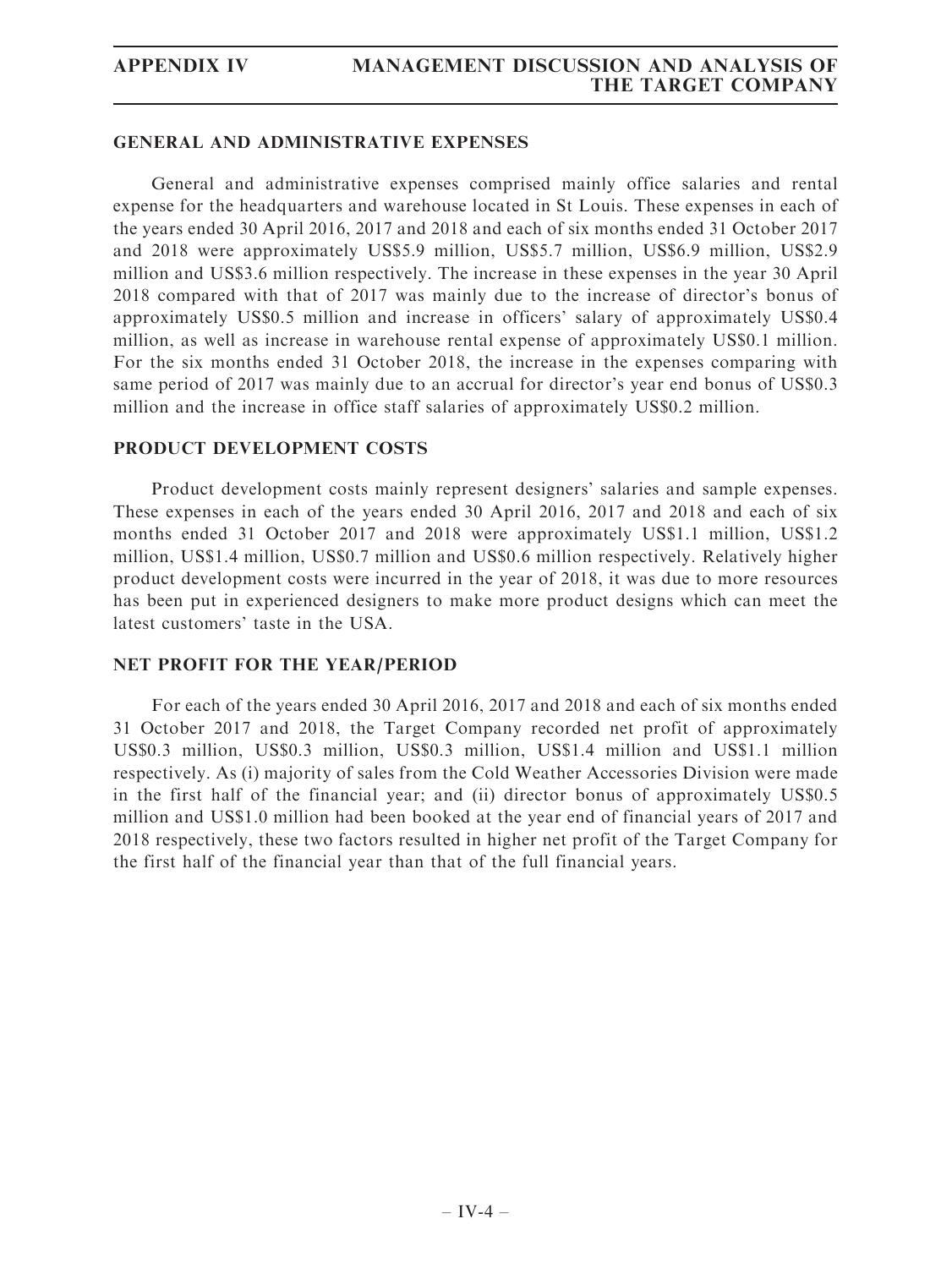## GENERAL AND ADMINISTRATIVE EXPENSES

General and administrative expenses comprised mainly office salaries and rental expense for the headquarters and warehouse located in St Louis. These expenses in each of the years ended 30 April 2016, 2017 and 2018 and each of six months ended 31 October 2017 and 2018 were approximately US\$5.9 million, US\$5.7 million, US\$6.9 million, US\$2.9 million and US\$3.6 million respectively. The increase in these expenses in the year 30 April 2018 compared with that of 2017 was mainly due to the increase of director's bonus of approximately US\$0.5 million and increase in officers' salary of approximately US\$0.4 million, as well as increase in warehouse rental expense of approximately US\$0.1 million. For the six months ended 31 October 2018, the increase in the expenses comparing with same period of 2017 was mainly due to an accrual for director's year end bonus of US\$0.3 million and the increase in office staff salaries of approximately US\$0.2 million.

## PRODUCT DEVELOPMENT COSTS

Product development costs mainly represent designers' salaries and sample expenses. These expenses in each of the years ended 30 April 2016, 2017 and 2018 and each of six months ended 31 October 2017 and 2018 were approximately US\$1.1 million, US\$1.2 million, US\$1.4 million, US\$0.7 million and US\$0.6 million respectively. Relatively higher product development costs were incurred in the year of 2018, it was due to more resources has been put in experienced designers to make more product designs which can meet the latest customers' taste in the USA.

## NET PROFIT FOR THE YEAR/PERIOD

For each of the years ended 30 April 2016, 2017 and 2018 and each of six months ended 31 October 2017 and 2018, the Target Company recorded net profit of approximately US\$0.3 million, US\$0.3 million, US\$0.3 million, US\$1.4 million and US\$1.1 million respectively. As (i) majority of sales from the Cold Weather Accessories Division were made in the first half of the financial year; and (ii) director bonus of approximately US\$0.5 million and US\$1.0 million had been booked at the year end of financial years of 2017 and 2018 respectively, these two factors resulted in higher net profit of the Target Company for the first half of the financial year than that of the full financial years.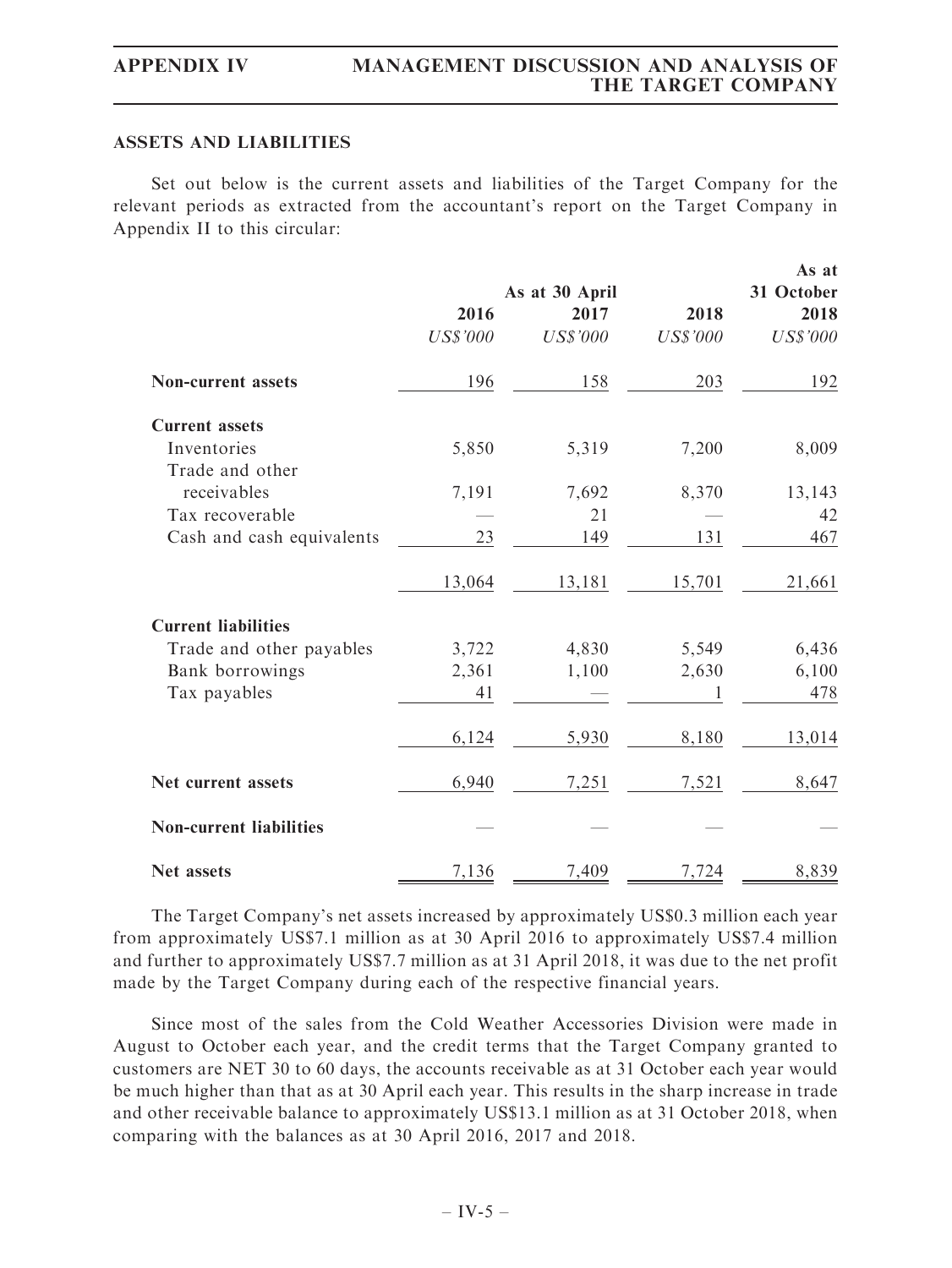## ASSETS AND LIABILITIES

Set out below is the current assets and liabilities of the Target Company for the relevant periods as extracted from the accountant's report on the Target Company in Appendix II to this circular:

|                                |                 |                 |                 | As at           |
|--------------------------------|-----------------|-----------------|-----------------|-----------------|
|                                | As at 30 April  |                 |                 | 31 October      |
|                                | 2016            | 2017            | 2018            | 2018            |
|                                | <b>US\$'000</b> | <b>US\$'000</b> | <b>US\$'000</b> | <b>US\$'000</b> |
| <b>Non-current assets</b>      | 196             | 158             | 203             | 192             |
| <b>Current assets</b>          |                 |                 |                 |                 |
| Inventories                    | 5,850           | 5,319           | 7,200           | 8,009           |
| Trade and other                |                 |                 |                 |                 |
| receivables                    | 7,191           | 7,692           | 8,370           | 13,143          |
| Tax recoverable                |                 | 21              |                 | 42              |
| Cash and cash equivalents      | 23              | 149             | 131             | 467             |
|                                | 13,064          | 13,181          | 15,701          | 21,661          |
| <b>Current liabilities</b>     |                 |                 |                 |                 |
| Trade and other payables       | 3,722           | 4,830           | 5,549           | 6,436           |
| Bank borrowings                | 2,361           | 1,100           | 2,630           | 6,100           |
| Tax payables                   | 41              |                 | 1               | 478             |
|                                | 6,124           | 5,930           | 8,180           | 13,014          |
| Net current assets             | 6,940           | 7,251           | 7,521           | 8,647           |
| <b>Non-current liabilities</b> |                 |                 |                 |                 |
| Net assets                     | 7,136           | 7,409           | 7,724           | 8,839           |

The Target Company's net assets increased by approximately US\$0.3 million each year from approximately US\$7.1 million as at 30 April 2016 to approximately US\$7.4 million and further to approximately US\$7.7 million as at 31 April 2018, it was due to the net profit made by the Target Company during each of the respective financial years.

Since most of the sales from the Cold Weather Accessories Division were made in August to October each year, and the credit terms that the Target Company granted to customers are NET 30 to 60 days, the accounts receivable as at 31 October each year would be much higher than that as at 30 April each year. This results in the sharp increase in trade and other receivable balance to approximately US\$13.1 million as at 31 October 2018, when comparing with the balances as at 30 April 2016, 2017 and 2018.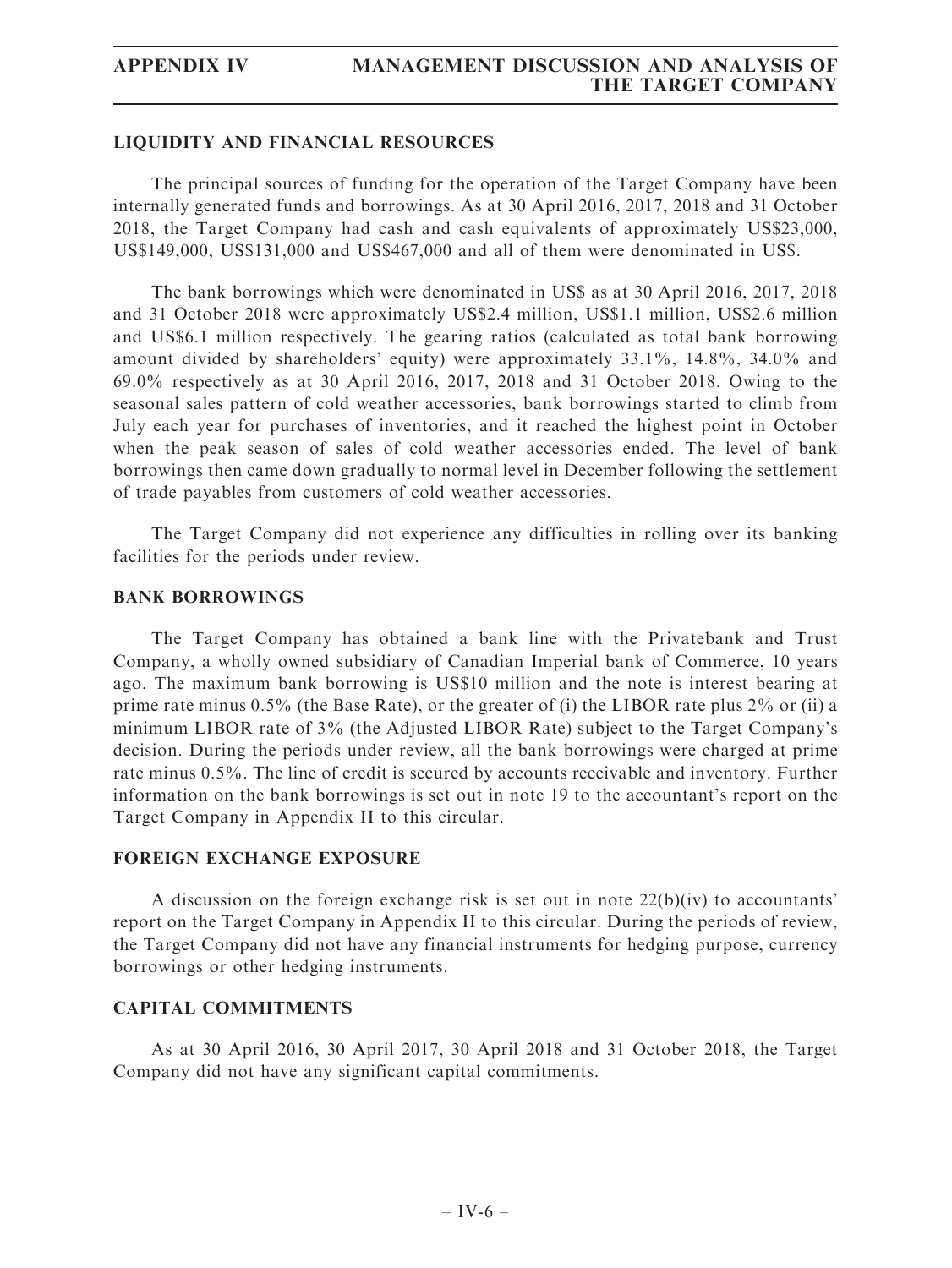## LIQUIDITY AND FINANCIAL RESOURCES

The principal sources of funding for the operation of the Target Company have been internally generated funds and borrowings. As at 30 April 2016, 2017, 2018 and 31 October 2018, the Target Company had cash and cash equivalents of approximately US\$23,000, US\$149,000, US\$131,000 and US\$467,000 and all of them were denominated in US\$.

The bank borrowings which were denominated in US\$ as at 30 April 2016, 2017, 2018 and 31 October 2018 were approximately US\$2.4 million, US\$1.1 million, US\$2.6 million and US\$6.1 million respectively. The gearing ratios (calculated as total bank borrowing amount divided by shareholders' equity) were approximately 33.1%, 14.8%, 34.0% and 69.0% respectively as at 30 April 2016, 2017, 2018 and 31 October 2018. Owing to the seasonal sales pattern of cold weather accessories, bank borrowings started to climb from July each year for purchases of inventories, and it reached the highest point in October when the peak season of sales of cold weather accessories ended. The level of bank borrowings then came down gradually to normal level in December following the settlement of trade payables from customers of cold weather accessories.

The Target Company did not experience any difficulties in rolling over its banking facilities for the periods under review.

### BANK BORROWINGS

The Target Company has obtained a bank line with the Privatebank and Trust Company, a wholly owned subsidiary of Canadian Imperial bank of Commerce, 10 years ago. The maximum bank borrowing is US\$10 million and the note is interest bearing at prime rate minus 0.5% (the Base Rate), or the greater of (i) the LIBOR rate plus 2% or (ii) a minimum LIBOR rate of 3% (the Adjusted LIBOR Rate) subject to the Target Company's decision. During the periods under review, all the bank borrowings were charged at prime rate minus 0.5%. The line of credit is secured by accounts receivable and inventory. Further information on the bank borrowings is set out in note 19 to the accountant's report on the Target Company in Appendix II to this circular.

## FOREIGN EXCHANGE EXPOSURE

A discussion on the foreign exchange risk is set out in note  $22(b)(iv)$  to accountants' report on the Target Company in Appendix II to this circular. During the periods of review, the Target Company did not have any financial instruments for hedging purpose, currency borrowings or other hedging instruments.

### CAPITAL COMMITMENTS

As at 30 April 2016, 30 April 2017, 30 April 2018 and 31 October 2018, the Target Company did not have any significant capital commitments.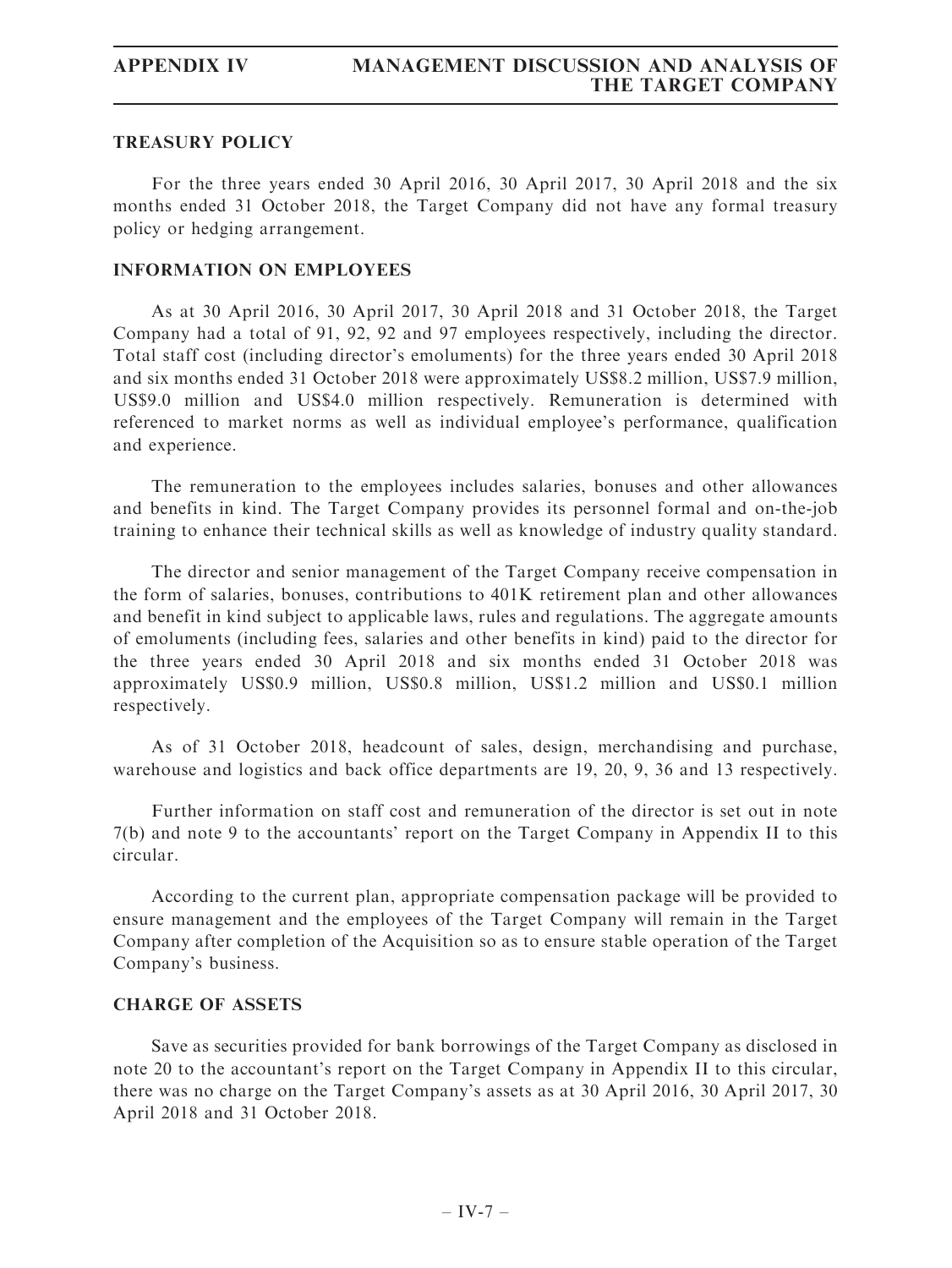# TREASURY POLICY

For the three years ended 30 April 2016, 30 April 2017, 30 April 2018 and the six months ended 31 October 2018, the Target Company did not have any formal treasury policy or hedging arrangement.

# INFORMATION ON EMPLOYEES

As at 30 April 2016, 30 April 2017, 30 April 2018 and 31 October 2018, the Target Company had a total of 91, 92, 92 and 97 employees respectively, including the director. Total staff cost (including director's emoluments) for the three years ended 30 April 2018 and six months ended 31 October 2018 were approximately US\$8.2 million, US\$7.9 million, US\$9.0 million and US\$4.0 million respectively. Remuneration is determined with referenced to market norms as well as individual employee's performance, qualification and experience.

The remuneration to the employees includes salaries, bonuses and other allowances and benefits in kind. The Target Company provides its personnel formal and on-the-job training to enhance their technical skills as well as knowledge of industry quality standard.

The director and senior management of the Target Company receive compensation in the form of salaries, bonuses, contributions to 401K retirement plan and other allowances and benefit in kind subject to applicable laws, rules and regulations. The aggregate amounts of emoluments (including fees, salaries and other benefits in kind) paid to the director for the three years ended 30 April 2018 and six months ended 31 October 2018 was approximately US\$0.9 million, US\$0.8 million, US\$1.2 million and US\$0.1 million respectively.

As of 31 October 2018, headcount of sales, design, merchandising and purchase, warehouse and logistics and back office departments are 19, 20, 9, 36 and 13 respectively.

Further information on staff cost and remuneration of the director is set out in note 7(b) and note 9 to the accountants' report on the Target Company in Appendix II to this circular.

According to the current plan, appropriate compensation package will be provided to ensure management and the employees of the Target Company will remain in the Target Company after completion of the Acquisition so as to ensure stable operation of the Target Company's business.

## CHARGE OF ASSETS

Save as securities provided for bank borrowings of the Target Company as disclosed in note 20 to the accountant's report on the Target Company in Appendix II to this circular, there was no charge on the Target Company's assets as at 30 April 2016, 30 April 2017, 30 April 2018 and 31 October 2018.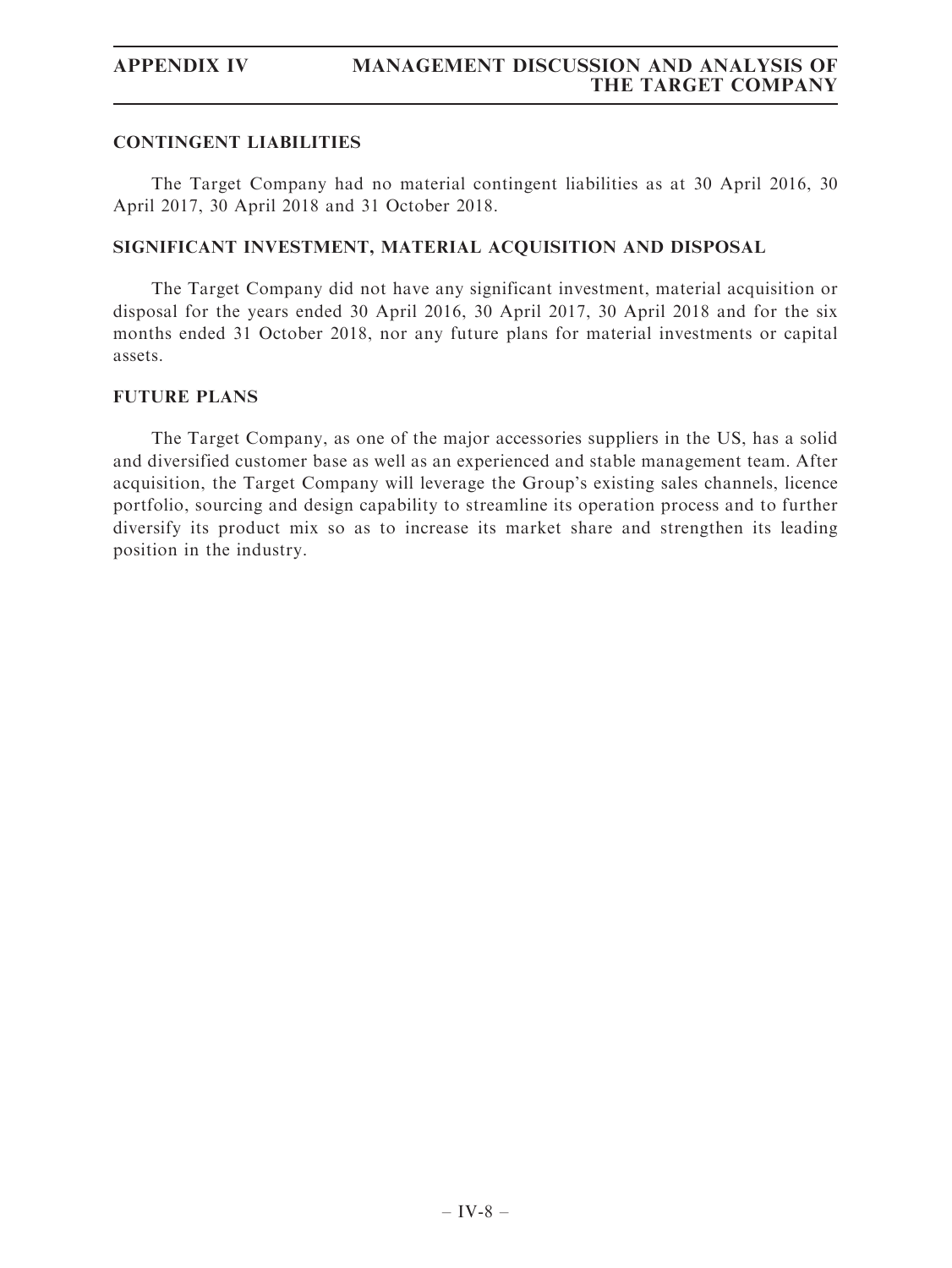# CONTINGENT LIABILITIES

The Target Company had no material contingent liabilities as at 30 April 2016, 30 April 2017, 30 April 2018 and 31 October 2018.

# SIGNIFICANT INVESTMENT, MATERIAL ACQUISITION AND DISPOSAL

The Target Company did not have any significant investment, material acquisition or disposal for the years ended 30 April 2016, 30 April 2017, 30 April 2018 and for the six months ended 31 October 2018, nor any future plans for material investments or capital assets.

## FUTURE PLANS

The Target Company, as one of the major accessories suppliers in the US, has a solid and diversified customer base as well as an experienced and stable management team. After acquisition, the Target Company will leverage the Group's existing sales channels, licence portfolio, sourcing and design capability to streamline its operation process and to further diversify its product mix so as to increase its market share and strengthen its leading position in the industry.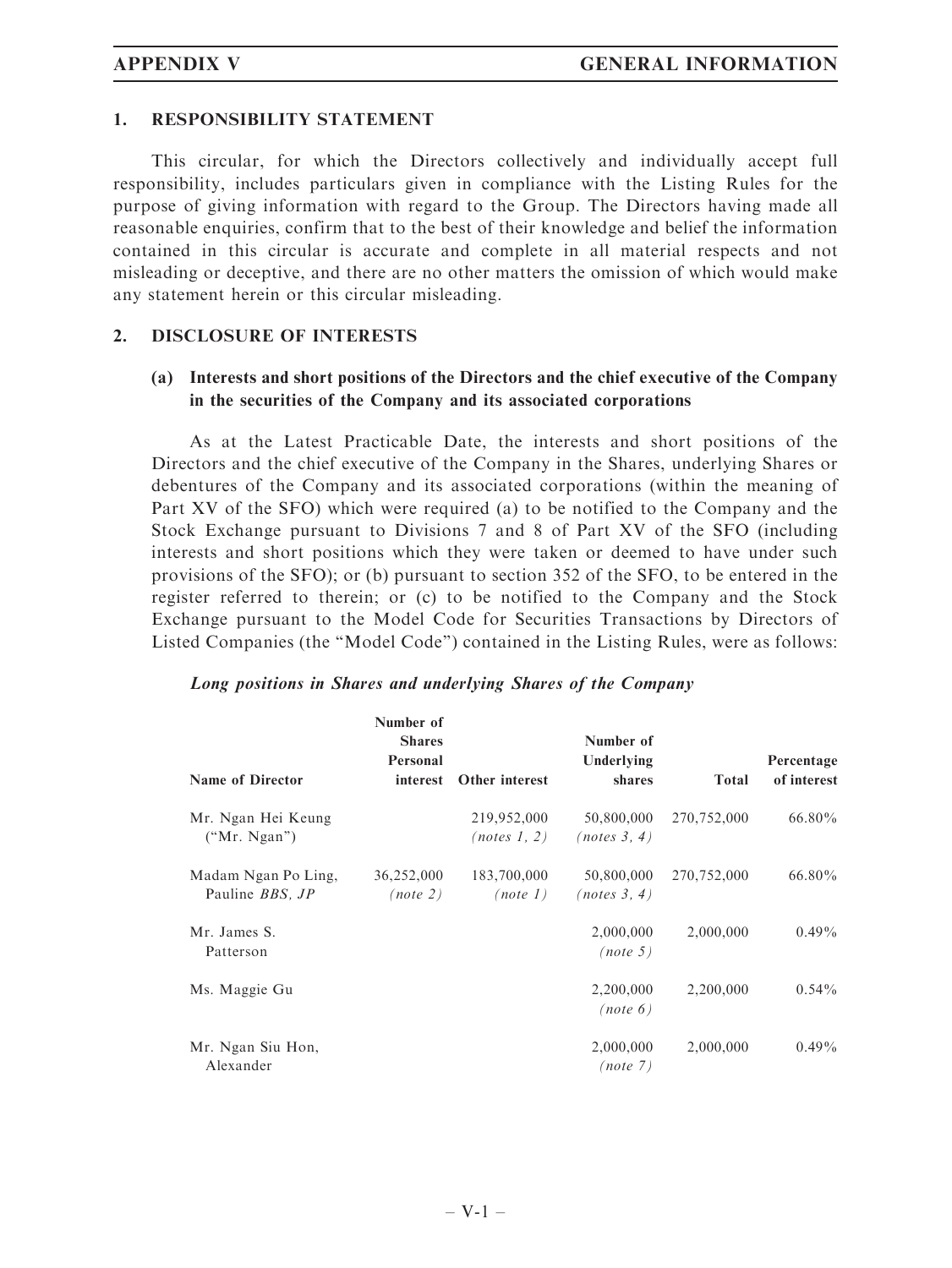### 1. RESPONSIBILITY STATEMENT

This circular, for which the Directors collectively and individually accept full responsibility, includes particulars given in compliance with the Listing Rules for the purpose of giving information with regard to the Group. The Directors having made all reasonable enquiries, confirm that to the best of their knowledge and belief the information contained in this circular is accurate and complete in all material respects and not misleading or deceptive, and there are no other matters the omission of which would make any statement herein or this circular misleading.

### 2. DISCLOSURE OF INTERESTS

# (a) Interests and short positions of the Directors and the chief executive of the Company in the securities of the Company and its associated corporations

As at the Latest Practicable Date, the interests and short positions of the Directors and the chief executive of the Company in the Shares, underlying Shares or debentures of the Company and its associated corporations (within the meaning of Part XV of the SFO) which were required (a) to be notified to the Company and the Stock Exchange pursuant to Divisions 7 and 8 of Part XV of the SFO (including interests and short positions which they were taken or deemed to have under such provisions of the SFO); or (b) pursuant to section 352 of the SFO, to be entered in the register referred to therein; or (c) to be notified to the Company and the Stock Exchange pursuant to the Model Code for Securities Transactions by Directors of Listed Companies (the ''Model Code'') contained in the Listing Rules, were as follows:

| <b>Name of Director</b>                               | Number of<br><b>Shares</b><br>Personal<br>interest | Other interest              | Number of<br>Underlying<br>shares | <b>Total</b> | Percentage<br>of interest |
|-------------------------------------------------------|----------------------------------------------------|-----------------------------|-----------------------------------|--------------|---------------------------|
| Mr. Ngan Hei Keung<br>("Mr. Ngan")                    |                                                    | 219,952,000<br>(notes 1, 2) | 50,800,000<br>(notes 3, 4)        | 270,752,000  | $66.80\%$                 |
| Madam Ngan Po Ling,<br>Pauline <i>BBS</i> , <i>JP</i> | 36,252,000<br>(note 2)                             | 183,700,000<br>(note 1)     | 50,800,000<br>(notes 3, 4)        | 270,752,000  | $66.80\%$                 |
| Mr. James S.<br>Patterson                             |                                                    |                             | 2,000,000<br>(note 5)             | 2,000,000    | $0.49\%$                  |
| Ms. Maggie Gu                                         |                                                    |                             | 2,200,000<br>(note 6)             | 2,200,000    | $0.54\%$                  |
| Mr. Ngan Siu Hon,<br>Alexander                        |                                                    |                             | 2,000,000<br>(note 7)             | 2,000,000    | $0.49\%$                  |

### Long positions in Shares and underlying Shares of the Company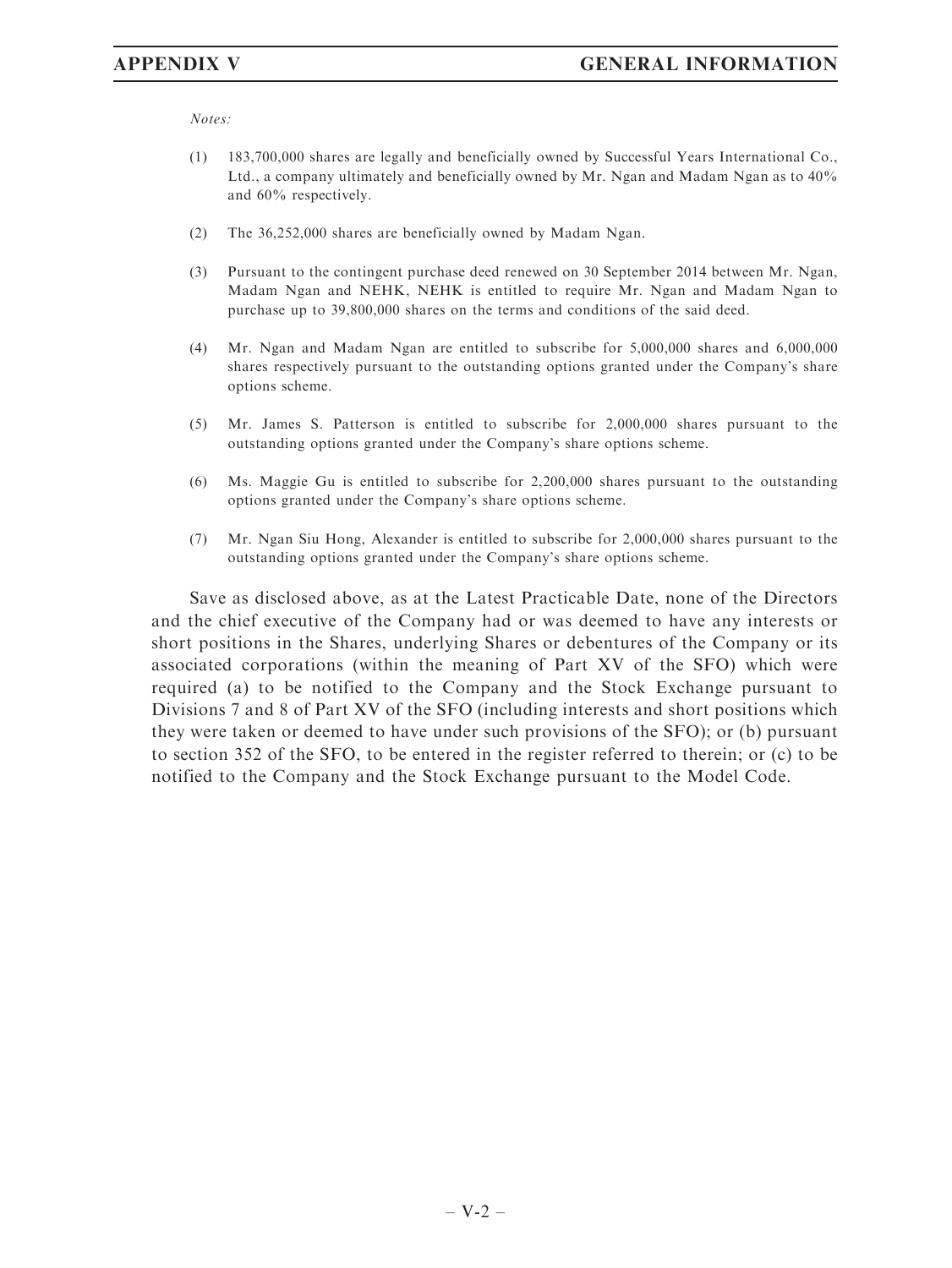Notes:

- (1) 183,700,000 shares are legally and beneficially owned by Successful Years International Co., Ltd., a company ultimately and beneficially owned by Mr. Ngan and Madam Ngan as to 40% and 60% respectively.
- (2) The 36,252,000 shares are beneficially owned by Madam Ngan.
- (3) Pursuant to the contingent purchase deed renewed on 30 September 2014 between Mr. Ngan, Madam Ngan and NEHK, NEHK is entitled to require Mr. Ngan and Madam Ngan to purchase up to 39,800,000 shares on the terms and conditions of the said deed.
- (4) Mr. Ngan and Madam Ngan are entitled to subscribe for 5,000,000 shares and 6,000,000 shares respectively pursuant to the outstanding options granted under the Company's share options scheme.
- (5) Mr. James S. Patterson is entitled to subscribe for 2,000,000 shares pursuant to the outstanding options granted under the Company's share options scheme.
- (6) Ms. Maggie Gu is entitled to subscribe for 2,200,000 shares pursuant to the outstanding options granted under the Company's share options scheme.
- (7) Mr. Ngan Siu Hong, Alexander is entitled to subscribe for 2,000,000 shares pursuant to the outstanding options granted under the Company's share options scheme.

Save as disclosed above, as at the Latest Practicable Date, none of the Directors and the chief executive of the Company had or was deemed to have any interests or short positions in the Shares, underlying Shares or debentures of the Company or its associated corporations (within the meaning of Part XV of the SFO) which were required (a) to be notified to the Company and the Stock Exchange pursuant to Divisions 7 and 8 of Part XV of the SFO (including interests and short positions which they were taken or deemed to have under such provisions of the SFO); or (b) pursuant to section 352 of the SFO, to be entered in the register referred to therein; or (c) to be notified to the Company and the Stock Exchange pursuant to the Model Code.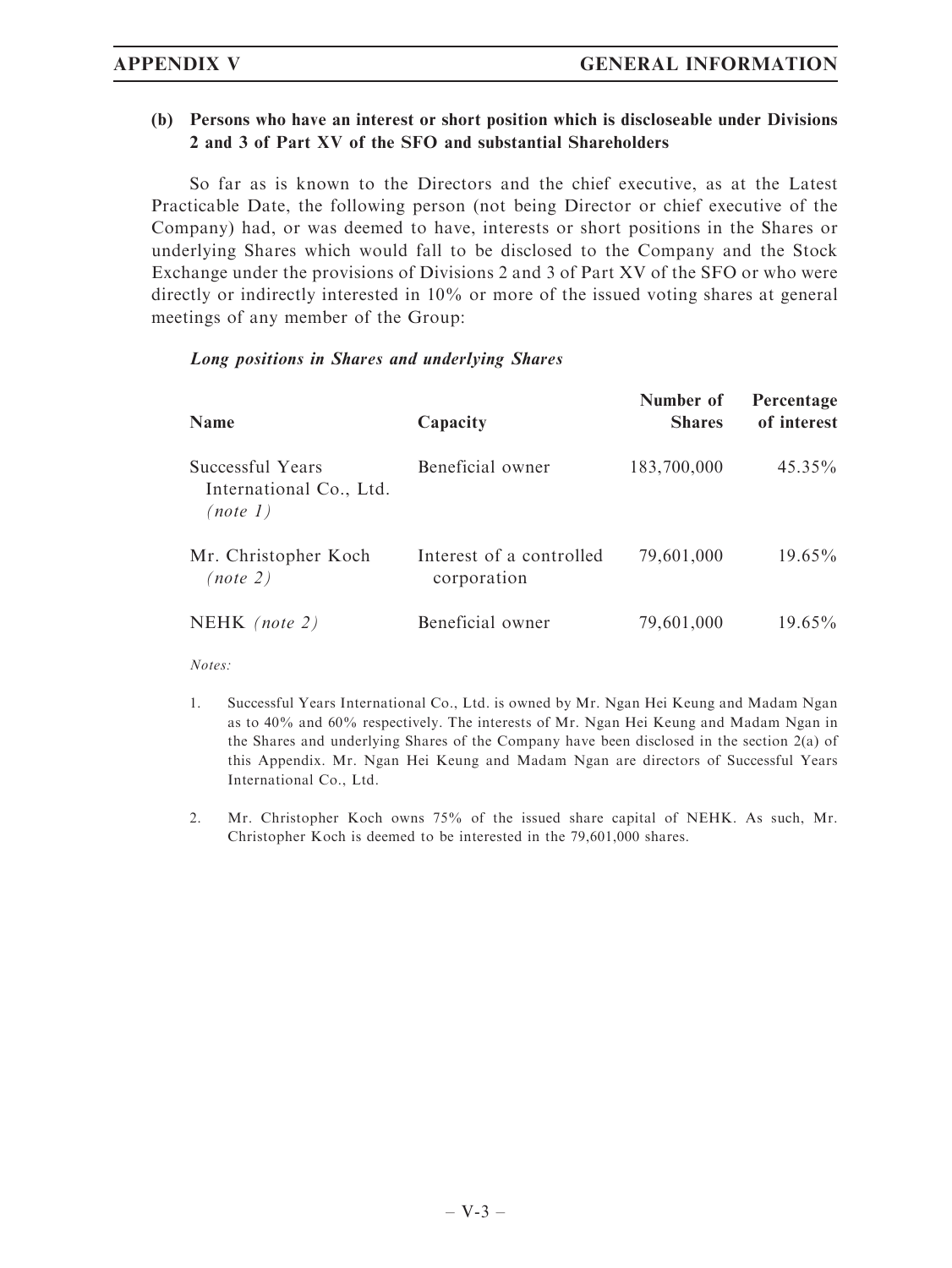# (b) Persons who have an interest or short position which is discloseable under Divisions 2 and 3 of Part XV of the SFO and substantial Shareholders

So far as is known to the Directors and the chief executive, as at the Latest Practicable Date, the following person (not being Director or chief executive of the Company) had, or was deemed to have, interests or short positions in the Shares or underlying Shares which would fall to be disclosed to the Company and the Stock Exchange under the provisions of Divisions 2 and 3 of Part XV of the SFO or who were directly or indirectly interested in 10% or more of the issued voting shares at general meetings of any member of the Group:

# Long positions in Shares and underlying Shares

| <b>Name</b>                                             | Capacity                                | Number of<br><b>Shares</b> | Percentage<br>of interest |
|---------------------------------------------------------|-----------------------------------------|----------------------------|---------------------------|
| Successful Years<br>International Co., Ltd.<br>(note 1) | Beneficial owner                        | 183,700,000                | $45.35\%$                 |
| Mr. Christopher Koch<br>(note 2)                        | Interest of a controlled<br>corporation | 79,601,000                 | $19.65\%$                 |
| NEHK (note 2)                                           | Beneficial owner                        | 79,601,000                 | $19.65\%$                 |

Notes:

- 1. Successful Years International Co., Ltd. is owned by Mr. Ngan Hei Keung and Madam Ngan as to 40% and 60% respectively. The interests of Mr. Ngan Hei Keung and Madam Ngan in the Shares and underlying Shares of the Company have been disclosed in the section 2(a) of this Appendix. Mr. Ngan Hei Keung and Madam Ngan are directors of Successful Years International Co., Ltd.
- 2. Mr. Christopher Koch owns 75% of the issued share capital of NEHK. As such, Mr. Christopher Koch is deemed to be interested in the 79,601,000 shares.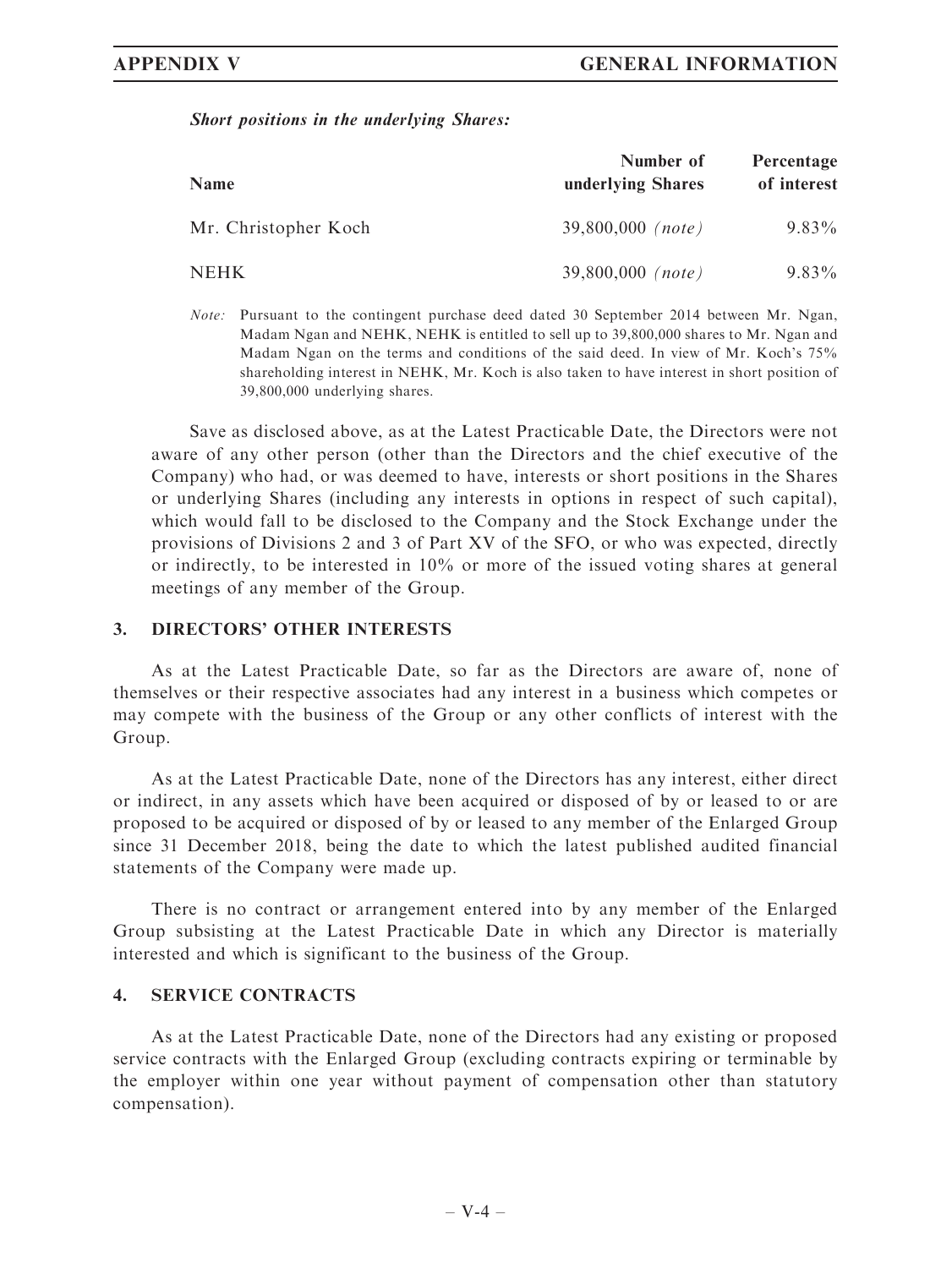### Short positions in the underlying Shares:

| Name                 | Number of<br>underlying Shares | Percentage<br>of interest |
|----------------------|--------------------------------|---------------------------|
| Mr. Christopher Koch | $39,800,000$ (note)            | $9.83\%$                  |
| NEHK .               | $39,800,000$ (note)            | $9.83\%$                  |

Note: Pursuant to the contingent purchase deed dated 30 September 2014 between Mr. Ngan, Madam Ngan and NEHK, NEHK is entitled to sell up to 39,800,000 shares to Mr. Ngan and Madam Ngan on the terms and conditions of the said deed. In view of Mr. Koch's 75% shareholding interest in NEHK, Mr. Koch is also taken to have interest in short position of 39,800,000 underlying shares.

Save as disclosed above, as at the Latest Practicable Date, the Directors were not aware of any other person (other than the Directors and the chief executive of the Company) who had, or was deemed to have, interests or short positions in the Shares or underlying Shares (including any interests in options in respect of such capital), which would fall to be disclosed to the Company and the Stock Exchange under the provisions of Divisions 2 and 3 of Part XV of the SFO, or who was expected, directly or indirectly, to be interested in 10% or more of the issued voting shares at general meetings of any member of the Group.

## 3. DIRECTORS' OTHER INTERESTS

As at the Latest Practicable Date, so far as the Directors are aware of, none of themselves or their respective associates had any interest in a business which competes or may compete with the business of the Group or any other conflicts of interest with the Group.

As at the Latest Practicable Date, none of the Directors has any interest, either direct or indirect, in any assets which have been acquired or disposed of by or leased to or are proposed to be acquired or disposed of by or leased to any member of the Enlarged Group since 31 December 2018, being the date to which the latest published audited financial statements of the Company were made up.

There is no contract or arrangement entered into by any member of the Enlarged Group subsisting at the Latest Practicable Date in which any Director is materially interested and which is significant to the business of the Group.

## 4. SERVICE CONTRACTS

As at the Latest Practicable Date, none of the Directors had any existing or proposed service contracts with the Enlarged Group (excluding contracts expiring or terminable by the employer within one year without payment of compensation other than statutory compensation).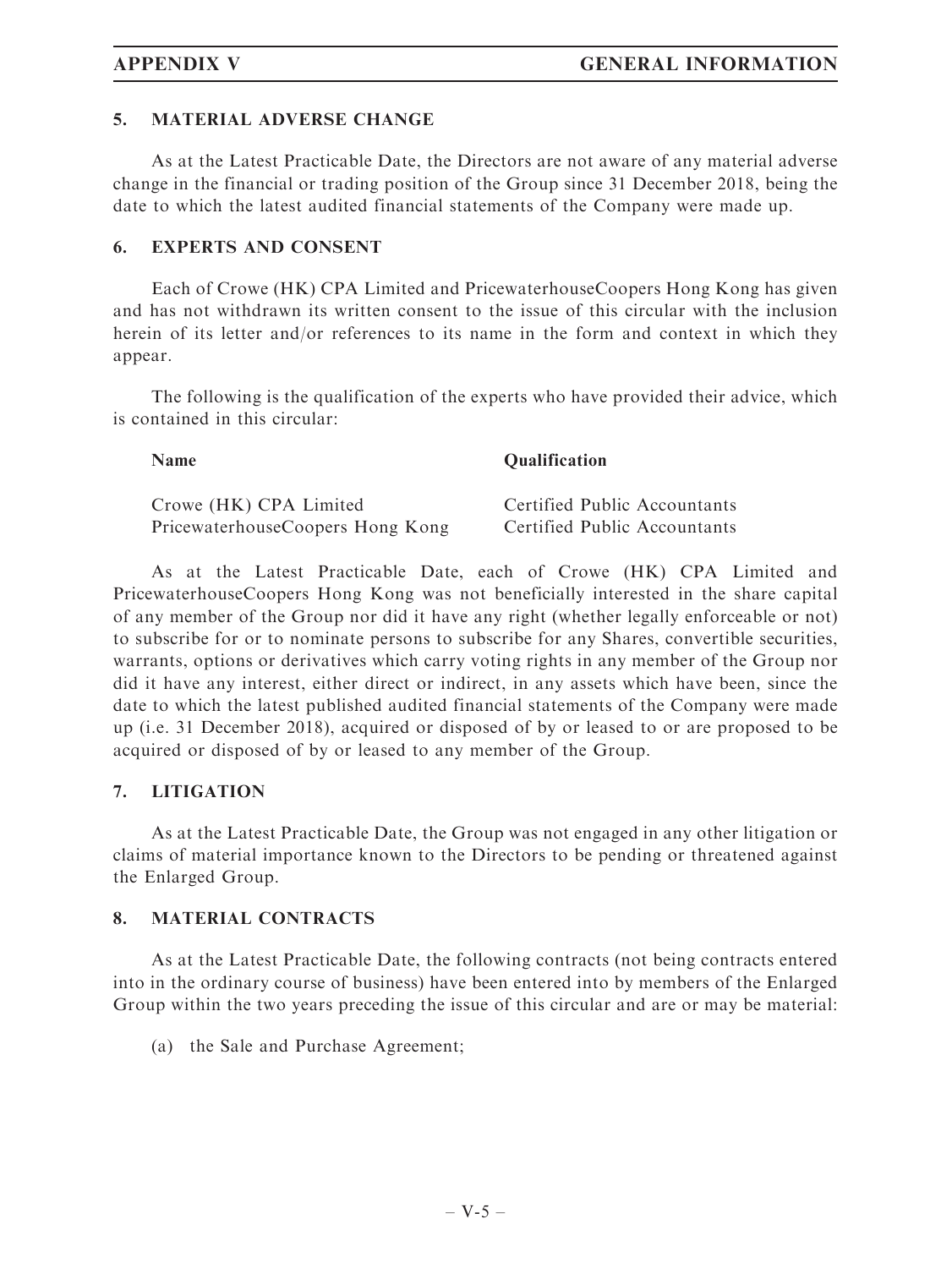# 5. MATERIAL ADVERSE CHANGE

As at the Latest Practicable Date, the Directors are not aware of any material adverse change in the financial or trading position of the Group since 31 December 2018, being the date to which the latest audited financial statements of the Company were made up.

## 6. EXPERTS AND CONSENT

Each of Crowe (HK) CPA Limited and PricewaterhouseCoopers Hong Kong has given and has not withdrawn its written consent to the issue of this circular with the inclusion herein of its letter and/or references to its name in the form and context in which they appear.

The following is the qualification of the experts who have provided their advice, which is contained in this circular:

Name Qualification Crowe (HK) CPA Limited Certified Public Accountants PricewaterhouseCoopers Hong Kong Certified Public Accountants

As at the Latest Practicable Date, each of Crowe (HK) CPA Limited and PricewaterhouseCoopers Hong Kong was not beneficially interested in the share capital of any member of the Group nor did it have any right (whether legally enforceable or not) to subscribe for or to nominate persons to subscribe for any Shares, convertible securities, warrants, options or derivatives which carry voting rights in any member of the Group nor did it have any interest, either direct or indirect, in any assets which have been, since the date to which the latest published audited financial statements of the Company were made up (i.e. 31 December 2018), acquired or disposed of by or leased to or are proposed to be acquired or disposed of by or leased to any member of the Group.

# 7. LITIGATION

As at the Latest Practicable Date, the Group was not engaged in any other litigation or claims of material importance known to the Directors to be pending or threatened against the Enlarged Group.

# 8. MATERIAL CONTRACTS

As at the Latest Practicable Date, the following contracts (not being contracts entered into in the ordinary course of business) have been entered into by members of the Enlarged Group within the two years preceding the issue of this circular and are or may be material:

(a) the Sale and Purchase Agreement;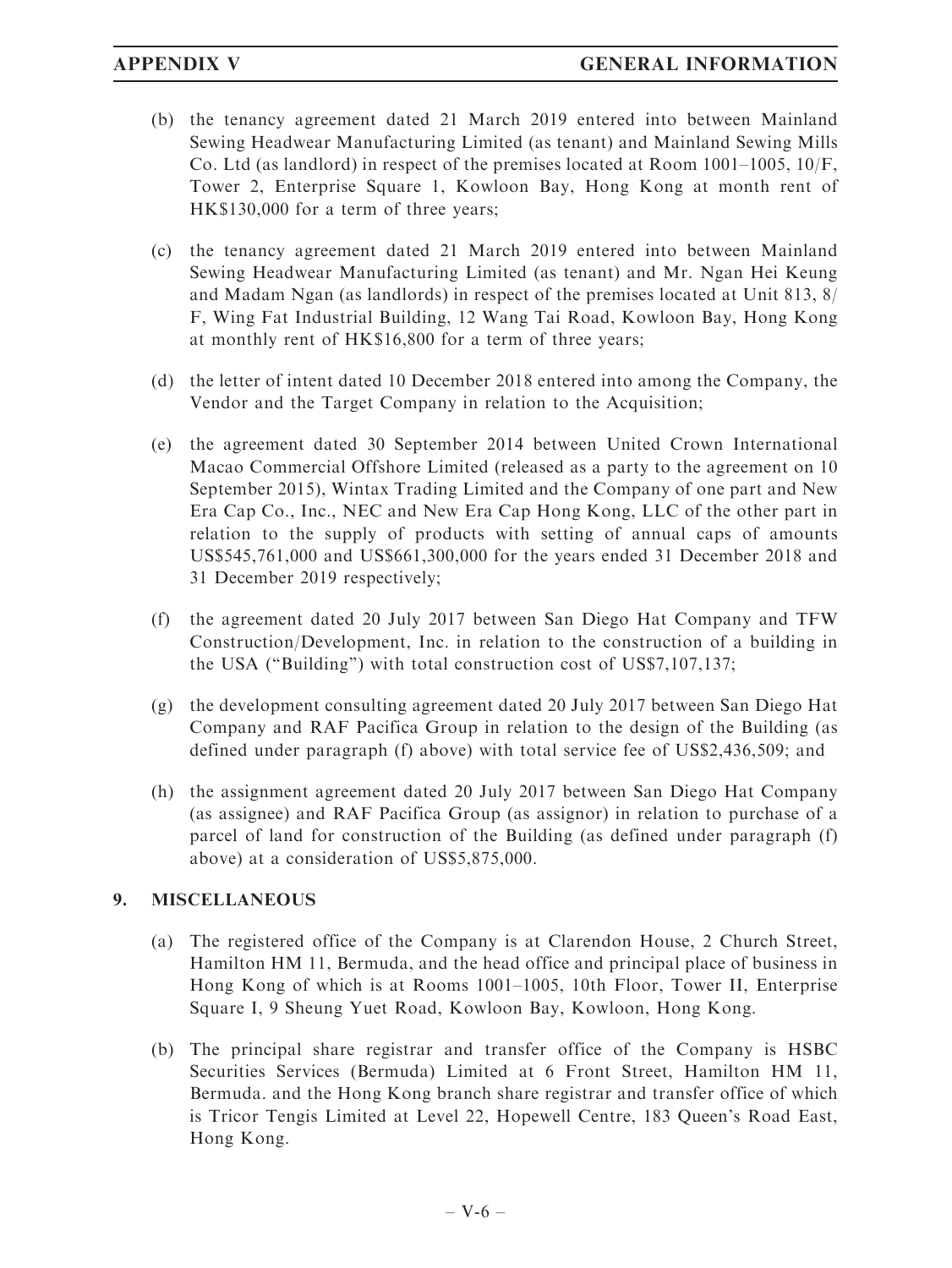- (b) the tenancy agreement dated 21 March 2019 entered into between Mainland Sewing Headwear Manufacturing Limited (as tenant) and Mainland Sewing Mills Co. Ltd (as landlord) in respect of the premises located at Room  $1001-1005$ ,  $10/F$ . Tower 2, Enterprise Square 1, Kowloon Bay, Hong Kong at month rent of HK\$130,000 for a term of three years;
- (c) the tenancy agreement dated 21 March 2019 entered into between Mainland Sewing Headwear Manufacturing Limited (as tenant) and Mr. Ngan Hei Keung and Madam Ngan (as landlords) in respect of the premises located at Unit 813, 8/ F, Wing Fat Industrial Building, 12 Wang Tai Road, Kowloon Bay, Hong Kong at monthly rent of HK\$16,800 for a term of three years;
- (d) the letter of intent dated 10 December 2018 entered into among the Company, the Vendor and the Target Company in relation to the Acquisition;
- (e) the agreement dated 30 September 2014 between United Crown International Macao Commercial Offshore Limited (released as a party to the agreement on 10 September 2015), Wintax Trading Limited and the Company of one part and New Era Cap Co., Inc., NEC and New Era Cap Hong Kong, LLC of the other part in relation to the supply of products with setting of annual caps of amounts US\$545,761,000 and US\$661,300,000 for the years ended 31 December 2018 and 31 December 2019 respectively;
- (f) the agreement dated 20 July 2017 between San Diego Hat Company and TFW Construction/Development, Inc. in relation to the construction of a building in the USA (''Building'') with total construction cost of US\$7,107,137;
- (g) the development consulting agreement dated 20 July 2017 between San Diego Hat Company and RAF Pacifica Group in relation to the design of the Building (as defined under paragraph (f) above) with total service fee of US\$2,436,509; and
- (h) the assignment agreement dated 20 July 2017 between San Diego Hat Company (as assignee) and RAF Pacifica Group (as assignor) in relation to purchase of a parcel of land for construction of the Building (as defined under paragraph (f) above) at a consideration of US\$5,875,000.

# 9. MISCELLANEOUS

- (a) The registered office of the Company is at Clarendon House, 2 Church Street, Hamilton HM 11, Bermuda, and the head office and principal place of business in Hong Kong of which is at Rooms 1001–1005, 10th Floor, Tower II, Enterprise Square I, 9 Sheung Yuet Road, Kowloon Bay, Kowloon, Hong Kong.
- (b) The principal share registrar and transfer office of the Company is HSBC Securities Services (Bermuda) Limited at 6 Front Street, Hamilton HM 11, Bermuda. and the Hong Kong branch share registrar and transfer office of which is Tricor Tengis Limited at Level 22, Hopewell Centre, 183 Queen's Road East, Hong Kong.